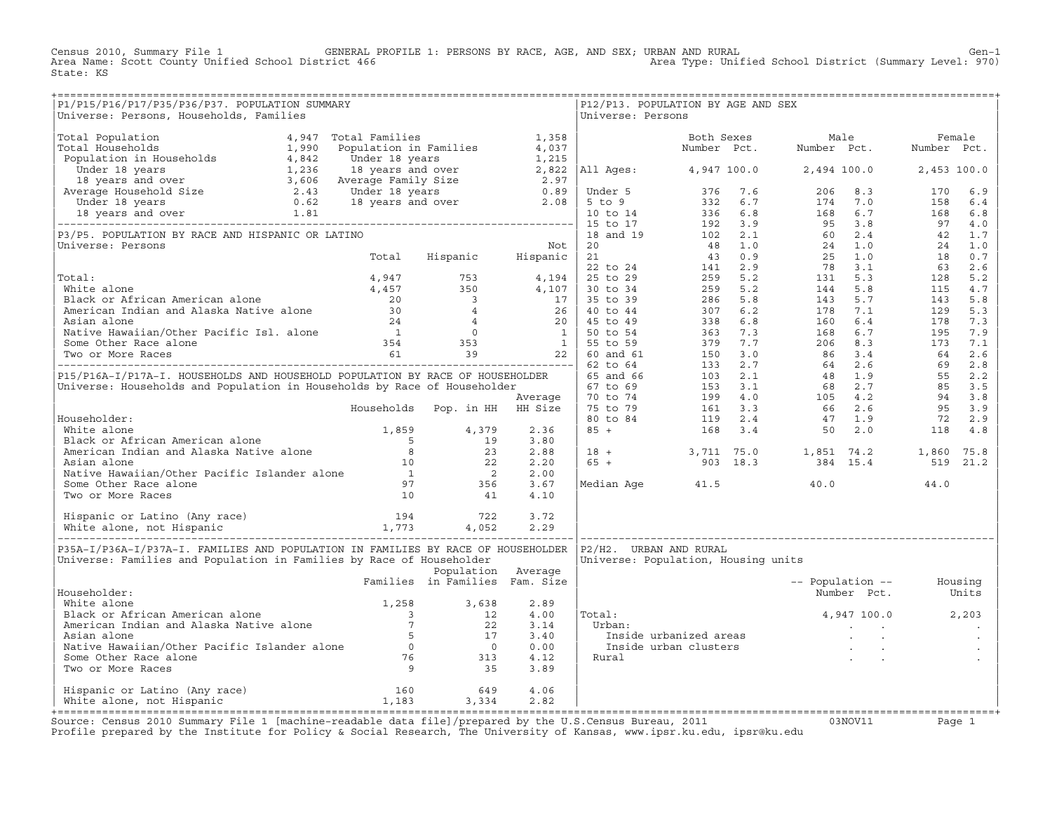Census 2010, Summary File 1 GENERAL PROFILE 1: PERSONS BY RACE, AGE, AND SEX; URBAN AND RURAL Genosi Cen-1<br>Area Name: Scott County Unified School District 466 (3000 Pustrict 466 (4000 Pustrict (Summary Level: 970) Area Type: Unified School District (Summary Level: 970) State: KS

| P1/P15/P16/P17/P35/P36/P37. POPULATION SUMMARY<br>Universe: Persons, Households, Families                                                                                                                                                            |                                |                    | Universe: Persons | P12/P13. POPULATION BY AGE AND SEX                                                                                                                                                                                                 |                          |  |
|------------------------------------------------------------------------------------------------------------------------------------------------------------------------------------------------------------------------------------------------------|--------------------------------|--------------------|-------------------|------------------------------------------------------------------------------------------------------------------------------------------------------------------------------------------------------------------------------------|--------------------------|--|
|                                                                                                                                                                                                                                                      |                                |                    |                   |                                                                                                                                                                                                                                    |                          |  |
|                                                                                                                                                                                                                                                      |                                |                    |                   |                                                                                                                                                                                                                                    |                          |  |
|                                                                                                                                                                                                                                                      |                                |                    |                   |                                                                                                                                                                                                                                    |                          |  |
|                                                                                                                                                                                                                                                      |                                |                    |                   |                                                                                                                                                                                                                                    |                          |  |
|                                                                                                                                                                                                                                                      |                                |                    |                   |                                                                                                                                                                                                                                    |                          |  |
|                                                                                                                                                                                                                                                      |                                |                    |                   |                                                                                                                                                                                                                                    |                          |  |
|                                                                                                                                                                                                                                                      |                                |                    |                   |                                                                                                                                                                                                                                    |                          |  |
|                                                                                                                                                                                                                                                      |                                |                    |                   |                                                                                                                                                                                                                                    |                          |  |
|                                                                                                                                                                                                                                                      |                                |                    |                   |                                                                                                                                                                                                                                    |                          |  |
|                                                                                                                                                                                                                                                      |                                |                    |                   |                                                                                                                                                                                                                                    |                          |  |
|                                                                                                                                                                                                                                                      |                                |                    |                   |                                                                                                                                                                                                                                    |                          |  |
|                                                                                                                                                                                                                                                      |                                |                    |                   |                                                                                                                                                                                                                                    |                          |  |
|                                                                                                                                                                                                                                                      |                                |                    |                   |                                                                                                                                                                                                                                    |                          |  |
|                                                                                                                                                                                                                                                      |                                |                    |                   |                                                                                                                                                                                                                                    |                          |  |
|                                                                                                                                                                                                                                                      |                                |                    |                   |                                                                                                                                                                                                                                    |                          |  |
|                                                                                                                                                                                                                                                      |                                |                    |                   |                                                                                                                                                                                                                                    |                          |  |
|                                                                                                                                                                                                                                                      |                                |                    |                   |                                                                                                                                                                                                                                    |                          |  |
|                                                                                                                                                                                                                                                      |                                |                    |                   |                                                                                                                                                                                                                                    |                          |  |
|                                                                                                                                                                                                                                                      |                                |                    |                   |                                                                                                                                                                                                                                    |                          |  |
|                                                                                                                                                                                                                                                      |                                |                    |                   |                                                                                                                                                                                                                                    |                          |  |
|                                                                                                                                                                                                                                                      |                                |                    |                   |                                                                                                                                                                                                                                    |                          |  |
|                                                                                                                                                                                                                                                      |                                |                    |                   |                                                                                                                                                                                                                                    |                          |  |
|                                                                                                                                                                                                                                                      |                                |                    |                   |                                                                                                                                                                                                                                    |                          |  |
|                                                                                                                                                                                                                                                      |                                |                    |                   |                                                                                                                                                                                                                                    |                          |  |
|                                                                                                                                                                                                                                                      |                                |                    |                   |                                                                                                                                                                                                                                    |                          |  |
|                                                                                                                                                                                                                                                      |                                |                    |                   |                                                                                                                                                                                                                                    |                          |  |
|                                                                                                                                                                                                                                                      |                                |                    |                   |                                                                                                                                                                                                                                    |                          |  |
|                                                                                                                                                                                                                                                      |                                |                    |                   |                                                                                                                                                                                                                                    |                          |  |
|                                                                                                                                                                                                                                                      |                                |                    |                   | $\begin{array}{ rrrrrrrrrrrrrrrrrrrrrrrrrrrrrrrrrrrrrrrrrrrrrrrrrrrr} & 18 & + & & 3,711 & 75.0 & & 1,851 & 74.2 & & 1,860 & 75.8 \\ 65 & + & & 903 & 18.3 & & 384 & 15.4 & & 519 & 21.2 \end{array}$                              |                          |  |
|                                                                                                                                                                                                                                                      |                                |                    |                   |                                                                                                                                                                                                                                    |                          |  |
|                                                                                                                                                                                                                                                      |                                |                    |                   |                                                                                                                                                                                                                                    |                          |  |
|                                                                                                                                                                                                                                                      |                                |                    |                   | Median Age $41.5$ $40.0$ $44.0$                                                                                                                                                                                                    |                          |  |
| Monte alone<br>White alone<br>Black or African American alone<br>American Indian and Alaska Native alone<br>Asian alone<br>Asian alone<br>Asian alone<br>Asian alone<br>Asian alone<br>Asian alone<br>Some Other Race alone<br>Some Other Race alone |                                |                    |                   |                                                                                                                                                                                                                                    |                          |  |
|                                                                                                                                                                                                                                                      |                                |                    |                   |                                                                                                                                                                                                                                    |                          |  |
|                                                                                                                                                                                                                                                      |                                |                    |                   |                                                                                                                                                                                                                                    |                          |  |
|                                                                                                                                                                                                                                                      |                                |                    |                   |                                                                                                                                                                                                                                    |                          |  |
|                                                                                                                                                                                                                                                      |                                |                    |                   |                                                                                                                                                                                                                                    |                          |  |
| P35A-I/P36A-I/P37A-I. FAMILIES AND POPULATION IN FAMILIES BY RACE OF HOUSEHOLDER   P2/H2. URBAN AND RURAL<br>Universe: Families and Population in Families by Race of Householder                                                                    |                                |                    |                   |                                                                                                                                                                                                                                    |                          |  |
|                                                                                                                                                                                                                                                      |                                | Population Average |                   | Universe: Population, Housing units                                                                                                                                                                                                |                          |  |
|                                                                                                                                                                                                                                                      | Families in Families Fam. Size |                    |                   |                                                                                                                                                                                                                                    | -- Population -- Housing |  |
| Householder:                                                                                                                                                                                                                                         |                                |                    |                   |                                                                                                                                                                                                                                    | Number Pct. Units        |  |
|                                                                                                                                                                                                                                                      |                                |                    |                   |                                                                                                                                                                                                                                    |                          |  |
|                                                                                                                                                                                                                                                      |                                |                    | Total:            |                                                                                                                                                                                                                                    | 4,947 100.0 2,203        |  |
|                                                                                                                                                                                                                                                      |                                |                    |                   |                                                                                                                                                                                                                                    |                          |  |
|                                                                                                                                                                                                                                                      |                                |                    |                   | maide urbanized areas<br>Inside urban clusters<br>Rural de la proposa de la proposa de la proposa de la proposa de la proposa de la proposa de la proposa de la proposa de la proposa de la proposa de la proposa de la proposa de |                          |  |
|                                                                                                                                                                                                                                                      |                                |                    |                   |                                                                                                                                                                                                                                    |                          |  |
|                                                                                                                                                                                                                                                      |                                |                    |                   |                                                                                                                                                                                                                                    |                          |  |
| Mouse<br>White alone Mack or African American alone 1,258 3,638 2.89<br>Alack or African American alone 3 12 4.00<br>American Indian and Alaska Native alone 5 17 3.40<br>Asian alone 5 17 3.40<br>Native Hawaiian/Other Pacific Islande             |                                |                    |                   |                                                                                                                                                                                                                                    |                          |  |
|                                                                                                                                                                                                                                                      |                                |                    |                   |                                                                                                                                                                                                                                    |                          |  |
| $\begin{tabular}{lcccccc} Hispanic or Latino (Any race) & & & & & 160 & & 649 & & 4.06 \\ \text{White alone, not Hispanic & & & & & 1,183 & & 3,334 & & 2.82 \\ \end{tabular}$                                                                       |                                |                    |                   |                                                                                                                                                                                                                                    |                          |  |
|                                                                                                                                                                                                                                                      |                                |                    |                   |                                                                                                                                                                                                                                    |                          |  |
|                                                                                                                                                                                                                                                      |                                |                    |                   |                                                                                                                                                                                                                                    |                          |  |

+===================================================================================================================================================+Source: Census 2010 Summary File 1 [machine−readable data file]/prepared by the U.S.Census Bureau, 2011 03NOV11 Page 1 Profile prepared by the Institute for Policy & Social Research, The University of Kansas, www.ipsr.ku.edu, ipsr@ku.edu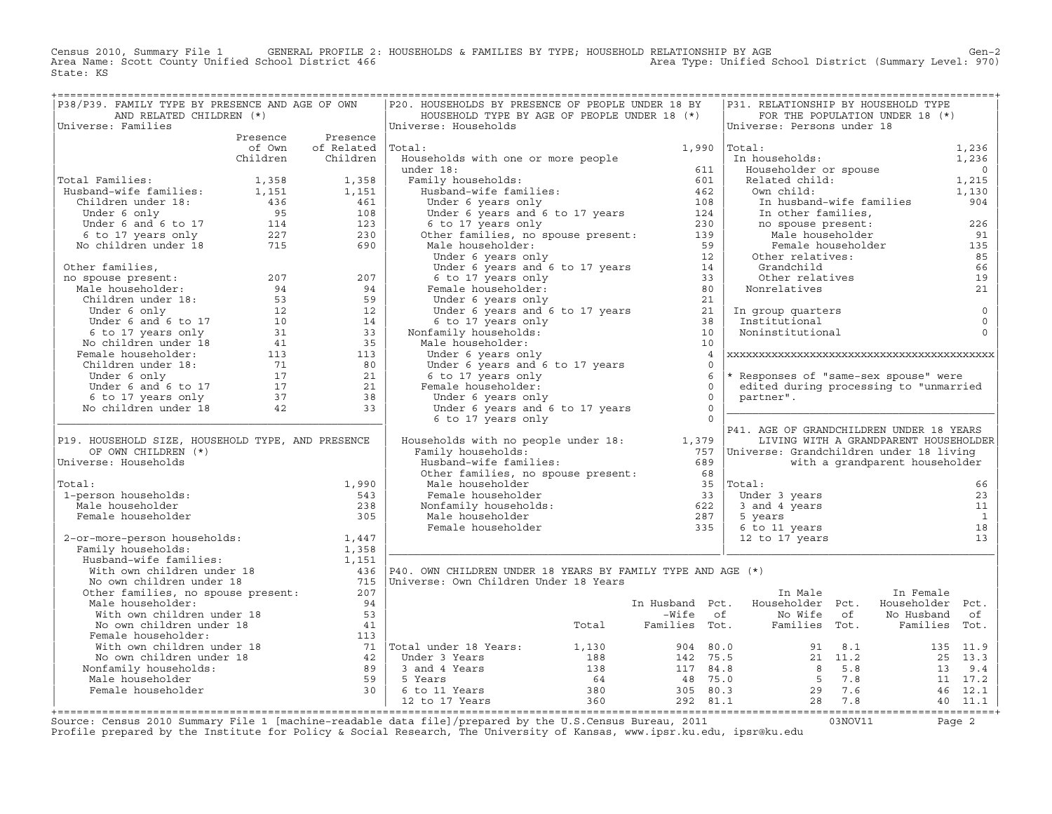Census 2010, Summary File 1 GENERAL PROFILE 2: HOUSEHOLDS & FAMILIES BY TYPE; HOUSEHOLD RELATIONSHIP BY AGE GEN<br>Area Name: Scott County Unified School District 466 Area Type: Unified School District (Summary Level: 970) Area Type: Unified School District (Summary Level: 970) State: KS

| P38/P39. FAMILY TYPE BY PRESENCE AND AGE OF OWN                                                                                                                                                                                                                                          |                          | P20. HOUSEHOLDS BY PRESENCE OF PEOPLE UNDER 18 BY                                                                                                                                                                                                                   |                   |                            | P31. RELATIONSHIP BY HOUSEHOLD TYPE                                             |                                            |                         |
|------------------------------------------------------------------------------------------------------------------------------------------------------------------------------------------------------------------------------------------------------------------------------------------|--------------------------|---------------------------------------------------------------------------------------------------------------------------------------------------------------------------------------------------------------------------------------------------------------------|-------------------|----------------------------|---------------------------------------------------------------------------------|--------------------------------------------|-------------------------|
| AND RELATED CHILDREN (*)                                                                                                                                                                                                                                                                 |                          | HOUSEHOLD TYPE BY AGE OF PEOPLE UNDER 18 (*)                                                                                                                                                                                                                        |                   |                            |                                                                                 | FOR THE POPULATION UNDER 18 (*)            |                         |
| Universe: Families                                                                                                                                                                                                                                                                       |                          | Universe: Households                                                                                                                                                                                                                                                |                   |                            | Universe: Persons under 18                                                      |                                            |                         |
|                                                                                                                                                                                                                                                                                          | Presence Presence        |                                                                                                                                                                                                                                                                     |                   |                            |                                                                                 |                                            |                         |
|                                                                                                                                                                                                                                                                                          | of Own of Related Total: |                                                                                                                                                                                                                                                                     | $1,990$ $ Total:$ |                            |                                                                                 |                                            | 1,236<br>1,236          |
|                                                                                                                                                                                                                                                                                          | Children Children        | Households with one or more people<br>University of the Case of the Case of the Case of the Case of the Case of the Case of the Case of the Case of the Case of the Case of the Case of the Case of the Case of the Case of the Case of the Case of the Case of the |                   |                            | Total:<br>In households:<br>Householder or spouse<br>Related child:             |                                            |                         |
|                                                                                                                                                                                                                                                                                          |                          |                                                                                                                                                                                                                                                                     |                   |                            |                                                                                 |                                            | $\overline{0}$          |
|                                                                                                                                                                                                                                                                                          |                          |                                                                                                                                                                                                                                                                     |                   |                            |                                                                                 |                                            | 1,215                   |
|                                                                                                                                                                                                                                                                                          |                          |                                                                                                                                                                                                                                                                     |                   |                            | Own child:                                                                      |                                            | 1,130                   |
|                                                                                                                                                                                                                                                                                          |                          |                                                                                                                                                                                                                                                                     |                   |                            | In husband-wife families                                                        |                                            | 904                     |
|                                                                                                                                                                                                                                                                                          |                          |                                                                                                                                                                                                                                                                     |                   |                            | In other families,                                                              |                                            |                         |
|                                                                                                                                                                                                                                                                                          |                          |                                                                                                                                                                                                                                                                     |                   |                            |                                                                                 | no spouse present:<br>Male householder 191 |                         |
| 1,358 1,358<br>Husband-wife families: 1,151 1,151<br>Children under 18: 1,151 1,151<br>Under 6 only 95 108<br>Under 6 and 6 to 17 114 123<br>6 to 17 years only 227 230<br>No children under 18 715 690                                                                                  |                          |                                                                                                                                                                                                                                                                     |                   |                            |                                                                                 |                                            |                         |
|                                                                                                                                                                                                                                                                                          |                          |                                                                                                                                                                                                                                                                     |                   |                            |                                                                                 | Female householder                         | 135                     |
|                                                                                                                                                                                                                                                                                          |                          |                                                                                                                                                                                                                                                                     |                   |                            | Other relatives:<br>)ther<br>Grandchild<br>Other relatives                      |                                            | 85                      |
|                                                                                                                                                                                                                                                                                          |                          |                                                                                                                                                                                                                                                                     |                   |                            | Grandchild                                                                      |                                            | 66                      |
|                                                                                                                                                                                                                                                                                          |                          |                                                                                                                                                                                                                                                                     |                   |                            | Nonrelatives                                                                    |                                            | 19                      |
|                                                                                                                                                                                                                                                                                          |                          |                                                                                                                                                                                                                                                                     |                   |                            |                                                                                 |                                            | 21                      |
|                                                                                                                                                                                                                                                                                          |                          |                                                                                                                                                                                                                                                                     |                   |                            |                                                                                 |                                            |                         |
|                                                                                                                                                                                                                                                                                          |                          |                                                                                                                                                                                                                                                                     |                   |                            | In group quarters<br>Institutional<br>Noninstitutional                          |                                            | $\mathsf 0$             |
|                                                                                                                                                                                                                                                                                          |                          |                                                                                                                                                                                                                                                                     |                   |                            |                                                                                 |                                            | $\mathbb O$<br>$\Omega$ |
|                                                                                                                                                                                                                                                                                          |                          |                                                                                                                                                                                                                                                                     |                   |                            |                                                                                 |                                            |                         |
|                                                                                                                                                                                                                                                                                          |                          | Male householder:                                                                                                                                                                                                                                                   |                   |                            |                                                                                 |                                            |                         |
|                                                                                                                                                                                                                                                                                          |                          | Under 6 years only                                                                                                                                                                                                                                                  |                   | $\overline{4}$<br>$\Omega$ |                                                                                 |                                            |                         |
|                                                                                                                                                                                                                                                                                          |                          | Under 6 years and 6 to 17 years                                                                                                                                                                                                                                     | - 6               |                            | * Responses of "same-sex spouse" were                                           |                                            |                         |
|                                                                                                                                                                                                                                                                                          |                          | 6 to 17 years only<br>Female householder:                                                                                                                                                                                                                           |                   | $\Omega$                   | edited during processing to "unmarried                                          |                                            |                         |
|                                                                                                                                                                                                                                                                                          |                          | Under 6 years only                                                                                                                                                                                                                                                  | $\overline{0}$    |                            | partner".                                                                       |                                            |                         |
|                                                                                                                                                                                                                                                                                          |                          |                                                                                                                                                                                                                                                                     | $\overline{0}$    |                            |                                                                                 |                                            |                         |
| 001 1 1 2 207<br>001 1 207<br>001 1 207<br>001 207<br>001 207<br>001 207<br>001 12<br>001 12<br>001 12<br>001 12<br>001 12<br>001 12<br>001 12<br>001 12<br>0011 13<br>0011<br>0011<br>0011<br>0011<br>0011<br>0011<br>0011<br>0011<br>0011<br>0011<br>0011<br>0011<br>0011<br>0011<br>0 |                          | Under $\frac{1}{2}$ years and $\frac{1}{2}$ to 17 years<br>6 to 17 years only                                                                                                                                                                                       | $\bigcap$         |                            |                                                                                 |                                            |                         |
|                                                                                                                                                                                                                                                                                          |                          |                                                                                                                                                                                                                                                                     |                   |                            | P41. AGE OF GRANDCHILDREN UNDER 18 YEARS                                        |                                            |                         |
| P19. HOUSEHOLD SIZE, HOUSEHOLD TYPE, AND PRESENCE                                                                                                                                                                                                                                        |                          | Households with no people under 18: 1,379                                                                                                                                                                                                                           |                   |                            |                                                                                 | LIVING WITH A GRANDPARENT HOUSEHOLDER      |                         |
| OF OWN CHILDREN (*)                                                                                                                                                                                                                                                                      |                          | Family households:                                                                                                                                                                                                                                                  |                   |                            | 757  Universe: Grandchildren under 18 living                                    |                                            |                         |
| Universe: Households                                                                                                                                                                                                                                                                     |                          |                                                                                                                                                                                                                                                                     | 689               |                            |                                                                                 | with a grandparent householder             |                         |
|                                                                                                                                                                                                                                                                                          |                          | Family nouseholds:<br>Husband-wife families: 689<br>Other families, no spouse present: 68                                                                                                                                                                           |                   |                            |                                                                                 |                                            |                         |
| Total:                                                                                                                                                                                                                                                                                   | 1,990                    |                                                                                                                                                                                                                                                                     |                   |                            |                                                                                 |                                            | 66                      |
| 1-person households:                                                                                                                                                                                                                                                                     | 543                      |                                                                                                                                                                                                                                                                     |                   |                            | Under 3 years                                                                   |                                            | 23                      |
| Male householder                                                                                                                                                                                                                                                                         | 238                      | Female householder<br>Nonfamily households:<br>Male householder<br>Female householder<br>Female householder<br>Temale householder<br>Temale householder<br>Temale householder<br>Temale householder<br>All the same start of the space<br>Same Sam                  |                   |                            | Under 3 years<br>3 and 4 years                                                  |                                            | 11                      |
| Female householder                                                                                                                                                                                                                                                                       | 305                      |                                                                                                                                                                                                                                                                     |                   |                            | 5 years                                                                         |                                            | $\overline{1}$          |
|                                                                                                                                                                                                                                                                                          |                          |                                                                                                                                                                                                                                                                     |                   |                            |                                                                                 |                                            | 18                      |
|                                                                                                                                                                                                                                                                                          |                          | Femaly households:<br>Femaly households:<br>Husband-wife families:<br>With own children under 18<br>No own children under 18<br>No own children under 18<br>Other families, no spouse present:<br>207<br>Male householder:<br>Male householder:<br>                 |                   |                            | 6 to 11 years<br>12 to 17 years                                                 |                                            | 13                      |
|                                                                                                                                                                                                                                                                                          |                          |                                                                                                                                                                                                                                                                     |                   |                            |                                                                                 |                                            |                         |
|                                                                                                                                                                                                                                                                                          |                          |                                                                                                                                                                                                                                                                     |                   |                            |                                                                                 |                                            |                         |
|                                                                                                                                                                                                                                                                                          |                          |                                                                                                                                                                                                                                                                     |                   |                            |                                                                                 |                                            |                         |
|                                                                                                                                                                                                                                                                                          |                          |                                                                                                                                                                                                                                                                     |                   |                            |                                                                                 |                                            |                         |
|                                                                                                                                                                                                                                                                                          |                          |                                                                                                                                                                                                                                                                     |                   |                            | In Male                                                                         | In Female                                  |                         |
| Male householder:                                                                                                                                                                                                                                                                        | 94                       |                                                                                                                                                                                                                                                                     |                   |                            | In Husband Pct. Householder Pct. Householder Pct.                               |                                            |                         |
| With own children under 18<br>No own children under 18<br>Female householder:                                                                                                                                                                                                            | 53                       |                                                                                                                                                                                                                                                                     |                   |                            | -Wife of Monte of No Husband of Total Pamilies Tot. Families Tot. Families Tot. |                                            |                         |
|                                                                                                                                                                                                                                                                                          |                          |                                                                                                                                                                                                                                                                     |                   |                            |                                                                                 |                                            |                         |
|                                                                                                                                                                                                                                                                                          |                          |                                                                                                                                                                                                                                                                     |                   |                            |                                                                                 |                                            |                         |
|                                                                                                                                                                                                                                                                                          |                          |                                                                                                                                                                                                                                                                     |                   |                            |                                                                                 |                                            |                         |
|                                                                                                                                                                                                                                                                                          |                          |                                                                                                                                                                                                                                                                     |                   |                            |                                                                                 |                                            |                         |
|                                                                                                                                                                                                                                                                                          |                          |                                                                                                                                                                                                                                                                     |                   |                            |                                                                                 |                                            |                         |
|                                                                                                                                                                                                                                                                                          |                          |                                                                                                                                                                                                                                                                     |                   |                            |                                                                                 |                                            |                         |
|                                                                                                                                                                                                                                                                                          |                          |                                                                                                                                                                                                                                                                     |                   |                            |                                                                                 |                                            |                         |
| Mo own children under 18<br>No own children under 18<br>Female householder:<br>With own children under 18<br>With own children under 18<br>With own children under 18<br>With own children under 18<br>With own children under 18<br>With own                                            |                          |                                                                                                                                                                                                                                                                     |                   |                            |                                                                                 |                                            |                         |
|                                                                                                                                                                                                                                                                                          |                          |                                                                                                                                                                                                                                                                     |                   |                            |                                                                                 |                                            |                         |

+===================================================================================================================================================+Source: Census 2010 Summary File 1 [machine−readable data file]/prepared by the U.S.Census Bureau, 2011 03NOV11 Page 2 Profile prepared by the Institute for Policy & Social Research, The University of Kansas, www.ipsr.ku.edu, ipsr@ku.edu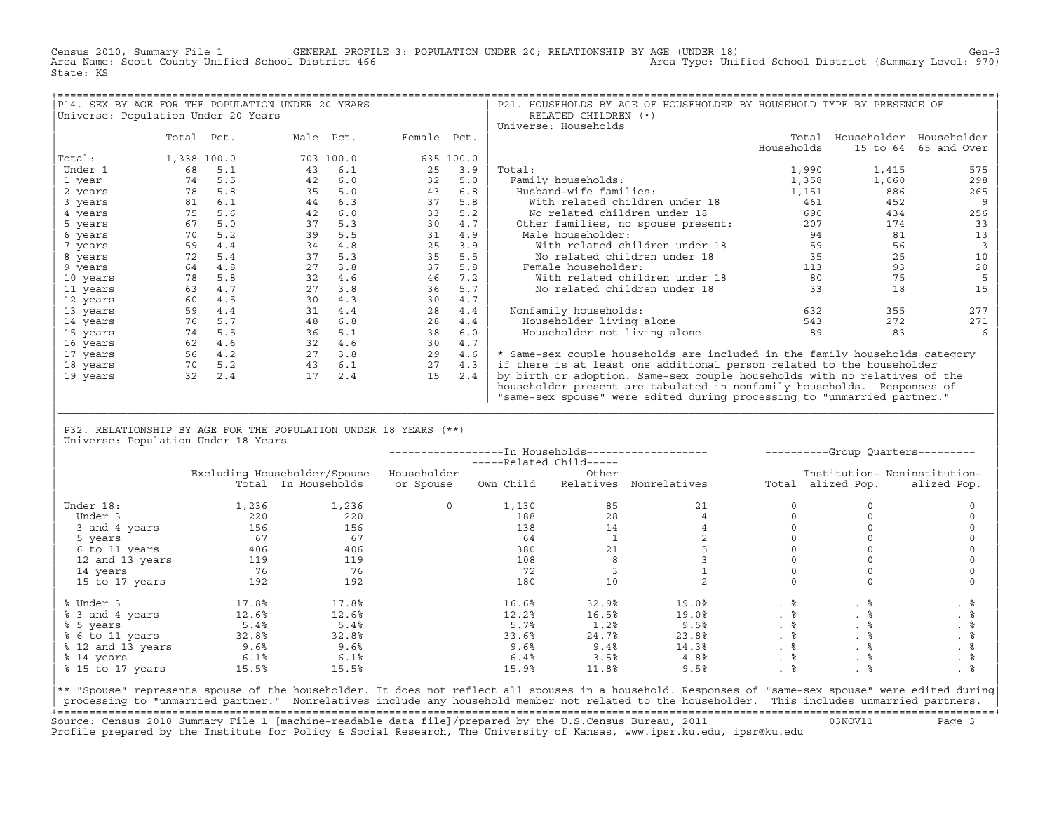Census 2010, Summary File 1 GENERAL PROFILE 3: POPULATION UNDER 20; RELATIONSHIP BY AGE (UNDER 18) Gen−3<br>Area Name: Scott County Unified School District 466 (970) Area Type: Unified School District (Summary Level: Area Type: Unified School District (Summary Level: 970) State: KS

| P14. SEX BY AGE FOR THE POPULATION UNDER 20 YEARS |             |     |           |           |             |           | P21. HOUSEHOLDS BY AGE OF HOUSEHOLDER BY HOUSEHOLD TYPE BY PRESENCE OF      |            |          |                         |
|---------------------------------------------------|-------------|-----|-----------|-----------|-------------|-----------|-----------------------------------------------------------------------------|------------|----------|-------------------------|
| Universe: Population Under 20 Years               |             |     |           |           |             |           | RELATED CHILDREN (*)                                                        |            |          |                         |
|                                                   |             |     |           |           |             |           | Universe: Households                                                        |            |          |                         |
|                                                   | Total Pct.  |     | Male Pct. |           | Female Pct. |           |                                                                             | Total      |          | Householder Householder |
|                                                   |             |     |           |           |             |           |                                                                             | Households | 15 to 64 | 65 and Over             |
| Total:                                            | 1,338 100.0 |     |           | 703 100.0 |             | 635 100.0 |                                                                             |            |          |                         |
| Under 1                                           | 68          | 5.1 | 43        | 6.1       | 25          | 3.9       | Total:                                                                      | 1,990      | 1,415    | 575                     |
| 1 year                                            | 74          | 5.5 | 42        | 6.0       | 32          | 5.0       | Family households:                                                          | 1,358      | 1,060    | 298                     |
| 2 years                                           | 78          | 5.8 | 35        | 5.0       | 43          | 6.8       | Husband-wife families:                                                      | 1,151      | 886      | 265                     |
| 3 years                                           | 81          | 6.1 | 44        | 6.3       | 37          | 5.8       | With related children under 18                                              | 461        | 452      | 9                       |
| 4 years                                           | 75          | 5.6 | 42        | 6.0       | 33          | 5.2       | No related children under 18                                                | 690        | 434      | 256                     |
| 5 years                                           | 67          | 5.0 | 37        | 5.3       | 30          | 4.7       | Other families, no spouse present:                                          | 207        | 174      | 33                      |
| 6 years                                           | 70          | 5.2 | 39        | 5.5       | 31          | 4.9       | Male householder:                                                           | 94         | 81       | 13                      |
| 7 years                                           | 59          | 4.4 | 34        | 4.8       | 25          | 3.9       | With related children under 18                                              | 59         | 56       |                         |
| 8 years                                           | 72          | 5.4 | 37        | 5.3       | 35          | 5.5       | No related children under 18                                                | 35         | 25       | 10                      |
| 9 years                                           | 64          | 4.8 | 27        | 3.8       | 37          | 5.8       | Female householder:                                                         | 113        | 93       | 20                      |
| 10 years                                          | 78          | 5.8 | 32        | 4.6       | 46          | 7.2       | With related children under 18                                              | 80         | 75       |                         |
| 11 years                                          | 63          | 4.7 | 27        | 3.8       | 36          | 5.7       | No related children under 18                                                | 33         | 18       | 15                      |
| 12 years                                          | 60          | 4.5 | 30        | 4.3       | 30          | 4.7       |                                                                             |            |          |                         |
| 13 years                                          | 59          | 4.4 | 31        | 4.4       | 28          | 4.4       | Nonfamily households:                                                       | 632        | 355      | 277                     |
| 14 years                                          | 76          | 5.7 | 48        | 6.8       | 28          | 4.4       | Householder living alone                                                    | 543        | 272      | 271                     |
| 15 years                                          | 74          | 5.5 | 36        | 5.1       | 38          | 6.0       | Householder not living alone                                                | 89         | 83       |                         |
| 16 years                                          | 62          | 4.6 | 32        | 4.6       | 30          | 4.7       |                                                                             |            |          |                         |
| 17 years                                          | 56          | 4.2 | 27        | 3.8       | 29          | 4.6       | * Same-sex couple households are included in the family households category |            |          |                         |
| 18 years                                          | 70          | 5.2 | 43        | 6.1       | 27          | 4.3       | if there is at least one additional person related to the householder       |            |          |                         |
| 19 years                                          | 32          | 2.4 | 17        | 2.4       | 15          | 2.4       | by birth or adoption. Same-sex couple households with no relatives of the   |            |          |                         |
|                                                   |             |     |           |           |             |           | householder present are tabulated in nonfamily households. Responses of     |            |          |                         |
|                                                   |             |     |           |           |             |           | "same-sex spouse" were edited during processing to "unmarried partner."     |            |          |                         |

| P32. RELATIONSHIP BY AGE FOR THE POPULATION UNDER 18 YEARS (\*\*) | Universe: Population Under 18 Years

|                   |       |                              |              | -----Related Child----- |           |              |      |                   | ----------Group Quarters--------- |
|-------------------|-------|------------------------------|--------------|-------------------------|-----------|--------------|------|-------------------|-----------------------------------|
|                   |       | Excluding Householder/Spouse | Householder  |                         | Other     |              |      |                   | Institution- Noninstitution-      |
|                   |       | Total In Households          | or Spouse    | Own Child               | Relatives | Nonrelatives |      | Total alized Pop. | alized Pop.                       |
| Under 18:         | 1,236 | 1,236                        | $\mathbf{0}$ | 1,130                   | 85        | 21           |      |                   |                                   |
| Under 3           | 220   | 220                          |              | 188                     | 28        |              |      |                   |                                   |
| 3 and 4 years     | 156   | 156                          |              | 138                     | 14        |              |      |                   |                                   |
| 5 years           | 67    | 67                           |              | 64                      |           |              |      |                   |                                   |
| 6 to 11 years     | 406   | 406                          |              | 380                     | 21        |              |      |                   |                                   |
| 12 and 13 years   | 119   | 119                          |              | 108                     |           |              |      |                   |                                   |
| 14 years          | 76    | 76                           |              | 72                      |           |              |      |                   |                                   |
| 15 to 17 years    | 192   | 192                          |              | 180                     | 10        |              |      |                   |                                   |
| % Under 3         | 17.8% | 17.8%                        |              | 16.6%                   | 32.9%     | 19.0%        | . 응  | . 응               | . 응                               |
| % 3 and 4 years   | 12.6% | 12.6%                        |              | 12.2%                   | 16.5%     | 19.0%        | . 응  | . ៖               | . 응                               |
| % 5 years         | 5.4%  | 5.4%                         |              | 5.7%                    | 1.2%      | 9.5%         | . 응  | . 응               |                                   |
| % 6 to 11 years   | 32.8% | 32.8%                        |              | 33.6%                   | 24.7%     | 23.8%        | . 응  | . 응               |                                   |
| % 12 and 13 years | 9.6%  | 9.6%                         |              | 9.6%                    | 9.4%      | 14.3%        |      | . ៖               | . 응                               |
| % 14 years        | 6.1%  | 6.1%                         |              | 6.4%                    | 3.5%      | 4.8%         | . 응  | . 응               | . 응                               |
| % 15 to 17 years  | 15.5% | 15.5%                        |              | 15.9%                   | 11.8%     | 9.5%         | .  응 | . ៖               | . 응                               |

|\_\_\_\_\_\_\_\_\_\_\_\_\_\_\_\_\_\_\_\_\_\_\_\_\_\_\_\_\_\_\_\_\_\_\_\_\_\_\_\_\_\_\_\_\_\_\_\_\_\_\_\_\_\_\_\_\_\_\_\_\_\_\_\_\_\_\_\_\_\_\_\_\_\_\_\_\_\_\_\_\_\_\_\_\_\_\_\_\_\_\_\_\_\_\_\_\_\_\_\_\_\_\_\_\_\_\_\_\_\_\_\_\_\_\_\_\_\_\_\_\_\_\_\_\_\_\_\_\_\_\_\_\_\_\_\_\_\_\_\_\_\_\_\_\_\_\_| | |

|\*\* "Spouse" represents spouse of the householder. It does not reflect all spouses in a household. Responses of "same−sex spouse" were edited during| processing to "unmarried partner." Nonrelatives include any household member not related to the householder. This includes unmarried partners. +===================================================================================================================================================+ Source: Census 2010 Summary File 1 [machine−readable data file]/prepared by the U.S.Census Bureau, 2011 03NOV11 Page 3 Profile prepared by the Institute for Policy & Social Research, The University of Kansas, www.ipsr.ku.edu, ipsr@ku.edu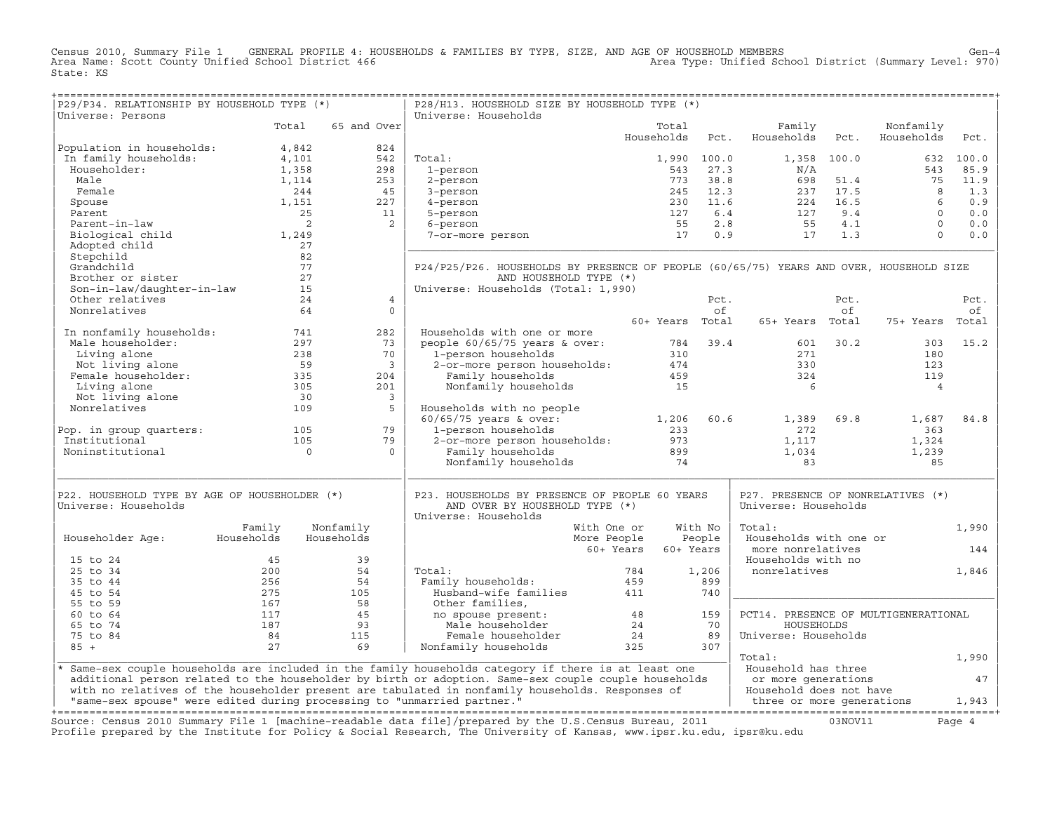Census 2010, Summary File 1 GENERAL PROFILE 4: HOUSEHOLDS & FAMILIES BY TYPE, SIZE, AND AGE OF HOUSEHOLD MEMBERS<br>Area Name: Scott County Unified School District 466 Area Type: Unified Scho State: KS

| P29/P34. RELATIONSHIP BY HOUSEHOLD TYPE (*)                                                                                                                                           |                                                                                |                                                                                                   | P28/H13. HOUSEHOLD SIZE BY HOUSEHOLD TYPE (*)                                                                                                                                     |                        |             |                                                                                                                                                                                                                                       |             |                                             |           |
|---------------------------------------------------------------------------------------------------------------------------------------------------------------------------------------|--------------------------------------------------------------------------------|---------------------------------------------------------------------------------------------------|-----------------------------------------------------------------------------------------------------------------------------------------------------------------------------------|------------------------|-------------|---------------------------------------------------------------------------------------------------------------------------------------------------------------------------------------------------------------------------------------|-------------|---------------------------------------------|-----------|
| Universe: Persons                                                                                                                                                                     |                                                                                |                                                                                                   | Universe: Households                                                                                                                                                              |                        |             |                                                                                                                                                                                                                                       |             |                                             |           |
|                                                                                                                                                                                       | Total                                                                          | 65 and Over                                                                                       |                                                                                                                                                                                   | Total                  |             | Family                                                                                                                                                                                                                                |             | Nonfamily                                   |           |
|                                                                                                                                                                                       |                                                                                |                                                                                                   |                                                                                                                                                                                   | Households             | Pct.        | Households                                                                                                                                                                                                                            | Pct.        | Households                                  | Pct.      |
| Population in households:                                                                                                                                                             | 4,842                                                                          | 824<br>$\begin{array}{c cc} & & 2 & \\ 4 & & 253 & \\ & & 45 & \\ & & 227 & \\ & & & \end{array}$ |                                                                                                                                                                                   |                        |             |                                                                                                                                                                                                                                       |             |                                             |           |
| In family households:                                                                                                                                                                 | 4,101                                                                          |                                                                                                   | Total:                                                                                                                                                                            |                        | 1,990 100.0 |                                                                                                                                                                                                                                       | 1,358 100.0 |                                             | 632 100.0 |
| Householder:                                                                                                                                                                          | 1,358                                                                          |                                                                                                   | 1-person                                                                                                                                                                          | 543                    | 27.3        | N/A<br>$\begin{array}{cccc} 543 & 27.3 & & & & & N/A \\ 773 & 38.8 & & 698 & 51.4 \\ 245 & 12.3 & & 237 & 17.5 \\ 230 & 11.6 & & 224 & 16.5 \\ 127 & 6.4 & & 127 & 9.4 \\ 55 & 2.8 & & 55 & 4.1 \\ 17 & 0.9 & & 17 & 1.3 \end{array}$ |             | 543                                         | 85.9      |
| Male                                                                                                                                                                                  | 1,114                                                                          |                                                                                                   | 2-person                                                                                                                                                                          |                        |             |                                                                                                                                                                                                                                       |             | 75                                          | 11.9      |
| Female                                                                                                                                                                                | 244                                                                            |                                                                                                   | 3-person                                                                                                                                                                          |                        |             |                                                                                                                                                                                                                                       |             |                                             | 1.3       |
| Spouse                                                                                                                                                                                | 1,151                                                                          |                                                                                                   | 4-person                                                                                                                                                                          |                        |             |                                                                                                                                                                                                                                       |             | $\begin{bmatrix} 8 \\ 6 \\ 0 \end{bmatrix}$ | 0.9       |
| Parent                                                                                                                                                                                | $\frac{1}{25}$                                                                 |                                                                                                   | 5-person                                                                                                                                                                          |                        |             |                                                                                                                                                                                                                                       |             |                                             | 0.0       |
| Parent-in-law                                                                                                                                                                         | $\overline{\phantom{a}}$                                                       | $\overline{2}$                                                                                    | 6-person                                                                                                                                                                          |                        |             |                                                                                                                                                                                                                                       |             | $\overline{0}$                              | 0.0       |
| Biological child                                                                                                                                                                      | 1,249                                                                          |                                                                                                   | 7-or-more person                                                                                                                                                                  |                        |             |                                                                                                                                                                                                                                       |             | $\Omega$                                    | 0.0       |
| Adopted child                                                                                                                                                                         | 27                                                                             |                                                                                                   |                                                                                                                                                                                   |                        |             |                                                                                                                                                                                                                                       |             |                                             |           |
| Stepchild                                                                                                                                                                             | 82                                                                             |                                                                                                   |                                                                                                                                                                                   |                        |             |                                                                                                                                                                                                                                       |             |                                             |           |
| Grandchild                                                                                                                                                                            | 77                                                                             |                                                                                                   | P24/P25/P26. HOUSEHOLDS BY PRESENCE OF PEOPLE (60/65/75) YEARS AND OVER, HOUSEHOLD SIZE                                                                                           |                        |             |                                                                                                                                                                                                                                       |             |                                             |           |
| Brother or sister                                                                                                                                                                     |                                                                                |                                                                                                   | AND HOUSEHOLD TYPE (*)                                                                                                                                                            |                        |             |                                                                                                                                                                                                                                       |             |                                             |           |
| Son-in-law/daughter-in-law                                                                                                                                                            |                                                                                |                                                                                                   | Universe: Households (Total: 1,990)                                                                                                                                               |                        |             |                                                                                                                                                                                                                                       |             |                                             |           |
| Other relatives                                                                                                                                                                       | $\begin{array}{c} \n \begin{array}{c} 27 \\  15 \n \end{array} \n \end{array}$ | $\overline{4}$                                                                                    |                                                                                                                                                                                   |                        | Pct.        |                                                                                                                                                                                                                                       | Pct.        |                                             | Pct.      |
| Nonrelatives                                                                                                                                                                          | 64                                                                             | $\Omega$                                                                                          |                                                                                                                                                                                   |                        | of          |                                                                                                                                                                                                                                       | of          |                                             | of        |
|                                                                                                                                                                                       |                                                                                |                                                                                                   |                                                                                                                                                                                   | 60+ Years Total        |             | 65+ Years Total                                                                                                                                                                                                                       |             | 75+ Years Total                             |           |
| In nonfamily households: 741                                                                                                                                                          |                                                                                | 282                                                                                               | Households with one or more                                                                                                                                                       |                        |             |                                                                                                                                                                                                                                       |             |                                             |           |
|                                                                                                                                                                                       |                                                                                | 73                                                                                                |                                                                                                                                                                                   |                        |             |                                                                                                                                                                                                                                       | 601 30.2    | 303                                         | 15.2      |
|                                                                                                                                                                                       |                                                                                | 70                                                                                                | people 60/65/75 years & over: 784 39.4<br>1-person households 310<br>2-or-more person households: 474<br>Family households 459                                                    |                        |             | 271                                                                                                                                                                                                                                   |             | 180                                         |           |
|                                                                                                                                                                                       |                                                                                | $\overline{\mathbf{3}}$                                                                           |                                                                                                                                                                                   |                        |             | 330                                                                                                                                                                                                                                   |             | 123                                         |           |
|                                                                                                                                                                                       |                                                                                | 204                                                                                               |                                                                                                                                                                                   |                        |             | 324                                                                                                                                                                                                                                   |             | 119                                         |           |
|                                                                                                                                                                                       |                                                                                | 201                                                                                               | Nonfamily households                                                                                                                                                              | 15                     |             | 6                                                                                                                                                                                                                                     |             | $\overline{4}$                              |           |
|                                                                                                                                                                                       |                                                                                | $\overline{\mathbf{3}}$                                                                           |                                                                                                                                                                                   |                        |             |                                                                                                                                                                                                                                       |             |                                             |           |
| 11 Householder:<br>Male householder:<br>Living alone 238<br>Not living alone 59<br>Female householder:<br>Thiving alone 59<br>Not living alone 30<br>Nonrelatives 109<br>Nonrelatives | 109                                                                            | $5^{\circ}$                                                                                       | Households with no people                                                                                                                                                         |                        |             |                                                                                                                                                                                                                                       |             |                                             |           |
|                                                                                                                                                                                       |                                                                                |                                                                                                   |                                                                                                                                                                                   |                        |             | 1,389                                                                                                                                                                                                                                 | 69.8        | 1,687                                       | 84.8      |
|                                                                                                                                                                                       |                                                                                | 79                                                                                                |                                                                                                                                                                                   |                        |             | 272                                                                                                                                                                                                                                   |             | 363                                         |           |
| Pop. in group quarters: 105<br>Institutional                                                                                                                                          | 105                                                                            | 79                                                                                                |                                                                                                                                                                                   |                        |             | 1,117                                                                                                                                                                                                                                 |             | 1,324                                       |           |
| Noninstitutional                                                                                                                                                                      | $\overline{0}$                                                                 | $\Omega$                                                                                          | Households with no people<br>60/65/75 years & over: 1,206 60.6<br>1-person households 233<br>2-or-more person households: 973<br>Family households 899<br>Nonfamily households 74 |                        |             | 1,034                                                                                                                                                                                                                                 |             | 1,239                                       |           |
|                                                                                                                                                                                       |                                                                                |                                                                                                   |                                                                                                                                                                                   |                        |             | 83                                                                                                                                                                                                                                    |             | 85                                          |           |
|                                                                                                                                                                                       |                                                                                |                                                                                                   |                                                                                                                                                                                   |                        |             |                                                                                                                                                                                                                                       |             |                                             |           |
|                                                                                                                                                                                       |                                                                                |                                                                                                   |                                                                                                                                                                                   |                        |             |                                                                                                                                                                                                                                       |             |                                             |           |
| P22. HOUSEHOLD TYPE BY AGE OF HOUSEHOLDER (*)                                                                                                                                         |                                                                                |                                                                                                   | P23. HOUSEHOLDS BY PRESENCE OF PEOPLE 60 YEARS                                                                                                                                    |                        |             | P27. PRESENCE OF NONRELATIVES (*)                                                                                                                                                                                                     |             |                                             |           |
| Universe: Households                                                                                                                                                                  |                                                                                |                                                                                                   | AND OVER BY HOUSEHOLD TYPE (*)                                                                                                                                                    |                        |             | Universe: Households                                                                                                                                                                                                                  |             |                                             |           |
|                                                                                                                                                                                       |                                                                                |                                                                                                   | Universe: Households                                                                                                                                                              |                        |             |                                                                                                                                                                                                                                       |             |                                             |           |
|                                                                                                                                                                                       | Family                                                                         | Nonfamily                                                                                         | With One or                                                                                                                                                                       |                        | With No     | Total:                                                                                                                                                                                                                                |             |                                             | 1,990     |
| Householder Age:                                                                                                                                                                      | Households                                                                     | Households                                                                                        | More People                                                                                                                                                                       |                        | People      | Households with one or                                                                                                                                                                                                                |             |                                             |           |
|                                                                                                                                                                                       |                                                                                |                                                                                                   |                                                                                                                                                                                   | 60+ Years<br>60+ Years |             | more nonrelatives                                                                                                                                                                                                                     |             |                                             | 144       |
| 15 to 24                                                                                                                                                                              | 45                                                                             | 39                                                                                                |                                                                                                                                                                                   |                        |             | Households with no                                                                                                                                                                                                                    |             |                                             |           |
| 25 to 34                                                                                                                                                                              | 200                                                                            | 54                                                                                                | Total:                                                                                                                                                                            | 784                    | 1,206       | nonrelatives                                                                                                                                                                                                                          |             |                                             | 1,846     |
| 35 to 44                                                                                                                                                                              | 256                                                                            | 54                                                                                                | rotal:<br>Family households:                       459<br>Husband-wife families                   411                                                                             |                        | 899         |                                                                                                                                                                                                                                       |             |                                             |           |
| 45 to 54                                                                                                                                                                              | 275                                                                            | $\begin{array}{r} 54 \\ 105 \\ 58 \\ 45 \\ 93 \\ 115 \end{array}$                                 |                                                                                                                                                                                   |                        | 740         |                                                                                                                                                                                                                                       |             |                                             |           |
| 55 to 59                                                                                                                                                                              | 167                                                                            |                                                                                                   |                                                                                                                                                                                   |                        |             |                                                                                                                                                                                                                                       |             |                                             |           |
| 60 to 64                                                                                                                                                                              | 117                                                                            |                                                                                                   |                                                                                                                                                                                   |                        | 159         | PCT14. PRESENCE OF MULTIGENERATIONAL                                                                                                                                                                                                  |             |                                             |           |
| 65 to 74                                                                                                                                                                              | 187                                                                            |                                                                                                   |                                                                                                                                                                                   |                        | 70          | HOUSEHOLDS                                                                                                                                                                                                                            |             |                                             |           |
| 75 to 84                                                                                                                                                                              | 84                                                                             |                                                                                                   |                                                                                                                                                                                   |                        | 89          | Universe: Households                                                                                                                                                                                                                  |             |                                             |           |
| $85 +$                                                                                                                                                                                | 27                                                                             | 69                                                                                                | Female householder 34<br>family households 325<br>Nonfamily households                                                                                                            |                        | 307         |                                                                                                                                                                                                                                       |             |                                             |           |
|                                                                                                                                                                                       |                                                                                |                                                                                                   |                                                                                                                                                                                   |                        |             | Total:                                                                                                                                                                                                                                |             |                                             | 1,990     |
|                                                                                                                                                                                       |                                                                                |                                                                                                   | * Same-sex couple households are included in the family households category if there is at least one                                                                              |                        |             | Household has three                                                                                                                                                                                                                   |             |                                             |           |
|                                                                                                                                                                                       |                                                                                |                                                                                                   | additional person related to the householder by birth or adoption. Same-sex couple couple households                                                                              |                        |             | or more generations                                                                                                                                                                                                                   |             |                                             | 47        |
|                                                                                                                                                                                       |                                                                                |                                                                                                   | with no relatives of the householder present are tabulated in nonfamily households. Responses of                                                                                  |                        |             | Household does not have                                                                                                                                                                                                               |             |                                             |           |
|                                                                                                                                                                                       |                                                                                |                                                                                                   |                                                                                                                                                                                   |                        |             |                                                                                                                                                                                                                                       |             |                                             |           |
|                                                                                                                                                                                       |                                                                                |                                                                                                   |                                                                                                                                                                                   |                        |             |                                                                                                                                                                                                                                       |             |                                             |           |
|                                                                                                                                                                                       |                                                                                |                                                                                                   | Source: Census 2010 Summary File 1 [machine-readable data file]/prepared by the U.S.Census Bureau, 2011                                                                           |                        |             |                                                                                                                                                                                                                                       | 03NOV11     |                                             | Page 4    |
|                                                                                                                                                                                       |                                                                                |                                                                                                   | Profile prepared by the Institute for Policy & Social Research, The University of Kansas, www.ipsr.ku.edu, ipsr@ku.edu                                                            |                        |             |                                                                                                                                                                                                                                       |             |                                             |           |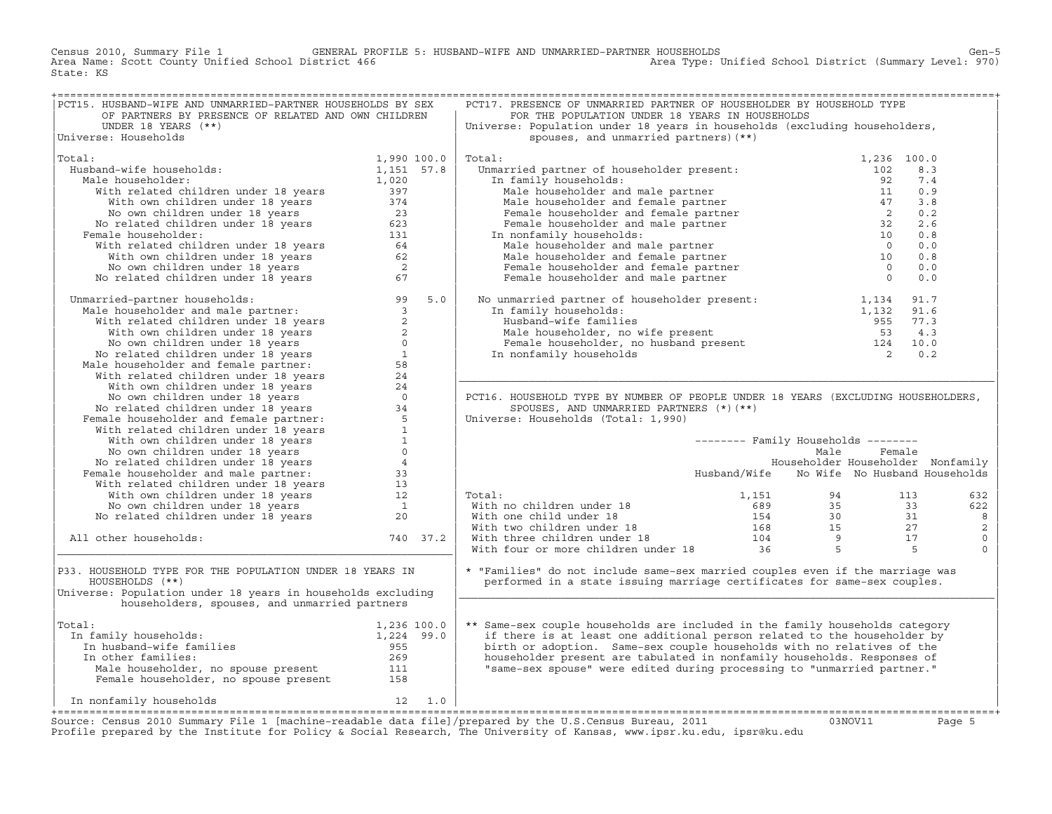Census 2010, Summary File 1 GENERAL PROFILE 5: HUSBAND−WIFE AND UNMARRIED−PARTNER HOUSEHOLDS Gen−5 Area Type: Unified School District (Summary Level: 970) State: KS

| PCT15. HUSBAND-WIFE AND UNMARRIED-PARTNER HOUSEHOLDS BY SEX                                                                                                                                                                                                                  |             |          | PCT17. PRESENCE OF UNMARRIED PARTNER OF HOUSEHOLDER BY HOUSEHOLD TYPE                                                                                                                                                                                                                                                                                                      |                                            |        |             |
|------------------------------------------------------------------------------------------------------------------------------------------------------------------------------------------------------------------------------------------------------------------------------|-------------|----------|----------------------------------------------------------------------------------------------------------------------------------------------------------------------------------------------------------------------------------------------------------------------------------------------------------------------------------------------------------------------------|--------------------------------------------|--------|-------------|
| OF PARTNERS BY PRESENCE OF RELATED AND OWN CHILDREN                                                                                                                                                                                                                          |             |          | FOR THE POPULATION UNDER 18 YEARS IN HOUSEHOLDS                                                                                                                                                                                                                                                                                                                            |                                            |        |             |
| UNDER 18 YEARS $(**)$                                                                                                                                                                                                                                                        |             |          | Universe: Population under 18 years in households (excluding householders,                                                                                                                                                                                                                                                                                                 |                                            |        |             |
| Universe: Households                                                                                                                                                                                                                                                         |             |          | spouses, and unmarried partners) (**)                                                                                                                                                                                                                                                                                                                                      |                                            |        |             |
|                                                                                                                                                                                                                                                                              |             |          |                                                                                                                                                                                                                                                                                                                                                                            |                                            |        |             |
| Total:                                                                                                                                                                                                                                                                       | 1,990 100.0 |          | Total:<br>$\begin{tabular}{llllllllll} {\bf{70.1:}} & {\bf{70.2:}} & {\bf{8.3}} & {\bf{10.0}} & {\bf{10.2}} & {\bf{10.3}} & {\bf{10.0}} & {\bf{10.3}} & {\bf{10.0}} & {\bf{10.3}} & {\bf{10.0}} & {\bf{10.3}} & {\bf{10.4}} & {\bf{10.5}} & {\bf{10.6}} & {\bf{10.7}} & {\bf{10.8}} & {\bf{10.9}} & {\bf{10.9}} & {\bf{11.9}} & {\bf{10.9}} & {\bf{11.9}} & {\bf{10.9}} &$ |                                            |        |             |
| Husband-wife households:                                                                                                                                                                                                                                                     |             |          |                                                                                                                                                                                                                                                                                                                                                                            |                                            |        |             |
|                                                                                                                                                                                                                                                                              |             |          |                                                                                                                                                                                                                                                                                                                                                                            |                                            |        |             |
| Male householder:                                                                                                                                                                                                                                                            |             |          |                                                                                                                                                                                                                                                                                                                                                                            |                                            |        |             |
|                                                                                                                                                                                                                                                                              |             |          |                                                                                                                                                                                                                                                                                                                                                                            |                                            |        |             |
|                                                                                                                                                                                                                                                                              |             |          |                                                                                                                                                                                                                                                                                                                                                                            |                                            |        |             |
|                                                                                                                                                                                                                                                                              |             |          |                                                                                                                                                                                                                                                                                                                                                                            |                                            |        |             |
|                                                                                                                                                                                                                                                                              |             |          |                                                                                                                                                                                                                                                                                                                                                                            |                                            |        |             |
| 1,990 100.0<br>alle households:<br>alle householder:<br>With related children under 18 years<br>With own children under 18 years<br>1,020<br>With own children under 18 years<br>23<br>No own children under 18 years<br>23<br>emale householder:<br><br>Female householder: |             |          |                                                                                                                                                                                                                                                                                                                                                                            |                                            |        |             |
|                                                                                                                                                                                                                                                                              |             |          |                                                                                                                                                                                                                                                                                                                                                                            |                                            |        |             |
|                                                                                                                                                                                                                                                                              |             |          |                                                                                                                                                                                                                                                                                                                                                                            |                                            |        |             |
|                                                                                                                                                                                                                                                                              |             |          |                                                                                                                                                                                                                                                                                                                                                                            |                                            |        |             |
|                                                                                                                                                                                                                                                                              |             |          |                                                                                                                                                                                                                                                                                                                                                                            |                                            |        |             |
|                                                                                                                                                                                                                                                                              |             |          |                                                                                                                                                                                                                                                                                                                                                                            |                                            |        |             |
|                                                                                                                                                                                                                                                                              |             |          |                                                                                                                                                                                                                                                                                                                                                                            |                                            |        |             |
| No related children under 18 years 67<br>Unmarried-partner households:<br>Male householder and male partner:<br>With velated children under 18 years 2<br>With own children under 18 years 2<br>No own children under 18 years 6<br>No rel                                   |             |          | Female Householder present:<br>In family households:<br>Husband-wife families<br>Male householder, no wife present<br>Female householder, no husband present<br>The family householder, no husband present<br>The family households<br>The f                                                                                                                               |                                            |        |             |
|                                                                                                                                                                                                                                                                              |             |          |                                                                                                                                                                                                                                                                                                                                                                            |                                            |        |             |
|                                                                                                                                                                                                                                                                              |             |          |                                                                                                                                                                                                                                                                                                                                                                            |                                            |        |             |
|                                                                                                                                                                                                                                                                              |             |          |                                                                                                                                                                                                                                                                                                                                                                            |                                            |        |             |
|                                                                                                                                                                                                                                                                              |             |          |                                                                                                                                                                                                                                                                                                                                                                            |                                            |        |             |
|                                                                                                                                                                                                                                                                              |             |          |                                                                                                                                                                                                                                                                                                                                                                            |                                            |        |             |
|                                                                                                                                                                                                                                                                              |             |          |                                                                                                                                                                                                                                                                                                                                                                            |                                            |        |             |
|                                                                                                                                                                                                                                                                              |             |          |                                                                                                                                                                                                                                                                                                                                                                            |                                            |        |             |
|                                                                                                                                                                                                                                                                              |             |          |                                                                                                                                                                                                                                                                                                                                                                            |                                            |        |             |
|                                                                                                                                                                                                                                                                              |             |          | PCT16. HOUSEHOLD TYPE BY NUMBER OF PEOPLE UNDER 18 YEARS (EXCLUDING HOUSEHOLDERS,                                                                                                                                                                                                                                                                                          |                                            |        |             |
|                                                                                                                                                                                                                                                                              |             |          | SPOUSES, AND UNMARRIED PARTNERS (*) (**)                                                                                                                                                                                                                                                                                                                                   |                                            |        |             |
|                                                                                                                                                                                                                                                                              |             |          | Universe: Households (Total: 1,990)                                                                                                                                                                                                                                                                                                                                        |                                            |        |             |
|                                                                                                                                                                                                                                                                              |             |          |                                                                                                                                                                                                                                                                                                                                                                            |                                            |        |             |
|                                                                                                                                                                                                                                                                              |             |          |                                                                                                                                                                                                                                                                                                                                                                            | -------- Family Households --------        |        |             |
|                                                                                                                                                                                                                                                                              |             |          |                                                                                                                                                                                                                                                                                                                                                                            | Male                                       | Female |             |
|                                                                                                                                                                                                                                                                              |             |          |                                                                                                                                                                                                                                                                                                                                                                            | Householder Householder Nonfamily          |        |             |
|                                                                                                                                                                                                                                                                              |             |          |                                                                                                                                                                                                                                                                                                                                                                            |                                            |        |             |
|                                                                                                                                                                                                                                                                              |             |          |                                                                                                                                                                                                                                                                                                                                                                            | Husband/Wife No Wife No Husband Households |        |             |
|                                                                                                                                                                                                                                                                              |             |          |                                                                                                                                                                                                                                                                                                                                                                            |                                            |        |             |
|                                                                                                                                                                                                                                                                              |             |          | Total:                                                                                                                                                                                                                                                                                                                                                                     |                                            |        | 632         |
|                                                                                                                                                                                                                                                                              |             |          |                                                                                                                                                                                                                                                                                                                                                                            |                                            |        | 622         |
|                                                                                                                                                                                                                                                                              |             |          |                                                                                                                                                                                                                                                                                                                                                                            |                                            |        | 8           |
|                                                                                                                                                                                                                                                                              |             |          |                                                                                                                                                                                                                                                                                                                                                                            |                                            |        | 2           |
| All other households:                                                                                                                                                                                                                                                        |             | 740 37.2 |                                                                                                                                                                                                                                                                                                                                                                            |                                            |        | $\mathsf 0$ |
|                                                                                                                                                                                                                                                                              |             |          | Total:<br>With no children under 18<br>With one child under 18<br>With two children under 18<br>Total:<br>With two children under 18<br>With three children under 18<br>Total:<br>Mith four or more children under 18<br>Total:<br>27<br>Total:<br>104                                                                                                                     |                                            |        | $\Omega$    |
|                                                                                                                                                                                                                                                                              |             |          |                                                                                                                                                                                                                                                                                                                                                                            |                                            |        |             |
| P33. HOUSEHOLD TYPE FOR THE POPULATION UNDER 18 YEARS IN                                                                                                                                                                                                                     |             |          | * "Families" do not include same-sex married couples even if the marriage was                                                                                                                                                                                                                                                                                              |                                            |        |             |
| HOUSEHOLDS (**)                                                                                                                                                                                                                                                              |             |          | performed in a state issuing marriage certificates for same-sex couples.                                                                                                                                                                                                                                                                                                   |                                            |        |             |
| Universe: Population under 18 years in households excluding                                                                                                                                                                                                                  |             |          |                                                                                                                                                                                                                                                                                                                                                                            |                                            |        |             |
|                                                                                                                                                                                                                                                                              |             |          |                                                                                                                                                                                                                                                                                                                                                                            |                                            |        |             |
| householders, spouses, and unmarried partners                                                                                                                                                                                                                                |             |          |                                                                                                                                                                                                                                                                                                                                                                            |                                            |        |             |
|                                                                                                                                                                                                                                                                              |             |          |                                                                                                                                                                                                                                                                                                                                                                            |                                            |        |             |
| Total:                                                                                                                                                                                                                                                                       |             |          | ** Same-sex couple households are included in the family households category                                                                                                                                                                                                                                                                                               |                                            |        |             |
| In family households:                                                                                                                                                                                                                                                        |             |          | if there is at least one additional person related to the householder by                                                                                                                                                                                                                                                                                                   |                                            |        |             |
|                                                                                                                                                                                                                                                                              |             |          | birth or adoption. Same-sex couple households with no relatives of the                                                                                                                                                                                                                                                                                                     |                                            |        |             |
|                                                                                                                                                                                                                                                                              |             |          | householder present are tabulated in nonfamily households. Responses of                                                                                                                                                                                                                                                                                                    |                                            |        |             |
|                                                                                                                                                                                                                                                                              |             |          | "same-sex spouse" were edited during processing to "unmarried partner."                                                                                                                                                                                                                                                                                                    |                                            |        |             |
| al:<br>n family households:<br>In fusband-wife families<br>In other families:<br>Male householder, no spouse present<br>Pemale householder, no spouse present<br>111<br>Pemale householder, no spouse present<br>158                                                         |             |          |                                                                                                                                                                                                                                                                                                                                                                            |                                            |        |             |
|                                                                                                                                                                                                                                                                              |             |          |                                                                                                                                                                                                                                                                                                                                                                            |                                            |        |             |
| $\begin{array}{cc} 12 & 1.0 \end{array}$<br>In nonfamily households                                                                                                                                                                                                          |             |          |                                                                                                                                                                                                                                                                                                                                                                            |                                            |        |             |
|                                                                                                                                                                                                                                                                              |             |          |                                                                                                                                                                                                                                                                                                                                                                            |                                            |        |             |
|                                                                                                                                                                                                                                                                              |             |          | $\mathbf{r}$ , and the state $\mathbf{r}$ , $\mathbf{r}$ , $\mathbf{r}$ , $\mathbf{r}$ , $\mathbf{r}$ , $\mathbf{r}$ , $\mathbf{r}$ , $\mathbf{r}$ , $\mathbf{r}$ , $\mathbf{r}$ , $\mathbf{r}$ , $\mathbf{r}$ , $\mathbf{r}$ , $\mathbf{r}$ , $\mathbf{r}$ , $\mathbf{r}$ , $\mathbf{r}$ , $\mathbf{r}$                                                                   |                                            |        |             |

+===================================================================================================================================================+Source: Census 2010 Summary File 1 [machine−readable data file]/prepared by the U.S.Census Bureau, 2011 03NOV11 Page 5 Profile prepared by the Institute for Policy & Social Research, The University of Kansas, www.ipsr.ku.edu, ipsr@ku.edu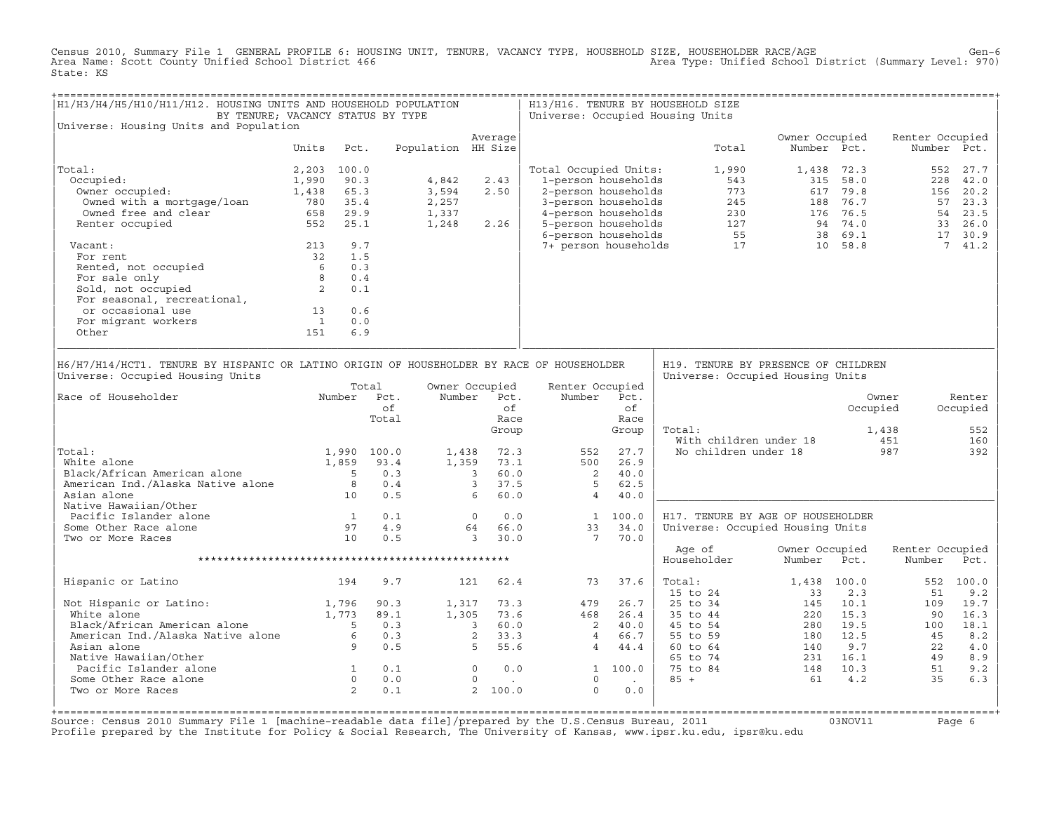Census 2010, Summary File 1 GENERAL PROFILE 6: HOUSING UNIT, TENURE, VACANCY TYPE, HOUSEHOLD SIZE, HOUSEHOLDER RACE/AGE<br>Area Name: Scott County Unified School District 466 (970) Steam area Type: Unified School District (S State: KS

| H1/H3/H4/H5/H10/H11/H12. HOUSING UNITS AND HOUSEHOLD POPULATION<br>BY TENURE; VACANCY STATUS BY TYPE                                                                                                                            |                                        |      |                                                                  |                    |                               |                          | Universe: Occupied Housing Units                                                                                                                                                                                                                        |                                                                     | H13/H16. TENURE BY HOUSEHOLD SIZE                                                                                                                                                                                                                                                                                       |                               |            |                              |                                         |
|---------------------------------------------------------------------------------------------------------------------------------------------------------------------------------------------------------------------------------|----------------------------------------|------|------------------------------------------------------------------|--------------------|-------------------------------|--------------------------|---------------------------------------------------------------------------------------------------------------------------------------------------------------------------------------------------------------------------------------------------------|---------------------------------------------------------------------|-------------------------------------------------------------------------------------------------------------------------------------------------------------------------------------------------------------------------------------------------------------------------------------------------------------------------|-------------------------------|------------|------------------------------|-----------------------------------------|
| Universe: Housing Units and Population                                                                                                                                                                                          |                                        |      |                                                                  |                    |                               |                          |                                                                                                                                                                                                                                                         |                                                                     |                                                                                                                                                                                                                                                                                                                         |                               |            |                              |                                         |
|                                                                                                                                                                                                                                 | Units                                  | Pct. |                                                                  | Population HH Size | Average                       |                          |                                                                                                                                                                                                                                                         |                                                                     | Total                                                                                                                                                                                                                                                                                                                   | Owner Occupied<br>Number Pct. |            | Renter Occupied              | Number Pct.                             |
| Total:                                                                                                                                                                                                                          | 2,203 100.0                            |      |                                                                  |                    |                               |                          | Total Occupied Units:                                                                                                                                                                                                                                   |                                                                     | 1,990                                                                                                                                                                                                                                                                                                                   |                               | 1,438 72.3 |                              | 552 27.7                                |
| Occupied:                                                                                                                                                                                                                       | 1,990                                  | 90.3 |                                                                  | 4,842              | 2.43                          |                          | 1-person households                                                                                                                                                                                                                                     |                                                                     | 543                                                                                                                                                                                                                                                                                                                     |                               | 315 58.0   |                              | 228 42.0                                |
| )ccupied:<br>Owner occupied:                                                                                                                                                                                                    | 1,438 65.3                             |      |                                                                  | 3,594              | 2.50                          |                          |                                                                                                                                                                                                                                                         |                                                                     |                                                                                                                                                                                                                                                                                                                         |                               |            | 156                          | 20.2                                    |
|                                                                                                                                                                                                                                 |                                        |      |                                                                  | 2,257              |                               |                          |                                                                                                                                                                                                                                                         |                                                                     |                                                                                                                                                                                                                                                                                                                         |                               |            |                              | 57 23.3                                 |
|                                                                                                                                                                                                                                 |                                        |      |                                                                  | 1,337              |                               |                          |                                                                                                                                                                                                                                                         |                                                                     |                                                                                                                                                                                                                                                                                                                         |                               |            |                              | 54 23.5                                 |
| Owned with a mortgage/loan 780 35.4<br>Owned free and clear 658 29.9<br>Renter occupied 552 25.1<br>Renter occupied                                                                                                             |                                        |      |                                                                  | 1,248              | 2.26                          |                          |                                                                                                                                                                                                                                                         |                                                                     |                                                                                                                                                                                                                                                                                                                         |                               |            |                              | 33 26.0                                 |
|                                                                                                                                                                                                                                 |                                        |      |                                                                  |                    |                               |                          |                                                                                                                                                                                                                                                         |                                                                     | 2-person households<br>2-person households<br>3-person households<br>4-person households<br>5-person households<br>5-person households<br>6-person households<br>7+ person households<br>7+ person households<br>7+ person households<br>7+ person                                                                      |                               |            |                              | 17 30.9                                 |
| Vacant:                                                                                                                                                                                                                         | 213                                    | 9.7  |                                                                  |                    |                               |                          |                                                                                                                                                                                                                                                         |                                                                     |                                                                                                                                                                                                                                                                                                                         |                               |            |                              | 741.2                                   |
|                                                                                                                                                                                                                                 |                                        |      |                                                                  |                    |                               |                          |                                                                                                                                                                                                                                                         |                                                                     |                                                                                                                                                                                                                                                                                                                         |                               |            |                              |                                         |
|                                                                                                                                                                                                                                 |                                        |      |                                                                  |                    |                               |                          |                                                                                                                                                                                                                                                         |                                                                     |                                                                                                                                                                                                                                                                                                                         |                               |            |                              |                                         |
|                                                                                                                                                                                                                                 |                                        |      |                                                                  |                    |                               |                          |                                                                                                                                                                                                                                                         |                                                                     |                                                                                                                                                                                                                                                                                                                         |                               |            |                              |                                         |
| For rent<br>Rented, not occupied<br>For sale only<br>Sold, not occupied<br>For seasonal, recreational<br>For seasonal, recreational<br>Render Sold                                                                              |                                        |      |                                                                  |                    |                               |                          |                                                                                                                                                                                                                                                         |                                                                     |                                                                                                                                                                                                                                                                                                                         |                               |            |                              |                                         |
|                                                                                                                                                                                                                                 |                                        |      |                                                                  |                    |                               |                          |                                                                                                                                                                                                                                                         |                                                                     |                                                                                                                                                                                                                                                                                                                         |                               |            |                              |                                         |
| or occasional use                                                                                                                                                                                                               | $\begin{array}{c} 13 \\ 1 \end{array}$ | 0.6  |                                                                  |                    |                               |                          |                                                                                                                                                                                                                                                         |                                                                     |                                                                                                                                                                                                                                                                                                                         |                               |            |                              |                                         |
| For migrant workers                                                                                                                                                                                                             |                                        | 0.0  |                                                                  |                    |                               |                          |                                                                                                                                                                                                                                                         |                                                                     |                                                                                                                                                                                                                                                                                                                         |                               |            |                              |                                         |
| Other                                                                                                                                                                                                                           | 151                                    | 6.9  |                                                                  |                    |                               |                          |                                                                                                                                                                                                                                                         |                                                                     |                                                                                                                                                                                                                                                                                                                         |                               |            |                              |                                         |
| Universe: Occupied Housing Units<br>Race of Householder<br>Total:<br>White alone<br>White alone<br>Black/African American alone 5 0.3<br>American Ind./Alaska Native alone 8 0.4<br>Asian alone 10 0.5<br>Native Hawaiian/Other |                                        |      | Total<br>Number Pct.<br>of<br>Total<br>1,990 100.0<br>1,859 93.4 |                    | Owner Occupied<br>Number Pct. | of<br>Race<br>Group      | Renter Occupied<br>Number<br>552<br>$\begin{array}{cccccc} 00.0 & & & 1,438 & & 72.3 & & & 552 \\ 93.4 & & & 1,359 & & 73.1 & & & 500 \\ 0.3 & & & 3 & & 60.0 & & & 2 \\ 0.4 & & & 3 & & 37.5 & & 5 \\ 0.5 & & & 6 & & 60.0 & & & 4 \end{array}$<br>500 | Pct.<br>of<br>Race<br>Group<br>27.7<br>26.9<br>40.0<br>62.5<br>40.0 | Universe: Occupied Housing Units<br>Total:<br>With children under 18<br>No children under 18                                                                                                                                                                                                                            |                               | Occupied   | Owner<br>1,438<br>451<br>987 | Renter<br>Occupied<br>552<br>160<br>392 |
| And Tacific Islander alone<br>Some Other Race alone 1 0.1<br>Two or More Races 10 0.5                                                                                                                                           |                                        |      |                                                                  |                    |                               |                          | $0$ 0.0 $1$ 100.0<br>$64$ 66.0 $33$ 34.0                                                                                                                                                                                                                |                                                                     | H17. TENURE BY AGE OF HOUSEHOLDER                                                                                                                                                                                                                                                                                       |                               |            |                              |                                         |
| Some Other Race alone                                                                                                                                                                                                           |                                        |      |                                                                  |                    |                               |                          |                                                                                                                                                                                                                                                         |                                                                     | Universe: Occupied Housing Units                                                                                                                                                                                                                                                                                        |                               |            |                              |                                         |
| Two or More Races                                                                                                                                                                                                               |                                        |      |                                                                  |                    | 330.0                         |                          | $7\overline{7}$                                                                                                                                                                                                                                         | 70.0                                                                |                                                                                                                                                                                                                                                                                                                         |                               |            |                              |                                         |
|                                                                                                                                                                                                                                 |                                        |      |                                                                  |                    |                               |                          |                                                                                                                                                                                                                                                         |                                                                     | Age of<br>Householder                                                                                                                                                                                                                                                                                                   | Owner Occupied<br>Number      | Pct.       | Renter Occupied<br>Number    | Pct.                                    |
| Hispanic or Latino                                                                                                                                                                                                              |                                        | 194  | 9.7                                                              |                    | 121 62.4                      |                          |                                                                                                                                                                                                                                                         | 73 37.6                                                             | Total:<br>15 to 24                                                                                                                                                                                                                                                                                                      | 1,438 100.0<br>33             | 2.3        | 51                           | 552 100.0<br>9.2                        |
| Not Hispanic or Latino: 1,796 90.3<br>White alone 1,773 89.1<br>Black/African American alone 5 0.3<br>American Ind./Alaska Native alone 6 0.3<br>Asian alone 9 0.5                                                              |                                        |      |                                                                  |                    |                               |                          | $\begin{array}{cccccc} 90.3 & & 1,317 & & 73.3 & & 479 & 26.7 \\ 89.1 & & 1,305 & 73.6 & & 468 & 26.4 \\ 0.3 & & 3 & 60.0 & & 2 & 40.0 \\ 0.3 & & 2 & 33.3 & & 4 & 66.7 \\ 0.5 & & 5 & 55.6 & & 4 & 44.4 \end{array}$                                   |                                                                     |                                                                                                                                                                                                                                                                                                                         |                               |            |                              | 19.7                                    |
|                                                                                                                                                                                                                                 |                                        |      |                                                                  |                    |                               |                          |                                                                                                                                                                                                                                                         |                                                                     |                                                                                                                                                                                                                                                                                                                         |                               |            |                              | 16.3                                    |
|                                                                                                                                                                                                                                 |                                        |      |                                                                  |                    |                               |                          |                                                                                                                                                                                                                                                         |                                                                     |                                                                                                                                                                                                                                                                                                                         |                               |            |                              | 18.1                                    |
|                                                                                                                                                                                                                                 |                                        |      |                                                                  |                    |                               |                          |                                                                                                                                                                                                                                                         |                                                                     |                                                                                                                                                                                                                                                                                                                         |                               |            |                              | 8.2                                     |
|                                                                                                                                                                                                                                 |                                        |      |                                                                  |                    |                               |                          |                                                                                                                                                                                                                                                         |                                                                     |                                                                                                                                                                                                                                                                                                                         |                               |            |                              | 4.0                                     |
| Native Hawaiian/Other                                                                                                                                                                                                           |                                        |      |                                                                  |                    |                               |                          |                                                                                                                                                                                                                                                         |                                                                     |                                                                                                                                                                                                                                                                                                                         |                               |            |                              | 8.9                                     |
|                                                                                                                                                                                                                                 |                                        |      |                                                                  |                    |                               | 0.0                      | 1 100.0                                                                                                                                                                                                                                                 |                                                                     | $\begin{array}{cccccc} 15&\text{to}&24&&&&33&2\,.3&&&51\\ 25&\text{to}&34&&&&145&10.1&&&109\\ 35&\text{to}&44&&220&15\,.3&&90\\ 45&\text{to}&54&&280&19\,.5&&&100\\ 55&\text{to}&59&&180&12\,.5&&45\\ 60&\text{to}&64&&&&140&9\,.7&&&22\\ 65&\text{to}&74&&&&231&16\,.1&&49\\ 75&\text{to}&84&&&&148&10\,.3&&&51\\ 85&$ |                               |            |                              | 9.2                                     |
| Some Other Race alone                                                                                                                                                                                                           |                                        |      |                                                                  |                    |                               | <b>Contract Contract</b> | $\overline{0}$                                                                                                                                                                                                                                          | <b>Contract Contract</b>                                            |                                                                                                                                                                                                                                                                                                                         |                               |            |                              | 6.3                                     |
| Pacific Islander alone $\begin{array}{ccccccc} 1 & 0.1 & & 0 \ 0.0 & & 0.0 & & 0 \ 0.0 & & 0.0 & & 2 \end{array}$<br>Two or More Races<br>Two or More Races                                                                     |                                        |      |                                                                  |                    | 2 100.0                       |                          | $\Omega$                                                                                                                                                                                                                                                | 0.0                                                                 |                                                                                                                                                                                                                                                                                                                         |                               |            |                              |                                         |
|                                                                                                                                                                                                                                 |                                        |      |                                                                  |                    |                               |                          |                                                                                                                                                                                                                                                         |                                                                     |                                                                                                                                                                                                                                                                                                                         |                               |            |                              |                                         |

Source: Census 2010 Summary File 1 [machine-readable data file]/prepared by the U.S.Census Bureau, 2011 Page 6<br>Profile prepared by the Institute for Policy & Social Research, The University of Kansas, www.ip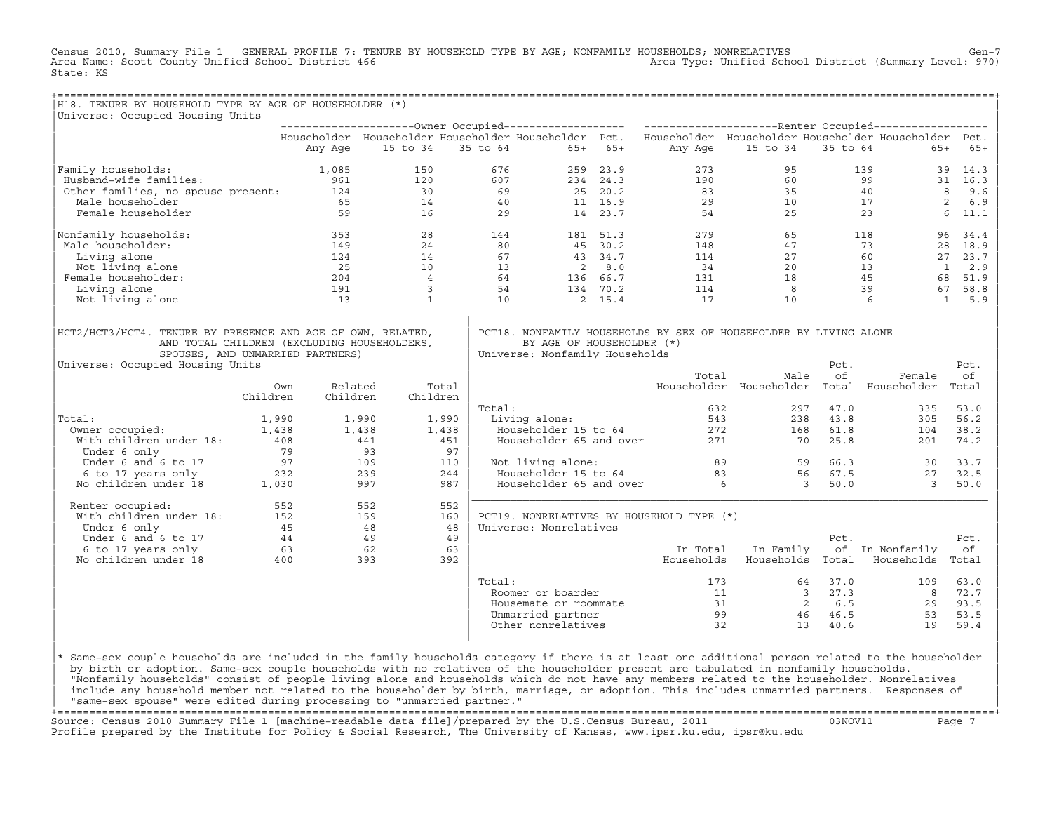Census 2010, Summary File 1 GENERAL PROFILE 7: TENURE BY HOUSEHOLD TYPE BY AGE; NONFAMILY HOUSEHOLDS; NONRELATIVES Gen−7<br>Area Name: Scott County Unified School District 466 (970) Area Type: Unified School District (Summar Area Type: Unified School District (Summary Level: 970) State: KS

+===================================================================================================================================================+

| H18. TENURE BY HOUSEHOLD TYPE BY AGE OF HOUSEHOLDER (*)<br>Universe: Occupied Housing Units                                                                                        |          |          |                |          |                                                             |          |                                                                                                           |                         |            |                 |                     |
|------------------------------------------------------------------------------------------------------------------------------------------------------------------------------------|----------|----------|----------------|----------|-------------------------------------------------------------|----------|-----------------------------------------------------------------------------------------------------------|-------------------------|------------|-----------------|---------------------|
|                                                                                                                                                                                    |          |          |                |          |                                                             |          |                                                                                                           |                         |            |                 |                     |
|                                                                                                                                                                                    |          |          |                |          |                                                             |          | Householder Householder Householder Householder Pct. Householder Householder Householder Householder Pct. |                         |            |                 |                     |
|                                                                                                                                                                                    |          | Any Age  | 15 to 34       | 35 to 64 | $65+$                                                       | $65+$    | Any Age                                                                                                   | 15 to 34                | 35 to 64   | $65+$           | $65+$               |
| Family households:                                                                                                                                                                 |          | 1,085    | 150            |          | 676<br>259                                                  | 23.9     | 273                                                                                                       | 95                      |            | 139<br>39       | 14.3                |
| Husband-wife families:                                                                                                                                                             |          | 961      | 120            |          | 607                                                         | 234 24.3 | 190                                                                                                       | 60                      |            | 99              | 31 16.3             |
| Other families, no spouse present:                                                                                                                                                 |          | 124      | 30             |          | 69                                                          | 25 20.2  | 83                                                                                                        | 35                      |            | 40              | 8<br>9.6            |
| Male householder                                                                                                                                                                   |          | 65       | 14             |          | 40                                                          | 11 16.9  | 29                                                                                                        | 10                      |            | 17              | 2<br>6.9            |
| Female householder                                                                                                                                                                 |          | 59       | 16             |          | 29                                                          | 14 23.7  | 54                                                                                                        | 25                      |            | 23              | 11.1<br>6           |
| Nonfamily households:                                                                                                                                                              |          | 353      | 28             |          | 144                                                         | 181 51.3 | 279                                                                                                       | 65                      |            | 118<br>96       | 34.4                |
| Male householder:                                                                                                                                                                  |          | 149      | 24             |          | 80                                                          | 45 30.2  | 148                                                                                                       | 47                      |            | 73<br>28        | 18.9                |
| Living alone                                                                                                                                                                       |          | 124      | 14             |          | 67                                                          | 43 34.7  | 114                                                                                                       | 27                      |            | 60              | 27 23.7             |
| Not living alone                                                                                                                                                                   |          | 25       | 10             |          | 13<br>2                                                     | 8.0      | 34                                                                                                        | 20                      |            | 13              | $\mathbf{1}$<br>2.9 |
| Female householder:                                                                                                                                                                |          | 204      | $\overline{4}$ |          | 64                                                          | 136 66.7 | 131                                                                                                       | 18                      |            | 45              | 68 51.9             |
| Living alone                                                                                                                                                                       |          | 191      | $\overline{3}$ |          | 54                                                          | 134 70.2 | 114                                                                                                       | 8                       |            | 39              | 67 58.8             |
| Not living alone                                                                                                                                                                   |          | 13       | $\mathbf{1}$   |          | 10                                                          | 2, 15.4  | 17                                                                                                        | 10                      |            | 6               | 1 5.9               |
| HCT2/HCT3/HCT4. TENURE BY PRESENCE AND AGE OF OWN, RELATED,<br>AND TOTAL CHILDREN (EXCLUDING HOUSEHOLDERS,<br>SPOUSES, AND UNMARRIED PARTNERS)<br>Universe: Occupied Housing Units |          |          |                |          | BY AGE OF HOUSEHOLDER (*)<br>Universe: Nonfamily Households |          | PCT18. NONFAMILY HOUSEHOLDS BY SEX OF HOUSEHOLDER BY LIVING ALONE<br>Total                                | Male                    | Pct.<br>of | Female          | Pct.<br>οf          |
|                                                                                                                                                                                    | Own      | Related  |                | Total    |                                                             |          |                                                                                                           | Householder Householder | Total      | Householder     | Total               |
|                                                                                                                                                                                    | Children | Children | Children       | Total:   |                                                             |          | 632                                                                                                       | 297                     | 47.0       | 335             | 53.0                |
| Total:                                                                                                                                                                             | 1,990    |          | 1,990          | 1,990    | Living alone:                                               |          | 543                                                                                                       | 238                     | 43.8       | 305             | 56.2                |
| Owner occupied:                                                                                                                                                                    | 1,438    | 1,438    |                | 1,438    | Householder 15 to 64                                        |          | 272                                                                                                       | 168                     | 61.8       | 104             | 38.2                |
| With children under 18:                                                                                                                                                            | 408      |          | 441            | 451      | Householder 65 and over                                     |          | 271                                                                                                       | 70                      | 25.8       | 201             | 74.2                |
| Under 6 only                                                                                                                                                                       | 79       |          | 93             | 97       |                                                             |          |                                                                                                           |                         |            |                 |                     |
| Under 6 and 6 to 17                                                                                                                                                                | 97       |          | 109            | 110      | Not living alone:                                           |          |                                                                                                           | 89<br>59                | 66.3       | 30              | 33.7                |
| 6 to 17 years only                                                                                                                                                                 | 232      |          | 239            | 244      | Householder 15 to 64                                        |          | 83                                                                                                        | 56                      | 67.5       | 27              | 32.5                |
| No children under 18                                                                                                                                                               | 1,030    |          | 997            | 987      | Householder 65 and over                                     |          |                                                                                                           | 6<br>$\mathbf{3}$       | 50.0       | $\overline{3}$  | 50.0                |
| Renter occupied:                                                                                                                                                                   | 552      |          | 552            | 552      |                                                             |          |                                                                                                           |                         |            |                 |                     |
| With children under 18:                                                                                                                                                            | 152      |          | 159            | 160      |                                                             |          | PCT19. NONRELATIVES BY HOUSEHOLD TYPE (*)                                                                 |                         |            |                 |                     |
| Under 6 only                                                                                                                                                                       | 45       |          | 48             | 48       | Universe: Nonrelatives                                      |          |                                                                                                           |                         |            |                 |                     |
| Under 6 and 6 to 17                                                                                                                                                                | 44       |          | 49             | 49       |                                                             |          |                                                                                                           |                         | Pct.       |                 | Pct.                |
| 6 to 17 years only                                                                                                                                                                 | 63       |          | 62             | 63       |                                                             |          | In Total                                                                                                  | In Family               |            | of In Nonfamily | оf                  |
| No children under 18                                                                                                                                                               | 400      |          | 393            | 392      |                                                             |          | Households                                                                                                | Households              | Total      | Households      | Total               |
|                                                                                                                                                                                    |          |          |                | Total:   |                                                             |          | 173                                                                                                       | 64                      | 37.0       | 109             | 63.0                |
|                                                                                                                                                                                    |          |          |                |          | Roomer or boarder                                           |          | 11                                                                                                        | $\overline{3}$          | 27.3       | 8               | 72.7                |
|                                                                                                                                                                                    |          |          |                |          | Housemate or roommate                                       |          |                                                                                                           | 31<br>2                 | 6.5        | 29              | 93.5                |
|                                                                                                                                                                                    |          |          |                |          | Unmarried partner                                           |          |                                                                                                           | 99<br>46                | 46.5       | 53              | 53.5                |
|                                                                                                                                                                                    |          |          |                |          | Other nonrelatives                                          |          | 32                                                                                                        | 13                      | 40.6       | 19              | 59.4                |

design to the control of the control of the control of the control of the control of the control of the control of the control of the control of the control of the control of the control of the control of the control of th |\* Same−sex couple households are included in the family households category if there is at least one additional person related to the householder | | by birth or adoption. Same−sex couple households with no relatives of the householder present are tabulated in nonfamily households. | | "Nonfamily households" consist of people living alone and households which do not have any members related to the householder. Nonrelatives | include any household member not related to the householder by birth, marriage, or adoption. This includes unmarried partners. Responses of | "same−sex spouse" were edited during processing to "unmarried partner." |

|\_\_\_\_\_\_\_\_\_\_\_\_\_\_\_\_\_\_\_\_\_\_\_\_\_\_\_\_\_\_\_\_\_\_\_\_\_\_\_\_\_\_\_\_\_\_\_\_\_\_\_\_\_\_\_\_\_\_\_\_\_\_\_\_|\_\_\_\_\_\_\_\_\_\_\_\_\_\_\_\_\_\_\_\_\_\_\_\_\_\_\_\_\_\_\_\_\_\_\_\_\_\_\_\_\_\_\_\_\_\_\_\_\_\_\_\_\_\_\_\_\_\_\_\_\_\_\_\_\_\_\_\_\_\_\_\_\_\_\_\_\_\_\_\_\_\_|

+===================================================================================================================================================+ Source: Census 2010 Summary File 1 [machine−readable data file]/prepared by the U.S.Census Bureau, 2011 03NOV11 Page 7 Profile prepared by the Institute for Policy & Social Research, The University of Kansas, www.ipsr.ku.edu, ipsr@ku.edu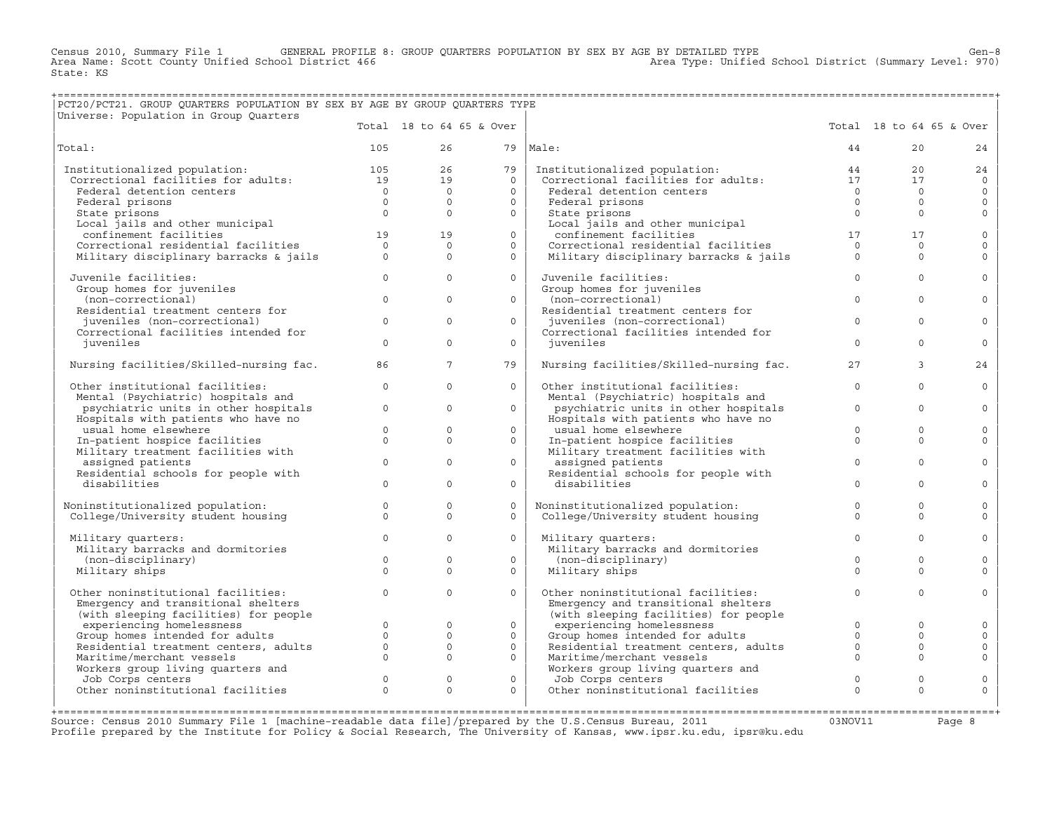Census 2010, Summary File 1 GENERAL PROFILE 8: GROUP QUARTERS POPULATION BY SEX BY AGE BY DETAILED TYPE Ghool District (Summary Level: 970)<br>Area Name: Scott County Unified School District 466 (970) Area Type: Unified Scho State: KS

## +===================================================================================================================================================+ |PCT20/PCT21. GROUP QUARTERS POPULATION BY SEX BY AGE BY GROUP QUARTERS TYPE |

| Universe: Population in Group Quarters                                                                       |                |                      |                          |                                                                              |             |                          |                     |
|--------------------------------------------------------------------------------------------------------------|----------------|----------------------|--------------------------|------------------------------------------------------------------------------|-------------|--------------------------|---------------------|
|                                                                                                              |                |                      | Total 18 to 64 65 & Over |                                                                              |             | Total 18 to 64 65 & Over |                     |
| Total:                                                                                                       | 105            | 26                   |                          | $79$  Male:                                                                  | 44          | 20 <sub>o</sub>          | 24                  |
| Institutionalized population: 105<br>Correctional facilities for adults: 19<br>Institutionalized population: |                | 26                   | 79                       | Institutionalized population:                                                | 44          | 20                       | 24                  |
|                                                                                                              |                | 19                   | $\Omega$                 | Institutionalized population:<br>Correctional facilities for adults:         | 17          | 17                       | $\Omega$            |
| Federal detention centers                                                                                    | $\overline{0}$ | $\Omega$             | $\Omega$                 | Federal detention centers                                                    | $\Omega$    | $\circ$                  | $\circ$             |
| Federal prisons                                                                                              | $\overline{0}$ | $\Omega$             | $\Omega$                 | Federal prisons                                                              | $\Omega$    | $\Omega$                 | $\mathbf{0}$        |
| State prisons                                                                                                | $\Omega$       | $\Omega$             | $\Omega$                 | State prisons                                                                | $\Omega$    | $\Omega$                 | $\mathbf{0}$        |
| Local jails and other municipal                                                                              |                |                      |                          | Local jails and other municipal                                              |             |                          |                     |
| confinement facilities                                                                                       | 19             | 19                   | $\circ$                  | confinement facilities                                                       | 17          | 17                       | $\mathsf{O}$        |
| Correctional residential facilities                                                                          | $\Omega$       | $\Omega$             | $\Omega$                 | Correctional residential facilities                                          | $\Omega$    | $\Omega$                 | $\mathbf 0$         |
| Military disciplinary barracks & jails                                                                       | $\Omega$       | $\Omega$             | $\Omega$                 | Military disciplinary barracks & jails                                       | $\Omega$    | $\Omega$                 | $\Omega$            |
| Juvenile facilities:                                                                                         | $\circ$        | $\Omega$             | $\Omega$                 | Juvenile facilities:                                                         | $\Omega$    | $\Omega$                 | $\Omega$            |
| Group homes for juveniles                                                                                    |                |                      |                          | Group homes for juveniles                                                    |             |                          |                     |
| (non-correctional)                                                                                           | $\mathbf{0}$   | $\mathbf{0}$         | $\circ$                  | (non-correctional)                                                           | $\Omega$    | $\Omega$                 | $\circ$             |
| Residential treatment centers for                                                                            |                |                      |                          | Residential treatment centers for                                            |             |                          |                     |
| juveniles (non-correctional)                                                                                 | $\Omega$       | $\Omega$             | $\Omega$                 | juveniles (non-correctional)                                                 | $\Omega$    | $\Omega$                 | $\Omega$            |
| Correctional facilities intended for                                                                         |                |                      |                          | Correctional facilities intended for                                         |             |                          |                     |
| iuveniles                                                                                                    | $\Omega$       | $\Omega$             | $\Omega$                 | iuveniles                                                                    | $\Omega$    | $\Omega$                 | $\mathbf 0$         |
| Nursing facilities/Skilled-nursing fac.                                                                      | 86             | $7^{\circ}$          | 79                       | Nursing facilities/Skilled-nursing fac.                                      | 27          | $\overline{3}$           | 24                  |
| Other institutional facilities:                                                                              | $\circ$        | $\Omega$             | $\Omega$                 | Other institutional facilities:                                              | $\Omega$    | $\Omega$                 | $\mathbf 0$         |
| Mental (Psychiatric) hospitals and                                                                           |                |                      |                          | Mental (Psychiatric) hospitals and                                           |             |                          |                     |
| psychiatric units in other hospitals                                                                         | $\mathbf{0}$   | $\Omega$             | $\Omega$                 | psychiatric units in other hospitals                                         | $\Omega$    | $\Omega$                 | $\Omega$            |
| Hospitals with patients who have no                                                                          |                |                      |                          | Hospitals with patients who have no                                          |             |                          |                     |
| usual home elsewhere                                                                                         | $\circ$        | $\Omega$<br>$\Omega$ | $\Omega$                 | usual home elsewhere                                                         | $\Omega$    | $\Omega$                 | $\mathbf 0$         |
| In-patient hospice facilities                                                                                | $\Omega$       |                      | $\Omega$                 | In-patient hospice facilities                                                | $\Omega$    | $\Omega$                 | $\Omega$            |
| Military treatment facilities with                                                                           | $\mathbf{0}$   | $\Omega$             | $\Omega$                 | Military treatment facilities with                                           | $\Omega$    | $\Omega$                 | $\circ$             |
| assigned patients<br>Residential schools for people with                                                     |                |                      |                          | assigned patients<br>Residential schools for people with                     |             |                          |                     |
| disabilities                                                                                                 | $\Omega$       | $\Omega$             | $\Omega$                 | disabilities                                                                 | $\Omega$    | $\Omega$                 | $\Omega$            |
|                                                                                                              |                |                      |                          |                                                                              |             |                          |                     |
| Noninstitutionalized population:                                                                             | $\mathbf 0$    | $\Omega$             | $\Omega$                 | Noninstitutionalized population:                                             | $\Omega$    | $\Omega$                 | $\mathbf 0$         |
| College/University student housing                                                                           | $\Omega$       | $\Omega$             | $\Omega$                 | College/University student housing                                           | $\Omega$    | $\Omega$                 | $\Omega$            |
| Military quarters:                                                                                           | $\Omega$       | $\Omega$             | $\Omega$                 | Military quarters:                                                           | $\Omega$    | $\Omega$                 | $\mathbf 0$         |
| Military barracks and dormitories                                                                            |                |                      |                          | Military barracks and dormitories                                            |             |                          |                     |
| (non-disciplinary)                                                                                           | $\Omega$       | $\Omega$             | $\Omega$                 | (non-disciplinary)                                                           | $\Omega$    | $\Omega$                 | $\Omega$            |
| Military ships                                                                                               | $\Omega$       | $\Omega$             | $\Omega$                 | Military ships                                                               | $\Omega$    | $\Omega$                 | $\Omega$            |
|                                                                                                              | $\Omega$       | $\Omega$             | $\Omega$                 |                                                                              | $\Omega$    |                          |                     |
| Other noninstitutional facilities:                                                                           |                |                      |                          | Other noninstitutional facilities:                                           |             | $\Omega$                 | $\mathbf 0$         |
| Emergency and transitional shelters                                                                          |                |                      |                          | Emergency and transitional shelters<br>(with sleeping facilities) for people |             |                          |                     |
| (with sleeping facilities) for people<br>experiencing homelessness                                           | $\Omega$       | $\Omega$             | $\Omega$                 | experiencing homelessness                                                    | $\Omega$    | $\Omega$                 | $\mathbf 0$         |
| Group homes intended for adults                                                                              | $\Omega$       | $\Omega$             | $\Omega$                 | Group homes intended for adults                                              | $\Omega$    | $\Omega$                 | $\Omega$            |
| Residential treatment centers, adults                                                                        | $\circ$        | $\mathbf{0}$         | $\circ$                  | Residential treatment centers, adults                                        | $\mathbf 0$ | $\mathbf 0$              | $\mathsf{O}\xspace$ |
| Maritime/merchant vessels                                                                                    | $\Omega$       | $\Omega$             | $\Omega$                 | Maritime/merchant vessels                                                    | $\Omega$    | $\Omega$                 | $\mathbf 0$         |
| Workers group living quarters and                                                                            |                |                      |                          | Workers group living quarters and                                            |             |                          |                     |
| Job Corps centers                                                                                            | $\mathbf 0$    | $\mathbf 0$          | $\circ$                  | Job Corps centers                                                            | $\mathbf 0$ | $\circ$                  | $\circ$             |
| Other noninstitutional facilities                                                                            | $\Omega$       | $\Omega$             | $\Omega$                 | Other noninstitutional facilities                                            | $\Omega$    | $\Omega$                 | $\mathbf 0$         |
|                                                                                                              |                |                      |                          |                                                                              |             |                          |                     |
|                                                                                                              |                |                      |                          |                                                                              |             |                          |                     |

Source: Census 2010 Summary File 1 [machine−readable data file]/prepared by the U.S.Census Bureau, 2011 03NOV11 Page 8 Profile prepared by the Institute for Policy & Social Research, The University of Kansas, www.ipsr.ku.edu, ipsr@ku.edu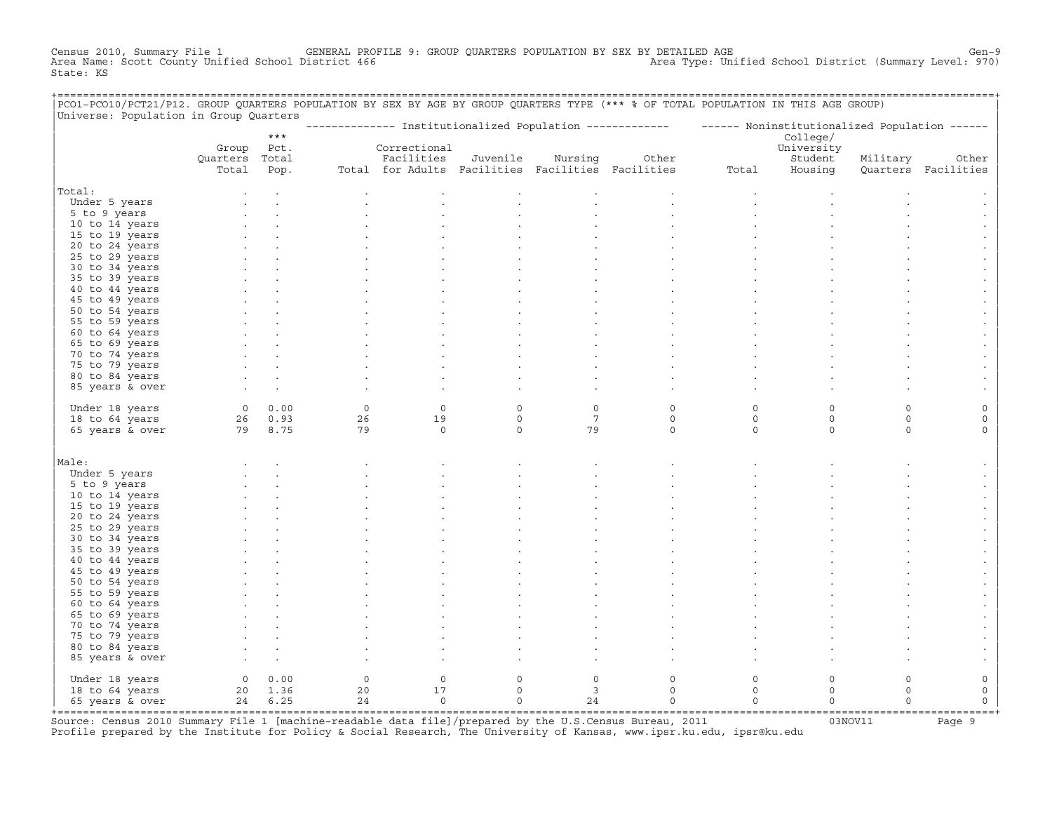Census 2010, Summary File 1 GENERAL PROFILE 9: GROUP QUARTERS POPULATION BY SEX BY DETAILED AGE Gen−9 Area Name: Scott County Unified School District 466 Area Type: Unified School District (Summary Level: 970) State: KS

| PCO1-PCO10/PCT21/P12. GROUP QUARTERS POPULATION BY SEX BY AGE BY GROUP QUARTERS TYPE (*** % OF TOTAL POPULATION IN THIS AGE GROUP)<br>Universe: Population in Group Quarters |                              |             |                                    |                                                   |             |                         |                                                                                                          |             |                                   |          |                     |
|------------------------------------------------------------------------------------------------------------------------------------------------------------------------------|------------------------------|-------------|------------------------------------|---------------------------------------------------|-------------|-------------------------|----------------------------------------------------------------------------------------------------------|-------------|-----------------------------------|----------|---------------------|
|                                                                                                                                                                              |                              | $***$       |                                    |                                                   |             |                         | -------------- Institutionalized Population ------------- - ----- Noninstitutionalized Population ------ |             |                                   |          |                     |
|                                                                                                                                                                              | Group Pct.<br>Quarters Total |             |                                    | Correctional<br>Facilities                        | Juvenile    | Nursing                 | Other                                                                                                    |             | College/<br>University<br>Student | Military | Other               |
|                                                                                                                                                                              | Total                        | Pop.        |                                    | Total for Adults Facilities Facilities Facilities |             |                         |                                                                                                          | Total       | Housing                           |          | Ouarters Facilities |
| Total:                                                                                                                                                                       |                              |             |                                    |                                                   |             |                         |                                                                                                          |             |                                   |          |                     |
| Under 5 years                                                                                                                                                                |                              |             |                                    |                                                   |             |                         |                                                                                                          |             |                                   |          |                     |
| 5 to 9 years                                                                                                                                                                 |                              |             |                                    |                                                   |             |                         |                                                                                                          |             |                                   |          |                     |
| 10 to 14 years                                                                                                                                                               |                              |             |                                    |                                                   |             |                         |                                                                                                          |             |                                   |          |                     |
| 15 to 19 years                                                                                                                                                               |                              |             |                                    |                                                   |             |                         |                                                                                                          |             |                                   |          |                     |
| 20 to 24 years                                                                                                                                                               |                              |             |                                    |                                                   |             |                         |                                                                                                          |             |                                   |          |                     |
| 25 to 29 years                                                                                                                                                               |                              |             |                                    |                                                   |             |                         |                                                                                                          |             |                                   |          |                     |
| 30 to 34 years                                                                                                                                                               |                              |             |                                    |                                                   |             |                         |                                                                                                          |             |                                   |          |                     |
| 35 to 39 years                                                                                                                                                               |                              |             |                                    |                                                   |             |                         |                                                                                                          |             |                                   |          |                     |
| 40 to 44 years                                                                                                                                                               |                              |             |                                    |                                                   |             |                         |                                                                                                          |             |                                   |          |                     |
| 45 to 49 years                                                                                                                                                               |                              |             |                                    |                                                   |             |                         |                                                                                                          |             |                                   |          |                     |
| 50 to 54 years                                                                                                                                                               |                              |             |                                    |                                                   |             |                         |                                                                                                          |             |                                   |          |                     |
| 55 to 59 years                                                                                                                                                               |                              |             |                                    |                                                   |             |                         |                                                                                                          |             |                                   |          |                     |
| 60 to 64 years                                                                                                                                                               |                              |             |                                    |                                                   |             |                         |                                                                                                          |             |                                   |          |                     |
| 65 to 69 years                                                                                                                                                               |                              |             |                                    |                                                   |             |                         |                                                                                                          |             |                                   |          |                     |
| 70 to 74 years<br>75 to 79 years                                                                                                                                             |                              |             |                                    |                                                   |             |                         |                                                                                                          |             |                                   |          |                     |
| 80 to 84 years                                                                                                                                                               |                              |             |                                    |                                                   |             |                         |                                                                                                          |             |                                   |          |                     |
| 85 years & over                                                                                                                                                              |                              |             |                                    |                                                   |             |                         |                                                                                                          |             |                                   |          |                     |
|                                                                                                                                                                              |                              |             |                                    |                                                   |             |                         |                                                                                                          |             |                                   |          |                     |
| Under 18 years                                                                                                                                                               |                              | $0 \t 0.00$ | $\circ$                            | $\mathbf 0$                                       | $\circ$     | $\circ$                 | $\mathbf 0$                                                                                              | $\circ$     | $\Omega$                          | $\Omega$ | $\Omega$            |
| 18 to 64 years                                                                                                                                                               |                              | 26 0.93     | 26                                 | 19                                                | $\circ$     | $7\phantom{.0}$         | $\mathbf 0$                                                                                              | $\mathsf O$ | $\mathsf O$                       | $\circ$  | $\mathsf O$         |
| 65 years & over                                                                                                                                                              | 79 8.75                      |             | 79                                 | $\circ$                                           | $\circ$     | 79                      | $\circ$                                                                                                  | $\circ$     | $\circ$                           | $\circ$  | $\circ$             |
|                                                                                                                                                                              |                              |             |                                    |                                                   |             |                         |                                                                                                          |             |                                   |          |                     |
| Male:                                                                                                                                                                        |                              |             |                                    |                                                   |             |                         |                                                                                                          |             |                                   |          |                     |
| Under 5 years                                                                                                                                                                |                              |             |                                    |                                                   |             |                         |                                                                                                          |             |                                   |          |                     |
| 5 to 9 years                                                                                                                                                                 |                              |             |                                    |                                                   |             |                         |                                                                                                          |             |                                   |          |                     |
| 10 to 14 years                                                                                                                                                               |                              |             |                                    |                                                   |             |                         |                                                                                                          |             |                                   |          |                     |
| 15 to 19 years                                                                                                                                                               |                              |             |                                    |                                                   |             |                         |                                                                                                          |             |                                   |          |                     |
| 20 to 24 years                                                                                                                                                               |                              |             |                                    |                                                   |             |                         |                                                                                                          |             |                                   |          |                     |
| 25 to 29 years                                                                                                                                                               |                              |             |                                    |                                                   |             |                         |                                                                                                          |             |                                   |          |                     |
| 30 to 34 years                                                                                                                                                               |                              |             |                                    |                                                   |             |                         |                                                                                                          |             |                                   |          |                     |
| 35 to 39 years                                                                                                                                                               |                              |             |                                    |                                                   |             |                         |                                                                                                          |             |                                   |          |                     |
| 40 to 44 years<br>45 to 49 years                                                                                                                                             |                              |             |                                    |                                                   |             |                         |                                                                                                          |             |                                   |          |                     |
| 50 to 54 years                                                                                                                                                               |                              |             |                                    |                                                   |             |                         |                                                                                                          |             |                                   |          |                     |
| 55 to 59 years                                                                                                                                                               |                              |             |                                    |                                                   |             |                         |                                                                                                          |             |                                   |          |                     |
| 60 to 64 years                                                                                                                                                               |                              |             |                                    |                                                   |             |                         |                                                                                                          |             |                                   |          |                     |
| 65 to 69 years                                                                                                                                                               |                              |             |                                    |                                                   |             |                         |                                                                                                          |             |                                   |          |                     |
| 70 to 74 years                                                                                                                                                               |                              |             |                                    |                                                   |             |                         |                                                                                                          |             |                                   |          |                     |
| 75 to 79 years                                                                                                                                                               |                              |             |                                    |                                                   |             |                         |                                                                                                          |             |                                   |          |                     |
| 80 to 84 years                                                                                                                                                               |                              |             |                                    |                                                   |             |                         |                                                                                                          |             |                                   |          |                     |
| 85 years & over                                                                                                                                                              |                              |             |                                    |                                                   |             |                         |                                                                                                          |             |                                   |          |                     |
| Under 18 years                                                                                                                                                               | $\overline{O}$               | 0.00        | $\circ$                            | $\circ$                                           | $\mathbf 0$ | $\circ$                 | $\circ$                                                                                                  | $\circ$     | $\circ$                           | $\circ$  | 0                   |
| 18 to 64 years                                                                                                                                                               |                              | 20 1.36     | 20                                 | 17                                                | $\mathbf 0$ | $\overline{\mathbf{3}}$ | $\mathbf 0$                                                                                              | $\circ$     | $\circ$                           | $\Omega$ | 0                   |
| 65 years & over                                                                                                                                                              |                              | 24 6.25     | 24                                 | $\circ$                                           | $\Omega$    | 24                      | $\Omega$                                                                                                 | $\Omega$    | $\Omega$                          | $\Omega$ | $\Omega$            |
|                                                                                                                                                                              |                              |             | ---------------------------------- |                                                   |             |                         |                                                                                                          |             |                                   |          |                     |

+===================================================================================================================================================+Source: Census 2010 Summary File 1 [machine−readable data file]/prepared by the U.S.Census Bureau, 2011 03NOV11 Page 9 Profile prepared by the Institute for Policy & Social Research, The University of Kansas, www.ipsr.ku.edu, ipsr@ku.edu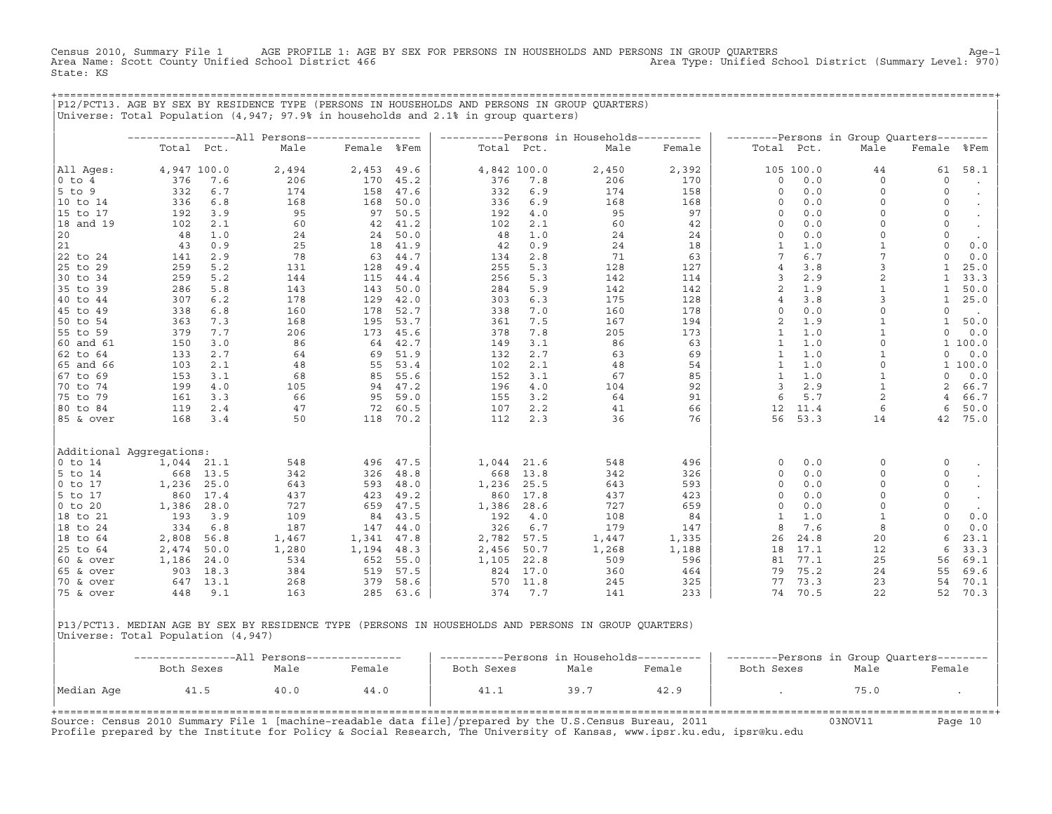Census 2010, Summary File 1 AGE PROFILE 1: AGE BY SEX FOR PERSONS IN HOUSEHOLDS AND PERSONS IN GROUP QUARTERS<br>Area Name: Scott County Unified School District 466 Area Type: Unified School District (Summary Level: 970) Area Name: Scott County Unified School District 466 State: KS

+===================================================================================================================================================+

|P12/PCT13. AGE BY SEX BY RESIDENCE TYPE (PERSONS IN HOUSEHOLDS AND PERSONS IN GROUP QUARTERS) | |Universe: Total Population (4,947; 97.9% in households and 2.1% in group quarters) | | | | −−−−−−−−−−−−−−−−−All Persons−−−−−−−−−−−−−−−−−− | −−−−−−−−−−Persons in Households−−−−−−−−−− | −−−−−−−−Persons in Group Quarters−−−−−−−− | | Total Pct. Male Female %Fem | Total Pct. Male Female | Total Pct. Male Female %Fem | | | | | |All Ages: 4,947 100.0 2,494 2,453 49.6 | 4,842 100.0 2,450 2,392 | 105 100.0 44 61 58.1 | |0 to 4 376 7.6 206 170 45.2 | 376 7.8 206 170 | 0 0.0 0 0 . | |5 to 9 332 6.7 174 158 47.6 | 332 6.9 174 158 | 0 0.0 0 0 . | |10 to 14 336 6.8 168 168 50.0 | 336 6.9 168 168 | 0 0.0 0 0 . | |15 to 17 192 3.9 95 97 50.5 | 192 4.0 95 97 | 0 0.0 0 0 . | |18 and 19 102 2.1 60 42 41.2 | 102 2.1 60 42 | 0 0.0 0 0 . |  $|20$  48 1.0 24 24 50.0 48 1.0 24 24 24 0 0.0 0 0 0 . |21 43 0.9 25 18 41.9 | 42 0.9 24 18 | 1 1.0 1 0 0.0 | |22 to 24 141 2.9 78 63 44.7 | 134 2.8 71 63 | 7 6.7 7 0 0.0 | |25 to 29 259 5.2 131 128 49.4 | 255 5.3 128 127 | 4 3.8 3 1 25.0 | |30 to 34 259 5.2 144 115 44.4 | 256 5.3 142 114 | 3 2.9 2 1 33.3 | |35 to 39 286 5.8 143 143 50.0 | 284 5.9 142 142 | 2 1.9 1 1 50.0 | |40 to 44 307 6.2 178 129 42.0 | 303 6.3 175 128 | 4 3.8 3 1 25.0 | |45 to 49 338 6.8 160 178 52.7 | 338 7.0 160 178 | 0 0.0 0 0 . | |50 to 54 363 7.3 168 195 53.7 | 361 7.5 167 194 | 2 1.9 1 1 50.0 | |55 to 59 379 7.7 206 173 45.6 | 378 7.8 205 173 | 1 1.0 1 0 0.0 | |60 and 61 150 3.0 86 64 42.7 | 149 3.1 86 63 | 1 1.0 0 1 100.0 | |62 to 64 133 2.7 64 69 51.9 | 132 2.7 63 69 | 1 1.0 1 0 0.0 | |65 and 66 103 2.1 48 55 53.4 | 102 2.1 48 54 | 1 1.0 0 1 100.0 | |67 to 69 153 3.1 68 85 55.6 | 152 3.1 67 85 | 1 1.0 1 0 0.0 | |70 to 74 199 4.0 105 94 47.2 | 196 4.0 104 92 | 3 2.9 1 2 66.7 | |75 to 79 161 3.3 66 95 59.0 | 155 3.2 64 91 | 6 5.7 2 4 66.7 | |80 to 84 119 2.4 47 72 60.5 | 107 2.2 41 66 | 12 11.4 6 6 50.0 | |85 & over 168 3.4 50 118 70.2 | 112 2.3 36 76 | 56 53.3 14 42 75.0 | | | | | | | | | |Additional Aggregations: | | | |0 to 14 1,044 21.1 548 496 47.5 | 1,044 21.6 548 496 | 0 0.0 0 0 . | |5 to 14 668 13.5 342 326 48.8 | 668 13.8 342 326 | 0 0.0 0 0 . | |0 to 17 1,236 25.0 643 593 48.0 | 1,236 25.5 643 593 | 0 0.0 0 0 . | |5 to 17 860 17.4 437 423 49.2 | 860 17.8 437 423 | 0 0.0 0 0 . | |0 to 20 1,386 28.0 727 659 47.5 | 1,386 28.6 727 659 | 0 0.0 0 0 . | |18 to 21 193 3.9 109 84 43.5 | 192 4.0 108 84 | 1 1.0 1 0 0.0 | |18 to 24 334 6.8 187 147 44.0 | 326 6.7 179 147 | 8 7.6 8 0 0.0 | |18 to 64 2,808 56.8 1,467 1,341 47.8 | 2,782 57.5 1,447 1,335 | 26 24.8 20 6 23.1 | |25 to 64 2,474 50.0 1,280 1,194 48.3 | 2,456 50.7 1,268 1,188 | 18 17.1 12 6 33.3 | |60 & over 1,186 24.0 534 652 55.0 | 1,105 22.8 509 596 | 81 77.1 25 56 69.1 | |65 & over 903 18.3 384 519 57.5 | 824 17.0 360 464 | 79 75.2 24 55 69.6 | |70 & over 647 13.1 268 379 58.6 | 570 11.8 245 325 | 77 73.3 23 54 70.1 | |75 & over 448 9.1 163 285 63.6 | 374 7.7 141 233 | 74 70.5 22 52 70.3 | | | | |

|P13/PCT13. MEDIAN AGE BY SEX BY RESIDENCE TYPE (PERSONS IN HOUSEHOLDS AND PERSONS IN GROUP QUARTERS) | |Universe: Total Population (4,947) |

|            |            |      | -----All Persons--------------- |            |      | --------Persons in Households---------- | --------Persons in Group Quarters-------- |      |        |
|------------|------------|------|---------------------------------|------------|------|-----------------------------------------|-------------------------------------------|------|--------|
|            | Both Sexes | Male | Female                          | Both Sexes | Male | Female                                  | Both Sexes                                | Male | Female |
| Median Age | 41.5       | 40.0 | 44.0                            | 41.1       | 39.7 | 42.9                                    |                                           | 75.0 |        |

Source: Census 2010 Summary File 1 [machine−readable data file]/prepared by the U.S.Census Bureau, 2011 03NOV11 Page 10 Profile prepared by the Institute for Policy & Social Research, The University of Kansas, www.ipsr.ku.edu, ipsr@ku.edu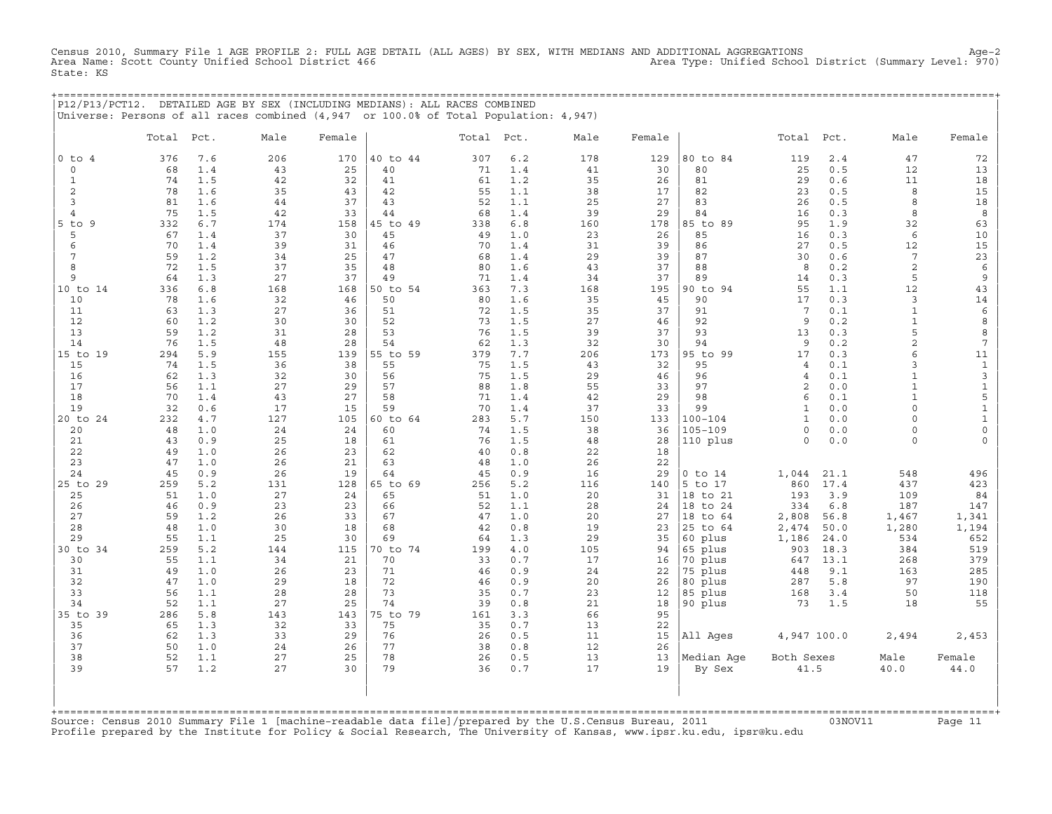Census 2010, Summary File 1 AGE PROFILE 2: FULL AGE DETAIL (ALL AGES) BY SEX, WITH MEDIANS AND ADDITIONAL AGGREGATIONS<br>Area Name: Scott County Unified School District 466 Area Type: Unified Sc State: KS

+===================================================================================================================================================+

|                   |           |            | P12/P13/PCT12. DETAILED AGE BY SEX (INCLUDING MEDIANS): ALL RACES COMBINED<br>Universe: Persons of all races combined (4,947 or 100.0% of Total Population: 4,947) |           |                |            |            |           |           |                     |                     |             |                              |                     |
|-------------------|-----------|------------|--------------------------------------------------------------------------------------------------------------------------------------------------------------------|-----------|----------------|------------|------------|-----------|-----------|---------------------|---------------------|-------------|------------------------------|---------------------|
|                   | Total     | Pct.       | Male                                                                                                                                                               | Female    |                | Total Pct. |            | Male      | Female    |                     | Total               | Pct.        | Male                         | Female              |
| $0$ to $4$        | 376       | 7.6        | 206                                                                                                                                                                | 170       | 40 to 44       | 307        | 6.2        | 178       | 129       | 80 to 84            | 119                 | 2.4         | 47                           | 72                  |
| $\circ$           | 68        | 1.4        | 43                                                                                                                                                                 | 25        | 40             | 71         | 1.4        | 41        | 30        | 80                  | 25                  | 0.5         | 12                           | 13                  |
| $\mathbf{1}$      | 74<br>78  | 1.5        | 42                                                                                                                                                                 | 32<br>43  | 41             | 61         | 1.2        | 35        | 26        | 81                  | 29                  | 0.6         | 11<br>8                      | 18                  |
| $\mathbf{2}$<br>3 | 81        | 1.6<br>1.6 | 35<br>44                                                                                                                                                           | 37        | 42<br>43       | 55<br>52   | 1.1<br>1.1 | 38<br>25  | 17<br>27  | 82<br>83            | 23<br>26            | 0.5<br>0.5  | 8                            | 15<br>18            |
| 4                 | 75        | 1.5        | 42                                                                                                                                                                 | 33        | 44             | 68         | 1.4        | 39        | 29        | 84                  | 16                  | 0.3         | 8                            | 8                   |
| 5 to 9            | 332       | 6.7        | 174                                                                                                                                                                | 158       | 45 to 49       | 338        | 6.8        | 160       | 178       | 85 to 89            | 95                  | 1.9         | 32                           | 63                  |
| 5                 | 67        | 1.4        | 37                                                                                                                                                                 | 30        | 45             | 49         | 1.0        | 23        | 26        | 85                  | 16                  | 0.3         | 6                            | 10                  |
| 6                 | 70        | 1.4        | 39                                                                                                                                                                 | 31        | 46             | 70         | 1.4        | 31        | 39        | 86                  | 27                  | 0.5         | 12                           | 15                  |
| 7                 | 59        | 1.2        | 34                                                                                                                                                                 | 25        | 47             | 68         | 1.4        | 29        | 39        | 87                  | 30                  | 0.6         | $7\phantom{.0}$              | 23                  |
| 8                 | 72        | 1.5        | 37                                                                                                                                                                 | 35        | 48             | 80         | 1.6        | 43        | 37        | 88                  | 8                   | 0.2         | 2                            | $\epsilon$          |
| $\mathsf{Q}$      | 64        | 1.3        | 27                                                                                                                                                                 | 37        | 49             | 71         | 1.4        | 34        | 37        | 89                  | 14                  | 0.3         | 5                            | 9                   |
| 10 to 14<br>10    | 336<br>78 | 6.8<br>1.6 | 168<br>32                                                                                                                                                          | 168<br>46 | 50 to 54<br>50 | 363<br>80  | 7.3<br>1.6 | 168<br>35 | 195<br>45 | 90 to 94<br>90      | 55<br>17            | 1.1<br>0.3  | 12<br>3                      | 43<br>14            |
| 11                | 63        | 1.3        | 27                                                                                                                                                                 | 36        | 51             | 72         | 1.5        | 35        | 37        | 91                  | $7\phantom{.0}$     | 0.1         | $\mathbf{1}$                 | 6                   |
| 12                | 60        | 1.2        | 30                                                                                                                                                                 | 30        | 52             | 73         | 1.5        | 27        | 46        | 92                  | 9                   | 0.2         | $\mathbf{1}$                 | 8                   |
| 13                | 59        | 1.2        | 31                                                                                                                                                                 | 28        | 53             | 76         | 1.5        | 39        | 37        | 93                  | 13                  | 0.3         | 5                            | 8                   |
| 14                | 76        | 1.5        | 48                                                                                                                                                                 | 28        | 54             | 62         | 1.3        | 32        | 30        | 94                  | 9                   | 0.2         | $\sqrt{2}$                   | $\overline{7}$      |
| 15 to 19          | 294       | 5.9        | 155                                                                                                                                                                | 139       | 55 to 59       | 379        | 7.7        | 206       | 173       | 95 to 99            | 17                  | 0.3         | 6                            | 11                  |
| 15                | 74        | 1.5        | 36                                                                                                                                                                 | 38        | 55             | 75         | 1.5        | 43        | 32        | 95                  | 4                   | 0.1         | 3                            | $\mathbf 1$         |
| 16                | 62        | 1.3        | 32                                                                                                                                                                 | 30        | 56             | 75         | 1.5        | 29        | 46        | 96                  | $\overline{4}$      | 0.1         | $\mathbf{1}$                 | $\mathsf 3$         |
| 17<br>18          | 56<br>70  | 1.1<br>1.4 | 27<br>43                                                                                                                                                           | 29<br>27  | 57<br>58       | 88<br>71   | 1.8<br>1.4 | 55<br>42  | 33<br>29  | 97<br>98            | $\overline{2}$<br>6 | 0.0<br>0.1  | $\mathbf{1}$<br>$\mathbf{1}$ | $\frac{1}{5}$       |
| 19                | 32        | 0.6        | 17                                                                                                                                                                 | 15        | 59             | 70         | 1.4        | 37        | 33        | 99                  | $\mathbf{1}$        | 0.0         | $\Omega$                     | $\mathbf 1$         |
| 20 to 24          | 232       | 4.7        | 127                                                                                                                                                                | 105       | 60 to 64       | 283        | 5.7        | 150       | 133       | $100 - 104$         | $\mathbf{1}$        | 0.0         | $\Omega$                     | $\mathbf 1$         |
| 20                | 48        | 1.0        | 24                                                                                                                                                                 | 24        | 60             | 74         | 1.5        | 38        | 36        | $105 - 109$         | $\circ$             | 0.0         | $\Omega$                     | $\mathsf{O}\xspace$ |
| 21                | 43        | 0.9        | 25                                                                                                                                                                 | 18        | 61             | 76         | 1.5        | 48        | 28        | 110 plus            | $\Omega$            | 0.0         | $\Omega$                     | $\Omega$            |
| 22                | 49        | 1.0        | 26                                                                                                                                                                 | 23        | 62             | 40         | 0.8        | 22        | 18        |                     |                     |             |                              |                     |
| 23                | 47        | 1.0        | 26                                                                                                                                                                 | 21        | 63             | 48         | 1.0        | 26        | 22        |                     |                     |             |                              |                     |
| 24                | 45        | 0.9        | 26                                                                                                                                                                 | 19        | 64             | 45         | 0.9        | 16        | 29        | $0$ to $14$         | 1,044               | 21.1        | 548                          | 496                 |
| 25 to 29<br>25    | 259<br>51 | 5.2<br>1.0 | 131<br>27                                                                                                                                                          | 128<br>24 | 65 to 69<br>65 | 256<br>51  | 5.2<br>1.0 | 116<br>20 | 140<br>31 | 5 to 17<br>18 to 21 | 860<br>193          | 17.4<br>3.9 | 437<br>109                   | 423<br>84           |
| 26                | 46        | 0.9        | 23                                                                                                                                                                 | 23        | 66             | 52         | 1.1        | 28        | 24        | 18 to 24            | 334                 | $6.8$       | 187                          | 147                 |
| 27                | 59        | 1.2        | 26                                                                                                                                                                 | 33        | 67             | 47         | 1.0        | 20        | 27        | 18 to 64            | 2,808               | 56.8        | 1,467                        | 1,341               |
| 28                | 48        | 1.0        | 30                                                                                                                                                                 | 18        | 68             | 42         | 0.8        | 19        | 23        | 25 to 64            | 2,474               | 50.0        | 1,280                        | 1,194               |
| 29                | 55        | 1.1        | 25                                                                                                                                                                 | 30        | 69             | 64         | 1.3        | 29        | 35        | 60 plus             | 1,186               | 24.0        | 534                          | 652                 |
| 30 to 34          | 259       | 5.2        | 144                                                                                                                                                                | 115       | 70 to 74       | 199        | 4.0        | 105       | 94        | 65 plus             | 903                 | 18.3        | 384                          | 519                 |
| 30                | 55        | 1.1        | 34                                                                                                                                                                 | 21        | 70             | 33         | 0.7        | 17        | 16        | 70 plus             | 647                 | 13.1        | 268                          | 379                 |
| 31<br>32          | 49<br>47  | 1.0<br>1.0 | 26<br>29                                                                                                                                                           | 23<br>18  | 71<br>72       | 46<br>46   | 0.9        | 24        | 22<br>26  | 75 plus             | 448                 | 9.1<br>5.8  | 163<br>97                    | 285<br>190          |
| 33                | 56        | 1.1        | 28                                                                                                                                                                 | 28        | 73             | 35         | 0.9<br>0.7 | 20<br>23  | 12        | 80 plus<br>85 plus  | 287<br>168          | 3.4         | 50                           | 118                 |
| 34                | 52        | 1.1        | 27                                                                                                                                                                 | 25        | 74             | 39         | 0.8        | 21        | 18        | 90 plus             | 73                  | 1.5         | 18                           | 55                  |
| 35 to 39          | 286       | 5.8        | 143                                                                                                                                                                | 143       | 75 to 79       | 161        | 3.3        | 66        | 95        |                     |                     |             |                              |                     |
| 35                | 65        | 1.3        | 32                                                                                                                                                                 | 33        | 75             | 35         | 0.7        | 13        | 22        |                     |                     |             |                              |                     |
| 36                | 62        | 1.3        | 33                                                                                                                                                                 | 29        | 76             | 26         | 0.5        | 11        | 15        | All Ages            | 4,947 100.0         |             | 2,494                        | 2,453               |
| 37                | 50        | 1.0        | 24                                                                                                                                                                 | 26        | 77             | 38         | 0.8        | 12        | 26        |                     |                     |             |                              |                     |
| 38                | 52        | 1.1        | 27                                                                                                                                                                 | 25        | 78             | 26         | 0.5        | 13        | 13        | Median Aqe          | Both Sexes          |             | Male                         | Female              |
| 39                | 57        | 1.2        | 27                                                                                                                                                                 | 30        | 79             | 36         | 0.7        | 17        | 19        | By Sex              | 41.5                |             | 40.0                         | 44.0                |

Source: Census 2010 Summary File 1 [machine-readable data file]/prepared by the U.S.Census Bureau, 2011 Page 11<br>Profile prepared by the Institute for Policy & Social Research, The University of Kansas, www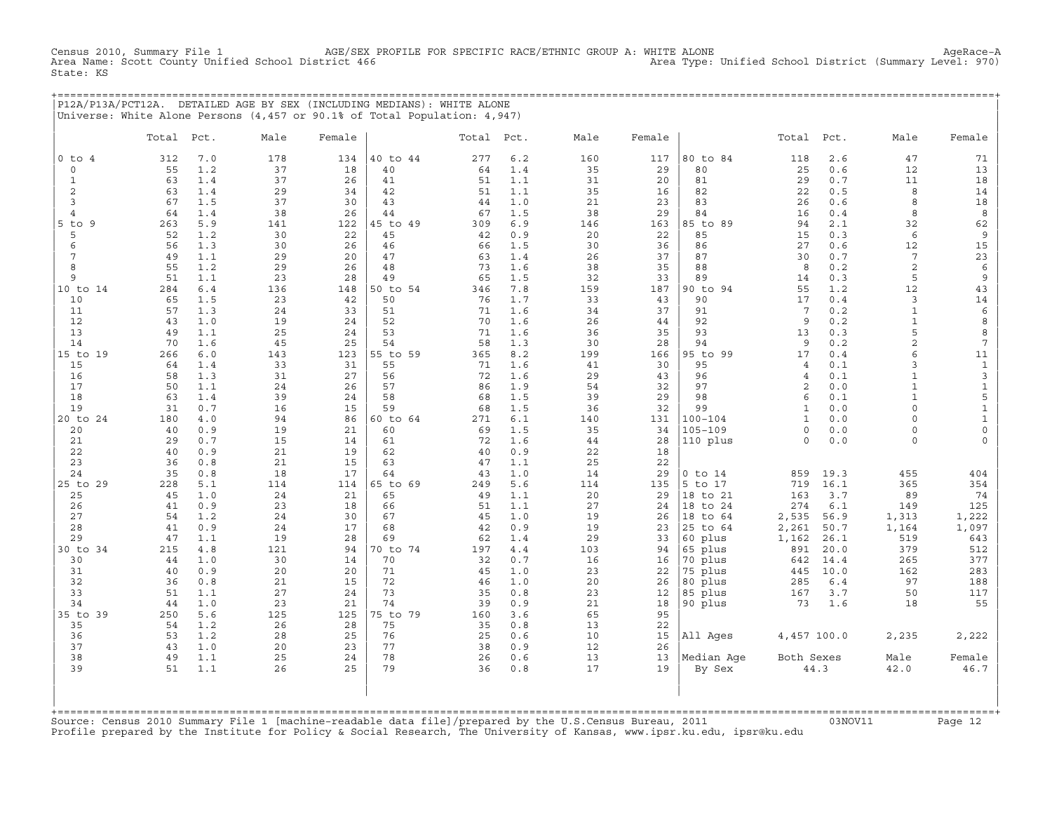AGE/SEX PROFILE FOR SPECIFIC RACE/ETHNIC GROUP A: WHITE ALONE<br>Itrict 466 Area Type: Unified School District (Summary Level: 970) Census 2010, Summary File 1 AGE/SEX I<br>Area Name: Scott County Unified School District 466 State: KS

+===================================================================================================================================================+ |P12A/P13A/PCT12A. DETAILED AGE BY SEX (INCLUDING MEDIANS): WHITE ALONE | |Universe: White Alone Persons (4,457 or 90.1% of Total Population: 4,947) |

|                      | Total     | Pct.       | Male     | Female   |                | Total Pct. |            | Male      | Female    |                    | Total                        | Pct.          | Male                  | Female                      |
|----------------------|-----------|------------|----------|----------|----------------|------------|------------|-----------|-----------|--------------------|------------------------------|---------------|-----------------------|-----------------------------|
| $0$ to $4$           | 312       | 7.0        | 178      | 134      | 40 to 44       | 277        | 6.2        | 160       | 117       | 80 to 84           | 118                          | 2.6           | 47                    | 71                          |
| $\mathbf 0$          | 55        | 1.2        | 37       | 18       | 40             | 64         | 1.4        | 35        | 29        | 80                 | 25                           | 0.6           | 12                    | 13                          |
| $\mathbf{1}$         | 63        | 1.4        | 37       | 26       | 41             | 51         | 1.1        | 31        | 20        | 81                 | 29                           | 0.7           | 11                    | 18                          |
| 2                    | 63        | 1.4        | 29       | 34       | 42             | 51         | 1.1        | 35        | 16        | 82                 | 22                           | 0.5           | 8                     | 14                          |
| 3                    | 67        | 1.5        | 37       | 30       | 43             | 44         | 1.0        | 21        | 23        | 83                 | 26                           | 0.6           | 8                     | 18                          |
| 4                    | 64        | 1.4        | 38       | 26       | 44             | 67         | 1.5        | 38        | 29        | 84                 | 16                           | 0.4           | 8                     | 8                           |
| $5$ to<br>9          | 263       | 5.9        | 141      | 122      | 45 to 49       | 309        | 6.9        | 146       | 163       | 85 to 89           | 94                           | 2.1           | 32                    | 62                          |
| 5                    | 52<br>56  | 1.2        | 30       | 22       | 45             | 42         | 0.9        | 20        | 22        | 85                 | 15<br>27                     | 0.3           | 6                     | $\,9$                       |
| 6<br>$7\phantom{.0}$ | 49        | 1.3<br>1.1 | 30<br>29 | 26<br>20 | 46<br>47       | 66<br>63   | 1.5<br>1.4 | 30<br>26  | 36<br>37  | 86<br>87           | 30                           | 0.6<br>0.7    | 12<br>$7\phantom{.0}$ | $15\,$<br>23                |
| 8                    | 55        | 1.2        | 29       | 26       | 48             | 73         | 1.6        | 38        | 35        | 88                 | 8                            | 0.2           | $\overline{c}$        | 6                           |
| 9                    | 51        | 1.1        | 23       | 28       | 49             | 65         | 1.5        | 32        | 33        | 89                 | 14                           | 0.3           | 5                     | $\overline{9}$              |
| 10 to 14             | 284       | $6.4$      | 136      | 148      | 50 to 54       | 346        | 7.8        | 159       | 187       | 90 to 94           | 55                           | 1.2           | 12                    | 43                          |
| 10                   | 65        | 1.5        | 23       | 42       | 50             | 76         | 1.7        | 33        | 43        | 90                 | 17                           | 0.4           | 3                     | 14                          |
| 11                   | 57        | 1.3        | 24       | 33       | 51             | 71         | 1.6        | 34        | 37        | 91                 | $7\phantom{.0}$              | 0.2           | $\mathbf{1}$          | $\epsilon$                  |
| 12                   | 43        | 1.0        | 19       | 24       | 52             | 70         | 1.6        | 26        | 44        | 92                 | 9                            | 0.2           | $\mathbf{1}$          | 8                           |
| 13                   | 49        | 1.1        | 25       | 24       | 53             | 71         | 1.6        | 36        | 35        | 93                 | 13                           | 0.3           | 5                     | 8                           |
| 14                   | 70        | 1.6        | 45       | 25       | 54             | 58         | 1.3        | 30        | 28        | 94                 | 9                            | 0.2           | $\overline{c}$        | $\overline{7}$              |
| 15 to 19             | 266       | 6.0        | 143      | 123      | 55 to 59       | 365        | 8.2        | 199       | 166       | 95 to 99           | 17                           | 0.4           | 6                     | 11                          |
| 15                   | 64        | 1.4        | 33       | 31       | 55             | 71         | 1.6        | 41        | 30        | 95                 | $\overline{4}$               | 0.1           | 3                     | $\mathbf{1}$                |
| 16                   | 58        | 1.3        | 31       | 27       | 56             | 72         | 1.6        | 29        | 43        | 96                 | $\overline{4}$               | 0.1           | $\mathbf{1}$          | $\mathbf{3}$                |
| 17                   | 50        | 1.1        | 24       | 26       | 57             | 86         | 1.9        | 54        | 32        | 97                 | 2                            | 0.0           | $\mathbf{1}$          | $\mathbf 1$                 |
| 18                   | 63        | 1.4        | 39       | 24       | 58             | 68         | 1.5        | 39        | 29        | 98                 | 6                            | 0.1           | $\mathbf{1}$          | 5                           |
| 19                   | 31<br>180 | 0.7<br>4.0 | 16<br>94 | 15<br>86 | 59<br>60 to 64 | 68<br>271  | 1.5        | 36        | 32        | 99<br>$100 - 104$  | $\mathbf{1}$<br>$\mathbf{1}$ | 0.0<br>0.0    | $\circ$<br>$\Omega$   | $\mathbf 1$<br>$\mathbf{1}$ |
| 20 to 24<br>20       | 40        | 0.9        | 19       | 21       | 60             | 69         | 6.1<br>1.5 | 140<br>35 | 131<br>34 | $105 - 109$        | $\circ$                      | 0.0           | $\circ$               | $\mathsf{O}\xspace$         |
| 21                   | 29        | 0.7        | 15       | 14       | 61             | 72         | 1.6        | 44        | 28        | 110 plus           | $\Omega$                     | 0.0           | $\circ$               | $\mathsf O$                 |
| 22                   | 40        | 0.9        | 21       | 19       | 62             | 40         | 0.9        | 22        | 18        |                    |                              |               |                       |                             |
| 23                   | 36        | 0.8        | 21       | 15       | 63             | 47         | 1.1        | 25        | 22        |                    |                              |               |                       |                             |
| 24                   | 35        | 0.8        | 18       | 17       | 64             | 43         | 1.0        | 14        | 29        | $0$ to $14$        | 859                          | 19.3          | 455                   | 404                         |
| 25 to 29             | 228       | 5.1        | 114      | 114      | 65 to 69       | 249        | 5.6        | 114       | 135       | 5 to 17            | 719                          | 16.1          | 365                   | 354                         |
| 25                   | 45        | 1.0        | 24       | 21       | 65             | 49         | 1.1        | 20        | 29        | 18 to 21           | 163                          | 3.7           | 89                    | 74                          |
| 26                   | 41        | 0.9        | 23       | 18       | 66             | 51         | 1.1        | 27        | 24        | 18 to 24           | 274                          | 6.1           | 149                   | 125                         |
| 27                   | 54        | 1.2        | 24       | 30       | 67             | 45         | 1.0        | 19        | 26        | 18 to 64           | 2,535                        | 56.9          | 1,313                 | 1,222                       |
| 28                   | 41        | 0.9        | 24       | 17       | 68             | 42         | 0.9        | 19        | 23        | 25 to 64           | 2,261                        | 50.7          | 1,164                 | 1,097                       |
| 29                   | 47        | 1.1        | 19       | 28       | 69             | 62         | 1.4        | 29        | 33        | 60 plus            | 1,162                        | 26.1          | 519                   | 643                         |
| 30 to 34             | 215       | 4.8        | 121      | 94       | 70 to 74       | 197        | 4.4        | 103       | 94        | 65 plus            | 891                          | 20.0          | 379                   | 512                         |
| 30                   | 44        | 1.0        | 30       | 14       | 70             | 32         | 0.7        | 16        | 16        | 70 plus            | 642                          | 14.4          | 265                   | 377                         |
| 31<br>32             | 40<br>36  | 0.9        | 20<br>21 | 20<br>15 | 71<br>72       | 45<br>46   | 1.0<br>1.0 | 23<br>20  | 22        | 75 plus            | 445<br>285                   | 10.0<br>$6.4$ | 162<br>97             | 283                         |
| 33                   | 51        | 0.8<br>1.1 | 27       | 24       | 73             | 35         | 0.8        | 23        | 26<br>12  | 80 plus<br>85 plus | 167                          | 3.7           | 50                    | 188<br>117                  |
| 34                   | 44        | 1.0        | 23       | 21       | 74             | 39         | 0.9        | 21        | 18        | 90 plus            | 73                           | 1.6           | 18                    | 55                          |
| 35 to 39             | 250       | 5.6        | 125      | 125      | 75 to 79       | 160        | 3.6        | 65        | 95        |                    |                              |               |                       |                             |
| 35                   | 54        | 1.2        | 26       | 28       | 75             | 35         | 0.8        | 13        | 22        |                    |                              |               |                       |                             |
| 36                   | 53        | 1.2        | 28       | 25       | 76             | 25         | 0.6        | 10        | 15        | All Ages           | 4,457 100.0                  |               | 2,235                 | 2,222                       |
| 37                   | 43        | 1.0        | 20       | 23       | 77             | 38         | 0.9        | 12        | 26        |                    |                              |               |                       |                             |
| 38                   | 49        | 1.1        | 25       | 24       | 78             | 26         | 0.6        | 13        | 13        | Median Age         | Both Sexes                   |               | Male                  | Female                      |
| 39                   | 51        | 1.1        | 26       | 2.5      | 79             | 36         | 0.8        | 17        | 19        | By Sex             |                              | 44.3          | 42.0                  | $46\,.7$                    |
|                      |           |            |          |          |                |            |            |           |           |                    |                              |               |                       |                             |

+===================================================================================================================================================+Source: Census 2010 Summary File 1 [machine−readable data file]/prepared by the U.S.Census Bureau, 2011 03NOV11 Page 12 Profile prepared by the Institute for Policy & Social Research, The University of Kansas, www.ipsr.ku.edu, ipsr@ku.edu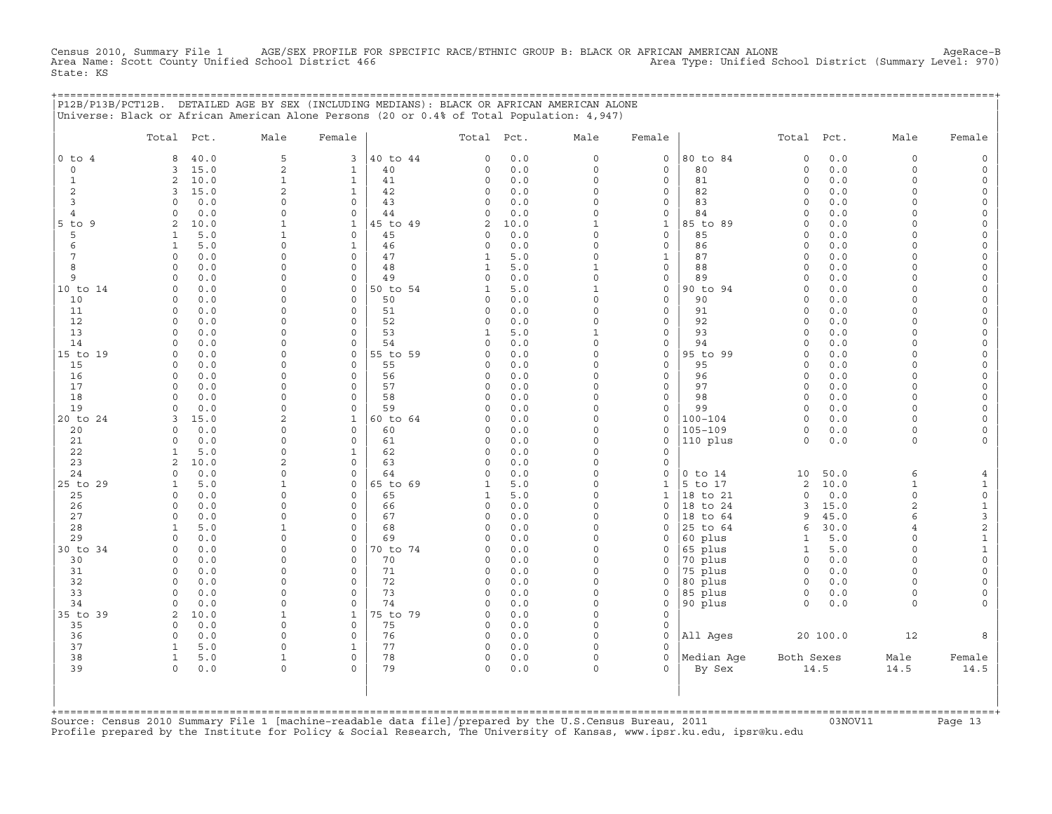CHE 1 AGE/SEX PROFILE FOR SPECIFIC RACE/ETHNIC GROUP B: BLACK OR AFRICAN AMERICAN ALONE ALONE<br>School District 466 Area Type: Unified School District (Summary Level: 970) Census 2010, Summary File 1 AGE/SEX PROFILE FOR<br>Area Name: Scott County Unified School District 466 State: KS

+===================================================================================================================================================+

|                | P12B/P13B/PCT12B. DETAILED AGE BY SEX (INCLUDING MEDIANS): BLACK OR AFRICAN AMERICAN ALONE<br>Universe: Black or African American Alone Persons (20 or 0.4% of Total Population: 4,947) |                          |                             |                |                   |            |                         |                                    |                    |                              |            |                      |                                     |
|----------------|-----------------------------------------------------------------------------------------------------------------------------------------------------------------------------------------|--------------------------|-----------------------------|----------------|-------------------|------------|-------------------------|------------------------------------|--------------------|------------------------------|------------|----------------------|-------------------------------------|
|                | Total Pct.                                                                                                                                                                              | Male                     | Female                      |                | Total             | Pct.       | Male                    | Female                             |                    | Total                        | Pct.       | Male                 | Female                              |
| $0$ to $4$     | 40.0<br>8                                                                                                                                                                               | 5                        | 3                           | 40 to 44       | 0                 | 0.0        | $\Omega$                | $\mathbf 0$                        | 80 to 84           | $\mathbf 0$                  | $0.0$      | $\circ$              | $\mathsf{O}$                        |
| 0              | 15.0<br>3                                                                                                                                                                               | 2                        | $\mathbf{1}$                | 40             | 0                 | 0.0        | $\Omega$                | $\mathbf 0$                        | 80                 | $\mathsf{O}\xspace$          | 0.0        | $\circ$              | $\mathsf{O}\xspace$                 |
| $\mathbf{1}$   | $\overline{a}$<br>10.0                                                                                                                                                                  | $\mathbf{1}$             | $\mathbf{1}$                | 41             | 0                 | 0.0        | $\Omega$                | $\mathbf 0$                        | 81                 | $\circ$                      | 0.0        | $\circ$              | $\mathsf{O}\xspace$                 |
| 2              | 15.0<br>3                                                                                                                                                                               | 2                        | $\mathbf{1}$                | 42             | 0                 | $0.0$      | $\Omega$                | $\mathbf 0$                        | 82                 | $\circ$                      | 0.0        | $\Omega$             | 0                                   |
| 3              | 0.0<br>$\Omega$                                                                                                                                                                         | $\circ$                  | $\circ$                     | 43             | 0                 | 0.0        | $\Omega$                | $\mathbf 0$                        | 83                 | $\circ$                      | 0.0        | $\Omega$             | $\circ$                             |
| $\overline{4}$ | 0.0<br>$\Omega$                                                                                                                                                                         | $\Omega$                 | $\circ$                     | 44             | 0                 | 0.0        | $\Omega$                | $\mathsf O$                        | 84                 | $\mathbf 0$                  | 0.0        | $\Omega$             | $\mathsf{O}\xspace$                 |
| 5 to 9         | 2<br>10.0                                                                                                                                                                               | $\mathbf{1}$             | $\mathbf{1}$                | 45 to 49       | $\overline{a}$    | 10.0       | $\mathbf{1}$            | $1\,$                              | 85 to 89           | $\Omega$                     | $0.0$      | $\Omega$             | $\mathsf{O}\xspace$                 |
| 5<br>6         | $\mathbf{1}$<br>5.0<br>$\mathbf{1}$<br>5.0                                                                                                                                              | $\mathbf{1}$<br>$\Omega$ | $\mathbf 0$<br>$\mathbf{1}$ | 45<br>46       | 0                 | 0.0<br>0.0 | $\Omega$<br>$\mathbf 0$ | $\mathbf 0$<br>$\mathsf{O}\xspace$ | 85<br>86           | $\circ$<br>$\circ$           | 0.0<br>0.0 | $\Omega$<br>$\Omega$ | 0                                   |
| 7              | $\Omega$<br>0.0                                                                                                                                                                         | $\Omega$                 | 0                           | 47             | 0<br>$\mathbf{1}$ | 5.0        | $\Omega$                | $\mathbf{1}$                       | 87                 | $\Omega$                     | $0.0$      | $\Omega$             | $\mathsf{O}$<br>$\mathsf{O}\xspace$ |
| 8              | 0.0<br>$\Omega$                                                                                                                                                                         | $\Omega$                 | $\mathbf 0$                 | 48             | $\mathbf{1}$      | 5.0        | $\mathbf{1}$            | $\mathsf{O}\xspace$                | 88                 | $\circ$                      | 0.0        | $\Omega$             | 0                                   |
| 9              | $\mathbf 0$<br>0.0                                                                                                                                                                      | $\Omega$                 | $\mathsf{O}\xspace$         | 49             | 0                 | 0.0        | $\mathbf 0$             | $\mathsf{O}\xspace$                | 89                 | $\circ$                      | 0.0        | $\circ$              | $\mathsf O$                         |
| 10 to 14       | 0.0<br>$\Omega$                                                                                                                                                                         | $\Omega$                 | 0                           | 50 to 54       | $\mathbf{1}$      | 5.0        | $\mathbf{1}$            | $\mathsf O$                        | 90 to 94           | $\Omega$                     | $0.0$      | $\Omega$             | $\mathsf{O}\xspace$                 |
| 10             | $\Omega$<br>0.0                                                                                                                                                                         | $\Omega$                 | $\Omega$                    | 50             | 0                 | 0.0        | $\Omega$                | $\mathbf 0$                        | 90                 | $\Omega$                     | 0.0        | $\Omega$             | 0                                   |
| 11             | 0.0<br>$\circ$                                                                                                                                                                          | $\Omega$                 | $\mathsf{O}\xspace$         | 51             | 0                 | 0.0        | $\mathbf 0$             | $\mathsf{O}\xspace$                | 91                 | $\mathsf{O}\xspace$          | 0.0        | $\Omega$             | $\mathsf{O}\xspace$                 |
| 12             | 0.0<br>$\Omega$                                                                                                                                                                         | $\Omega$                 | $\Omega$                    | 52             | 0                 | 0.0        | $\Omega$                | $\mathsf{O}$                       | 92                 | $\Omega$                     | 0.0        | $\Omega$             | $\mathsf{O}\xspace$                 |
| 13             | 0.0<br>$\Omega$                                                                                                                                                                         | $\Omega$                 | $\Omega$                    | 53             | 1                 | 5.0        | $\mathbf{1}$            | $\mathbf 0$                        | 93                 | $\Omega$                     | 0.0        | $\Omega$             | 0                                   |
| 14             | 0.0<br>$\Omega$                                                                                                                                                                         | $\Omega$                 | $\mathbf 0$                 | 54             | 0                 | 0.0        | $\mathbf 0$             | $\mathsf{O}\xspace$                | 94                 | $\Omega$                     | 0.0        | $\circ$              | $\mathsf{O}\xspace$                 |
| 15 to 19       | 0.0<br>$\Omega$                                                                                                                                                                         | 0                        | 0                           | 55 to 59       | 0                 | 0.0        | $\Omega$                | $\mathsf O$                        | 95 to 99           | $\circ$                      | 0.0        | $\Omega$             | $\mathsf{O}\xspace$                 |
| 15             | 0.0<br>$\Omega$                                                                                                                                                                         | $\Omega$                 | $\Omega$                    | 55             | 0                 | 0.0        | $\Omega$                | $\mathbf 0$                        | 95                 | $\Omega$                     | 0.0        | $\Omega$             | 0                                   |
| 16             | $\Omega$<br>0.0                                                                                                                                                                         | $\Omega$                 | $\mathbf 0$                 | 56             | 0                 | 0.0        | $\mathbf 0$             | $\mathsf{O}\xspace$                | 96                 | $\circ$                      | 0.0        | $\circ$              | $\mathsf{O}\xspace$                 |
| 17<br>18       | $\Omega$<br>0.0<br>$\Omega$                                                                                                                                                             | $\Omega$<br>$\Omega$     | $\Omega$                    | 57<br>58       | 0                 | 0.0<br>0.0 | $\Omega$<br>$\Omega$    | $\mathsf{O}$                       | 97<br>98           | $\circ$                      | 0.0        | 0                    | 0                                   |
| 19             | 0.0<br>0.0<br>$\Omega$                                                                                                                                                                  | $\Omega$                 | $\mathbf 0$<br>$\mathbf 0$  | 59             | 0<br>0            | 0.0        | $\mathbf 0$             | $\mathbf 0$<br>$\mathsf{O}\xspace$ | 99                 | $\circ$<br>$\circ$           | 0.0<br>0.0 | $\circ$<br>$\Omega$  | $\mathsf O$<br>$\mathsf{O}\xspace$  |
| 20 to 24       | 15.0<br>3                                                                                                                                                                               | 2                        | $\mathbf{1}$                | 60 to 64       | 0                 | 0.0        | $\Omega$                | $\mathsf{O}\xspace$                | $100 - 104$        | $\circ$                      | 0.0        | $\Omega$             | 0                                   |
| 20             | 0.0<br>$\Omega$                                                                                                                                                                         | $\Omega$                 | $\mathbf 0$                 | 60             | 0                 | 0.0        | $\Omega$                | $\mathbf 0$                        | $105 - 109$        | $\circ$                      | 0.0        | $\circ$              | 0                                   |
| 21             | 0.0<br>$\Omega$                                                                                                                                                                         | $\Omega$                 | $\mathbf 0$                 | 61             | 0                 | 0.0        | $\Omega$                | $\mathbf 0$                        | 110 plus           | $\circ$                      | $0.0$      | $\circ$              | $\mathsf{O}\xspace$                 |
| 22             | 5.0<br>$\mathbf{1}$                                                                                                                                                                     | $\Omega$                 | $\mathbf 1$                 | 62             | 0                 | 0.0        | $\Omega$                | $\mathbf 0$                        |                    |                              |            |                      |                                     |
| 23             | 10.0<br>2                                                                                                                                                                               | $\overline{c}$           | 0                           | 63             | 0                 | 0.0        | $\Omega$                | $\mathbf 0$                        |                    |                              |            |                      |                                     |
| 24             | 0.0<br>$\Omega$                                                                                                                                                                         | $\Omega$                 | $\Omega$                    | 64             | $\circ$           | 0.0        | $\Omega$                | $\mathbf 0$                        | $0$ to $14$        | 10                           | 50.0       | 6                    | $\overline{4}$                      |
| 25 to 29       | 5.0<br>$\mathbf{1}$                                                                                                                                                                     | $\mathbf{1}$             | $\mathsf{O}\xspace$         | 65 to 69       | $\mathbf{1}$      | 5.0        | $\Omega$                | $\mathbf{1}$                       | 5 to 17            | $\overline{c}$               | 10.0       | $\mathbf{1}$         | $\mathbf{1}$                        |
| 25             | $\circ$<br>0.0                                                                                                                                                                          | $\Omega$                 | 0                           | 65             | $\mathbf{1}$      | 5.0        | $\Omega$                | $\mathbf{1}$                       | 18 to 21           | $\Omega$                     | 0.0        | $\circ$              | $\mathsf{O}\xspace$                 |
| 26             | 0.0<br>$\Omega$                                                                                                                                                                         | $\Omega$                 | $\Omega$                    | 66             | $\circ$           | 0.0        | $\Omega$                | $\Omega$                           | 18 to 24           | $\overline{3}$               | 15.0       | $\overline{a}$       | $\mathbf 1$                         |
| 27             | $\circ$<br>0.0                                                                                                                                                                          | $\Omega$                 | $\mathsf{O}\xspace$         | 67             | 0                 | 0.0        | $\Omega$                | $\mathsf{O}$                       | 18 to 64           | 9                            | 45.0       | 6                    | $\mathsf{3}$                        |
| 28             | 5.0<br>1                                                                                                                                                                                | 1<br>$\Omega$            | 0<br>$\Omega$               | 68             | 0                 | 0.0        | $\Omega$<br>$\Omega$    | $\Omega$                           | 25 to 64           | 6                            | 30.0       | $\overline{4}$       | $\overline{c}$                      |
| 29<br>30 to 34 | 0.0<br>$\Omega$<br>$\circ$<br>0.0                                                                                                                                                       | $\Omega$                 | 0                           | 69<br>70 to 74 | 0<br>0            | 0.0<br>0.0 | $\Omega$                | $\mathbf 0$<br>$\mathsf{O}$        | 60 plus<br>65 plus | $\mathbf{1}$<br>$\mathbf{1}$ | 5.0<br>5.0 | $\circ$<br>0         | $\mathbf 1$<br>$\mathbf 1$          |
| 30             | 0.0<br>$\Omega$                                                                                                                                                                         | $\Omega$                 | $\mathbf 0$                 | 70             | 0                 | 0.0        | $\Omega$                | $\Omega$                           | 70 plus            | $\circ$                      | 0.0        | $\Omega$             | $\mathsf{O}\xspace$                 |
| 31             | 0.0<br>$\Omega$                                                                                                                                                                         | $\Omega$                 | $\Omega$                    | 71             | 0                 | 0.0        | $\Omega$                | $\mathbf 0$                        | 75 plus            | $\circ$                      | 0.0        | $\Omega$             | $\mathsf{O}\xspace$                 |
| 32             | 0<br>0.0                                                                                                                                                                                | $\Omega$                 | $\mathsf{O}\xspace$         | 72             | 0                 | 0.0        | $\mathbf 0$             | $\mathsf{O}$                       | 80 plus            | $\circ$                      | 0.0        | $\circ$              | $\mathsf{O}\xspace$                 |
| 33             | 0.0<br>$\Omega$                                                                                                                                                                         | $\Omega$                 | $\mathbf 0$                 | 73             | 0                 | 0.0        | $\Omega$                | $\mathbf 0$                        | 85 plus            | $\mathsf{O}$                 | 0.0        | $\circ$              | 0                                   |
| 34             | 0.0<br>$\Omega$                                                                                                                                                                         | $\Omega$                 | $\mathbf 0$                 | 74             | 0                 | 0.0        | $\Omega$                | $\mathbf 0$                        | 90 plus            | $\circ$                      | 0.0        | $\circ$              | $\mathsf{O}\xspace$                 |
| 35 to 39       | 2<br>10.0                                                                                                                                                                               | $\mathbf{1}$             | $\mathbf{1}$                | 75 to 79       | 0                 | 0.0        | $\mathbf 0$             | $\mathsf{O}\xspace$                |                    |                              |            |                      |                                     |
| 35             | 0.0<br>$\Omega$                                                                                                                                                                         | $\Omega$                 | $\mathbf 0$                 | 75             | 0                 | 0.0        | $\Omega$                | $\mathbf 0$                        |                    |                              |            |                      |                                     |
| 36             | 0.0<br>$\circ$                                                                                                                                                                          | $\Omega$                 | $\mathbf 0$                 | 76             | $\circ$           | 0.0        | $\Omega$                | $\mathbf 0$                        | All Ages           |                              | 20 100.0   | 12                   | 8                                   |
| 37             | $\mathbf{1}$<br>5.0                                                                                                                                                                     | $\Omega$                 | $\mathbf{1}$                | 77             | 0                 | 0.0        | $\mathbf 0$             | $\mathbf 0$                        |                    |                              |            |                      |                                     |
| 38             | $\mathbf{1}$<br>5.0                                                                                                                                                                     | $\mathbf{1}$             | $\Omega$                    | 78             | 0                 | 0.0        | $\Omega$                | $\Omega$                           | Median Age         | Both Sexes                   |            | Male                 | Female                              |
| 39             | $\circ$<br>0.0                                                                                                                                                                          | $\Omega$                 | $\Omega$                    | 79             | $\circ$           | 0.0        | $\Omega$                | $\Omega$                           | By Sex             |                              | 14.5       | 14.5                 | 14.5                                |
|                |                                                                                                                                                                                         |                          |                             |                |                   |            |                         |                                    |                    |                              |            |                      |                                     |
|                |                                                                                                                                                                                         |                          |                             |                |                   |            |                         |                                    |                    |                              |            |                      |                                     |
|                | +============================                                                                                                                                                           |                          |                             |                |                   |            |                         |                                    |                    |                              |            |                      |                                     |

+===================================================================================================================================================+Source: Census 2010 Summary File 1 [machine−readable data file]/prepared by the U.S.Census Bureau, 2011 03NOV11 Page 13 Profile prepared by the Institute for Policy & Social Research, The University of Kansas, www.ipsr.ku.edu, ipsr@ku.edu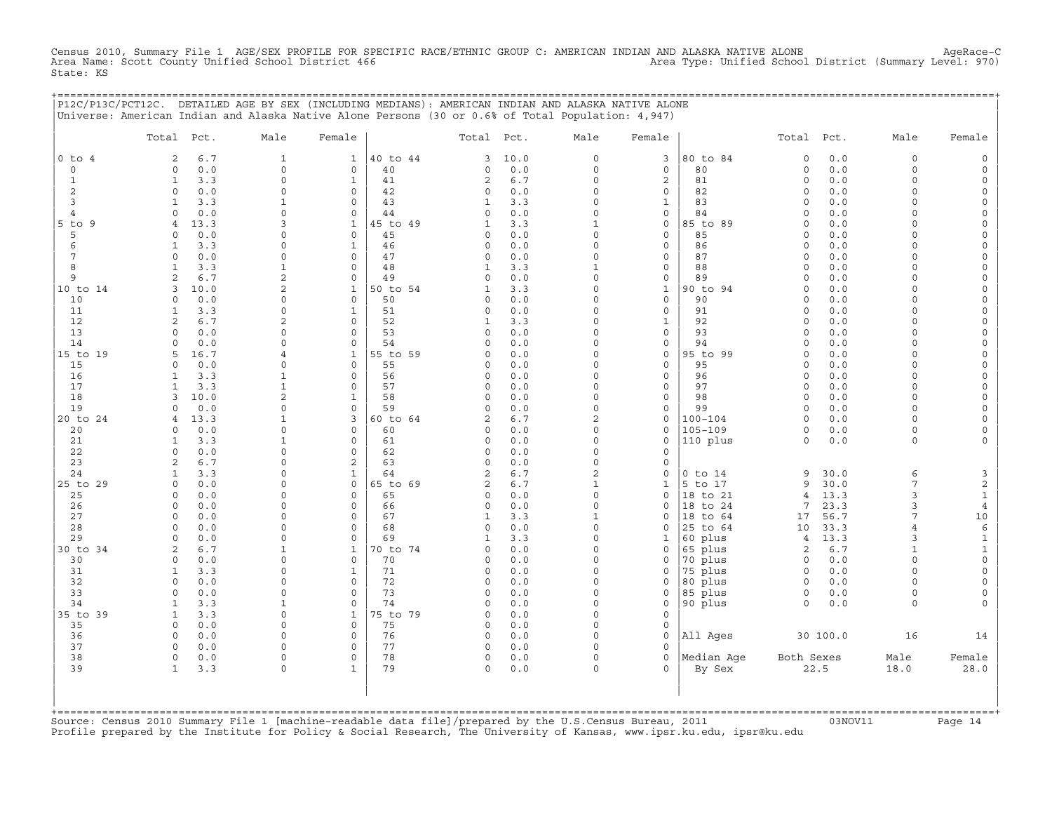Census 2010, Summary File 1 AGE/SEX PROFILE FOR SPECIFIC RACE/ETHNIC GROUP C: AMERICAN INDIAN AND ALASKA NATIVE ALONE AgeRace−C Area Name: Scott County Unified School District 466 Area Type: Unified School District (Summary Level: 970) State: KS

|                | P12C/P13C/PCT12C. DETAILED AGE BY SEX (INCLUDING MEDIANS): AMERICAN INDIAN AND ALASKA NATIVE ALONE |                            |                             |                |                         |              |                         |                              | ======================== |                            |              |                                   |                      |
|----------------|----------------------------------------------------------------------------------------------------|----------------------------|-----------------------------|----------------|-------------------------|--------------|-------------------------|------------------------------|--------------------------|----------------------------|--------------|-----------------------------------|----------------------|
|                | Universe: American Indian and Alaska Native Alone Persons (30 or 0.6% of Total Population: 4,947)  |                            |                             |                |                         |              |                         |                              |                          |                            |              |                                   |                      |
|                | Total Pct.                                                                                         | Male                       | Female                      |                | Total Pct.              |              | Male                    | Female                       |                          | Total Pct.                 |              | Male                              | Female               |
| $0$ to $4$     | 6.7<br>2                                                                                           | $\mathbf{1}$               | $\mathbf{1}$                | 40 to 44       | 3                       | 10.0         | 0                       | 3                            | 80 to 84                 | $\circ$                    | 0.0          | $\mathbf 0$                       |                      |
| $\mathbf 0$    | 0.0<br>$\mathbf 0$                                                                                 | $\circ$                    | $\circ$                     | 40             | 0                       | 0.0          | 0                       | $\circ$                      | 80                       | $\circ$                    | 0.0          | $\mathbf 0$                       | $\cap$               |
| 1<br>2         | 3.3<br>$\mathbf{1}$<br>0.0<br>$\Omega$                                                             | $\Omega$<br>$\Omega$       | $\mathbf{1}$<br>$\circ$     | 41<br>42       | 2<br>$\mathbf 0$        | 6.7<br>0.0   | $\Omega$<br>$\Omega$    | 2<br>$\mathbf{0}$            | 81<br>82                 | $\Omega$<br>$\Omega$       | 0.0<br>0.0   | $\Omega$<br>$\Omega$              |                      |
| 3              | 3.3<br>1                                                                                           | 1                          | $\Omega$                    | 43             | 1                       | 3.3          | $\Omega$                | $\mathbf{1}$                 | 83                       | $\Omega$                   | 0.0          |                                   |                      |
| $\overline{4}$ | 0.0<br>$\Omega$                                                                                    | $\Omega$                   | $\circ$                     | 44             | $\Omega$                | 0.0          | $\Omega$                | $\circ$                      | 84                       | $\Omega$                   | 0.0          | $\cap$                            |                      |
| $5$ to $9$     | 13.3<br>4                                                                                          | 3                          | $\mathbf{1}$                | 45 to 49       | 1                       | 3.3          | 1                       | $\circ$                      | 85 to 89                 | $\Omega$                   | 0.0          |                                   |                      |
| 5<br>6         | 0.0<br>$\Omega$<br>3.3<br>1                                                                        | $\Omega$<br>$\Omega$       | $\circ$<br>1                | 45<br>46       | $\circ$<br>$\Omega$     | $0.0$<br>0.0 | $\Omega$<br>$\Omega$    | $\circ$<br>0                 | 85<br>86                 | 0<br>$\Omega$              | 0.0<br>0.0   |                                   |                      |
| 7              | 0.0<br>$\Omega$                                                                                    | $\Omega$                   | $\Omega$                    | 47             | $\Omega$                | 0.0          | $\Omega$                | $\mathbf{0}$                 | 87                       | $\Omega$                   | 0.0          | ∩                                 |                      |
| 8              | 3.3<br>$\mathbf{1}$                                                                                | 1                          | $\mathbf 0$                 | 48             | 1                       | 3.3          | 1                       | $\circ$                      | 88                       | $\mathbf 0$                | 0.0          | $\cap$                            |                      |
| 9              | 6.7<br>2                                                                                           | 2                          | $\circ$                     | 49             | $\mathbf 0$             | 0.0          | $\circ$                 | $\mathsf{O}$                 | 89                       | $\Omega$                   | 0.0          | $\cap$                            |                      |
| 10 to 14<br>10 | 10.0<br>3<br>0.0<br>$\Omega$                                                                       | $\overline{a}$<br>$\Omega$ | $\mathbf{1}$<br>$\mathbf 0$ | 50 to 54<br>50 | 1<br>$\mathbf 0$        | 3.3<br>0.0   | $\Omega$<br>$\Omega$    | $\mathbf{1}$<br>$\mathbf{0}$ | 90 to 94<br>90           | $\Omega$<br>$\Omega$       | 0.0<br>0.0   |                                   |                      |
| 11             | 3.3<br>1                                                                                           | $\Omega$                   | $\mathbf{1}$                | 51             | $\mathbf 0$             | 0.0          | $\Omega$                | $\mathbf{0}$                 | 91                       | $\Omega$                   | 0.0          | $\cap$                            |                      |
| 12             | 6.7<br>2                                                                                           | 2                          | $\circ$                     | 52             | 1                       | 3.3          | $\Omega$                | $\mathbf{1}$                 | 92                       | $\Omega$                   | 0.0          | $\cap$                            |                      |
| 13             | $\Omega$<br>0.0                                                                                    | $\Omega$                   | $\circ$                     | 53             | 0                       | 0.0          | $\circ$                 | $\mathbf{0}$                 | 93                       | $\Omega$                   | 0.0          | $\cap$                            |                      |
| 14<br>15 to 19 | 0.0<br>$\Omega$<br>16.7<br>5                                                                       | $\Omega$<br>4              | $\mathbf 0$<br>$\mathbf{1}$ | 54<br>55 to 59 | $\mathbf 0$<br>0        | 0.0<br>0.0   | $\circ$<br>$\Omega$     | $\circ$<br>$\circ$           | 94<br>95 to 99           | $\mathbf 0$<br>$\mathbf 0$ | $0.0$<br>0.0 |                                   |                      |
| 15             | 0.0<br>$\cap$                                                                                      | $\Omega$                   | $\mathbf 0$                 | 55             | $\Omega$                | 0.0          | $\Omega$                | $\mathbf{0}$                 | 95                       | $\Omega$                   | 0.0          | $\cap$                            |                      |
| 16             | 3.3<br>1                                                                                           | 1                          | $\mathbf 0$                 | 56             | 0                       | 0.0          | 0                       | $\circ$                      | 96                       | $\circ$                    | 0.0          | $\cap$                            |                      |
| 17             | 3.3<br>1                                                                                           | 1                          | $\circ$                     | 57             | 0                       | 0.0          | $\Omega$                | 0                            | 97                       | $\circ$                    | 0.0          | $\cap$                            |                      |
| 18<br>19       | 10.0<br>3<br>0.0<br>$\Omega$                                                                       | $\mathfrak{D}$<br>$\Omega$ | $\mathbf{1}$<br>$\mathbf 0$ | 58<br>59       | 0<br>0                  | 0.0<br>0.0   | $\Omega$<br>$\circ$     | 0<br>0                       | 98<br>99                 | $\Omega$<br>$\circ$        | 0.0<br>0.0   | $\cap$                            |                      |
| 20 to 24       | 13.3                                                                                               | -1                         | 3                           | 60 to 64       | 2                       | $6.7$        | 2                       | 0                            | $100 - 104$              | $\Omega$                   | 0.0          | ∩                                 |                      |
| 20             | 0.0<br>$\Omega$                                                                                    | $\Omega$                   | $\circ$                     | 60             | 0                       | 0.0          | $\Omega$                | $\circ$                      | 105-109                  | $\Omega$                   | 0.0          | $\cap$                            |                      |
| 21             | 3.3<br>1                                                                                           | $\mathbf{1}$               | $\Omega$                    | 61             | $\Omega$                | 0.0          | $\Omega$                | $\mathbf{0}$                 | 110 plus                 | $\Omega$                   | 0.0          | $\Omega$                          |                      |
| 22<br>23       | 0.0<br>$\Omega$<br>6.7<br>2                                                                        | $\Omega$<br>$\Omega$       | $\Omega$<br>2               | 62<br>63       | $\mathbf 0$<br>$\Omega$ | 0.0<br>0.0   | $\Omega$<br>$\Omega$    | $\Omega$<br>$\circ$          |                          |                            |              |                                   |                      |
| 24             | 3.3<br>$\mathbf{1}$                                                                                | $\Omega$                   | $\mathbf{1}$                | 64             | 2                       | 6.7          | $\overline{2}$          | 0                            | $0$ to $14$              | 9                          | 30.0         | 6                                 | 3                    |
| 25 to 29       | 0.0<br>$\Omega$                                                                                    | $\Omega$                   | $\circ$                     | 65 to 69       | 2                       | 6.7          | $\mathbf{1}$            | 1                            | 5 to 17                  | 9                          | 30.0         | 7                                 | 2                    |
| 25             | 0.0<br>$\Omega$                                                                                    | $\Omega$                   | $\circ$                     | 65             | $\circ$                 | 0.0          | 0                       | $\circ$                      | 18 to 21                 | $4\overline{ }$            | 13.3         | 3                                 | 1                    |
| 26<br>27       | 0.0<br>$\Omega$<br>$\Omega$<br>0.0                                                                 | $\Omega$<br>$\Omega$       | $\circ$<br>$\circ$          | 66<br>67       | 0<br>1                  | 0.0<br>3.3   | $\circ$<br>$\mathbf{1}$ | 0<br>0                       | 18 to 24<br>18 to 64     | 7<br>17                    | 23.3<br>56.7 | 3                                 | $\overline{4}$<br>10 |
| 28             | $\Omega$<br>0.0                                                                                    | $\Omega$                   | $\Omega$                    | 68             | $\Omega$                | 0.0          | $\circ$                 | 0                            | 25 to 64                 | 10                         | 33.3         |                                   | 6                    |
| 29             | 0.0<br>$\Omega$                                                                                    | $\Omega$                   | $\circ$                     | 69             |                         | 3.3          | $\circ$                 | 1                            | 60 plus                  | $\overline{4}$             | 13.3         | 3                                 | $\mathbf{1}$         |
| 30 to 34       | 6.7<br>2                                                                                           |                            | $\mathbf{1}$                | 70 to 74       | $\Omega$                | 0.0          | $\circ$                 | 0                            | 65 plus                  | 2                          | 6.7          |                                   |                      |
| 30<br>31       | 0.0<br>$\mathbf 0$<br>3.3<br>1                                                                     | $\Omega$<br>$\Omega$       | $\circ$<br>$\mathbf{1}$     | 70<br>71       | $\mathbf 0$<br>0        | 0.0<br>0.0   | $\circ$<br>$\circ$      | $\mathbf{0}$<br>0            | 70 plus<br>75 plus       | $\circ$<br>$\circ$         | 0.0<br>0.0   |                                   |                      |
| 32             | 0.0<br>$\Omega$                                                                                    | $\Omega$                   | $\circ$                     | 72             | 0                       | 0.0          | $\circ$                 | $\mathbf 0$                  | 80 plus                  | $\circ$                    | 0.0          | $\cap$                            |                      |
| 33             | 0.0<br>$\mathbf 0$                                                                                 | $\mathbf 0$                | $\mathsf 0$                 | 73             | $\circ$                 | 0.0          | $\circ$                 | 0                            | 85 plus                  | $\circ$                    | 0.0          | $\Omega$                          |                      |
| 34             | 3.3<br>1                                                                                           | 1                          | $\circ$                     | 74             | 0                       | 0.0          | 0                       | 0                            | 90 plus                  | $\circ$                    | 0.0          | $\Omega$                          |                      |
| 35 to 39<br>35 | 3.3<br>$\mathbf{1}$<br>$\circ$<br>0.0                                                              | $\Omega$<br>$\Omega$       | $\mathbf{1}$<br>$\mathbf 0$ | 75 to 79<br>75 | 0<br>$\circ$            | 0.0<br>0.0   | $\Omega$<br>$\circ$     | 0<br>0                       |                          |                            |              |                                   |                      |
| 36             | $\Omega$<br>0.0                                                                                    | $\Omega$                   | $\circ$                     | 76             | $\circ$                 | 0.0          | $\cap$                  | $\mathsf{O}$                 | All Ages                 |                            | 30 100.0     | 16                                | 14                   |
| 37             | 0.0<br>$\Omega$                                                                                    | $\Omega$                   | $\circ$                     | 77             | $\circ$                 | 0.0          | $\Omega$                | $\Omega$                     |                          |                            |              |                                   |                      |
| 38<br>39       | 0.0<br>$\Omega$<br>3.3<br>$\mathbf{1}$                                                             | $\Omega$<br>$\Omega$       | $\Omega$<br>$\mathbf{1}$    | 78<br>79       | 0<br>$\Omega$           | 0.0<br>0.0   | $\Omega$<br>$\cap$      | $\Omega$<br>$\Omega$         | Median Aqe               | Both Sexes                 | 22.5         | Male<br>18.0                      | Female<br>28.0       |
|                |                                                                                                    |                            |                             |                |                         |              |                         |                              | By Sex                   |                            |              |                                   |                      |
|                |                                                                                                    |                            |                             |                |                         |              |                         |                              |                          |                            |              |                                   |                      |
|                |                                                                                                    |                            |                             |                |                         |              |                         |                              |                          |                            |              | --------------------------------- |                      |
|                |                                                                                                    |                            |                             |                |                         |              |                         |                              |                          |                            |              |                                   |                      |

+===================================================================================================================================================+Source: Census 2010 Summary File 1 [machine−readable data file]/prepared by the U.S.Census Bureau, 2011 03NOV11 Page 14 Profile prepared by the Institute for Policy & Social Research, The University of Kansas, www.ipsr.ku.edu, ipsr@ku.edu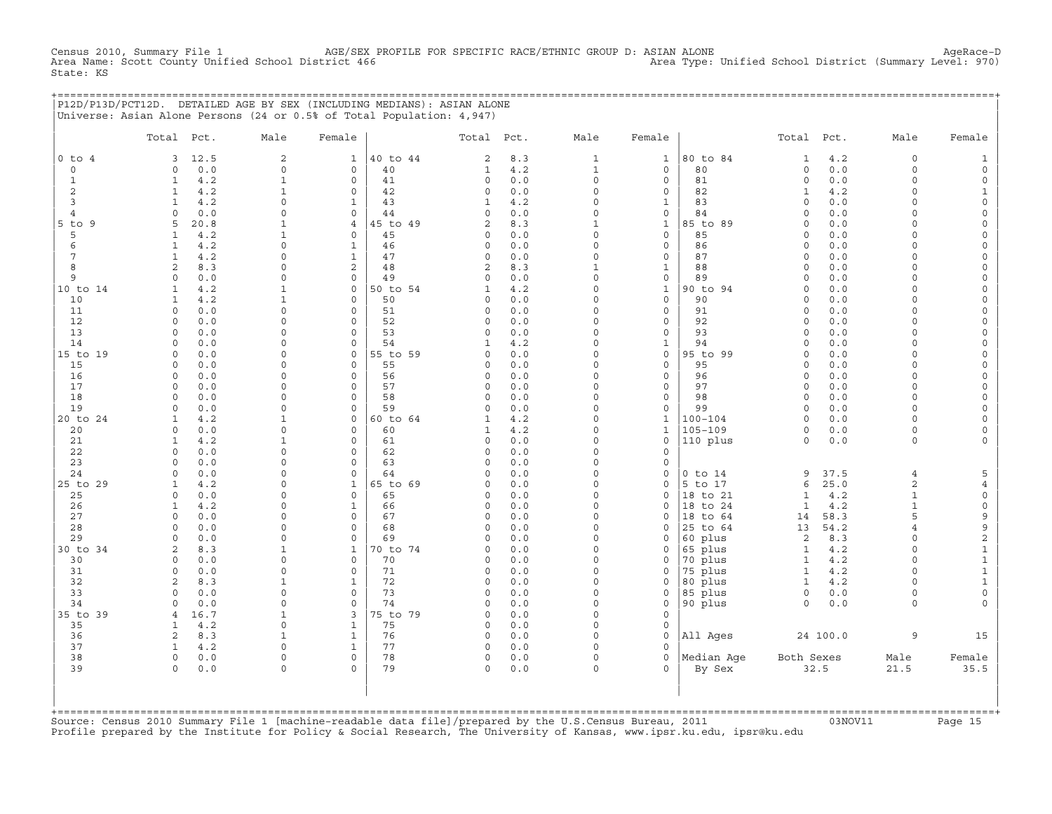CHE 1 AGE/SEX PROFILE FOR SPECIFIC RACE/ETHNIC GROUP D: ASIAN ALONE AGE/S And the strict 466 Area Type: Unified School District (Summary Level: 970) Census 2010, Summary File 1 AGE/SEX I<br>Area Name: Scott County Unified School District 466 State: KS

+===================================================================================================================================================+ |P12D/P13D/PCT12D. DETAILED AGE BY SEX (INCLUDING MEDIANS): ASIAN ALONE | |Universe: Asian Alone Persons (24 or 0.5% of Total Population: 4,947) |

|                | Total Pct.                 |             | Male                    | Female                     |                | Total Pct.          |            | Male                     | Female                              |             | Total Pct.           |            | Male                 | Female                         |
|----------------|----------------------------|-------------|-------------------------|----------------------------|----------------|---------------------|------------|--------------------------|-------------------------------------|-------------|----------------------|------------|----------------------|--------------------------------|
| $0$ to $4$     | 3                          | 12.5        | 2                       | $\mathbf{1}$               | 40 to 44       | 2                   | 8.3        | $\mathbf{1}$             | $\mathbf{1}$                        | 80 to 84    | $\mathbf{1}$         | 4.2        | $\circ$              | $\mathbf{1}$                   |
| $\circ$        | $\circ$                    | 0.0         | $\circ$                 | 0                          | 40             | $\mathbf{1}$        | $4.2$      | $\mathbf{1}$             | $\mathbf 0$                         | 80          | $\mathbf 0$          | 0.0        | $\circ$              | $\mathsf{O}\xspace$            |
| $\mathbf{1}$   | $\mathbf{1}$               | 4.2         | $\mathbf 1$             | $\circ$                    | 41             | $\circ$             | 0.0        | $\circ$                  | $\mathbf 0$                         | 81          | $\mathbf 0$          | 0.0        | $\circ$              | $\mathsf{O}\xspace$            |
| 2              | 1                          | 4.2         | $\mathbf{1}$            | 0                          | 42             | $\circ$             | 0.0        | $\mathbf 0$              | 0                                   | 82          | $\mathbf{1}$         | 4.2        | $\circ$              | $\mathbf{1}$                   |
| 3              | $\mathbf{1}$               | 4.2         | $\circ$                 | $\mathbf{1}$               | 43             | $\mathbf{1}$        | 4.2        | $\Omega$                 | $\mathbf{1}$                        | 83          | $\Omega$             | 0.0        | $\Omega$             | $\mathsf{O}\xspace$            |
| $\overline{4}$ | $\Omega$                   | 0.0         | $\Omega$                | $\Omega$                   | 44             | $\Omega$            | 0.0        | $\Omega$                 | $\mathbf 0$                         | 84          | $\Omega$             | 0.0        | $\Omega$             | $\mathsf{O}\xspace$            |
| $5$ to $9$     | 5                          | 20.8        | $\mathbf{1}$            | $\overline{4}$             | 45 to 49       | $\mathbf{2}$        | 8.3        | $\mathbf{1}$             | $\mathbf{1}$                        | 85 to 89    | $\mathbf 0$          | 0.0        | $\Omega$             | $\mathsf{O}$                   |
| 5              | 1                          | 4.2         | $\mathbf{1}$            | 0                          | 45             | $\circ$             | 0.0        | $\Omega$                 | $\mathbf 0$                         | 85          | $\circ$              | 0.0        | $\Omega$             | $\mathsf{O}$                   |
| 6              | $\mathbf{1}$               | 4.2         | $\mathbf 0$             | $\mathbf{1}$               | 46             | $\circ$             | 0.0        | $\Omega$                 | $\mathbf 0$                         | 86          | $\circ$              | 0.0        | $\Omega$             | $\mathsf{O}\xspace$            |
| 7              | $\mathbf{1}$               | 4.2         | 0                       | $\mathbf 1$                | 47             | $\circ$             | 0.0        | $\Omega$                 | $\mathbf 0$                         | 87          | $\circ$              | 0.0        | $\Omega$             | $\mathsf{O}\xspace$            |
| 8              | $\overline{2}$<br>$\Omega$ | 8.3         | $\circ$<br>$\Omega$     | $\overline{2}$<br>$\Omega$ | 48             | 2<br>$\Omega$       | 8.3        | $\mathbf{1}$<br>$\Omega$ | $\mathbf{1}$                        | 88<br>89    | $\Omega$<br>$\Omega$ | 0.0        | $\Omega$<br>$\Omega$ | $\mathsf O$                    |
| 9<br>10 to 14  | $\mathbf{1}$               | 0.0<br>4.2  | $\mathbf{1}$            | $\circ$                    | 49<br>50 to 54 | $\mathbf{1}$        | 0.0<br>4.2 | $\Omega$                 | $\mathsf{O}\xspace$<br>$\mathbf{1}$ | 90 to 94    | $\mathbf 0$          | 0.0<br>0.0 | $\Omega$             | $\mathsf{O}\xspace$<br>$\circ$ |
| 10             | $\mathbf{1}$               | 4.2         | $\mathbf{1}$            | $\Omega$                   | 50             | $\Omega$            | 0.0        | $\Omega$                 | $\Omega$                            | 90          | $\Omega$             | 0.0        | $\Omega$             | $\mathsf{O}$                   |
| 11             | $\circ$                    | 0.0         | $\mathsf{O}\xspace$     | $\circ$                    | 51             | $\circ$             | 0.0        | $\Omega$                 | $\mathbf 0$                         | 91          | $\circ$              | 0.0        | $\circ$              | $\mathsf{O}\xspace$            |
| 12             | 0                          | 0.0         | 0                       | 0                          | 52             | $\circ$             | 0.0        | $\mathbf 0$              | $\mathbf 0$                         | 92          | $\circ$              | 0.0        | $\Omega$             | $\mathsf{O}\xspace$            |
| 13             | $\Omega$                   | 0.0         | $\Omega$                | 0                          | 53             | $\Omega$            | 0.0        | $\Omega$                 | $\mathbf 0$                         | 93          | $\Omega$             | 0.0        | $\circ$              | 0                              |
| 14             | $\Omega$                   | 0.0         | $\Omega$                | $\Omega$                   | 54             | $\mathbf{1}$        | 4.2        | $\Omega$                 | $\mathbf{1}$                        | 94          | $\Omega$             | 0.0        | $\Omega$             | $\mathsf O$                    |
| 15 to 19       | $\Omega$                   | 0.0         | $\Omega$                | $\circ$                    | 55 to 59       | $\Omega$            | 0.0        | $\Omega$                 | $\mathbf 0$                         | 95 to 99    | $\Omega$             | 0.0        | $\Omega$             | $\mathsf{O}$                   |
| 15             | $\Omega$                   | 0.0         | $\Omega$                | $\Omega$                   | 55             | $\Omega$            | 0.0        | $\Omega$                 | $\mathbf 0$                         | 95          | $\circ$              | 0.0        | $\Omega$             | $\mathsf{O}\xspace$            |
| 16             | $\Omega$                   | 0.0         | $\Omega$                | $\Omega$                   | 56             | $\circ$             | 0.0        | $\Omega$                 | $\mathbf 0$                         | 96          | $\circ$              | 0.0        | $\circ$              | $\mathsf{O}\xspace$            |
| 17             | $\Omega$                   | 0.0         | $\Omega$                | $\Omega$                   | 57             | $\circ$             | 0.0        | $\Omega$                 | $\mathbf 0$                         | 97          | $\circ$              | 0.0        | $\circ$              | $\mathsf{O}$                   |
| 18             | $\circ$                    | 0.0         | 0                       | 0                          | 58             | $\circ$             | 0.0        | $\Omega$                 | $\mathsf{O}\xspace$                 | 98          | $\mathbf 0$          | 0.0        | $\circ$              | $\mathsf{O}\xspace$            |
| 19             | $\Omega$                   | 0.0         | $\Omega$                | 0                          | 59             | $\circ$             | 0.0        | $\Omega$                 | $\circ$                             | 99          | $\circ$              | 0.0        | $\Omega$             | $\mathsf{O}$                   |
| 20 to 24       | $\mathbf{1}$               | 4.2         | $\mathbf{1}$            | $\Omega$                   | 60 to 64       | 1                   | 4.2        | $\Omega$                 | $\mathbf{1}$                        | $100 - 104$ | $\Omega$             | 0.0        | $\cap$               | $\mathsf{O}$                   |
| 20             | $\circ$                    | 0.0         | $\Omega$                | $\Omega$                   | 60             | $\mathbf{1}$        | 4.2        | $\Omega$<br>$\Omega$     | $\mathbf{1}$                        | $105 - 109$ | $\mathbf 0$          | 0.0        | $\circ$              | $\mathsf{O}\xspace$            |
| 21<br>22       | $\mathbf{1}$<br>$\Omega$   | 4.2<br>0.0  | $\mathbf{1}$<br>$\circ$ | $\Omega$<br>$\Omega$       | 61<br>62       | $\circ$<br>$\Omega$ | 0.0<br>0.0 | $\Omega$                 | $\mathsf{O}\xspace$<br>$\mathbf 0$  | 110 plus    | $\circ$              | 0.0        | $\circ$              | $\circ$                        |
| 23             | $\Omega$                   | 0.0         | $\Omega$                | $\Omega$                   | 63             | $\Omega$            | 0.0        | $\Omega$                 | $\circ$                             |             |                      |            |                      |                                |
| 24             | $\Omega$                   | 0.0         | $\mathbf 0$             | 0                          | 64             | $\circ$             | 0.0        | $\Omega$                 | $\mathsf O$                         | $0$ to $14$ | 9                    | 37.5       | $\overline{4}$       | 5                              |
| 25 to 29       | 1                          | 4.2         | 0                       | $\mathbf{1}$               | 65 to 69       | $\Omega$            | 0.0        | $\Omega$                 | $\circ$                             | 5 to 17     | 6                    | 25.0       | 2                    | $\overline{4}$                 |
| 25             | $\Omega$                   | 0.0         | $\Omega$                | $\Omega$                   | 65             | $\Omega$            | 0.0        | $\Omega$                 | $\circ$                             | 18 to 21    | $\mathbf{1}$         | 4.2        | $\mathbf{1}$         | $\mathsf{O}\xspace$            |
| 26             | $\mathbf{1}$               | 4.2         | $\Omega$                | $\mathbf{1}$               | 66             | $\Omega$            | 0.0        | $\Omega$                 | $\Omega$                            | 18 to 24    | $\mathbf{1}$         | 4.2        | $\mathbf{1}$         | $\mathsf{O}\xspace$            |
| 27             | $\circ$                    | 0.0         | $\Omega$                | $\Omega$                   | 67             | $\circ$             | 0.0        | $\Omega$                 | $\circ$                             | 18 to 64    | 14                   | 58.3       | 5                    | 9                              |
| 28             | $\Omega$                   | 0.0         | 0                       | 0                          | 68             | $\circ$             | 0.0        | $\Omega$                 | $\circ$                             | 25 to 64    | 13                   | 54.2       | 4                    | 9                              |
| 29             | $\Omega$                   | 0.0         | $\circ$                 | $\circ$                    | 69             | $\Omega$            | 0.0        | $\Omega$                 | $\circ$                             | 60 plus     | 2                    | 8.3        | $\Omega$             | $\mathbf{2}$                   |
| 30 to 34       | $\overline{2}$             | 8.3         | $\mathbf{1}$            | $\mathbf{1}$               | 70 to 74       | $\circ$             | 0.0        | $\Omega$                 | $\mathsf O$                         | 65 plus     | $\mathbf{1}$         | 4.2        | $\circ$              | $\mathbf 1$                    |
| 30             | 0                          | 0.0         | 0                       | 0                          | 70             | $\circ$             | 0.0        | $\Omega$                 | 0                                   | 70 plus     | $\mathbf{1}$         | 4.2        | $\circ$              | $\mathbf 1$                    |
| 31             | $\Omega$                   | 0.0         | $\Omega$                | $\Omega$                   | 71             | $\Omega$            | 0.0        | $\Omega$                 | $\circ$                             | 75 plus     | $\mathbf{1}$         | 4.2        | $\Omega$             | $\mathbf 1$                    |
| 32             | 2                          | 8.3         | $\mathbf{1}$            | $\mathbf{1}$               | 72             | $\Omega$            | 0.0        | $\Omega$                 | $\circ$                             | 80 plus     | $\mathbf{1}$         | 4.2        | $\Omega$             | $\mathbf 1$                    |
| 33             | $\Omega$                   | 0.0         | $\Omega$                | $\Omega$                   | 73             | $\Omega$            | 0.0        | $\Omega$<br>$\Omega$     | $\circ$                             | 85 plus     | $\Omega$             | 0.0        | $\Omega$             | $\mathsf{O}\xspace$            |
| 34<br>35 to 39 | $\circ$<br>$\overline{4}$  | 0.0<br>16.7 | 0<br>$\mathbf{1}$       | $\circ$<br>3               | 74<br>75 to 79 | $\circ$<br>$\circ$  | 0.0<br>0.0 | $\Omega$                 | $\mathbf 0$<br>$\mathbf 0$          | 90 plus     | $\Omega$             | 0.0        | $\Omega$             | $\circ$                        |
| 35             | 1                          | 4.2         | $\circ$                 | $\mathbf{1}$               | 75             | $\Omega$            | 0.0        | $\Omega$                 | $\mathbf 0$                         |             |                      |            |                      |                                |
| 36             | $\overline{2}$             | 8.3         | $\mathbf{1}$            | $\mathbf 1$                | 76             | $\circ$             | 0.0        | $\mathbf 0$              | $\mathbf 0$                         | All Ages    |                      | 24 100.0   | 9                    | 15                             |
| 37             | $\mathbf{1}$               | 4.2         | $\circ$                 | $\mathbf{1}$               | 77             | $\circ$             | 0.0        | $\Omega$                 | $\Omega$                            |             |                      |            |                      |                                |
| 38             | $\circ$                    | 0.0         | $\circ$                 | $\Omega$                   | 78             | $\Omega$            | 0.0        | $\Omega$                 | $\Omega$                            | Median Aqe  | Both Sexes           |            | Male                 | Female                         |
| 39             | $\Omega$                   | 0.0         | $\circ$                 | $\Omega$                   | 79             | $\Omega$            | 0.0        | $\circ$                  | $\Omega$                            | By Sex      |                      | 32.5       | 21.5                 | 35.5                           |
|                |                            |             |                         |                            |                |                     |            |                          |                                     |             |                      |            |                      |                                |

+===================================================================================================================================================+Source: Census 2010 Summary File 1 [machine−readable data file]/prepared by the U.S.Census Bureau, 2011 03NOV11 Page 15 Profile prepared by the Institute for Policy & Social Research, The University of Kansas, www.ipsr.ku.edu, ipsr@ku.edu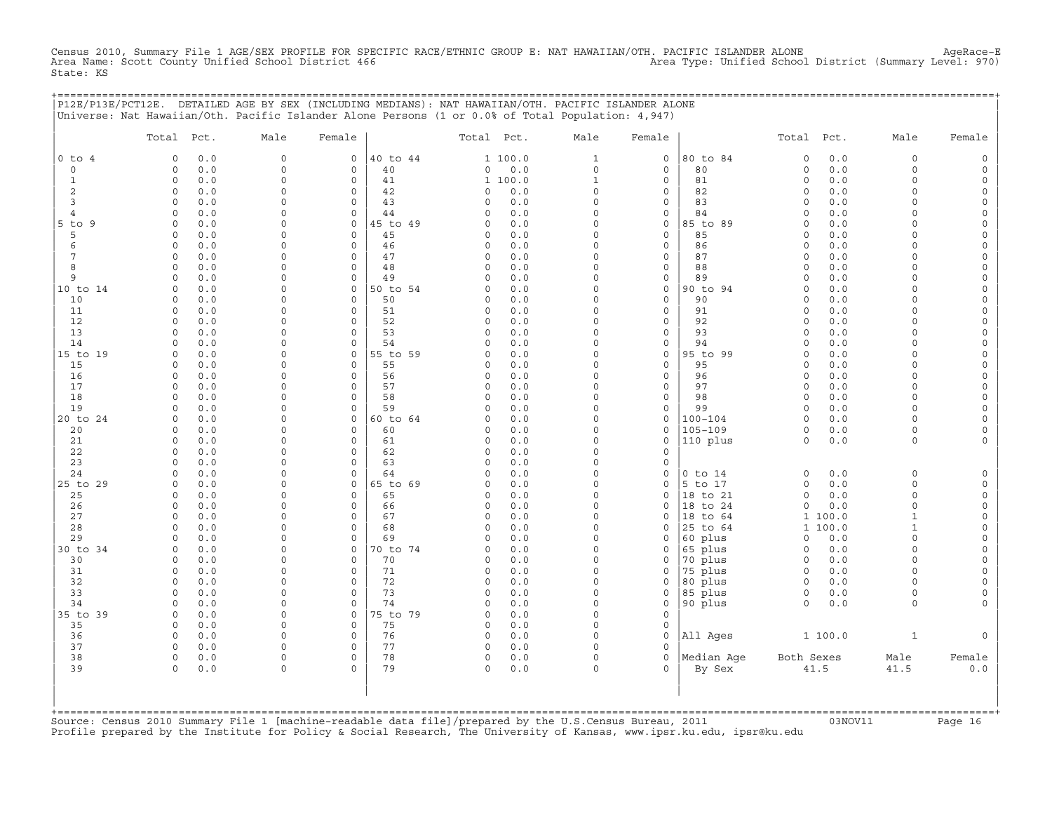Census 2010, Summary File 1 AGE/SEX PROFILE FOR SPECIFIC RACE/ETHNIC GROUP E: NAT HAWAIIAN/OTH. PACIFIC ISLANDER ALONE AgeRace-E<br>Area Name: Scott County Unified School District 466 State: KS

+===================================================================================================================================================+

|                | Total Pct.                        | Male                       | Female                     |                | Total Pct.           |            | Male                 | Female                              |                      | Total Pct.                     |            | Male                 | Female                                     |
|----------------|-----------------------------------|----------------------------|----------------------------|----------------|----------------------|------------|----------------------|-------------------------------------|----------------------|--------------------------------|------------|----------------------|--------------------------------------------|
| $0$ to $4$     | 0.0<br>$\Omega$                   | $\mathbf 0$                | $\mathsf{O}$               | 40 to 44       |                      | 1 100.0    | $\mathbf{1}$         | $\mathbf 0$                         | 80 to 84             | $\mathbf 0$                    | 0.0        | 0                    | $\mathsf{O}\xspace$                        |
| $\circ$        | $0.0$<br>$\circ$                  | $\mathbf 0$                | $\mathbf 0$                | 40             | 0                    | $0.0$      | $\circ$              | $\mathbf 0$                         | 80                   | $\circ$                        | 0.0        | $\circ$              | $\mathsf{O}$                               |
| $\mathbf{1}$   | $\circ$<br>0.0                    | $\mathbf 0$                | $\mathbf 0$                | 41             |                      | 1 100.0    | $\mathbf 1$          | $\mathbf 0$                         | 81                   | $\circ$                        | $0.0$      | $\Omega$             | $\mathsf O$                                |
| 2<br>3         | 0.0<br>$\circ$<br>$\circ$         | $\mathbf 0$<br>$\mathbf 0$ | 0<br>$\mathbf 0$           | 42<br>43       | 0<br>$\Omega$        | 0.0<br>0.0 | $\Omega$<br>$\Omega$ | 0<br>$\mathsf{O}\xspace$            | 82<br>83             | $\mathbf 0$<br>$\Omega$        | 0.0        | 0<br>$\Omega$        | 0                                          |
| 4              | $0.0$<br>$\Omega$<br>0.0          | $\mathbf 0$                | $\mathbf 0$                | 44             | $\Omega$             | 0.0        | $\Omega$             | $\mathsf O$                         | 84                   | $\Omega$                       | 0.0<br>0.0 | $\Omega$             | $\mathsf{O}$<br>$\mathsf{O}\xspace$        |
| $5$ to<br>9    | 0.0<br>$\circ$                    | $\Omega$                   | $\mathsf{O}$               | 45 to 49       | $\Omega$             | 0.0        | $\Omega$             | $\mathsf O$                         | 85 to 89             | $\Omega$                       | 0.0        | $\Omega$             | 0                                          |
| 5              | $\circ$<br>0.0                    | $\mathbf 0$                | $\mathsf O$                | 45             | 0                    | 0.0        | $\Omega$             | $\mathsf O$                         | 85                   | $\mathbf 0$                    | $0.0$      | $\circ$              | $\mathsf{O}\xspace$                        |
| 6              | 0.0<br>$\circ$                    | $\Omega$                   | $\mathbf 0$                | 46             | $\Omega$             | 0.0        | $\Omega$             | $\mathsf{O}\xspace$                 | 86                   | $\Omega$                       | 0.0        | $\Omega$             | $\mathsf{O}\xspace$                        |
| $\overline{7}$ | 0.0<br>$\circ$                    | $\mathbf 0$                | $\circ$                    | 47             | 0                    | 0.0        | $\Omega$             | $\mathsf{O}\xspace$                 | 87                   | $\Omega$                       | 0.0        | $\Omega$             | $\mathsf{O}\xspace$                        |
| 8              | 0.0<br>$\Omega$                   | $\Omega$                   | $\mathsf{O}$               | 48             | $\Omega$             | 0.0        | $\Omega$             | $\mathsf{O}\xspace$                 | 88                   | $\Omega$                       | 0.0        | $\Omega$             | $\mathsf{O}\xspace$                        |
| 9              | 0.0<br>$\Omega$                   | $\Omega$                   | $\mathbf 0$                | 49             | $\Omega$             | 0.0        | $\Omega$             | $\mathsf O$                         | 89                   | $\Omega$                       | 0.0        | $\Omega$             | $\mathsf{O}\xspace$                        |
| 10 to 14       | $\circ$<br>0.0                    | $\Omega$                   | $\mathsf O$                | 50 to 54       | $\Omega$             | 0.0<br>0.0 | $\Omega$<br>$\Omega$ | $\mathsf{O}$<br>$\mathbf 0$         | 90 to 94<br>90       | $\Omega$<br>$\Omega$           | 0.0        | $\Omega$<br>$\Omega$ | $\mathsf{O}\xspace$                        |
| 10<br>11       | 0.0<br>$\Omega$<br>$\circ$<br>0.0 | $\mathbf 0$<br>$\Omega$    | $\mathbf 0$<br>$\mathbf 0$ | 50<br>51       | $\Omega$<br>$\Omega$ | 0.0        | $\Omega$             | $\mathsf O$                         | 91                   | $\circ$                        | 0.0<br>0.0 | $\Omega$             | $\mathsf{O}\xspace$<br>0                   |
| 12             | $\circ$<br>0.0                    | $\mathbf 0$                | $\mathbf 0$                | 52             | $\Omega$             | 0.0        | $\Omega$             | $\mathsf O$                         | 92                   | $\Omega$                       | 0.0        | $\Omega$             | $\mathsf{O}\xspace$                        |
| 13             | 0.0<br>$\Omega$                   | $\mathbf 0$                | $\Omega$                   | 53             | 0                    | 0.0        | $\Omega$             | 0                                   | 93                   | $\Omega$                       | 0.0        | $\circ$              | $\mathsf{O}\xspace$                        |
| 14             | 0.0<br>$\circ$                    | $\mathbf 0$                | $\mathbf 0$                | 54             | $\Omega$             | 0.0        | $\Omega$             | $\mathsf{O}$                        | 94                   | $\Omega$                       | 0.0        | $\circ$              | 0                                          |
| 15 to 19       | $\circ$<br>0.0                    | $\Omega$                   | $\mathsf O$                | 55 to 59       | $\Omega$             | 0.0        | $\Omega$             | $\mathsf{O}$                        | 95 to 99             | $\circ$                        | 0.0        | $\Omega$             | $\mathsf{O}\xspace$                        |
| 15             | 0.0<br>$\circ$                    | $\mathbf 0$                | $\mathbf 0$                | 55             | $\Omega$             | 0.0        | $\Omega$             | $\mathbf 0$                         | 95                   | $\Omega$                       | 0.0        | $\circ$              | $\mathsf{O}\xspace$                        |
| 16             | 0.0<br>$\circ$                    | $\Omega$                   | $\circ$                    | 56             | $\Omega$             | 0.0        | $\Omega$             | $\mathsf O$                         | 96                   | $\Omega$                       | 0.0        | $\circ$              | $\mathsf{O}\xspace$                        |
| 17             | $\circ$<br>0.0                    | $\mathbf 0$                | $\mathbf 0$                | 57             | $\Omega$             | 0.0        | $\Omega$             | $\mathbf 0$                         | 97                   | $\circ$                        | 0.0        | $\circ$              | $\mathsf{O}\xspace$                        |
| 18<br>19       | 0.0<br>$\Omega$<br>0.0<br>$\circ$ | $\Omega$<br>$\Omega$       | 0<br>$\circ$               | 58<br>59       | $\Omega$<br>$\Omega$ | 0.0<br>0.0 | $\Omega$<br>$\Omega$ | 0<br>0                              | 98<br>99             | $\circ$<br>$\Omega$            | 0.0<br>0.0 | $\Omega$<br>$\Omega$ | $\mathsf{O}\xspace$<br>$\mathsf{O}\xspace$ |
| 20 to 24       | 0.0<br>$\mathbf 0$                | $\mathbf 0$                | $\mathsf{O}$               | 60 to 64       | $\Omega$             | 0.0        | $\Omega$             | $\mathsf{O}$                        | $100 - 104$          | $\circ$                        | 0.0        | $\circ$              | 0                                          |
| 20             | 0.0<br>$\circ$                    | $\Omega$                   | 0                          | 60             | 0                    | 0.0        | $\Omega$             | $\mathbf 0$                         | $105 - 109$          | $\circ$                        | 0.0        | $\circ$              | 0                                          |
| 21             | $0.0$<br>$\circ$                  | $\Omega$                   | $\mathbf 0$                | 61             | $\Omega$             | 0.0        | $\Omega$             | $\mathsf O$                         | 110 plus             | $\circ$                        | $0.0$      | $\circ$              | $\mathsf{O}\xspace$                        |
| 22             | $\circ$<br>0.0                    | $\mathbf 0$                | $\circ$                    | 62             | $\Omega$             | 0.0        | $\Omega$             | $\circ$                             |                      |                                |            |                      |                                            |
| 23             | 0.0<br>$\circ$                    | $\mathbf 0$                | 0                          | 63             | 0                    | 0.0        | $\Omega$             | $\mathsf O$                         |                      |                                |            |                      |                                            |
| 24             | $0.0$<br>$\circ$                  | $\Omega$                   | $\mathbf 0$                | 64             | $\Omega$             | 0.0        | $\Omega$             | 0                                   | $0$ to $14$          | $\circ$                        | 0.0        | $\mathbf 0$          | $\mathsf{O}$                               |
| 25 to 29       | 0.0<br>$\circ$                    | $\Omega$                   | $\mathsf{O}$               | 65 to 69       | $\Omega$             | 0.0        | $\Omega$             | 0                                   | 5 to 17              | $\circ$                        | 0.0        | $\Omega$             | $\mathsf O$                                |
| 25<br>26       | 0.0<br>$\circ$<br>$\circ$<br>0.0  | $\Omega$<br>$\Omega$       | $\mathsf O$<br>$\mathbf 0$ | 65<br>66       | $\Omega$<br>$\Omega$ | 0.0<br>0.0 | $\Omega$<br>$\Omega$ | $\circ$<br>$\mathbf 0$              | 18 to 21<br>18 to 24 | $\mathsf{O}\xspace$<br>$\circ$ | 0.0<br>0.0 | $\circ$<br>$\Omega$  | $\mathsf{O}\xspace$<br>$\mathsf O$         |
| 27             | 0.0<br>$\circ$                    | $\Omega$                   | $\mathbf 0$                | 67             | $\Omega$             | 0.0        | $\Omega$             | 0                                   | 18 to 64             | $\mathbf{1}$                   | 100.0      | $\mathbf{1}$         | $\mathsf{O}\xspace$                        |
| 28             | 0.0<br>$\Omega$                   | $\mathbf 0$                | $\circ$                    | 68             | $\Omega$             | 0.0        | $\Omega$             | $\mathbf 0$                         | 25 to 64             | $\mathbf{1}$                   | 100.0      | $\mathbf{1}$         | $\mathsf{O}\xspace$                        |
| 29             | 0.0<br>$\Omega$                   | $\Omega$                   | $\mathbf 0$                | 69             | $\Omega$             | 0.0        | $\Omega$             | $\mathbf 0$                         | 60 plus              | $\Omega$                       | 0.0        | $\Omega$             | $\mathsf{O}\xspace$                        |
| 30 to 34       | 0.0<br>$\circ$                    | $\Omega$                   | $\mathbf 0$                | 70 to 74       | $\Omega$             | 0.0        | $\Omega$             | 0                                   | 65 plus              | $\mathbf 0$                    | 0.0        | $\Omega$             | 0                                          |
| 30             | $\circ$<br>0.0                    | $\Omega$                   | $\mathsf O$                | 70             | 0                    | 0.0        | $\Omega$             | 0                                   | 70 plus              | $\circ$                        | 0.0        | $\mathbf 0$          | $\mathsf{O}\xspace$                        |
| 31             | 0.0<br>$\circ$                    | $\mathbf 0$                | $\mathbf 0$                | 71             | $\Omega$             | 0.0        | $\Omega$             | 0                                   | 75 plus              | $\circ$                        | 0.0        | $\Omega$             | 0                                          |
| 32             | 0.0<br>$\circ$                    | $\Omega$                   | $\mathbf 0$                | 72             | $\Omega$             | 0.0        | $\Omega$             | $\Omega$                            | 80 plus              | $\circ$                        | 0.0        | $\Omega$             | $\mathsf{O}\xspace$                        |
| 33             | $\circ$<br>0.0<br>$\Omega$        | $\mathbf 0$<br>$\mathbf 0$ | $\mathbf 0$<br>$\mathbf 0$ | 73             | $\Omega$<br>$\Omega$ | 0.0        | $\Omega$<br>$\Omega$ | $\mathsf{O}$                        | 85 plus              | $\circ$<br>$\Omega$            | 0.0        | 0<br>$\circ$         | 0<br>$\mathbf 0$                           |
| 34<br>35 to 39 | 0.0<br>0.0<br>$\circ$             | $\mathbf 0$                | $\mathsf O$                | 74<br>75 to 79 | $\Omega$             | 0.0<br>0.0 | $\Omega$             | $\mathsf{O}$<br>$\mathsf{O}\xspace$ | 90 plus              |                                | 0.0        |                      |                                            |
| 35             | $\Omega$<br>0.0                   | $\Omega$                   | $\mathbf 0$                | 75             | 0                    | 0.0        | $\Omega$             | $\mathbf 0$                         |                      |                                |            |                      |                                            |
| 36             | 0.0<br>$\circ$                    | $\mathbf 0$                | 0                          | 76             | 0                    | 0.0        | $\Omega$             | $\mathbf 0$                         | All Ages             |                                | 1 100.0    | $\mathbf{1}$         | $\mathbf 0$                                |
| 37             | $0.0$<br>$\circ$                  | $\mathbf 0$                | $\circ$                    | 77             | 0                    | $0.0$      | $\Omega$             | $\Omega$                            |                      |                                |            |                      |                                            |
| 38             | $\circ$<br>0.0                    | $\mathbf 0$                | $\mathbf 0$                | 78             | 0                    | 0.0        | $\circ$              | $\circ$                             | Median Aqe           | Both Sexes                     |            | Male                 | Female                                     |
| 39             | 0.0<br>$\Omega$                   | $\Omega$                   | $\Omega$                   | 79             | 0                    | 0.0        | $\Omega$             | $\Omega$                            | By Sex               |                                | 41.5       | 41.5                 | $0.0$                                      |
|                |                                   |                            |                            |                |                      |            |                      |                                     |                      |                                |            |                      |                                            |

+===================================================================================================================================================+Source: Census 2010 Summary File 1 [machine−readable data file]/prepared by the U.S.Census Bureau, 2011 03NOV11 Page 16 Profile prepared by the Institute for Policy & Social Research, The University of Kansas, www.ipsr.ku.edu, ipsr@ku.edu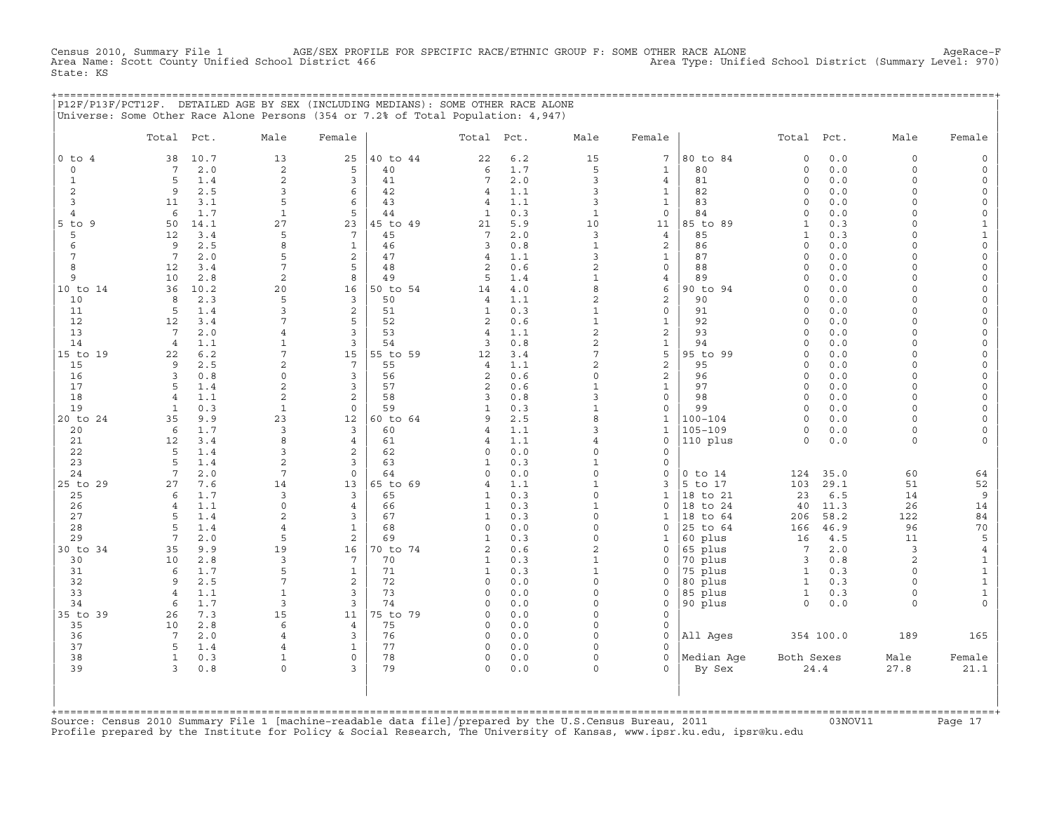CHE 1 AGE/SEX PROFILE FOR SPECIFIC RACE/ETHNIC GROUP F: SOME OTHER RACE ALONE<br>Ol District 466 Area Type: Unified School District (Summary Level: 970) Census 2010, Summary File 1 AGE/SEX PROFII<br>Area Name: Scott County Unified School District 466 State: KS

+===================================================================================================================================================+

|            |                 |            | P12F/P13F/PCT12F. DETAILED AGE BY SEX (INCLUDING MEDIANS): SOME OTHER RACE ALONE<br>Universe: Some Other Race Alone Persons (354 or 7.2% of Total Population: 4,947) |                              |          |              |            |                          |                             |                    |                         |            |                      |                              |
|------------|-----------------|------------|----------------------------------------------------------------------------------------------------------------------------------------------------------------------|------------------------------|----------|--------------|------------|--------------------------|-----------------------------|--------------------|-------------------------|------------|----------------------|------------------------------|
|            | Total Pct.      |            | Male                                                                                                                                                                 | Female                       |          | Total        | Pct.       | Male                     | Female                      |                    | Total                   | Pct.       | Male                 | Female                       |
| $0$ to $4$ | 38              | 10.7       | 13                                                                                                                                                                   | 25                           | 40 to 44 | 22           | 6.2        | 15                       | 7                           | 80 to 84           | $\circ$                 | 0.0        | $\circ$              | $\mathsf{O}$                 |
| $\circ$    | 7               | 2.0        | 2                                                                                                                                                                    | 5                            | 40       | 6            | 1.7        | 5                        | $\mathbf{1}$                | 80                 | $\mathbf 0$             | 0.0        | $\circ$              | $\mathsf{O}$                 |
| 1          | 5               | 1.4        | $\overline{c}$                                                                                                                                                       | 3                            | 41       | 7            | $2.0$      | 3                        | 4                           | 81                 | $\mathsf O$             | $0.0$      | $\circ$              | 0                            |
| $\sqrt{2}$ | 9               | 2.5        | 3                                                                                                                                                                    | 6                            | 42       | 4            | 1.1        | 3                        | $\mathbf{1}$                | 82                 | $\mathsf O$             | 0.0        | $\Omega$             | $\mathsf{O}$                 |
| 3          | 11              | 3.1        | 5                                                                                                                                                                    | 6                            | 43       | 4            | 1.1        | 3                        | $\mathbf{1}$                | 83                 | $\Omega$                | 0.0        | $\Omega$             | $\mathsf O$                  |
| 4          | 6               | 1.7        | $\mathbf{1}$                                                                                                                                                         | 5                            | 44       | $\mathbf{1}$ | 0.3        | $\mathbf{1}$             | $\mathbf 0$                 | 84                 | $\Omega$                | 0.0        | $\Omega$             | 0                            |
| -9<br>5 to | 50              | 14.1       | 27                                                                                                                                                                   | 23                           | 45 to 49 | 21           | 5.9        | 10                       | 11                          | 85 to 89           | $\mathbf{1}$            | 0.3        | $\Omega$             | $\mathbf{1}$                 |
| 5          | 12              | 3.4        | 5                                                                                                                                                                    | 7                            | 45       | 7            | 2.0        | 3                        | $\overline{4}$              | 85                 | $\mathbf{1}$            | 0.3        | $\Omega$             | $\mathbf{1}$                 |
| 6          | 9               | 2.5        | 8                                                                                                                                                                    | $\mathbf{1}$                 | 46       | 3            | 0.8        | $\mathbf{1}$             | $\mathbf{2}$                | 86                 | $\Omega$                | 0.0        | $\Omega$             | $\mathsf{O}\xspace$          |
|            | $7\phantom{.0}$ | 2.0        | 5                                                                                                                                                                    | $\overline{c}$               | 47       | 4            | 1.1        | 3                        | $\mathbf 1$                 | 87                 | $\Omega$                | 0.0        | $\Omega$             | $\mathsf O$                  |
| 8          | 12              | 3.4        | $\overline{7}$                                                                                                                                                       | 5                            | 48       | 2            | 0.6        | $\overline{2}$           | $\mathbf 0$                 | 88                 | $\circ$                 | 0.0        | $\Omega$             | $\mathbf 0$                  |
| 9          | 10              | 2.8        | $\overline{c}$                                                                                                                                                       | 8                            | 49       | 5            | 1.4        | $\mathbf{1}$             | 4                           | 89                 | $\circ$                 | 0.0        | $\Omega$             | 0                            |
| 10 to 14   | 36              | 10.2       | 20<br>5                                                                                                                                                              | 16                           | 50 to 54 | 14           | $4.0$      | 8<br>$\overline{2}$      | 6                           | 90 to 94           | $\mathbf 0$             | 0.0        | $\Omega$<br>$\Omega$ | $\mathsf{O}\xspace$          |
| 10         | 8               | 2.3        | 3                                                                                                                                                                    | 3                            | 50       | 4            | 1.1        | $\mathbf{1}$             | $\mathbf{2}$                | 90                 | $\mathbf 0$<br>$\Omega$ | 0.0        | $\Omega$             | $\mathsf{O}\xspace$          |
| 11<br>12   | 5<br>12         | 1.4<br>3.4 | 7                                                                                                                                                                    | $\overline{\mathbf{c}}$<br>5 | 51<br>52 | 1<br>2       | 0.3<br>0.6 | $\mathbf{1}$             | $\mathbf 0$<br>$\mathbf{1}$ | 91<br>92           | $\mathbf 0$             | 0.0<br>0.0 | $\Omega$             | 0<br>0                       |
| 13         | 7               | 2.0        | $\overline{4}$                                                                                                                                                       | 3                            | 53       | 4            | 1.1        | $\overline{2}$           | 2                           | 93                 | $\mathbf 0$             | 0.0        | 0                    | 0                            |
| 14         | 4               | 1.1        | 1                                                                                                                                                                    | 3                            | 54       | 3            | 0.8        | $\overline{2}$           | $\mathbf{1}$                | 94                 | $\Omega$                | 0.0        | $\Omega$             | $\mathbf 0$                  |
| 15 to 19   | 22              | 6.2        | 7                                                                                                                                                                    | 15                           | 55 to 59 | 12           | 3.4        | $\overline{7}$           | 5                           | 95 to 99           | $\Omega$                | 0.0        | $\Omega$             | 0                            |
| 15         | 9               | 2.5        | $\overline{2}$                                                                                                                                                       | $7\phantom{.0}$              | 55       | 4            | 1.1        | $\overline{2}$           | $\mathbf{2}$                | 95                 | $\Omega$                | 0.0        | $\Omega$             | 0                            |
| 16         | 3               | 0.8        | 0                                                                                                                                                                    | 3                            | 56       | 2            | 0.6        | $\mathbf 0$              | $\sqrt{2}$                  | 96                 | $\circ$                 | 0.0        | $\Omega$             | 0                            |
| 17         | 5               | 1.4        | $\overline{c}$                                                                                                                                                       | 3                            | 57       | 2            | 0.6        | $\mathbf{1}$             | $\mathbf 1$                 | 97                 | $\Omega$                | 0.0        | $\Omega$             | $\mathsf{O}\xspace$          |
| 18         | 4               | 1.1        | $\overline{2}$                                                                                                                                                       | $\overline{c}$               | 58       | 3            | 0.8        | $\overline{3}$           | $\mathsf{O}\xspace$         | 98                 | $\mathbf 0$             | 0.0        | $\Omega$             | $\mathsf{O}\xspace$          |
| 19         | 1               | 0.3        | $\mathbf{1}$                                                                                                                                                         | $\mathbf 0$                  | 59       | $\mathbf{1}$ | 0.3        | $\mathbf{1}$             | $\mathbf 0$                 | 99                 | $\Omega$                | 0.0        | $\Omega$             | 0                            |
| 20 to 24   | 35              | 9.9        | 23                                                                                                                                                                   | 12                           | 60 to 64 | 9            | 2.5        | 8                        | 1                           | $100 - 104$        | $\Omega$                | 0.0        | $\Omega$             | 0                            |
| 20         | 6               | 1.7        | 3                                                                                                                                                                    | 3                            | 60       | 4            | 1.1        | 3                        | $\mathbf{1}$                | $105 - 109$        | $\Omega$                | 0.0        | 0                    | 0                            |
| 21         | 12              | 3.4        | 8                                                                                                                                                                    | $\overline{4}$               | 61       | 4            | 1.1        | $\overline{4}$           | $\Omega$                    | 110 plus           | $\Omega$                | 0.0        | $\Omega$             | $\mathbf 0$                  |
| 22         | 5               | 1.4        | 3                                                                                                                                                                    | 2                            | 62       | $\circ$      | 0.0        | $\Omega$                 | $\Omega$                    |                    |                         |            |                      |                              |
| 23         | 5               | 1.4        | $\overline{c}$                                                                                                                                                       | 3                            | 63       | $\mathbf{1}$ | 0.3        | $\mathbf{1}$             | $\mathbf 0$                 |                    |                         |            |                      |                              |
| 24         | 7               | 2.0        | 7                                                                                                                                                                    | $\mathsf O$                  | 64       | $\Omega$     | 0.0        | $\mathbf 0$              | $\Omega$                    | $0$ to $14$        | 124                     | 35.0       | 60                   | 64                           |
| 25 to 29   | 27              | 7.6        | 14                                                                                                                                                                   | 13                           | 65 to 69 | 4            | 1.1        | $\mathbf{1}$             | 3                           | 5 to 17            | 103                     | 29.1       | 51                   | 52                           |
| 25         | 6               | 1.7        | 3                                                                                                                                                                    | 3                            | 65       | $\mathbf{1}$ | 0.3        | $\Omega$                 | $\mathbf{1}$                | 18 to 21           | 23                      | 6.5        | 14                   | 9                            |
| 26         | $\overline{4}$  | 1.1        | $\Omega$                                                                                                                                                             | 4                            | 66       | 1            | 0.3        | $\mathbf{1}$             | $\mathbf 0$                 | to 24<br>18        | 40                      | 11.3       | 26                   | 14                           |
| 27         | 5               | 1.4        | $\overline{2}$                                                                                                                                                       | 3                            | 67       | $\mathbf{1}$ | 0.3        | $\Omega$                 | $\mathbf{1}$                | 18 to 64           | 206                     | 58.2       | 122                  | 84                           |
| 28         | 5               | 1.4        | $\overline{4}$                                                                                                                                                       | $\mathbf{1}$                 | 68       | $\circ$      | 0.0        | $\Omega$                 | $\mathbf 0$                 | 25 to 64           | 166                     | 46.9       | 96                   | 70                           |
| 29         | 7               | 2.0        | 5                                                                                                                                                                    | 2                            | 69       | $\mathbf{1}$ | 0.3        | $\Omega$                 | 1                           | 60 plus            | 16                      | 4.5        | 11                   | 5                            |
| 30 to 34   | 35              | 9.9        | 19                                                                                                                                                                   | 16                           | 70 to 74 | 2            | 0.6        | $\overline{2}$           | $\mathbf 0$                 | 65 plus            | 7                       | 2.0        | 3                    | $\overline{4}$               |
| 30         | 10              | 2.8        | 3<br>5                                                                                                                                                               | 7                            | 70       | 1            | 0.3        | $\mathbf{1}$             | 0                           | 70 plus            | 3                       | 0.8        | 2                    | $\mathbf{1}$                 |
| 31<br>32   | 6<br>9          | 1.7<br>2.5 | 7                                                                                                                                                                    | $1\,$<br>$\overline{c}$      | 71<br>72 | 1<br>0       | 0.3<br>0.0 | $\mathbf{1}$<br>$\Omega$ | $\Omega$<br>$\Omega$        | 75 plus            | 1<br>$\mathbf{1}$       | 0.3        | $\Omega$<br>$\Omega$ | $\mathbf 1$                  |
| 33         | $\overline{4}$  | 1.1        | $\mathbf{1}$                                                                                                                                                         | 3                            | 73       | $\circ$      | 0.0        | $\Omega$                 | $\Omega$                    | 80 plus            | $\mathbf{1}$            | 0.3<br>0.3 | $\circ$              | $\mathbf{1}$<br>$\mathbf{1}$ |
| 34         | -6              | 1.7        | 3                                                                                                                                                                    | 3                            | 74       | $\Omega$     | 0.0        | $\Omega$                 | $\mathbf 0$                 | 85 plus<br>90 plus | 0                       | 0.0        | $\circ$              | 0                            |
| 35 to 39   | 26              | 7.3        | 15                                                                                                                                                                   | 11                           | 75 to 79 | $\Omega$     | 0.0        | $\Omega$                 | $\Omega$                    |                    |                         |            |                      |                              |
| 35         | 10              | 2.8        | 6                                                                                                                                                                    | $\overline{4}$               | 75       | $\Omega$     | 0.0        | $\Omega$                 | $\Omega$                    |                    |                         |            |                      |                              |
| 36         | 7               | 2.0        | 4                                                                                                                                                                    | 3                            | 76       | $\circ$      | 0.0        | $\Omega$                 | $\mathbf 0$                 | All Ages           |                         | 354 100.0  | 189                  | 165                          |
| 37         | 5               | 1.4        | $\overline{4}$                                                                                                                                                       | $\mathbf{1}$                 | 77       | 0            | 0.0        | $\Omega$                 | $\Omega$                    |                    |                         |            |                      |                              |
| 38         | 1               | 0.3        | $\mathbf{1}$                                                                                                                                                         | $\mathsf{O}\xspace$          | 78       | 0            | 0.0        | $\Omega$                 | $\mathbf 0$                 | Median Age         | Both Sexes              |            | Male                 | Female                       |
| 39         | 3               | 0.8        | $\circ$                                                                                                                                                              | 3                            | 79       | $\circ$      | 0.0        | $\Omega$                 | $\Omega$                    | By Sex             |                         | 24.4       | 27.8                 | 21.1                         |

| | +===================================================================================================================================================+ Source: Census 2010 Summary File 1 [machine-readable data file]/prepared by the U.S.Census Bureau, 2011 Page 17<br>Profile prepared by the Institute for Policy & Social Research, The University of Kansas, www

| | | | | | | |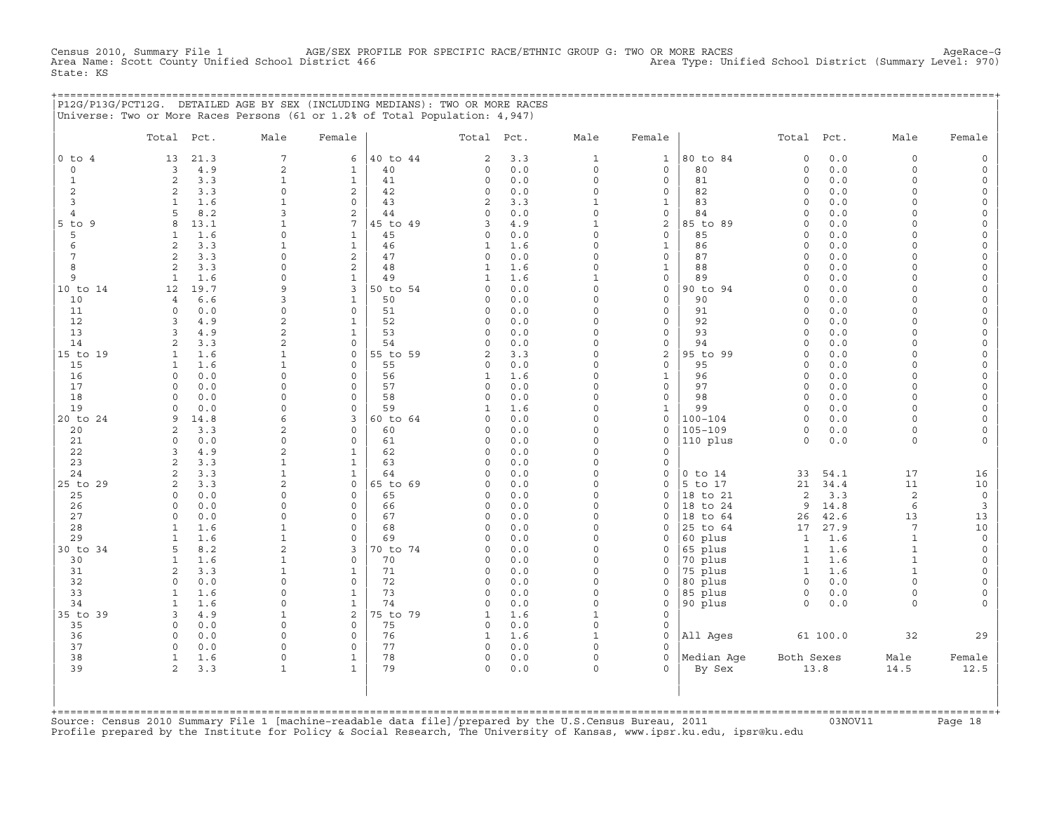CHE 1 AGE/SEX PROFILE FOR SPECIFIC RACE/ETHNIC GROUP G: TWO OR MORE RACES Area Type: Unified School District<br>(Summary Level: 970) (1 District 166 Census 2010, Summary File 1 AGE/SEX PROF<br>Area Name: Scott County Unified School District 466 State: KS

|                | P12G/P13G/PCT12G. DETAILED AGE BY SEX (INCLUDING MEDIANS): TWO OR MORE RACES |                              |                         |                |                         |            |                          |                         |                    |                              |             |                       |                           |
|----------------|------------------------------------------------------------------------------|------------------------------|-------------------------|----------------|-------------------------|------------|--------------------------|-------------------------|--------------------|------------------------------|-------------|-----------------------|---------------------------|
|                | Universe: Two or More Races Persons (61 or 1.2% of Total Population: 4,947)  |                              |                         |                |                         |            |                          |                         |                    |                              |             |                       |                           |
|                |                                                                              |                              |                         |                |                         |            |                          |                         |                    |                              |             |                       |                           |
|                | Total Pct.                                                                   | Male                         | Female                  |                | Total Pct.              |            | Male                     | Female                  |                    | Total Pct.                   |             | Male                  | Female                    |
| $0$ to $4$     | 21.3<br>13                                                                   | $\overline{7}$               | 6                       | 40 to 44       | $\overline{c}$          | 3.3        | $\mathbf{1}$             | $\mathbf{1}$            | 80 to 84           | $\circ$                      | 0.0         | $\circ$               | $\mathsf{O}$              |
| $\circ$        | 3<br>4.9                                                                     | 2                            | $\mathbf{1}$            | 40             | 0                       | 0.0        | $\mathsf{O}$             | $\mathsf{O}$            | 80                 | 0                            | 0.0         | $\circ$               | $\mathsf{O}$              |
| $\mathbf{1}$   | 2<br>3.3                                                                     | $\mathbf{1}$                 | $\mathbf{1}$            | 41             | $\mathbf 0$             | 0.0        | $\circ$                  | 0                       | 81                 | 0                            | 0.0         | $\Omega$              | 0                         |
| 2              | 3.3<br>2                                                                     | $\Omega$                     | 2                       | 42             | $\Omega$                | 0.0        | $\Omega$                 | $\Omega$                | 82                 | $\Omega$                     | 0.0         | $\cap$                | 0                         |
| 3              | $\mathbf{1}$<br>1.6                                                          | $\mathbf 1$                  | $\mathsf{O}$            | 43             | 2                       | 3.3        | $\mathbf{1}$             | $\mathbf{1}$            | 83                 | $\circ$                      | 0.0         | $\Omega$              | 0                         |
| $\overline{4}$ | 8.2<br>5                                                                     | 3                            | 2                       | 44             | $\Omega$                | 0.0        | $\circ$                  | $\mathbf 0$             | 84                 | 0                            | 0.0         | $\Omega$              | 0                         |
| 5 to 9         | 13.1<br>8                                                                    | $\mathbf{1}$                 | 7                       | 45 to 49       | 3                       | 4.9        | $\mathbf{1}$             | 2                       | 85 to 89           | $\Omega$                     | 0.0         | $\cap$                | 0                         |
| 5              | 1.6<br>$\mathbf{1}$                                                          | $\mathbf 0$                  | $\mathbf{1}$            | 45             | $\circ$                 | 0.0        | $\mathsf{O}\xspace$      | $\circ$                 | 85                 | $\circ$                      | 0.0         | $\Omega$              | 0                         |
| 6              | 3.3<br>2                                                                     | $\mathbf{1}$                 | $\mathbf{1}$            | 46             | 1                       | 1.6        | $\Omega$                 | $\mathbf 1$             | 86                 | 0                            | 0.0         | $\Omega$              | 0                         |
| 7              | 3.3<br>2                                                                     | $\Omega$                     | 2                       | 47             | $\Omega$                | 0.0        | $\Omega$                 | $\mathbf{0}$            | 87                 | $\circ$                      | 0.0         | $\Omega$              | 0                         |
| 8              | 3.3<br>2                                                                     | $\mathbf 0$                  | $\overline{c}$          | 48             | $\mathbf{1}$            | 1.6        | $\Omega$                 | $\mathbf{1}$            | 88                 | $\circ$                      | 0.0         | $\Omega$              | $\mathbf 0$               |
| 9              | 1.6<br>1                                                                     | $\mathbf 0$<br>$\mathsf{Q}$  | $\mathbf{1}$            | 49             | 1<br>$\Omega$           | 1.6        | $\mathbf{1}$<br>$\Omega$ | $\mathsf{O}$            | 89                 | 0                            | 0.0         | $\Omega$<br>$\Omega$  | 0                         |
| 10 to 14<br>10 | 19.7<br>12<br>6.6<br>$\overline{4}$                                          | 3                            | 3<br>$\mathbf{1}$       | 50 to 54<br>50 | $\Omega$                | 0.0<br>0.0 | $\Omega$                 | $\mathbf 0$<br>$\Omega$ | 90 to 94<br>90     | 0<br>$\Omega$                | 0.0<br>0.0  | $\Omega$              | 0<br>$\Omega$             |
| 11             | $\Omega$<br>0.0                                                              | $\mathbf 0$                  | $\mathbf 0$             | 51             | $\mathbf 0$             | 0.0        | $\Omega$                 | 0                       | 91                 | 0                            | 0.0         | $\Omega$              | 0                         |
| 12             | 4.9<br>3                                                                     | 2                            | $\mathbf{1}$            | 52             | $\mathbf 0$             | 0.0        | $\Omega$                 | $\mathbf{0}$            | 92                 | $\circ$                      | 0.0         | $\Omega$              | 0                         |
| 13             | $\overline{3}$<br>4.9                                                        | 2                            | $\mathbf{1}$            | 53             | $\mathbf 0$             | 0.0        | $\Omega$                 | $\circ$                 | 93                 | $\circ$                      | 0.0         | $\Omega$              | $\mathbf 0$               |
| 14             | 2<br>3.3                                                                     | 2                            | $\circ$                 | 54             | $\circ$                 | 0.0        | $\Omega$                 | $\mathsf{O}\xspace$     | 94                 | 0                            | 0.0         | $\Omega$              | 0                         |
| 15 to 19       | 1.6<br>$\mathbf{1}$                                                          | $\mathbf{1}$                 | $\mathbf 0$             | 55 to 59       | 2                       | 3.3        | $\Omega$                 | 2                       | 95 to 99           | 0                            | 0.0         | $\Omega$              | 0                         |
| 15             | 1.6<br>$\mathbf{1}$                                                          | $\mathbf{1}$                 | $\Omega$                | 55             | $\circ$                 | 0.0        | $\Omega$                 | $\Omega$                | 95                 | $\Omega$                     | 0.0         | $\Omega$              | $\mathbf 0$               |
| 16             | 0.0<br>$\Omega$                                                              | $\mathbf 0$                  | $\mathbf 0$             | 56             | $\mathbf{1}$            | 1.6        | $\Omega$                 | $\mathbf{1}$            | 96                 | $\mathsf{O}\xspace$          | 0.0         | $\Omega$              | 0                         |
| 17             | 0.0<br>$\Omega$                                                              | $\Omega$                     | $\mathbf 0$             | 57             | $\circ$                 | 0.0        | $\circ$                  | $\circ$                 | 97                 | $\circ$                      | 0.0         | $\Omega$              | 0                         |
| 18             | $\Omega$<br>0.0                                                              | $\Omega$                     | $\Omega$                | 58             | $\Omega$                | 0.0        | $\Omega$                 | $\mathbf 0$             | 98                 | $\Omega$                     | 0.0         | $\Omega$              | 0                         |
| 19             | 0.0<br>$\circ$                                                               | $\mathbf 0$                  | $\mathbf 0$             | 59             | 1                       | 1.6        | $\Omega$                 | $\mathbf 1$             | 99                 | $\circ$                      | 0.0         | $\Omega$              | 0                         |
| 20 to 24       | 9<br>14.8                                                                    | 6                            | 3                       | 60 to 64       | $\mathbf 0$             | 0.0        | $\Omega$                 | $\circ$                 | $100 - 104$        | $\circ$                      | 0.0         | $\Omega$              | 0                         |
| 20             | 3.3<br>2                                                                     | 2                            | $\mathbf 0$             | 60             | $\mathbf 0$             | 0.0        | $\Omega$                 | $\mathbf 0$             | $105 - 109$        | $\circ$                      | 0.0         | $\Omega$              | $\mathbf 0$               |
| 21             | 0.0<br>$\Omega$                                                              | $\Omega$                     | $\Omega$                | 61             | $\circ$                 | 0.0        | $\Omega$                 | $\mathbf{0}$            | 110 plus           | $\Omega$                     | 0.0         | $\Omega$              | $\Omega$                  |
| 22             | 4.9<br>3                                                                     | 2                            | $\mathbf{1}$            | 62             | $\circ$                 | 0.0        | $\Omega$                 | $\mathbf 0$             |                    |                              |             |                       |                           |
| 23             | 2<br>3.3                                                                     | $\mathbf{1}$                 | $\mathbf{1}$            | 63             | $\circ$                 | 0.0        | $\Omega$                 | $\mathbf 0$             |                    |                              |             |                       |                           |
| 24             | 3.3<br>2                                                                     | $\mathbf{1}$                 | $\mathbf{1}$            | 64             | $\Omega$                | 0.0        | $\Omega$                 | $\mathbf{0}$            | $0$ to $14$        | 33                           | 54.1        | 17                    | 16                        |
| 25 to 29       | 2<br>3.3                                                                     | $\overline{c}$               | $\circ$                 | 65 to 69       | $\circ$                 | 0.0        | $\Omega$                 | $\mathbf 0$             | 5 to 17            | 21                           | 34.4        | 11                    | 10                        |
| 25             | $\Omega$<br>0.0                                                              | $\mathbf 0$                  | $\mathbf 0$             | 65             | $\mathbf 0$             | 0.0        | $\Omega$                 | $\mathbf 0$             | 18 to 21           | 2                            | 3.3         | 2                     | $\circ$                   |
| 26             | 0.0<br>$\Omega$                                                              | $\Omega$                     | $\mathbf 0$             | 66             | $\mathbf 0$             | 0.0        | $\Omega$                 | $\Omega$                | 18 to 24           | 9                            | 14.8        | 6                     | $\overline{3}$            |
| 27<br>28       | 0.0<br>$\mathbf 0$                                                           | $\mathbf 0$                  | $\mathsf{O}\xspace$     | 67<br>68       | $\circ$                 | 0.0        | $\Omega$<br>$\Omega$     | $\mathbf 0$             | 18 to 64           | 26                           | 42.6        | 13<br>$7\phantom{.0}$ | 13                        |
| 29             | $\mathbf{1}$<br>1.6<br>1.6<br>$\mathbf{1}$                                   | $\mathbf{1}$<br>$\mathbf{1}$ | $\mathbf 0$<br>$\Omega$ | 69             | $\mathbf 0$<br>$\Omega$ | 0.0<br>0.0 | $\Omega$                 | 0<br>$\Omega$           | 25 to 64           | 17                           | 27.9<br>1.6 | $\mathbf{1}$          | 10<br>$\mathsf{O}\xspace$ |
| 30 to 34       | 8.2<br>5                                                                     | 2                            | 3                       | 70 to 74       | $\circ$                 | 0.0        | $\Omega$                 | $\mathbf 0$             | 60 plus<br>65 plus | $\mathbf{1}$<br>$\mathbf{1}$ | 1.6         | $\mathbf{1}$          | $\circ$                   |
| 30             | $\mathbf{1}$<br>1.6                                                          | 1                            | $\mathsf{O}$            | 70             | $\mathbf 0$             | 0.0        | $\circ$                  | 0                       | 70 plus            | $\mathbf{1}$                 | 1.6         | $\mathbf{1}$          | 0                         |
| 31             | 3.3<br>2                                                                     | $\mathbf 1$                  | $\mathbf{1}$            | 71             | $\circ$                 | 0.0        | $\Omega$                 | $\mathbf 0$             | 75 plus            | $\mathbf{1}$                 | 1.6         | $\mathbf{1}$          | 0                         |
| 32             | 0.0<br>$\Omega$                                                              | $\Omega$                     | $\mathbf 0$             | 72             | $\circ$                 | 0.0        | $\Omega$                 | $\mathbf 0$             | 80 plus            | $\circ$                      | 0.0         | $\circ$               | 0                         |
| 33             | 1.6<br>1                                                                     | $\mathbf 0$                  | $\mathbf{1}$            | 73             | $\mathbf 0$             | 0.0        | $\circ$                  | 0                       | 85 plus            | $\circ$                      | 0.0         | $\circ$               | 0                         |
| 34             | 1.6<br>$\mathbf{1}$                                                          | $\Omega$                     | $\mathbf{1}$            | 74             | $\Omega$                | 0.0        | $\Omega$                 | $\mathbf 0$             | 90 plus            | $\Omega$                     | 0.0         | $\Omega$              | 0                         |
| 35 to 39       | 4.9<br>3                                                                     | $\mathbf 1$                  | 2                       | 75 to 79       | $\mathbf{1}$            | 1.6        | $\mathbf{1}$             | $\mathbf 0$             |                    |                              |             |                       |                           |
| 35             | 0.0<br>$\mathbf 0$                                                           | $\mathbf 0$                  | $\circ$                 | 75             | $\circ$                 | 0.0        | $\circ$                  | $\mathbf{0}$            |                    |                              |             |                       |                           |
| 36             | 0.0<br>$\Omega$                                                              | $\Omega$                     | $\mathbf 0$             | 76             | 1                       | 1.6        | $\mathbf{1}$             | $\Omega$                | All Ages           |                              | 61 100.0    | 32                    | 29                        |
| 37             | $\mathbf 0$<br>0.0                                                           | $\mathbf 0$                  | $\mathbf 0$             | 77             | $\circ$                 | 0.0        | $\circ$                  | $\mathbf 0$             |                    |                              |             |                       |                           |
| 38             | 1.6<br>$\mathbf{1}$                                                          | $\mathsf{O}\xspace$          | $\mathbf{1}$            | 78             | $\circ$                 | 0.0        | $\circ$                  | $\circ$                 | Median Aqe         | Both Sexes                   |             | Male                  | Female                    |
| 39             | 2<br>3.3                                                                     | $\mathbf 1$                  | $\mathbf{1}$            | 79             | $\Omega$                | 0.0        | $\Omega$                 | $\Omega$                | By Sex             |                              | 13.8        | 14.5                  | 12.5                      |
|                |                                                                              |                              |                         |                |                         |            |                          |                         |                    |                              |             |                       |                           |
|                |                                                                              |                              |                         |                |                         |            |                          |                         |                    |                              |             |                       |                           |

| | +===================================================================================================================================================+ Source: Census 2010 Summary File 1 [machine-readable data file]/prepared by the U.S.Census Bureau, 2011 Page 18<br>Profile prepared by the Institute for Policy & Social Research, The University of Kansas, www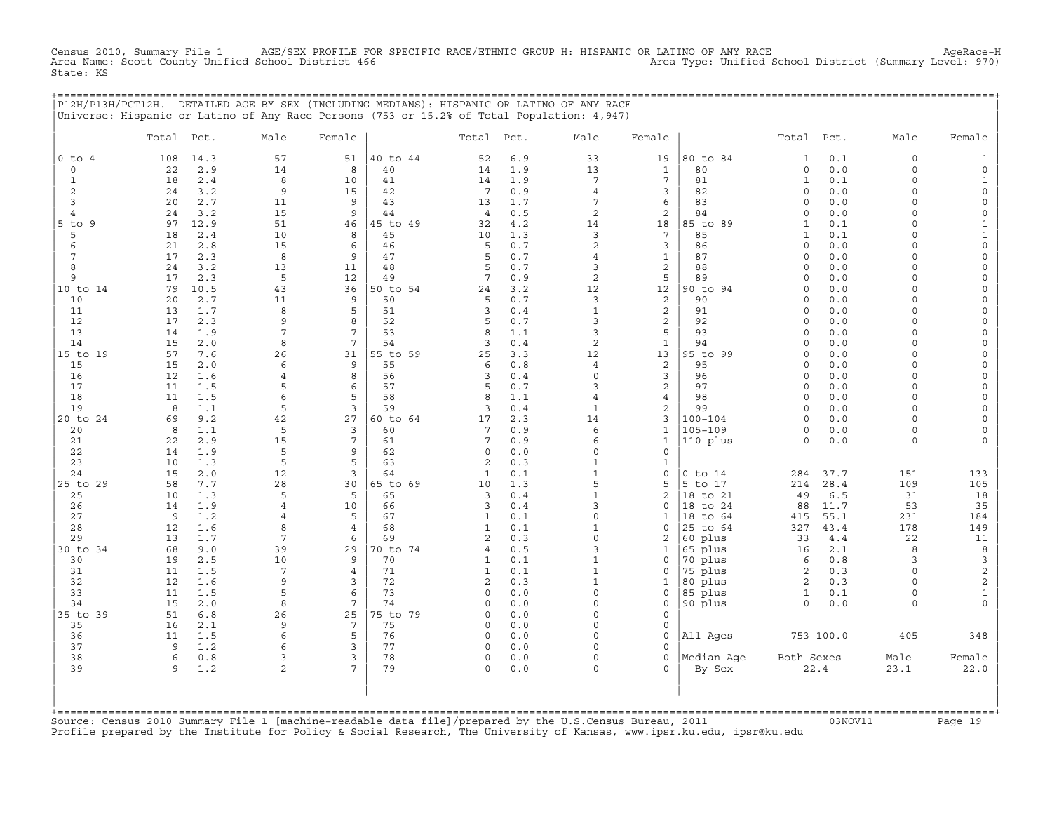CHE 1 AGE/SEX PROFILE FOR SPECIFIC RACE/ETHNIC GROUP H: HISPANIC OR LATINO OF ANY RACE AgeRace-H<br>(970) Area Type: Unified School District (Summary Level: 970) Area Type: Unified School District (Summary Level Census 2010, Summary File 1 AGE/SEX PROFILE FOR<br>Area Name: Scott County Unified School District 466 State: KS

+===================================================================================================================================================+

|                | P12H/P13H/PCT12H. DETAILED AGE BY SEX (INCLUDING MEDIANS): HISPANIC OR LATINO OF ANY RACE<br>Universe: Hispanic or Latino of Any Race Persons (753 or 15.2% of Total Population: 4,947) |                     |                 |          |                                |            |                          |                         |                     |                         |               |                      |                             |
|----------------|-----------------------------------------------------------------------------------------------------------------------------------------------------------------------------------------|---------------------|-----------------|----------|--------------------------------|------------|--------------------------|-------------------------|---------------------|-------------------------|---------------|----------------------|-----------------------------|
|                | Pct.<br>Total                                                                                                                                                                           | Male                | Female          |          | Total                          | Pct.       | Male                     | Female                  |                     | Total                   | Pct.          | Male                 | Female                      |
| $0$ to $4$     | 14.3<br>108                                                                                                                                                                             | 57                  | 51              | 40 to 44 | 52                             | 6.9        | 33                       | 19                      | 80 to 84            | 1                       | $0.1$         | $\circ$              | $\mathbf{1}$                |
| 0              | 2.9<br>22                                                                                                                                                                               | 14                  | 8               | 40       | 14                             | 1.9        | 13                       | $\mathbf{1}$            | 80                  | $\circ$                 | 0.0           | $\circ$              | $\mathsf O$                 |
| $\mathbf{1}$   | 18<br>2.4                                                                                                                                                                               | 8                   | 10              | 41       | 14                             | 1.9        | $\overline{7}$           | $\overline{7}$          | 81                  | $\mathbf{1}$            | 0.1           | $\circ$              | $\mathbf{1}$                |
| 2              | 3.2<br>24                                                                                                                                                                               | 9                   | 15              | 42       | 7                              | 0.9        | $\overline{4}$           | 3                       | 82                  | $\Omega$                | 0.0           | $\Omega$             | $\circ$                     |
| 3              | 2.7<br>20                                                                                                                                                                               | 11                  | 9               | 43       | 13                             | 1.7        | 7                        | 6                       | 83                  | $\mathbf 0$             | 0.0           | $\Omega$             | 0                           |
| $\overline{4}$ | 3.2<br>24                                                                                                                                                                               | 15                  | 9               | 44       | $\overline{4}$                 | 0.5        | $\sqrt{2}$               | $\sqrt{2}$              | 84                  | $\mathsf O$             | 0.0           | $\circ$              | $\mathsf O$                 |
| 5 to 9         | 12.9<br>97                                                                                                                                                                              | 51                  | 46              | 45 to 49 | 32                             | $4.2$      | 14                       | 18                      | 85 to 89            | $\mathbf{1}$            | 0.1           | $\Omega$             | $\mathbf{1}$                |
| 5<br>6         | 18<br>2.4<br>2.8                                                                                                                                                                        | 10<br>15            | 8<br>6          | 45<br>46 | 10<br>5                        | 1.3<br>0.7 | 3<br>$\overline{c}$      | 7                       | 85<br>86            | $\mathbf{1}$<br>$\circ$ | 0.1<br>0.0    | $\Omega$<br>$\Omega$ | $\mathbf{1}$<br>$\mathbb O$ |
| 7              | 21<br>17<br>2.3                                                                                                                                                                         | 8                   | 9               | 47       | 5                              | 0.7        | $\overline{4}$           | 3<br>$\mathbf{1}$       | 87                  | $\Omega$                | 0.0           | $\Omega$             | $\mathsf{O}\xspace$         |
| 8              | 3.2<br>24                                                                                                                                                                               | 13                  | 11              | 48       | 5                              | 0.7        | 3                        | 2                       | 88                  | $\Omega$                | 0.0           | $\Omega$             | 0                           |
| 9              | 17<br>2.3                                                                                                                                                                               | 5                   | 12              | 49       | 7                              | 0.9        | $\mathbf 2$              | 5                       | 89                  | $\mathsf O$             | 0.0           | $\circ$              | $\mathsf{O}\xspace$         |
| 10 to 14       | 79<br>10.5                                                                                                                                                                              | 43                  | 36              | 50 to 54 | 24                             | 3.2        | 12                       | 12                      | 90 to 94            | $\Omega$                | $0.0$         | $\Omega$             | 0                           |
| 10             | 2.7<br>20                                                                                                                                                                               | 11                  | 9               | 50       | 5                              | 0.7        | 3                        | 2                       | 90                  | $\Omega$                | 0.0           | $\Omega$             | 0                           |
| 11             | 13<br>1.7                                                                                                                                                                               | 8                   | 5               | 51       | 3                              | 0.4        | $1\,$                    | 2                       | 91                  | $\mathsf O$             | 0.0           | $\circ$              | $\mathsf{O}\xspace$         |
| 12             | 17<br>2.3                                                                                                                                                                               | 9                   | 8               | 52       | 5                              | 0.7        | 3                        | $\overline{\mathbf{c}}$ | 92                  | $\Omega$                | 0.0           | $\Omega$             | $\mathsf{O}\xspace$         |
| 13             | 14<br>1.9                                                                                                                                                                               | 7                   | 7               | 53       | 8                              | 1.1        | 3                        | 5                       | 93                  | $\Omega$                | 0.0           | $\Omega$             | 0                           |
| 14             | 15<br>2.0                                                                                                                                                                               | 8                   | 7               | 54       | 3                              | 0.4        | 2                        | $\mathbf{1}$            | 94                  | $\circ$                 | 0.0           | $\circ$              | $\mathsf{O}\xspace$         |
| 15 to 19       | 57<br>7.6                                                                                                                                                                               | 26                  | 31              | 55 to 59 | 25                             | 3.3        | 12                       | 13                      | 95 to 99            | $\mathsf O$             | 0.0           | $\Omega$             | $\mathsf{O}\xspace$         |
| 15             | 2.0<br>15                                                                                                                                                                               | 6                   | 9               | 55       | 6                              | 0.8        | $\overline{4}$           | 2                       | 95                  | $\mathbf 0$             | 0.0           | $\Omega$             | 0                           |
| 16             | 12<br>1.6                                                                                                                                                                               | $\overline{4}$      | 8               | 56       | 3                              | 0.4        | $\circ$                  | 3                       | 96                  | $\mathsf O$             | 0.0           | $\circ$<br>$\Omega$  | $\mathsf{O}\xspace$         |
| 17<br>18       | 11<br>1.5<br>1.5<br>11                                                                                                                                                                  | 5<br>6              | 6<br>5          | 57<br>58 | 5<br>8                         | 0.7<br>1.1 | 3<br>$\overline{4}$      | 2                       | 97<br>98            | $\mathsf O$<br>$\circ$  | 0.0<br>0.0    | $\circ$              | 0<br>$\mathsf O$            |
| 19             | 8<br>1.1                                                                                                                                                                                | 5                   | 3               | 59       | 3                              | 0.4        | $\mathbf{1}$             | 4<br>2                  | 99                  | $\Omega$                | 0.0           | $\Omega$             | $\mathsf{O}\xspace$         |
| 20 to 24       | 69<br>9.2                                                                                                                                                                               | 42                  | 27              | 60 to 64 | 17                             | 2.3        | 14                       | 3                       | $100 - 104$         | $\mathsf O$             | 0.0           | $\Omega$             | 0                           |
| 20             | 8<br>1.1                                                                                                                                                                                | 5                   | 3               | 60       | 7                              | 0.9        | 6                        | $\mathbf{1}$            | $105 - 109$         | $\circ$                 | 0.0           | $\circ$              | 0                           |
| 21             | 2.9<br>22                                                                                                                                                                               | 15                  | 7               | 61       | 7                              | 0.9        | 6                        | $\mathbf 1$             | 110 plus            | $\Omega$                | 0.0           | $\circ$              | $\mathsf{O}\xspace$         |
| 22             | 1.9<br>14                                                                                                                                                                               | 5                   | 9               | 62       | $\circ$                        | 0.0        | $\Omega$                 | $\circ$                 |                     |                         |               |                      |                             |
| 23             | 10<br>1.3                                                                                                                                                                               | 5                   | 5               | 63       | $\mathbf{2}$                   | 0.3        | $\mathbf{1}$             | 1                       |                     |                         |               |                      |                             |
| 24             | 15<br>2.0                                                                                                                                                                               | 12                  | 3               | 64       | $\mathbf{1}$                   | 0.1        | $\mathbf{1}$             | $\mathsf{O}\xspace$     | $0$ to $14$         | 284                     | 37.7          | 151                  | 133                         |
| 25 to 29       | 58<br>7.7                                                                                                                                                                               | 28                  | 30              | 65 to 69 | 10                             | 1.3        | 5                        | 5                       | 5 to 17             | 214                     | 28.4          | 109                  | 105                         |
| 25             | 10<br>1.3                                                                                                                                                                               | 5                   | 5               | 65       | 3                              | 0.4        | $\mathbf{1}$             | $\mathbf{2}$            | 18 to 21            | 49                      | 6.5           | 31                   | 18                          |
| 26             | 14<br>1.9                                                                                                                                                                               | $\overline{4}$      | 10              | 66       | 3                              | 0.4        | 3                        | $\Omega$                | 18 to 24            | 88                      | 11.7          | 53                   | 35                          |
| 27<br>28       | 9<br>1.2                                                                                                                                                                                | $\overline{4}$      | 5               | 67       | $\mathbf{1}$                   | 0.1        | $\Omega$<br>$\mathbf{1}$ | $\mathbf{1}$            | 18 to 64            | 415                     | 55.1          | 231                  | 184                         |
| 29             | 1.6<br>12<br>13<br>1.7                                                                                                                                                                  | 8<br>$\overline{7}$ | 4<br>6          | 68<br>69 | $\mathbf{1}$<br>$\overline{2}$ | 0.1<br>0.3 | $\Omega$                 | $\circ$<br>$\mathbf{2}$ | 25 to 64<br>60 plus | 327<br>33               | 43.4<br>$4.4$ | 178<br>22            | 149<br>11                   |
| 30 to 34       | 68<br>9.0                                                                                                                                                                               | 39                  | 29              | 70 to 74 | $\overline{4}$                 | 0.5        | 3                        | $\mathbf{1}$            | 65 plus             | 16                      | 2.1           | 8                    | 8                           |
| 30             | 2.5<br>19                                                                                                                                                                               | 10                  | 9               | 70       | $\mathbf{1}$                   | 0.1        | $\mathbf{1}$             | 0                       | 70 plus             | 6                       | 0.8           | 3                    | 3                           |
| 31             | 11<br>1.5                                                                                                                                                                               | $\overline{7}$      | 4               | 71       | $\mathbf{1}$                   | 0.1        | $\mathbf{1}$             | $\circ$                 | 75 plus             | 2                       | 0.3           | $\Omega$             | $\overline{c}$              |
| 32             | 12<br>1.6                                                                                                                                                                               | 9                   | 3               | 72       | $\sqrt{2}$                     | 0.3        | $\mathbf{1}$             | $1\,$                   | 80 plus             | 2                       | 0.3           | $\circ$              | $\overline{c}$              |
| 33             | 11<br>1.5                                                                                                                                                                               | 5                   | 6               | 73       | $\circ$                        | 0.0        | $\Omega$                 | $\circ$                 | 85 plus             | $\mathbf{1}$            | 0.1           | $\circ$              | $\mathbf{1}$                |
| 34             | 15<br>2.0                                                                                                                                                                               | 8                   | 7               | 74       | $\Omega$                       | 0.0        | $\Omega$                 | $\circ$                 | 90 plus             | $\circ$                 | 0.0           | $\circ$              | $\circ$                     |
| 35 to 39       | 51<br>6.8                                                                                                                                                                               | 26                  | 25              | 75 to 79 | $\Omega$                       | 0.0        | $\Omega$                 | $\circ$                 |                     |                         |               |                      |                             |
| 35             | 16<br>2.1                                                                                                                                                                               | 9                   | $7\phantom{.0}$ | 75       | $\circ$                        | 0.0        | $\Omega$                 | $\circ$                 |                     |                         |               |                      |                             |
| 36             | 1.5<br>11                                                                                                                                                                               | 6                   | 5               | 76       | $\circ$                        | 0.0        | $\Omega$                 | $\circ$                 | All Ages            |                         | 753 100.0     | 405                  | 348                         |
| 37             | 9<br>1.2                                                                                                                                                                                | 6                   | 3               | 77       | $\circ$                        | 0.0        | $\Omega$                 | $\circ$                 |                     |                         |               |                      |                             |
| 38<br>39       | 6<br>0.8<br>9<br>1.2                                                                                                                                                                    | 3<br>$\overline{a}$ | 3<br>7          | 78<br>79 | $\circ$<br>$\circ$             | 0.0<br>0.0 | $\Omega$<br>$\Omega$     | $\Omega$<br>$\Omega$    | Median Age          | Both Sexes              |               | Male<br>23.1         | Female                      |
|                |                                                                                                                                                                                         |                     |                 |          |                                |            |                          |                         | By Sex              |                         | 22.4          |                      | 22.0                        |
|                |                                                                                                                                                                                         |                     |                 |          |                                |            |                          |                         |                     |                         |               |                      |                             |

+===================================================================================================================================================+Source: Census 2010 Summary File 1 [machine−readable data file]/prepared by the U.S.Census Bureau, 2011 03NOV11 Page 19 Profile prepared by the Institute for Policy & Social Research, The University of Kansas, www.ipsr.ku.edu, ipsr@ku.edu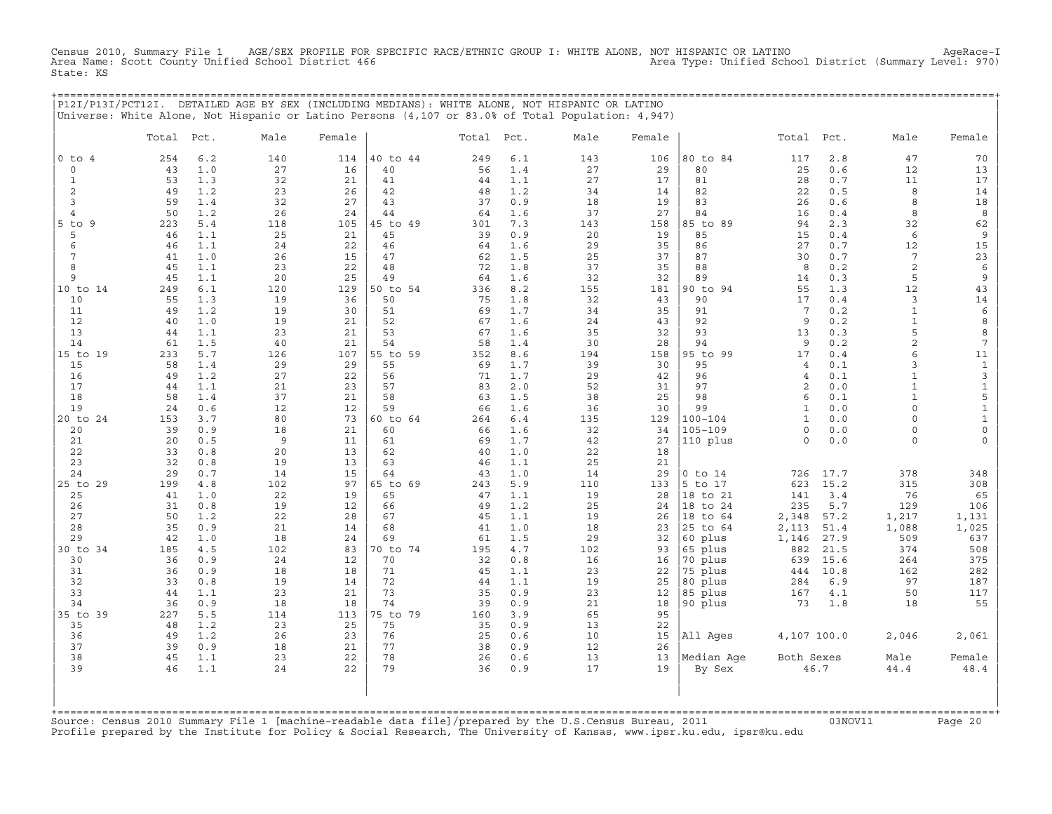Census 2010, Summary File 1 AGE/SEX PROFILE FOR SPECIFIC RACE/ETHNIC GROUP I: WHITE ALONE, NOT HISPANIC OR LATINO AgeRace−I Area Name: Scott County Unified School District 466 Area Type: Unified School District (Summary Level: 970) State: KS

+===================================================================================================================================================+

|                               |           |            | P12I/P13I/PCT12I. DETAILED AGE BY SEX (INCLUDING MEDIANS): WHITE ALONE, NOT HISPANIC OR LATINO<br>Universe: White Alone, Not Hispanic or Latino Persons (4,107 or 83.0% of Total Population: 4,947) |           |                |           |              |           |           |                      |                              |              |                    |                            |
|-------------------------------|-----------|------------|-----------------------------------------------------------------------------------------------------------------------------------------------------------------------------------------------------|-----------|----------------|-----------|--------------|-----------|-----------|----------------------|------------------------------|--------------|--------------------|----------------------------|
|                               | Total     | Pct.       | Male                                                                                                                                                                                                | Female    |                | Total     | Pct.         | Male      | Female    |                      | Total                        | Pct.         | Male               | Female                     |
| $0$ to<br>$\overline{4}$      | 254       | $6.2$      | 140                                                                                                                                                                                                 | 114       | 40 to 44       | 249       | $6.1$        | 143       | 106       | 80 to 84             | 117                          | 2.8          | 47                 | 70                         |
| $\circ$                       | 43        | 1.0        | 27                                                                                                                                                                                                  | 16        | 40             | 56        | 1.4          | 27        | 29        | 80                   | 25                           | 0.6          | 12                 | 13                         |
| $\mathbf 1$                   | 53        | 1.3        | 32                                                                                                                                                                                                  | 21        | 41             | 44        | 1.1          | 27        | 17        | 81                   | 28                           | 0.7          | 11                 | 17                         |
| $\overline{c}$                | 49        | 1.2        | 23                                                                                                                                                                                                  | 26        | 42             | 48        | 1.2          | 34        | 14        | 82                   | 22                           | 0.5          | 8                  | 14                         |
| 3                             | 59        | 1.4        | 32                                                                                                                                                                                                  | 27        | 43             | 37        | 0.9          | 18        | 19        | 83                   | 26                           | 0.6          | 8                  | 18                         |
| $\overline{4}$<br>9<br>$5$ to | 50<br>223 | 1.2<br>5.4 | 26<br>118                                                                                                                                                                                           | 24<br>105 | 44<br>45 to 49 | 64<br>301 | 1.6<br>7.3   | 37        | 27<br>158 | 84<br>85 to 89       | 16<br>94                     | 0.4<br>2.3   | 8                  | 8                          |
| 5                             | 46        | 1.1        | 25                                                                                                                                                                                                  | 21        | 45             | 39        | 0.9          | 143<br>20 | 19        | 85                   | 15                           | 0.4          | 32<br>6            | 62<br>$\,9$                |
| 6                             | 46        | 1.1        | 24                                                                                                                                                                                                  | 22        | 46             | 64        | 1.6          | 29        | 35        | 86                   | 27                           | 0.7          | 12                 | 15                         |
| 7                             | 41        | 1.0        | 26                                                                                                                                                                                                  | 15        | 47             | 62        | 1.5          | 25        | 37        | 87                   | 30                           | 0.7          | $7\overline{ }$    | 23                         |
| 8                             | 45        | 1.1        | 23                                                                                                                                                                                                  | 22        | 48             | 72        | 1.8          | 37        | 35        | 88                   | 8                            | 0.2          | $\overline{c}$     | $\epsilon$                 |
| 9                             | 45        | 1.1        | 20                                                                                                                                                                                                  | 25        | 49             | 64        | 1.6          | 32        | 32        | 89                   | 14                           | 0.3          | 5                  | 9                          |
| 10 to 14                      | 249       | 6.1        | 120                                                                                                                                                                                                 | 129       | 50 to 54       | 336       | 8.2          | 155       | 181       | 90 to 94             | 55                           | 1.3          | 12                 | 43                         |
| 10                            | 55        | 1.3        | 19                                                                                                                                                                                                  | 36        | 50             | 75        | 1.8          | 32        | 43        | 90                   | 17                           | 0.4          | 3                  | 14                         |
| 11                            | 49        | 1.2        | 19                                                                                                                                                                                                  | 30        | 51             | 69        | 1.7          | 34        | 35        | 91                   | 7<br>9                       | 0.2          | $\mathbf{1}$       | 6                          |
| 12<br>13                      | 40<br>44  | 1.0<br>1.1 | 19<br>23                                                                                                                                                                                            | 21<br>21  | 52<br>53       | 67<br>67  | 1.6<br>1.6   | 24<br>35  | 43<br>32  | 92<br>93             | 13                           | 0.2<br>0.3   | $\mathbf{1}$<br>5  | 8<br>8                     |
| 14                            | 61        | 1.5        | 40                                                                                                                                                                                                  | 21        | 54             | 58        | 1.4          | 30        | 28        | 94                   | 9                            | 0.2          | $\overline{a}$     | $\overline{7}$             |
| 15 to 19                      | 233       | 5.7        | 126                                                                                                                                                                                                 | 107       | 55 to 59       | 352       | 8.6          | 194       | 158       | 95 to 99             | 17                           | 0.4          | 6                  | 11                         |
| 15                            | 58        | 1.4        | 29                                                                                                                                                                                                  | 29        | 55             | 69        | 1.7          | 39        | 30        | 95                   | $\overline{4}$               | 0.1          | 3                  | $\ensuremath{\mathsf{1}}$  |
| 16                            | 49        | 1.2        | 27                                                                                                                                                                                                  | 22        | 56             | 71        | 1.7          | 29        | 42        | 96                   | $\overline{4}$               | 0.1          | $\mathbf{1}$       | 3                          |
| 17                            | 44        | 1.1        | 21                                                                                                                                                                                                  | 23        | 57             | 83        | 2.0          | 52        | 31        | 97                   | $\overline{c}$               | 0.0          | $\mathbf{1}$       | $\ensuremath{\mathsf{1}}$  |
| 18                            | 58        | 1.4        | 37                                                                                                                                                                                                  | 21        | 58             | 63        | 1.5          | 38        | 25        | 98                   | 6                            | 0.1          | $\mathbf{1}$       | 5                          |
| 19                            | 24        | 0.6        | 12                                                                                                                                                                                                  | 12        | 59             | 66        | 1.6          | 36        | 30        | 99<br>$100 - 104$    | $\mathbf{1}$<br>$\mathbf{1}$ | 0.0          | $\circ$<br>$\circ$ | $\mathbf 1$<br>$\mathbf 1$ |
| 20 to 24<br>20                | 153<br>39 | 3.7<br>0.9 | 80<br>18                                                                                                                                                                                            | 73<br>21  | 60 to 64<br>60 | 264<br>66 | $6.4$<br>1.6 | 135<br>32 | 129<br>34 | $105 - 109$          | $\circ$                      | 0.0<br>0.0   | $\mathbf 0$        | $\mathsf{O}\xspace$        |
| 21                            | 20        | 0.5        | 9                                                                                                                                                                                                   | 11        | 61             | 69        | 1.7          | 42        | 27        | 110 plus             | $\circ$                      | 0.0          | $\Omega$           | 0                          |
| 22                            | 33        | 0.8        | 20                                                                                                                                                                                                  | 13        | 62             | 40        | 1.0          | 22        | 18        |                      |                              |              |                    |                            |
| 23                            | 32        | 0.8        | 19                                                                                                                                                                                                  | 13        | 63             | 46        | 1.1          | 25        | 21        |                      |                              |              |                    |                            |
| 24                            | 29        | 0.7        | 14                                                                                                                                                                                                  | 15        | 64             | 43        | 1.0          | 14        | 29        | $0$ to $14$          | 726                          | 17.7         | 378                | 348                        |
| 25 to 29                      | 199       | 4.8        | 102                                                                                                                                                                                                 | 97        | 65 to 69       | 243       | 5.9          | 110       | 133       | 5 to 17              | 623                          | 15.2         | 315                | 308                        |
| 25                            | 41        | 1.0        | 22                                                                                                                                                                                                  | 19        | 65             | 47        | 1.1          | 19        | 28        | 18 to 21             | 141                          | 3.4          | 76                 | 65                         |
| 26<br>27                      | 31        | 0.8<br>1.2 | 19                                                                                                                                                                                                  | 12        | 66             | 49        | 1.2          | 25        | 24        | 18 to 24             | 235                          | 5.7          | 129                | 106                        |
| 28                            | 50<br>35  | 0.9        | 22<br>21                                                                                                                                                                                            | 28<br>14  | 67<br>68       | 45<br>41  | 1.1<br>1.0   | 19<br>18  | 26<br>23  | 18 to 64<br>25 to 64 | 2,348<br>2,113               | 57.2<br>51.4 | 1,217<br>1,088     | 1,131<br>1,025             |
| 29                            | 42        | 1.0        | 18                                                                                                                                                                                                  | 24        | 69             | 61        | 1.5          | 29        | 32        | 60 plus              | 1,146                        | 27.9         | 509                | 637                        |
| 30 to 34                      | 185       | 4.5        | 102                                                                                                                                                                                                 | 83        | 70 to 74       | 195       | $4\,$ . $7$  | 102       | 93        | 65 plus              | 882                          | 21.5         | 374                | 508                        |
| 30                            | 36        | 0.9        | 24                                                                                                                                                                                                  | 12        | 70             | 32        | 0.8          | 16        | 16        | 70 plus              | 639                          | 15.6         | 264                | 375                        |
| 31                            | 36        | 0.9        | 18                                                                                                                                                                                                  | 18        | 71             | 45        | 1.1          | 23        | 22        | 75 plus              | 444                          | 10.8         | 162                | 282                        |
| 32                            | 33        | 0.8        | 19                                                                                                                                                                                                  | 14        | 72             | 44        | 1.1          | 19        | 25        | 80 plus              | 284                          | 6.9          | 97                 | 187                        |
| 33                            | 44        | 1.1        | 23                                                                                                                                                                                                  | 21        | 73             | 35        | 0.9          | 23        | 12        | 85 plus              | 167                          | 4.1          | 50                 | 117                        |
| 34                            | 36        | 0.9        | 18                                                                                                                                                                                                  | 18        | 74<br>75 to 79 | 39        | 0.9<br>3.9   | 21        | 18<br>95  | 90 plus              | 73                           | 1.8          | 18                 | 55                         |
| 35 to 39<br>35                | 227<br>48 | 5.5<br>1.2 | 114<br>23                                                                                                                                                                                           | 113<br>25 | 75             | 160<br>35 | 0.9          | 65<br>13  | 22        |                      |                              |              |                    |                            |
| 36                            | 49        | 1.2        | 26                                                                                                                                                                                                  | 23        | 76             | 25        | 0.6          | 10        | 15        | All Ages             | 4,107 100.0                  |              | 2,046              | 2,061                      |
| 37                            | 39        | 0.9        | 18                                                                                                                                                                                                  | 21        | 77             | 38        | 0.9          | 12        | 26        |                      |                              |              |                    |                            |
| 38                            | 45        | 1.1        | 23                                                                                                                                                                                                  | 22        | 78             | 26        | 0.6          | 13        | 13        | Median Age           | Both Sexes                   |              | Male               | Female                     |
| 39                            | 46        | 1.1        | 24                                                                                                                                                                                                  | 22        | 79             | 36        | 0.9          | 17        | 19        | By Sex               |                              | 46.7         | 44.4               | $4\,8$ . $4$               |
|                               |           |            |                                                                                                                                                                                                     |           |                |           |              |           |           |                      |                              |              |                    |                            |

| | +===================================================================================================================================================+Source: Census 2010 Summary File 1 [machine−readable data file]/prepared by the U.S.Census Bureau, 2011 03NOV11 Page 20 Profile prepared by the Institute for Policy & Social Research, The University of Kansas, www.ipsr.ku.edu, ipsr@ku.edu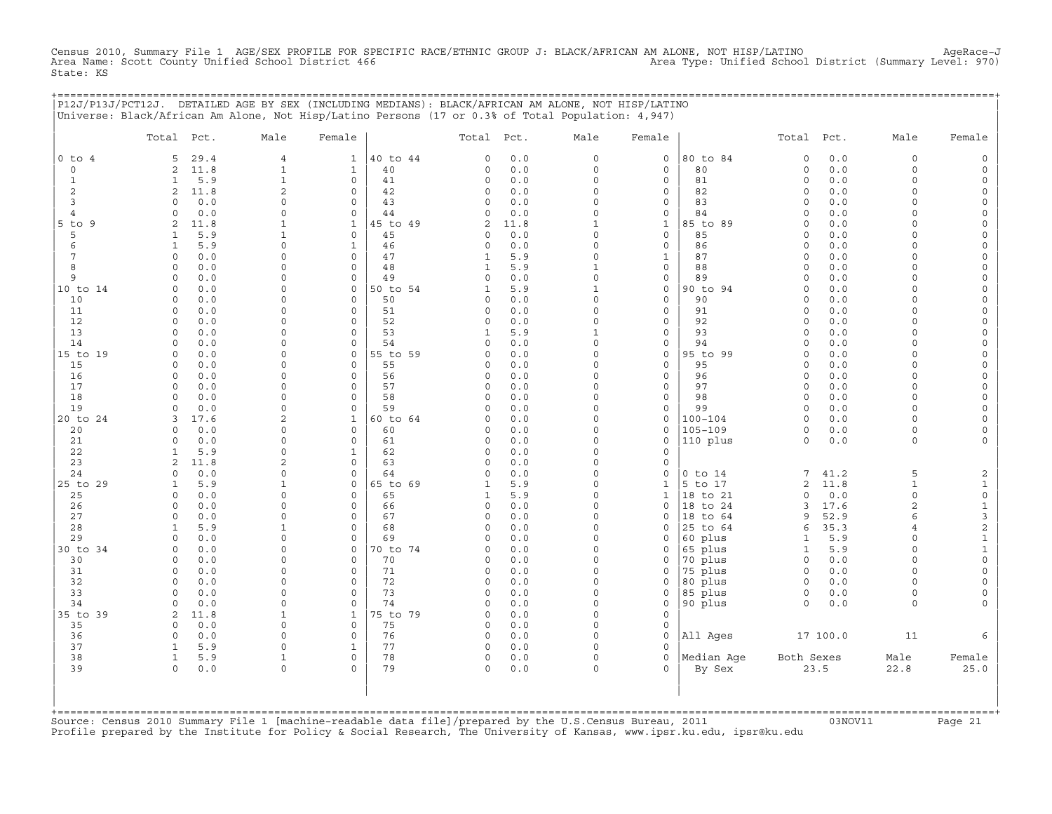Census 2010, Summary File 1 AGE/SEX PROFILE FOR SPECIFIC RACE/ETHNIC GROUP J: BLACK/AFRICAN AM ALONE, NOT HISP/LATINO AgeRace-J<br>Area Name: Scott County Unified School District 466 State: KS

+===================================================================================================================================================+

|                     |                         |              | P12J/P13J/PCT12J. DETAILED AGE BY SEX (INCLUDING MEDIANS): BLACK/AFRICAN AM ALONE, NOT HISP/LATINO<br>Universe: Black/African Am Alone, Not Hisp/Latino Persons (17 or 0.3% of Total Population: 4,947) |                            |                |                      |              |                            |                             |                      |                    |              |                     |                                            |
|---------------------|-------------------------|--------------|---------------------------------------------------------------------------------------------------------------------------------------------------------------------------------------------------------|----------------------------|----------------|----------------------|--------------|----------------------------|-----------------------------|----------------------|--------------------|--------------|---------------------|--------------------------------------------|
|                     | Total Pct.              |              | Male                                                                                                                                                                                                    | Female                     |                | Total Pct.           |              | Male                       | Female                      |                      | Total              | Pct.         | Male                | Female                                     |
| $0$ to $4$          | 5                       | 29.4         | $\overline{4}$                                                                                                                                                                                          | $\mathbf{1}$               | 40 to 44       | $\mathsf O$          | $0.0$        | $\mathsf O$                | $\mathsf O$                 | 80 to 84             | $\mathbf 0$        | 0.0          | 0                   | $\mathsf{O}\xspace$                        |
| $\mathbf 0$         | $\overline{c}$          | 11.8         | $\mathbf{1}$                                                                                                                                                                                            | $\mathbf{1}$               | 40             | $\Omega$             | $0.0$        | $\circ$                    | $\mathbf 0$                 | 80                   | $\circ$            | 0.0          | $\circ$             | $\mathsf{O}\xspace$                        |
| 1                   | 1                       | 5.9          | $\mathbf{1}$                                                                                                                                                                                            | 0                          | 41             | $\mathbf 0$          | 0.0          | $\Omega$                   | $\mathsf{O}$                | 81                   | $\circ$            | 0.0          | $\circ$             | 0                                          |
| 2                   | 2                       | 11.8         | $\overline{c}$<br>$\Omega$                                                                                                                                                                              | $\mathbf 0$                | 42             | 0<br>$\Omega$        | 0.0          | $\mathbf 0$                | $\mathsf O$                 | 82                   | $\circ$            | 0.0          | $\circ$             | $\mathsf{O}\xspace$                        |
| 3<br>$\overline{4}$ | $\circ$<br>$\Omega$     | 0.0<br>0.0   | 0                                                                                                                                                                                                       | $\mathbf 0$<br>$\mathbf 0$ | 43<br>44       | $\Omega$             | 0.0<br>0.0   | $\mathbf 0$<br>$\mathbf 0$ | $\mathbf 0$<br>$\mathsf{O}$ | 83<br>84             | $\circ$<br>$\circ$ | 0.0<br>0.0   | $\circ$<br>$\Omega$ | $\mathsf{O}\xspace$<br>$\mathsf{O}\xspace$ |
| $5$ to $9$          | 2                       | 11.8         | $\mathbf{1}$                                                                                                                                                                                            | $\mathbf{1}$               | 45 to 49       | $\overline{c}$       | 11.8         | $\mathbf{1}$               | $\mathbf{1}$                | 85 to 89             | $\circ$            | 0.0          | $\Omega$            | $\circ$                                    |
| 5                   | $\mathbf{1}$            | 5.9          | $\mathbf{1}$                                                                                                                                                                                            | $\mathsf{O}\xspace$        | 45             | 0                    | 0.0          | $\Omega$                   | $\mathsf O$                 | 85                   | $\circ$            | 0.0          | 0                   | 0                                          |
| 6                   | $\mathbf{1}$            | 5.9          | 0                                                                                                                                                                                                       | $\mathbf{1}$               | 46             | $\circ$              | 0.0          | $\mathbf 0$                | $\mathsf O$                 | 86                   | $\circ$            | 0.0          | $\circ$             | 0                                          |
| 7                   | $\Omega$                | 0.0          | $\Omega$                                                                                                                                                                                                | $\mathbf 0$                | 47             | $\mathbf{1}$         | 5.9          | $\circ$                    | $1\,$                       | 87                   | $\circ$            | 0.0          | $\Omega$            | $\circ$                                    |
| 8                   | 0                       | 0.0          | 0                                                                                                                                                                                                       | $\mathsf{O}\xspace$        | 48             | $\mathbf{1}$         | 5.9          | $\mathbf{1}$               | $\mathsf O$                 | 88                   | $\circ$            | 0.0          | 0                   | $\mathsf{O}\xspace$                        |
| 9                   | $\circ$                 | 0.0          | 0                                                                                                                                                                                                       | $\circ$                    | 49             | $\mathbf 0$          | 0.0          | $\mathbf 0$                | $\mathsf{O}$                | 89                   | $\circ$            | 0.0          | $\circ$             | 0                                          |
| 10 to 14            | $\circ$                 | 0.0          | $\Omega$                                                                                                                                                                                                | $\circ$                    | 50 to 54       | $\mathbf{1}$         | 5.9          | $1\,$                      | $\mathsf{O}$                | 90 to 94             | $\circ$            | $0.0$        | $\circ$             | $\mathsf{O}\xspace$                        |
| 10                  | 0                       | 0.0          | 0                                                                                                                                                                                                       | $\circ$                    | 50             | $\mathbf 0$          | $0.0$        | $\mathsf{O}\xspace$        | $\mathsf O$                 | 90                   | $\circ$            | 0.0          | $\circ$             | $\mathsf{O}\xspace$                        |
| 11                  | $\circ$                 | 0.0          | $\Omega$                                                                                                                                                                                                | $\circ$                    | 51             | $\circ$              | 0.0          | $\Omega$                   | $\mathsf{O}$                | 91                   | $\circ$            | 0.0          | $\circ$             | 0                                          |
| 12                  | $\circ$                 | 0.0          | $\Omega$                                                                                                                                                                                                | $\circ$                    | 52             | $\Omega$             | 0.0          | $\mathbf 0$                | $\mathsf{O}$                | 92                   | $\circ$            | 0.0          | $\circ$             | $\mathsf O$                                |
| 13                  | $\circ$                 | 0.0          | 0                                                                                                                                                                                                       | $\circ$                    | 53             | $\mathbf{1}$         | 5.9          | $\mathbf{1}$               | $\mathsf O$                 | 93                   | $\circ$            | 0.0          | $\circ$             | $\mathsf{O}\xspace$                        |
| 14                  | $\Omega$                | 0.0          | 0                                                                                                                                                                                                       | $\circ$                    | 54             | $\Omega$             | 0.0          | $\Omega$                   | $\mathsf O$                 | 94                   | $\circ$            | 0.0          | $\circ$             | $\circ$                                    |
| 15 to 19<br>15      | 0<br>$\circ$            | 0.0<br>0.0   | 0<br>$\Omega$                                                                                                                                                                                           | $\circ$<br>$\circ$         | 55 to 59<br>55 | $\Omega$<br>$\Omega$ | 0.0<br>0.0   | $\mathbf 0$<br>$\mathbf 0$ | $\mathsf{O}$<br>$\mathsf O$ | 95 to 99<br>95       | $\circ$<br>$\circ$ | 0.0<br>0.0   | $\circ$<br>$\circ$  | 0                                          |
| 16                  | $\Omega$                | 0.0          | $\Omega$                                                                                                                                                                                                | $\Omega$                   | 56             | $\mathbf 0$          | 0.0          | $\Omega$                   | $\mathbf 0$                 | 96                   | $\circ$            | 0.0          | $\circ$             | $\mathsf{O}\xspace$<br>$\mathsf{O}\xspace$ |
| 17                  | $\circ$                 | 0.0          | 0                                                                                                                                                                                                       | $\circ$                    | 57             | $\Omega$             | 0.0          | $\mathbf 0$                | $\mathsf{O}$                | 97                   | $\circ$            | 0.0          | $\circ$             | 0                                          |
| 18                  | $\circ$                 | 0.0          | $\mathsf{O}$                                                                                                                                                                                            | $\circ$                    | 58             | $\Omega$             | 0.0          | $\mathbf 0$                | $\mathsf O$                 | 98                   | $\circ$            | 0.0          | $\circ$             | $\circ$                                    |
| 19                  | $\Omega$                | 0.0          | $\Omega$                                                                                                                                                                                                | $\circ$                    | 59             | $\Omega$             | 0.0          | $\mathbf 0$                | $\mathbf 0$                 | 99                   | $\circ$            | 0.0          | $\circ$             | $\mathsf{O}\xspace$                        |
| 20 to 24            | 3                       | 17.6         | 2                                                                                                                                                                                                       | $\mathbf{1}$               | 60 to 64       | $\Omega$             | 0.0          | $\mathbf 0$                | $\mathsf{O}$                | $100 - 104$          | $\circ$            | 0.0          | 0                   | $\circ$                                    |
| 20                  | $\Omega$                | 0.0          | 0                                                                                                                                                                                                       | $\mathbf 0$                | 60             | $\Omega$             | 0.0          | $\Omega$                   | $\circ$                     | $105 - 109$          | $\circ$            | $0.0$        | $\circ$             | $\mathsf{O}\xspace$                        |
| 21                  | $\mathsf{O}\xspace$     | 0.0          | 0                                                                                                                                                                                                       | $\mathsf{O}\xspace$        | 61             | $\mathsf O$          | 0.0          | $\mathsf O$                | $\circ$                     | 110 plus             | $\circ$            | $0.0$        | 0                   | $\mathsf{O}\xspace$                        |
| 22                  | $\mathbf{1}$            | 5.9          | 0                                                                                                                                                                                                       | $\mathbf{1}$               | 62             | $\Omega$             | 0.0          | $\Omega$                   | $\mathbf 0$                 |                      |                    |              |                     |                                            |
| 23                  | 2                       | 11.8         | $\overline{c}$                                                                                                                                                                                          | $\mathbf 0$                | 63             | $\Omega$             | $0.0$        | $\mathbf 0$                | $\circ$                     |                      |                    |              |                     |                                            |
| 24                  | $\circ$                 | 0.0          | 0                                                                                                                                                                                                       | $\mathsf{O}\xspace$        | 64             | $\mathbf 0$          | 0.0          | $\mathbf 0$                | $\circ$                     | $0$ to $14$          | 7                  | 41.2         | 5                   | 2                                          |
| 25 to 29            | $\mathbf{1}$            | 5.9          | $\mathbf{1}$                                                                                                                                                                                            | $\mathbf 0$                | 65 to 69       | $\mathbf{1}$         | 5.9          | $\mathbf 0$                | $\mathbf{1}$                | 5 to 17              | $\overline{2}$     | 11.8         | $\mathbf{1}$        | $\mathbf{1}$                               |
| 25                  | $\Omega$                | 0.0          | $\Omega$<br>0                                                                                                                                                                                           | $\mathbf 0$<br>$\mathbf 0$ | 65             | $\mathbf{1}$         | 5.9          | $\Omega$<br>$\Omega$       | $\mathbf{1}$<br>$\mathsf O$ | 18 to 21             | $\Omega$           | 0.0          | $\circ$             | $\mathsf{O}\xspace$                        |
| 26<br>27            | 0<br>$\Omega$           | 0.0<br>0.0   | $\Omega$                                                                                                                                                                                                | $\mathbf 0$                | 66<br>67       | $\circ$<br>$\circ$   | 0.0<br>0.0   | $\Omega$                   | $\mathbf 0$                 | 18 to 24<br>18 to 64 | 3<br>9             | 17.6<br>52.9 | 2<br>6              | $\mathbf 1$<br>3                           |
| 28                  | $\mathbf{1}$            | 5.9          | $\mathbf{1}$                                                                                                                                                                                            | $\mathbf 0$                | 68             | $\Omega$             | 0.0          | $\mathbf 0$                | $\mathbf 0$                 | 25 to 64             | 6                  | 35.3         | 4                   | $\overline{c}$                             |
| 29                  | $\circ$                 | 0.0          | 0                                                                                                                                                                                                       | $\mathsf{O}\xspace$        | 69             | $\mathbf 0$          | 0.0          | $\Omega$                   | $\circ$                     | 60 plus              | $\mathbf{1}$       | 5.9          | $\circ$             | $\mathbf 1$                                |
| 30 to 34            | $\Omega$                | 0.0          | $\Omega$                                                                                                                                                                                                | $\mathbf{0}$               | 70 to 74       | $\Omega$             | 0.0          | $\Omega$                   | $\mathbf 0$                 | 65 plus              | $\mathbf{1}$       | 5.9          | $\circ$             | $\mathbf{1}$                               |
| 30                  | 0                       | 0.0          | 0                                                                                                                                                                                                       | $\circ$                    | 70             | $\Omega$             | 0.0          | $\mathbf 0$                | 0                           | 70 plus              | $\circ$            | 0.0          | $\circ$             | $\mathsf{O}\xspace$                        |
| 31                  | $\circ$                 | 0.0          | 0                                                                                                                                                                                                       | $\circ$                    | 71             | $\mathbf 0$          | 0.0          | $\Omega$                   | $\circ$                     | 75 plus              | $\circ$            | 0.0          | $\circ$             | $\mathsf{O}\xspace$                        |
| 32                  | $\Omega$                | 0.0          | $\Omega$                                                                                                                                                                                                | $\circ$                    | 72             | $\circ$              | 0.0          | $\Omega$                   | $\mathbf 0$                 | 80 plus              | $\circ$            | 0.0          | $\Omega$            | 0                                          |
| 33                  | $\circ$                 | 0.0          | $\Omega$                                                                                                                                                                                                | $\circ$                    | 73             | $\Omega$             | 0.0          | $\Omega$                   | $\circ$                     | 85 plus              | $\circ$            | 0.0          | $\circ$             | 0                                          |
| 34                  | $\Omega$                | 0.0          | 0                                                                                                                                                                                                       | $\circ$                    | 74             | $\Omega$             | 0.0          | $\mathbf 0$                | $\mathsf{O}$                | 90 plus              | $\mathbf 0$        | $0.0$        | 0                   | $\circ$                                    |
| 35 to 39            | 2                       | 11.8         | $\mathbf 1$                                                                                                                                                                                             | $\mathbf 1$                | 75 to 79       | $\Omega$             | 0.0          | $\Omega$                   | $\Omega$                    |                      |                    |              |                     |                                            |
| 35                  | $\circ$                 | 0.0          | 0                                                                                                                                                                                                       | $\mathbf{0}$               | 75             | $\mathbf 0$          | 0.0          | $\Omega$                   | $\mathbf 0$                 |                      |                    |              |                     |                                            |
| 36                  | $\circ$                 | 0.0          | $\mathsf{O}$                                                                                                                                                                                            | $\circ$                    | 76             | $\circ$              | 0.0          | $\Omega$                   | $\mathsf{O}$                | All Ages             |                    | 17 100.0     | 11                  | 6                                          |
| 37<br>38            | $\mathbf{1}$            | 5.9          | 0                                                                                                                                                                                                       | $\mathbf{1}$<br>$\circ$    | 77<br>78       | $\circ$<br>$\circ$   | $0.0$        | $\mathbf 0$<br>$\Omega$    | $\mathbf 0$<br>$\mathbf 0$  | Median Age           |                    |              |                     |                                            |
| 39                  | $\mathbf{1}$<br>$\circ$ | 5.9<br>$0.0$ | $\mathbf{1}$<br>0                                                                                                                                                                                       | $\Omega$                   | 79             | $\Omega$             | 0.0<br>$0.0$ | $\mathbf 0$                | $\Omega$                    | By Sex               | Both Sexes         | 23.5         | Male<br>22.8        | Female<br>25.0                             |
|                     |                         |              |                                                                                                                                                                                                         |                            |                |                      |              |                            |                             |                      |                    |              |                     |                                            |

+===================================================================================================================================================+Source: Census 2010 Summary File 1 [machine−readable data file]/prepared by the U.S.Census Bureau, 2011 03NOV11 Page 21 Profile prepared by the Institute for Policy & Social Research, The University of Kansas, www.ipsr.ku.edu, ipsr@ku.edu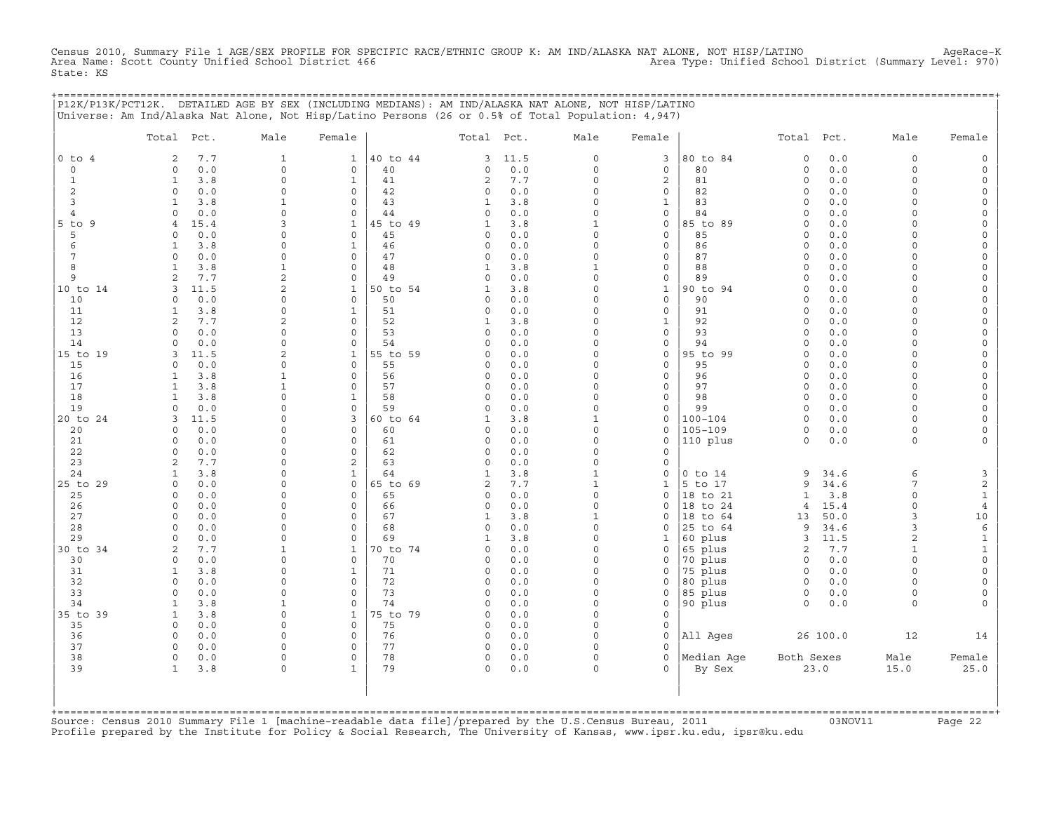Census 2010, Summary File 1 AGE/SEX PROFILE FOR SPECIFIC RACE/ETHNIC GROUP K: AM IND/ALASKA NAT ALONE, NOT HISP/LATINO AgeRace-K<br>Area Name: Scott County Unified School District 466 State: KS

+===================================================================================================================================================+

|                | Total Pct.                                   | Male                        | Female                      |                | Total Pct.        |              | Male                     | Female                     |                            | Total Pct.           |              | Male                 | Female                   |
|----------------|----------------------------------------------|-----------------------------|-----------------------------|----------------|-------------------|--------------|--------------------------|----------------------------|----------------------------|----------------------|--------------|----------------------|--------------------------|
| $0$ to $4$     | 7.7<br>2                                     | 1                           | 1                           | 40 to 44       | 3                 | 11.5         | $\circ$                  | 3                          | 80 to 84                   | $\mathbf 0$          | 0.0          | 0                    | $\mathsf{O}$             |
| $\circ$        | $0.0$<br>$\circ$                             | $\mathbf 0$                 | $\mathbf 0$                 | 40             | 0                 | $0.0$        | $\Omega$                 | $\mathbf 0$                | 80                         | $\circ$              | 0.0          | $\circ$              | $\mathsf O$              |
| $\mathbf{1}$   | $\mathbf{1}$<br>3.8                          | $\mathbf 0$                 | $\mathbf{1}$                | 41             | 2                 | 7.7          | $\circ$                  | $\mathbf{2}$               | 81                         | $\circ$              | 0.0          | $\Omega$             | $\mathsf O$              |
| 2              | $\circ$<br>0.0                               | $\mathbf 0$                 | $\mathsf{O}$                | 42             | 0                 | 0.0          | $\Omega$                 | 0                          | 82                         | $\Omega$             | 0.0          | $\Omega$             | 0                        |
| 3<br>4         | 3.8<br>$\mathbf{1}$<br>$\Omega$<br>0.0       | $\mathbf{1}$<br>$\mathbf 0$ | $\mathbf 0$<br>$\mathbf 0$  | 43<br>44       | 1<br>0            | 3.8<br>0.0   | $\Omega$<br>$\Omega$     | $\mathbf 1$<br>$\mathsf O$ | 83<br>84                   | $\Omega$<br>$\Omega$ | 0.0<br>0.0   | $\Omega$<br>$\Omega$ | $\mathsf{O}$<br>0        |
| $5$ to $9$     | 15.4<br>4                                    | 3                           | $\mathbf{1}$                | 45 to 49       | 1                 | 3.8          | $\mathbf{1}$             | $\mathsf{O}$               | 85 to 89                   | $\Omega$             | 0.0          | $\Omega$             | 0                        |
| 5              | $\circ$<br>0.0                               | $\mathbf 0$                 | $\mathsf O$                 | 45             | 0                 | 0.0          | $\Omega$                 | $\mathsf O$                | 85                         | $\Omega$             | 0.0          | $\Omega$             | $\mathsf{O}\xspace$      |
| 6              | 3.8<br>1                                     | $\Omega$                    | $\mathbf{1}$                | 46             | $\Omega$          | 0.0          | $\Omega$                 | 0                          | 86                         | $\Omega$             | 0.0          | $\Omega$             | 0                        |
| $\overline{7}$ | $\Omega$<br>0.0                              | $\mathbf 0$                 | $\mathbf 0$                 | 47             | 0                 | 0.0          | $\Omega$                 | $\mathsf{O}\xspace$        | 87                         | $\Omega$             | 0.0          | $\Omega$             | $\mathsf{O}\xspace$      |
| 8              | 3.8<br>$\mathbf{1}$                          | $\mathbf{1}$                | $\mathsf{O}$                | 48             | $\mathbf{1}$      | 3.8          | $\mathbf{1}$             | $\mathsf{O}\xspace$        | 88                         | $\Omega$             | 0.0          | $\Omega$             | $\mathsf{O}\xspace$      |
| 9              | 7.7<br>2                                     | $\overline{c}$              | $\mathbf 0$                 | 49             | 0                 | 0.0          | $\Omega$                 | 0                          | 89                         | $\Omega$             | 0.0          | $\Omega$             | 0                        |
| 10 to 14       | 11.5<br>3                                    | $\mathbf{2}$                | $\mathbf{1}$                | 50 to 54       | $\mathbf{1}$      | 3.8          | $\Omega$                 | $\mathbf 1$                | 90 to 94                   | $\Omega$             | 0.0          | $\Omega$             | $\mathsf{O}\xspace$      |
| 10             | $\Omega$<br>0.0                              | $\mathbf 0$                 | $\mathbf 0$                 | 50             | 0                 | 0.0          | $\Omega$<br>$\Omega$     | $\mathbf 0$                | 90                         | $\Omega$<br>$\Omega$ | 0.0          | $\Omega$<br>$\Omega$ | $\mathsf{O}\xspace$      |
| 11<br>12       | $\mathbf{1}$<br>3.8<br>$\sqrt{2}$<br>$7.7\,$ | $\mathbf 0$<br>$\mathbf{2}$ | $\mathbf{1}$<br>$\mathbf 0$ | 51<br>52       | 0<br>$\mathbf{1}$ | 0.0<br>3.8   | $\Omega$                 | 0<br>$1\,$                 | 91<br>92                   | $\Omega$             | 0.0<br>0.0   | $\Omega$             | 0<br>$\mathsf{O}\xspace$ |
| 13             | $\Omega$<br>0.0                              | $\mathbf 0$                 | $\Omega$                    | 53             | 0                 | 0.0          | $\Omega$                 | 0                          | 93                         | $\Omega$             | 0.0          | $\circ$              | 0                        |
| 14             | 0.0<br>$\circ$                               | $\mathbf 0$                 | $\mathbf 0$                 | 54             | $\Omega$          | 0.0          | $\Omega$                 | 0                          | 94                         | $\Omega$             | 0.0          | $\circ$              | 0                        |
| 15 to 19       | 3<br>11.5                                    | $\mathbf{2}$                | $\mathbf{1}$                | 55 to 59       | $\Omega$          | 0.0          | $\Omega$                 | $\mathsf{O}$               | 95 to 99                   | $\circ$              | 0.0          | $\Omega$             | $\mathsf{O}\xspace$      |
| 15             | 0.0<br>$\Omega$                              | $\mathbf 0$                 | $\mathbf 0$                 | 55             | $\Omega$          | 0.0          | $\Omega$                 | $\mathbf 0$                | 95                         | $\Omega$             | 0.0          | $\Omega$             | 0                        |
| 16             | 3.8<br>$\mathbf{1}$                          | $\mathbf{1}$                | $\circ$                     | 56             | $\Omega$          | 0.0          | $\Omega$                 | $\mathsf O$                | 96                         | $\Omega$             | 0.0          | $\circ$              | $\mathsf{O}\xspace$      |
| 17             | $\mathbf{1}$<br>3.8                          | $\mathbf 1$                 | $\mathbf 0$                 | 57             | $\Omega$          | 0.0          | $\Omega$                 | $\mathbf 0$                | 97                         | $\circ$              | 0.0          | $\circ$              | $\mathsf{O}\xspace$      |
| 18             | 3.8<br>1                                     | $\mathbf 0$                 | 1                           | 58             | $\Omega$          | 0.0          | $\Omega$                 | 0                          | 98                         | $\Omega$             | 0.0          | $\Omega$             | 0                        |
| 19             | 0.0<br>$\Omega$                              | $\Omega$<br>$\mathbf 0$     | $\circ$                     | 59             | $\Omega$          | 0.0          | $\Omega$<br>$\mathbf{1}$ | 0                          | 99                         | $\Omega$<br>$\circ$  | 0.0          | $\Omega$<br>$\circ$  | $\mathsf{O}\xspace$      |
| 20 to 24<br>20 | 11.5<br>3<br>0.0<br>$\circ$                  | $\Omega$                    | 3<br>$\mathsf{O}$           | 60 to 64<br>60 | 1<br>$\Omega$     | 3.8<br>0.0   | $\Omega$                 | $\mathsf{O}$<br>0          | $100 - 104$<br>$105 - 109$ | $\circ$              | 0.0<br>0.0   | 0                    | 0<br>0                   |
| 21             | $0.0$<br>$\circ$                             | $\Omega$                    | $\mathbf 0$                 | 61             | $\Omega$          | 0.0          | $\Omega$                 | $\mathsf O$                | 110 plus                   | $\circ$              | $0.0$        | $\circ$              | $\mathsf{O}\xspace$      |
| 22             | $\circ$<br>0.0                               | $\mathbf 0$                 | $\circ$                     | 62             | $\Omega$          | 0.0          | $\Omega$                 | $\mathbf 0$                |                            |                      |              |                      |                          |
| 23             | 7.7<br>2                                     | $\mathbf 0$                 | $\overline{\mathbf{c}}$     | 63             | 0                 | 0.0          | $\mathbf 0$              | $\mathsf O$                |                            |                      |              |                      |                          |
| 24             | 3.8<br>1                                     | $\Omega$                    | $\mathbf{1}$                | 64             | 1                 | 3.8          | $\mathbf 1$              | 0                          | $0$ to $14$                | 9                    | 34.6         | 6                    | $\mathbf{3}$             |
| 25 to 29       | $\Omega$<br>0.0                              | $\Omega$                    | 0                           | 65 to 69       | 2                 | 7.7          | $\mathbf 1$              | $\mathbf{1}$               | 5 to 17                    | 9                    | 34.6         | 7                    | $\mathbf{2}$             |
| 25             | 0.0<br>$\circ$                               | $\Omega$                    | $\mathsf O$                 | 65             | 0                 | 0.0          | $\Omega$                 | $\circ$                    | 18 to 21                   | $\mathbf{1}$         | 3.8          | $\Omega$             | $\mathbf 1$              |
| 26             | 0.0<br>$\circ$                               | $\Omega$                    | $\mathbf 0$                 | 66             | $\Omega$          | 0.0          | $\Omega$                 | $\mathbf 0$                | 18 to 24                   | $\overline{4}$       | 15.4         | $\Omega$             | $\,4\,$                  |
| 27<br>28       | 0.0<br>$\circ$<br>0.0<br>$\Omega$            | $\Omega$<br>$\mathbf 0$     | $\mathbf 0$<br>$\circ$      | 67<br>68       | 1<br>0            | 3.8<br>$0.0$ | $\mathbf{1}$<br>$\Omega$ | $\Omega$<br>$\mathbf 0$    | 18 to 64<br>25 to 64       | 13<br>9              | 50.0<br>34.6 | 3<br>3               | $10$<br>$\epsilon$       |
| 29             | 0.0<br>$\Omega$                              | $\Omega$                    | $\mathbf 0$                 | 69             | 1                 | 3.8          | $\Omega$                 | $\mathbf{1}$               | 60 plus                    | 3                    | 11.5         | $\overline{a}$       | $\mathbf{1}$             |
| 30 to 34       | 7.7<br>2                                     |                             | 1                           | 70 to 74       | $\Omega$          | 0.0          | $\Omega$                 | 0                          | 65 plus                    | $\overline{c}$       | 7.7          | $\mathbf{1}$         | $\mathbf 1$              |
| 30             | $0.0$<br>$\circ$                             | $\Omega$                    | $\mathsf O$                 | 70             | 0                 | $0.0$        | $\Omega$                 | 0                          | 70 plus                    | $\circ$              | 0.0          | 0                    | $\mathbb O$              |
| 31             | $\mathbf{1}$<br>3.8                          | $\mathbf 0$                 | $\mathbf{1}$                | 71             | $\Omega$          | 0.0          | $\Omega$                 | 0                          | 75 plus                    | $\circ$              | 0.0          | $\Omega$             | 0                        |
| 32             | $\circ$<br>0.0                               | $\Omega$                    | $\mathsf O$                 | 72             | $\Omega$          | 0.0          | $\Omega$                 | $\Omega$                   | 80 plus                    | $\circ$              | 0.0          | $\Omega$             | $\mathsf{O}\xspace$      |
| 33             | $\circ$<br>0.0                               | $\mathbf 0$                 | $\mathbf 0$                 | 73             | $\Omega$          | 0.0          | $\Omega$                 | $\mathsf{O}$               | 85 plus                    | $\circ$              | 0.0          | 0                    | 0                        |
| 34             | 3.8<br>1                                     | $\mathbf{1}$                | $\mathbf 0$                 | 74             | $\Omega$          | 0.0          | $\Omega$                 | $\mathsf{O}$               | 90 plus                    | $\Omega$             | 0.0          | $\circ$              | $\Omega$                 |
| 35 to 39       | $\mathbf{1}$<br>3.8                          | $\mathbf 0$<br>$\Omega$     | $\mathbf{1}$                | 75 to 79       | $\Omega$          | 0.0          | $\Omega$<br>$\Omega$     | $\mathsf{O}\xspace$        |                            |                      |              |                      |                          |
| 35<br>36       | $\Omega$<br>0.0<br>0.0<br>$\circ$            | $\mathbf 0$                 | $\mathbf 0$<br>0            | 75<br>76       | 0<br>0            | 0.0<br>0.0   | $\Omega$                 | $\mathbf 0$<br>$\mathbf 0$ | All Ages                   |                      | 26 100.0     | 12                   | 14                       |
| 37             | $0.0$<br>$\circ$                             | $\mathbf 0$                 | $\circ$                     | 77             | 0                 | $0.0$        | $\Omega$                 | $\Omega$                   |                            |                      |              |                      |                          |
| 38             | $\circ$<br>0.0                               | $\mathbf 0$                 | $\mathbf 0$                 | 78             | 0                 | 0.0          | $\circ$                  | $\circ$                    | Median Aqe                 | Both Sexes           |              | Male                 | Female                   |
| 39             | 3.8<br>1                                     | $\Omega$                    | 1                           | 79             | 0                 | 0.0          | $\Omega$                 |                            | By Sex                     |                      | 23.0         | 15.0                 | 25.0                     |
|                |                                              |                             |                             |                |                   |              |                          |                            |                            |                      |              |                      |                          |

+===================================================================================================================================================+Source: Census 2010 Summary File 1 [machine−readable data file]/prepared by the U.S.Census Bureau, 2011 03NOV11 Page 22 Profile prepared by the Institute for Policy & Social Research, The University of Kansas, www.ipsr.ku.edu, ipsr@ku.edu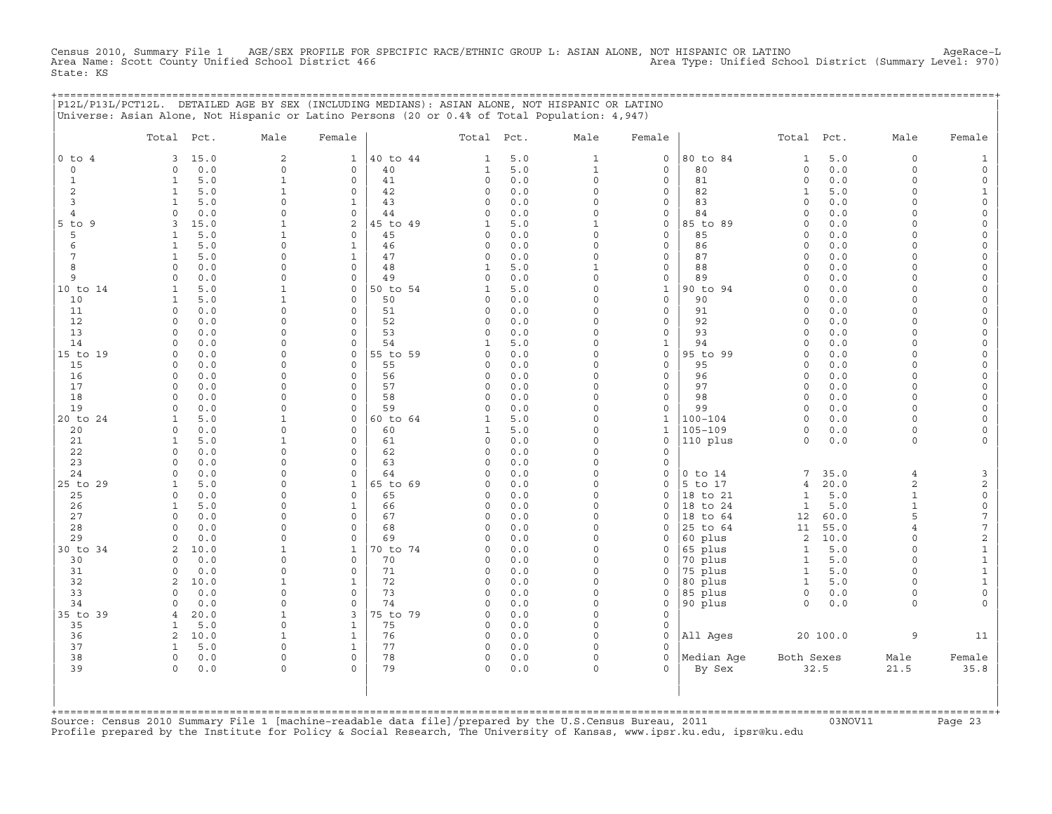Census 2010, Summary File 1 AGE/SEX PROFILE FOR SPECIFIC RACE/ETHNIC GROUP L: ASIAN ALONE, NOT HISPANIC OR LATINO AgeRace−L Area Name: Scott County Unified School District 466 Area Type: Unified School District (Summary Level: 970) State: KS

|          |       |               | P12L/P13L/PCT12L. DETAILED AGE BY SEX (INCLUDING MEDIANS): ASIAN ALONE, NOT HISPANIC OR LATINO<br>Universe: Asian Alone, Not Hispanic or Latino Persons (20 or 0.4% of Total Population: 4,947) |              |          |       |               |      |         |          |       |               |      |        |
|----------|-------|---------------|-------------------------------------------------------------------------------------------------------------------------------------------------------------------------------------------------|--------------|----------|-------|---------------|------|---------|----------|-------|---------------|------|--------|
|          | Total | Pct.          | Male                                                                                                                                                                                            | Female       |          | Total | Pct.          | Male | Female  |          | Total | Pct.          | Male | Female |
| O to 4   | 3     | 15.0          |                                                                                                                                                                                                 | $\mathbf{1}$ | 40 to 44 |       | 5.0           |      | $\circ$ | 80 to 84 |       | 5.0           |      |        |
|          |       | 0.0           |                                                                                                                                                                                                 |              | 40       |       | 5.0           |      |         | 80       |       | 0.0           |      |        |
|          |       | 5.0           |                                                                                                                                                                                                 |              | 41       |       | 0.0           |      |         | 81       |       | 0.0           |      |        |
|          |       | 5.0           |                                                                                                                                                                                                 |              | 42       |       | 0.0           |      |         | 82       |       | 5.0           |      |        |
|          |       | 5.0           |                                                                                                                                                                                                 |              | 43       |       | 0.0           |      |         | 83       |       | 0.0           |      |        |
|          |       | 0.0           |                                                                                                                                                                                                 |              | 44       |       | 0.0           |      |         | 84       |       | 0.0           |      |        |
| $5$ to 9 |       | 15.0          |                                                                                                                                                                                                 |              | 45 to 49 |       | 5.0           |      |         | 85 to 89 |       | 0.0           |      |        |
|          |       | 5.0           |                                                                                                                                                                                                 |              | 45       |       | 0.0           |      |         | 85       |       | 0.0           |      |        |
|          |       | 5.0           |                                                                                                                                                                                                 |              | 46       |       | 0.0           |      |         | 86       |       | 0.0           |      |        |
|          |       | 5.0           |                                                                                                                                                                                                 |              |          |       | 0.0           |      |         | 87       |       | 0.0           |      |        |
|          |       | 0.0           |                                                                                                                                                                                                 |              | 48       |       | 5.0           |      |         | 88       |       | 0.0           |      |        |
|          |       | 0.0           |                                                                                                                                                                                                 |              |          |       | 0.0           |      |         | 89       |       | 0.0           |      |        |
| 10 to 14 |       | 5.0           |                                                                                                                                                                                                 |              | 50 to 54 |       | 5.0           |      |         | 90 to 94 |       | 0.0           |      |        |
| 10       |       |               |                                                                                                                                                                                                 |              |          |       | 0.0           |      |         | 90       |       | 0.C           |      |        |
| 11       |       | $\cap$ $\cap$ |                                                                                                                                                                                                 |              |          |       | $\cap$ $\cap$ |      |         |          |       | $\cap$ $\cap$ |      |        |

|          |                |      |             |              | ≖◡       |              |       |          |              | ◡           | ◡.◡                   |                |        |
|----------|----------------|------|-------------|--------------|----------|--------------|-------|----------|--------------|-------------|-----------------------|----------------|--------|
|          |                | 5.0  |             |              | 47       |              | 0.0   |          | 0            | 87          | $0.0$<br>$\Omega$     |                |        |
| 8        |                | 0.0  | $\Omega$    | 0            | 48       |              | 5.0   |          | 0            | 88          | 0.0<br>$\Omega$       | $\Omega$       |        |
| 9        |                | 0.0  |             | $\Omega$     | 49       |              | $0.0$ |          | 0            | 89          | $0.0$                 | $\cap$         |        |
| 10 to 14 |                | 5.0  |             | 0            | 50 to 54 |              | 5.0   |          | 1            | 90 to 94    | $0.0$<br>$\Omega$     |                |        |
| 10       |                | 5.0  |             | $\Omega$     | 50       |              | 0.0   |          | 0            | 90          | 0.0                   |                |        |
| 11       |                | 0.0  | O           | $\Omega$     | 51       |              | 0.0   |          | 0            | 91          | $0.0$<br>$\Omega$     | $\Omega$       |        |
| 12       |                | 0.0  | $\Omega$    | $\Omega$     | 52       |              | 0.0   |          | 0            | 92          | 0.0<br>O              | $\Omega$       |        |
| 13       |                | 0.0  | $\Omega$    | $\Omega$     | 53       |              | 0.0   |          | 0            | 93          | 0.0                   |                |        |
| 14       |                | 0.0  | O           | 0            | 54       |              | 5.0   |          | 1            | 94          | 0.0<br>O              | $\Omega$       |        |
| 15 to 19 |                | 0.0  | $\Omega$    | 0            | 55 to 59 |              | 0.0   |          | 0            | 95 to 99    | 0.0<br>0              | $\Omega$       |        |
|          |                |      | $\Omega$    |              |          |              |       |          |              |             |                       | $\Omega$       |        |
| 15       |                | 0.0  |             | 0            | 55       | <sup>n</sup> | 0.0   |          | $\mathbf{0}$ | 95          | 0.0<br>$\Omega$       |                |        |
| 16       |                | 0.0  | O           | $\Omega$     | 56       |              | 0.0   |          | 0            | 96          | $0.0$<br>$\Omega$     | $\Omega$       |        |
| 17       | $\Omega$       | 0.0  | 0           | $\Omega$     | 57       |              | 0.0   |          | 0            | 97          | 0.0<br>$\Omega$       | $\Omega$       |        |
| 18       |                | 0.0  | O           | 0            | 58       |              | 0.0   |          | 0            | 98          | 0.0<br>$\Omega$       | $\Omega$       |        |
| 19       |                | 0.0  |             | $\Omega$     | 59       |              | 0.0   |          | $\Omega$     | 99          | 0.0                   |                |        |
| 20 to 24 |                | 5.0  |             | 0            | 60 to 64 |              | 5.0   |          | 1            | $100 - 104$ | $0.0$<br>$\Omega$     | $\Omega$       |        |
| 20       |                | 0.0  |             | 0            | 60       |              | 5.0   |          | $\mathbf 1$  | $105 - 109$ | $0.0$<br>0            | $\Omega$       |        |
| 21       |                | 5.0  |             | 0            | 61       | $\cap$       | 0.0   |          | 0            | 110 plus    | 0.0<br>$\circ$        | $\circ$        |        |
| 22       |                | 0.0  |             | $\Omega$     | 62       |              | 0.0   |          | 0            |             |                       |                |        |
| 23       |                | 0.0  |             | 0            | 63       |              | 0.0   |          | 0            |             |                       |                |        |
| 24       |                | 0.0  |             | 0            | 64       |              | 0.0   |          | 0            | $0$ to $14$ | 35.0<br>7             |                |        |
| 25 to 29 |                | 5.0  |             |              | 65 to 69 |              | 0.0   |          | $\Omega$     | 5 to 17     | 20.0<br>4             | $\overline{a}$ |        |
| 25       |                | 0.0  |             | $\Omega$     | 65       |              | 0.0   |          | $\Omega$     | 18 to 21    | $5.0$                 |                |        |
| 26       |                | 5.0  |             | $\mathbf{1}$ | 66       |              | 0.0   |          | $\Omega$     | 18 to 24    | 5.0<br>1              |                |        |
| 27       |                | 0.0  | $\Omega$    | $\Omega$     | 67       |              | 0.0   |          | $\Omega$     | 18 to 64    | 60.0<br>12            |                |        |
| 28       |                | 0.0  | O           | $\Omega$     | 68       |              | 0.0   |          | $\Omega$     | 25 to 64    | 11<br>55.0            |                |        |
| 29       |                | 0.0  | 0           | $\Omega$     | 69       |              | 0.0   |          | 0            | 60 plus     | 10.0<br>2             | $\Omega$       |        |
| 30 to 34 | $\mathcal{L}$  | 10.0 |             | $\mathbf{1}$ | 70 to 74 |              | 0.0   |          | 0            | 65 plus     | 5.0<br>1              | $\Omega$       |        |
| 30       |                | 0.0  | O           | $\Omega$     | 70       |              | 0.0   |          | 0            | 70 plus     | $5.0$<br>$\mathbf{1}$ | $\Omega$       |        |
| 31       |                | 0.0  | 0           | $\Omega$     | 71       | <sup>0</sup> | 0.0   |          | 0            | 75 plus     | 5.0<br>1              | $\Omega$       |        |
| 32       | 2              | 10.0 |             | 1            | 72       | <sup>0</sup> | 0.0   |          | 0            | 80 plus     | 5.0<br>1              | $\Omega$       |        |
| 33       | $\cap$         | 0.0  | $\Omega$    | $\mathbf 0$  | 73       |              | 0.0   |          | 0            | 85 plus     | 0.0<br>$\circ$        | $\Omega$       |        |
| 34       |                | 0.0  | O           | $\Omega$     | 74       |              | 0.0   |          | $\Omega$     | 90 plus     | $\Omega$<br>0.0       | $\Omega$       |        |
| 35 to 39 |                |      |             | 3            | 75 to 79 |              | 0.0   |          | 0            |             |                       |                |        |
|          |                | 20.0 | $\Omega$    |              |          |              |       |          |              |             |                       |                |        |
| 35       |                | 5.0  |             | $\mathbf{1}$ | 75       | $\Omega$     | 0.0   |          | $\Omega$     |             |                       |                |        |
| 36       | $\mathfrak{D}$ | 10.0 |             | $\mathbf{1}$ | 76       | $\Omega$     | 0.0   |          | 0            | All Ages    | 20 100.0              | 9              | 11     |
| 37       |                | 5.0  | 0           |              | 77       | $\Omega$     | 0.0   |          | 0            |             |                       |                |        |
| 38       | $\mathbf 0$    | 0.0  | $\mathbf 0$ | 0            | 78       | 0            | 0.0   |          | 0            | Median Age  | Both Sexes            | Male           | Female |
| 39       | $\Omega$       | 0.0  | $\Omega$    | $\Omega$     | 79       | $\Omega$     | 0.0   | $\Omega$ | $\Omega$     | By Sex      | 32.5                  | 21.5           | 35.8   |
|          |                |      |             |              |          |              |       |          |              |             |                       |                |        |
|          |                |      |             |              |          |              |       |          |              |             |                       |                |        |

Source: Census 2010 Summary File 1 [machine-readable data file]/prepared by the U.S.Census Bureau, 2011 Page 23<br>Profile prepared by the Institute for Policy & Social Research, The University of Kansas, www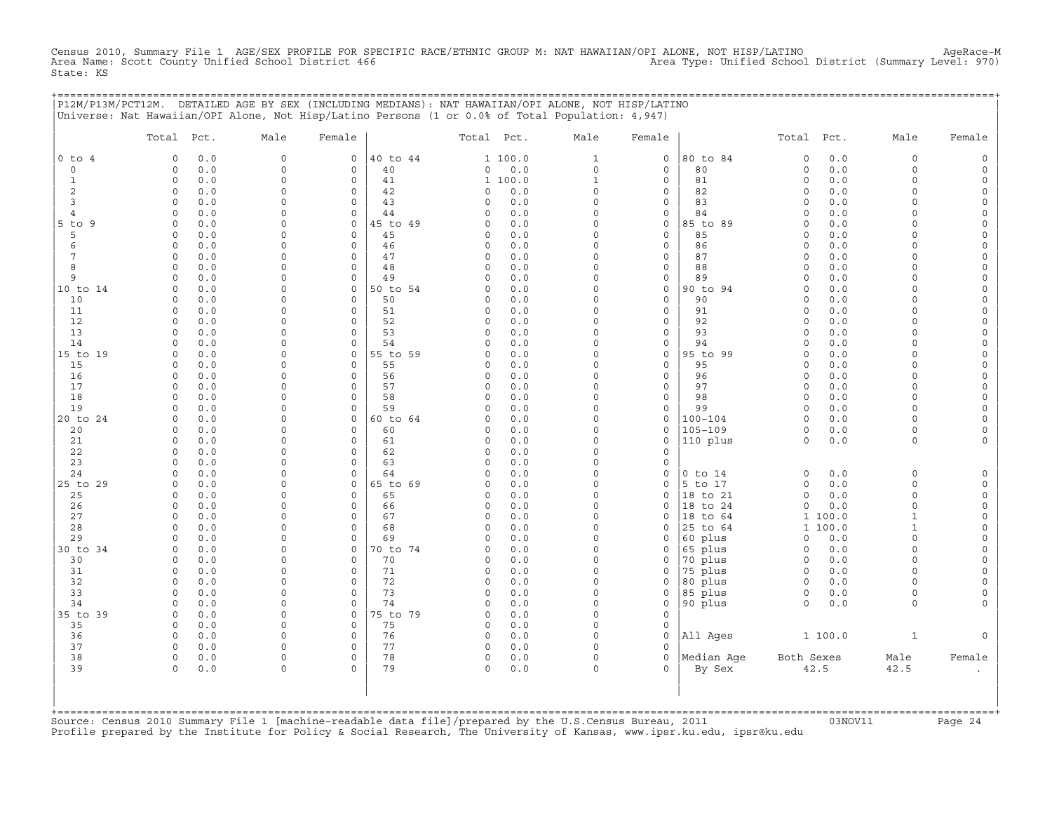Census 2010, Summary File 1 AGE/SEX PROFILE FOR SPECIFIC RACE/ETHNIC GROUP M: NAT HAWAIIAN/OPI ALONE, NOT HISP/LATINO AgeRace−M Area Name: Scott County Unified School District 466 Area Type: Unified School District (Summary Level: 970) State: KS

+===================================================================================================================================================+

|                | P12M/P13M/PCT12M. DETAILED AGE BY SEX (INCLUDING MEDIANS): NAT HAWAIIAN/OPI ALONE, NOT HISP/LATINO<br>Universe: Nat Hawaiian/OPI Alone, Not Hisp/Latino Persons (1 or 0.0% of Total Population: 4,947) |                      |                                |                |                                    |                         |                             |                      |                      |            |                         |                         |
|----------------|--------------------------------------------------------------------------------------------------------------------------------------------------------------------------------------------------------|----------------------|--------------------------------|----------------|------------------------------------|-------------------------|-----------------------------|----------------------|----------------------|------------|-------------------------|-------------------------|
|                | Total<br>Pct.                                                                                                                                                                                          | Male                 | Female                         |                | Total Pct.                         | Male                    | Female                      |                      | Total                | Pct.       | Male                    | Female                  |
| $0$ to $4$     | 0.0<br>$\Omega$                                                                                                                                                                                        | $\mathsf{O}$         | $\Omega$                       | 40 to 44       | 1 100.0                            | $\mathbf{1}$            | $\mathsf{O}$                | 80 to 84             | $\circ$              | 0.0        | $\mathbf 0$             |                         |
| $\circ$        | $\mathsf O$<br>0.0                                                                                                                                                                                     | 0                    | $\mathsf{O}\xspace$            | 40             | $0.0$<br>0                         | $\mathsf{O}\xspace$     | $\mathsf{O}$                | 80                   | 0                    | 0.0        | $\mathbf 0$             | $\circ$                 |
| $\mathbf{1}$   | $\mathsf O$<br>0.0                                                                                                                                                                                     | 0<br>$\Omega$        | $\circ$                        | 41             | 1 100.0                            | $\mathbf{1}$            | $\mathsf{O}$                | 81                   | $\circ$              | 0.0        | $\mathbf 0$<br>$\Omega$ | $\circ$                 |
| 2<br>3         | $\mathbf 0$<br>0.0<br>0.0<br>$\circ$                                                                                                                                                                   | $\Omega$             | $\mathbf{0}$<br>$\circ$        | 42<br>43       | 0.0<br>$\Omega$<br>0.0<br>$\Omega$ | $\circ$<br>$\circ$      | $\mathbf 0$<br>$\mathbf 0$  | 82<br>83             | $\Omega$<br>$\Omega$ | 0.0<br>0.0 | $\Omega$                | $\Omega$<br>$\Omega$    |
| 4              | $\circ$<br>0.0                                                                                                                                                                                         | $\Omega$             | $\circ$                        | 44             | 0.0<br>0                           | $\circ$                 | $\mathsf{O}$                | 84                   | $\Omega$             | 0.0        | $\Omega$                | $\Omega$                |
| $5$ to $9$     | 0.0<br>$\circ$                                                                                                                                                                                         | $\mathbf 0$          | $\circ$                        | 45 to 49       | 0.0<br>0                           | $\circ$                 | $\mathsf{O}\xspace$         | 85 to 89             | $\Omega$             | 0.0        | $\Omega$                | $\Omega$                |
| 5              | $\circ$<br>0.0                                                                                                                                                                                         | $\circ$              | $\circ$                        | 45             | 0.0<br>0                           | $\circ$                 | $\mathbf 0$                 | 85                   | $\Omega$             | 0.0        | $\Omega$                | $\Omega$                |
| 6              | $\circ$<br>0.0                                                                                                                                                                                         | $\Omega$             | $\circ$                        | 46             | 0.0<br>0                           | $\circ$                 | $\mathbf 0$                 | 86                   | $\Omega$             | $0.0$      | $\Omega$                | $\Omega$                |
| 7              | 0.0<br>$\circ$                                                                                                                                                                                         | $\Omega$             | $\mathbf 0$                    | 47             | 0<br>0.0                           | $\circ$                 | $\mathbf 0$                 | 87                   | $\Omega$             | 0.0        | $\Omega$                | $\Omega$                |
| 8              | $\circ$<br>0.0                                                                                                                                                                                         | $\Omega$             | $\circ$                        | 48             | $\circ$<br>0.0                     | $\circ$                 | $\mathbf 0$                 | 88                   | $\Omega$             | 0.0        | $\Omega$                | $\circ$                 |
| 9              | $\circ$<br>0.0                                                                                                                                                                                         | $\mathbf 0$          | $\mathsf{O}\xspace$            | 49             | 0.0<br>0                           | $\mathsf O$<br>$\Omega$ | $\mathsf{O}$                | 89                   | $\mathbf 0$          | 0.0        | $\Omega$<br>$\Omega$    | $\mathbf 0$<br>$\Omega$ |
| 10 to 14<br>10 | 0.0<br>$\Omega$<br>$\Omega$<br>0.0                                                                                                                                                                     | 0<br>$\Omega$        | $\mathbf 0$<br>$\Omega$        | 50 to 54<br>50 | 0.0<br>$\Omega$<br>0.0<br>$\Omega$ | $\circ$                 | $\mathsf{O}$<br>$\mathbf 0$ | 90 to 94<br>90       | $\Omega$<br>$\Omega$ | 0.0<br>0.0 | $\Omega$                | $\Omega$                |
| 11             | $\mathsf O$<br>0.0                                                                                                                                                                                     | $\mathbf 0$          | $\circ$                        | 51             | $\circ$<br>0.0                     | $\circ$                 | $\mathsf{O}$                | 91                   | $\Omega$             | 0.0        | $\Omega$                | $\Omega$                |
| 12             | $\circ$<br>0.0                                                                                                                                                                                         | $\Omega$             | $\circ$                        | 52             | 0.0<br>0                           | $\Omega$                | $\mathsf{O}$                | 92                   | $\Omega$             | 0.0        | $\Omega$                | $\Omega$                |
| 13             | $\Omega$<br>0.0                                                                                                                                                                                        | $\Omega$             | $\Omega$                       | 53             | 0.0<br>$\Omega$                    | $\Omega$                | $\mathbf 0$                 | 93                   | $\Omega$             | 0.0        | $\Omega$                | $\Omega$                |
| 14             | $\Omega$<br>0.0                                                                                                                                                                                        | 0                    | $\Omega$                       | 54             | 0.0<br>$\Omega$                    | $\circ$                 | $\mathsf{O}$                | 94                   | $\Omega$             | 0.0        | $\Omega$                | $\Omega$                |
| 15 to 19       | 0.0<br>0                                                                                                                                                                                               | $\Omega$             | $\mathbf{0}$                   | 55 to 59       | 0.0<br>0                           | $\circ$                 | $\mathsf{O}$                | 95 to 99             | $\Omega$             | 0.0        | $\Omega$                | $\mathbf 0$             |
| 15             | 0.0<br>$\circ$                                                                                                                                                                                         | $\Omega$             | $\circ$                        | 55             | 0.0<br>$\Omega$                    | $\circ$                 | $\mathbf 0$                 | 95                   | $\Omega$             | 0.0        | $\Omega$                | $\Omega$                |
| 16             | $\circ$<br>0.0                                                                                                                                                                                         | 0                    | $\circ$                        | 56             | 0.0<br>0                           | $\mathsf O$             | $\mathsf{O}$                | 96                   | $\mathbf 0$          | 0.0        | $\mathbf 0$             | $\Omega$                |
| 17             | $\Omega$<br>0.0                                                                                                                                                                                        | $\Omega$             | $\mathbf{0}$                   | 57             | 0<br>0.0                           | $\circ$                 | $\mathbf 0$                 | 97                   | $\circ$              | 0.0        | $\Omega$                | $\Omega$                |
| 18<br>19       | 0.0<br>0<br>0.0<br>$\circ$                                                                                                                                                                             | 0<br>$\Omega$        | $\mathbf{0}$<br>$\Omega$       | 58<br>59       | 0<br>0.0<br>0.0<br>$\Omega$        | $\circ$<br>$\circ$      | $\mathbf 0$<br>$\mathbf 0$  | 98<br>99             | $\Omega$<br>$\Omega$ | 0.0<br>0.0 | $\Omega$<br>$\Omega$    | $\Omega$<br>$\Omega$    |
| 20 to 24       | $\circ$<br>0.0                                                                                                                                                                                         | $\Omega$             | 0                              | 60 to 64       | 0.0<br>0                           | $\mathsf O$             | $\mathsf{O}\xspace$         | $100 - 104$          | $\circ$              | 0.0        | $\Omega$                | $\Omega$                |
| 20             | 0.0<br>$\Omega$                                                                                                                                                                                        | 0                    | $\mathbf 0$                    | 60             | 0.0<br>0                           | $\Omega$                | $\mathbf 0$                 | $105 - 109$          | $\circ$              | 0.0        | $\Omega$                |                         |
| 21             | $\circ$<br>0.0                                                                                                                                                                                         | $\Omega$             | $\circ$                        | 61             | 0<br>0.0                           | $\circ$                 | $\mathbf 0$                 | 110 plus             | $\circ$              | 0.0        | $\Omega$                |                         |
| 22             | $\circ$<br>0.0                                                                                                                                                                                         | $\Omega$             | $\circ$                        | 62             | $\circ$<br>0.0                     | $\circ$                 | $\mathbf 0$                 |                      |                      |            |                         |                         |
| 23             | $\circ$<br>0.0                                                                                                                                                                                         | $\circ$              | $\circ$                        | 63             | 0<br>0.0                           | $\mathsf O$             | $\mathbf 0$                 |                      |                      |            |                         |                         |
| 24             | $\Omega$<br>0.0                                                                                                                                                                                        | $\Omega$             | $\Omega$                       | 64             | 0.0<br>$\Omega$                    | $\Omega$                | $\Omega$                    | $0$ to $14$          | $\circ$              | $0.0$      | $\Omega$                | $\Omega$                |
| 25 to 29       | $\circ$<br>0.0                                                                                                                                                                                         | $\Omega$             | $\mathbf{0}$                   | 65 to 69       | 0<br>0.0                           | $\circ$                 | $\mathbf 0$                 | 5 to 17              | $\circ$              | 0.0        | $\Omega$                | $\Omega$                |
| 25<br>26       | 0.0<br>0<br>0.0<br>$\circ$                                                                                                                                                                             | $\Omega$<br>$\Omega$ | $\mathbf{0}$<br>$\circ$        | 65<br>66       | 0.0<br>0<br>0.0<br>0               | $\circ$<br>$\circ$      | $\mathbf 0$<br>$\mathbf 0$  | 18 to 21<br>18 to 24 | $\circ$<br>$\Omega$  | 0.0<br>0.0 | $\mathbf 0$<br>$\Omega$ | $\Omega$<br>$\Omega$    |
| 27             | $\circ$<br>0.0                                                                                                                                                                                         | 0                    | 0                              | 67             | 0<br>0.0                           | 0                       | 0                           | 18 to 64             | $\mathbf{1}$         | 100.0      | $\mathbf{1}$            | $\Omega$                |
| 28             | $\Omega$<br>0.0                                                                                                                                                                                        | $\Omega$             | $\circ$                        | 68             | $\Omega$<br>0.0                    | $\circ$                 | $\mathbf 0$                 | 25 to 64             | $\mathbf{1}$         | 100.0      | $\mathbf{1}$            | $\Omega$                |
| 29             | 0.0<br>0                                                                                                                                                                                               | $\Omega$             | $\mathbf 0$                    | 69             | 0.0<br>$\Omega$                    | $\circ$                 | $\mathbf 0$                 | 60 plus              | $\circ$              | 0.0        | $\Omega$                | $\Omega$                |
| 30 to 34       | 0.0<br>$\circ$                                                                                                                                                                                         | $\circ$              | $\Omega$                       | 70 to 74       | 0.0<br>0                           | $\circ$                 | $\mathbf 0$                 | 65 plus              | $\circ$              | 0.0        | $\Omega$                | $\Omega$                |
| 30             | 0.0<br>$\circ$                                                                                                                                                                                         | $\Omega$             | $\circ$                        | 70             | 0.0<br>0                           | $\circ$                 | $\mathsf{O}$                | 70 plus              | $\circ$              | 0.0        | $\Omega$                | $\Omega$                |
| 31             | $\circ$<br>0.0                                                                                                                                                                                         | $\Omega$             | $\mathbf 0$                    | 71             | 0.0<br>0                           | $\circ$                 | $\mathbf 0$                 | 75 plus              | $\circ$              | $0.0$      | $\Omega$                | $\Omega$                |
| 32             | $\circ$<br>0.0                                                                                                                                                                                         | $\Omega$             | $\mathbf{0}$                   | 72             | 0.0<br>$\Omega$                    | $\circ$                 | $\Omega$                    | 80 plus              | $\circ$              | 0.0        | $\Omega$                | $\Omega$                |
| 33             | $\circ$<br>0.0                                                                                                                                                                                         | $\Omega$             | $\mathbf{0}$                   | 73             | $\Omega$<br>0.0                    | $\circ$                 | $\mathbf 0$                 | 85 plus              | $\mathbf 0$          | $0.0$      | $\Omega$                | $\Omega$                |
| 34<br>35 to 39 | 0.0<br>$\Omega$<br>0.0<br>$\Omega$                                                                                                                                                                     | 0<br>$\Omega$        | $\mathsf{O}\xspace$<br>$\circ$ | 74<br>75 to 79 | 0<br>0.0<br>0.0<br>$\Omega$        | 0<br>$\Omega$           | $\mathsf{O}$<br>$\mathbf 0$ | 90 plus              | $\Omega$             | $0.0$      | $\Omega$                |                         |
| 35             | $\circ$<br>0.0                                                                                                                                                                                         | $\circ$              | $\circ$                        | 75             | 0.0<br>0                           | $\circ$                 | $\mathbf 0$                 |                      |                      |            |                         |                         |
| 36             | $\Omega$<br>0.0                                                                                                                                                                                        | $\Omega$             | 0                              | 76             | 0.0<br>0                           | $\Omega$                | $\mathbf 0$                 | All Ages             |                      | 1 100.0    | $\mathbf{1}$            |                         |
| 37             | $\circ$<br>0.0                                                                                                                                                                                         | 0                    | $\mathbf 0$                    | 77             | 0.0<br>0                           | $\circ$                 | $\Omega$                    |                      |                      |            |                         |                         |
| 38             | $\circ$<br>0.0                                                                                                                                                                                         | 0                    | $\mathsf{O}\xspace$            | 78             | 0<br>0.0                           | $\mathsf O$             | $\mathsf{O}$                | Median Aqe           | Both Sexes           |            | Male                    | Female                  |
| 39             | $\circ$<br>0.0                                                                                                                                                                                         | 0                    | $\Omega$                       | 79             | $\Omega$<br>0.0                    | $\circ$                 | $\cap$                      | By Sex               | 42.5                 |            | 42.5                    |                         |
|                |                                                                                                                                                                                                        |                      |                                |                |                                    |                         |                             |                      |                      |            |                         |                         |

Source: Census 2010 Summary File 1 [machine-readable data file]/prepared by the U.S.Census Bureau, 2011 Page 24<br>Profile prepared by the Institute for Policy & Social Research, The University of Kansas, www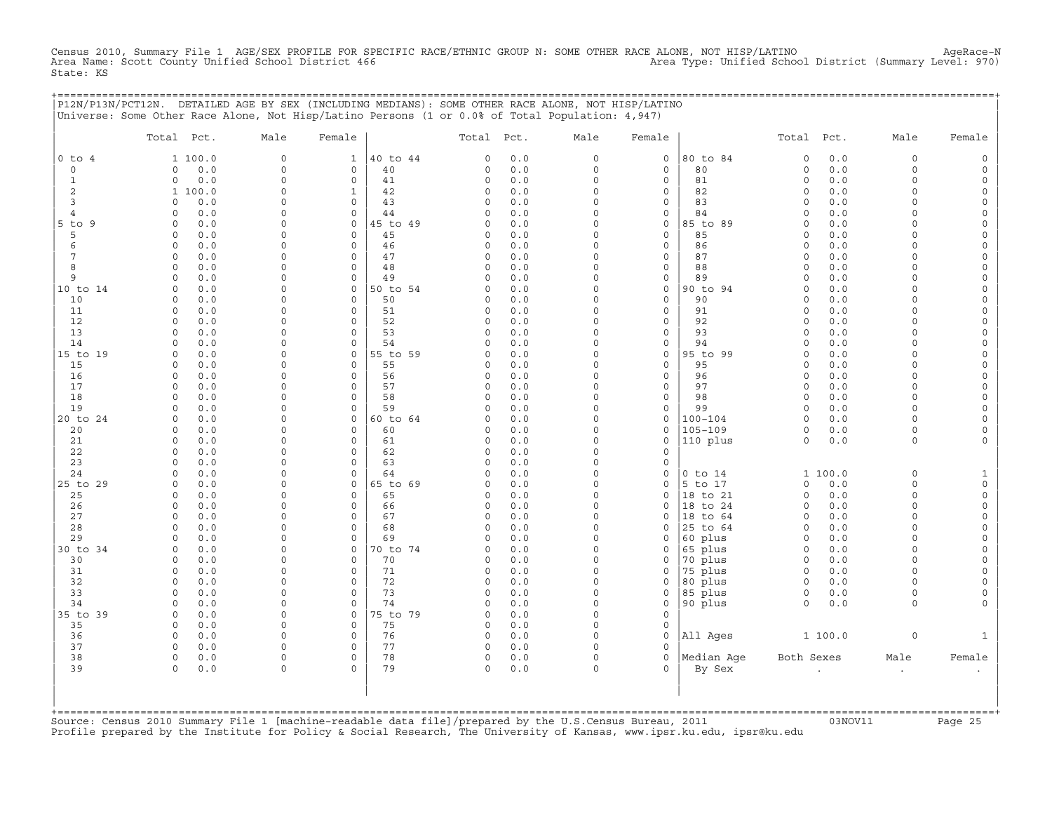Census 2010, Summary File 1 AGE/SEX PROFILE FOR SPECIFIC RACE/ETHNIC GROUP N: SOME OTHER RACE ALONE, NOT HISP/LATINO AgeRace−N Area Name: Scott County Unified School District 466 Area Type: Unified School District (Summary Level: 970) State: KS

+===================================================================================================================================================+

|              | Total Pct.                         | Male                    | Female                             |                | Total Pct.           |            | Male                    | Female                             |                      | Total Pct.                 |            | Male                 | Female                                     |
|--------------|------------------------------------|-------------------------|------------------------------------|----------------|----------------------|------------|-------------------------|------------------------------------|----------------------|----------------------------|------------|----------------------|--------------------------------------------|
| $0$ to $4$   | 1 100.0                            | $\mathsf{O}$            | 1                                  | 40 to 44       | 0                    | 0.0        | $\circ$                 | 0                                  | 80 to 84             | $\mathbf 0$                | 0.0        | 0                    | $\circ$                                    |
| $\circ$      | $0.0$<br>$\circ$                   | $\circ$                 | $\mathsf{O}\xspace$                | 40             | $\circ$              | $0.0$      | $\mathbf 0$             | $\mathbf 0$                        | 80                   | $\circ$                    | 0.0        | $\circ$              | $\mathsf{O}\xspace$                        |
| $\mathbf{1}$ | 0.0<br>0                           | $\mathbf 0$             | 0                                  | 41             | 0                    | 0.0        | $\mathbf 0$             | $\mathbf 0$                        | 81                   | $\circ$                    | 0.0        | $\circ$              | $\mathsf{O}$                               |
| $\sqrt{2}$   | 1 100.0                            | $\mathbf 0$             | $\mathbf{1}$                       | 42             | 0                    | 0.0        | $\mathbf 0$             | $\mathsf{O}\xspace$                | 82                   | $\mathsf O$                | 0.0        | $\circ$              | $\mathsf{O}\xspace$                        |
| 3            | 0.0<br>$\Omega$                    | $\Omega$                | $\circ$                            | 43             | $\Omega$             | $0.0$      | $\Omega$                | $\mathbf 0$                        | 83                   | $\mathbf 0$                | 0.0        | $\Omega$             | $\mathsf O$                                |
| 4            | 0.0<br>$\circ$                     | $\mathbf 0$             | 0                                  | 44             | 0                    | 0.0        | $\Omega$                | $\mathsf{O}$                       | 84                   | $\mathbf 0$                | 0.0        | 0                    | 0                                          |
| 5 to 9<br>5  | $0.0$<br>$\circ$<br>0.0<br>$\circ$ | $\mathbf 0$<br>$\Omega$ | $\circ$<br>$\mathbf{0}$            | 45 to 49<br>45 | $\Omega$<br>$\Omega$ | 0.0<br>0.0 | $\mathbf 0$<br>$\Omega$ | $\mathsf{O}\xspace$<br>$\mathbf 0$ | 85 to 89<br>85       | $\mathbf 0$<br>$\Omega$    | 0.0<br>0.0 | $\Omega$<br>$\Omega$ | $\mathsf{O}\xspace$<br>$\mathsf{O}\xspace$ |
| 6            | $\circ$<br>0.0                     | $\mathbf 0$             | $\mathsf{O}\xspace$                | 46             | 0                    | 0.0        | $\mathbf 0$             | $\mathsf{O}\xspace$                | 86                   | $\mathbf 0$                | $0.0$      | $\Omega$             | $\mathsf{O}\xspace$                        |
| 7            | $\Omega$<br>0.0                    | $\Omega$                | $\mathbf 0$                        | 47             | $\circ$              | 0.0        | $\Omega$                | $\mathbf 0$                        | 87                   | $\mathbf 0$                | 0.0        | $\circ$              | 0                                          |
| 8            | 0.0<br>$\Omega$                    | $\Omega$                | $\mathbf{0}$                       | 48             | $\circ$              | 0.0        | $\Omega$                | $\mathbf 0$                        | 88                   | $\mathbf 0$                | 0.0        | $\circ$              | $\mathsf O$                                |
| 9            | 0.0<br>$\circ$                     | $\mathsf{O}\xspace$     | $\mathsf{O}\xspace$                | 49             | $\circ$              | 0.0        | $\mathbf 0$             | $\mathsf{O}\xspace$                | 89                   | $\mathsf O$                | 0.0        | $\Omega$             | $\mathsf{O}\xspace$                        |
| 10 to 14     | $\Omega$<br>0.0                    | $\Omega$                | 0                                  | 50 to 54       | 0                    | 0.0        | $\Omega$                | $\mathsf{O}\xspace$                | 90 to 94             | $\mathbf 0$                | 0.0        | $\circ$              | 0                                          |
| 10           | 0.0<br>$\circ$                     | $\mathbf 0$             | $\mathsf{O}\xspace$                | 50             | 0                    | 0.0        | $\mathbf 0$             | $\mathsf{O}\xspace$                | 90                   | $\mathsf O$                | 0.0        | $\circ$              | $\mathsf{O}\xspace$                        |
| 11           | 0.0<br>$\circ$                     | $\Omega$                | $\circ$                            | 51             | 0                    | 0.0        | $\Omega$                | $\mathbf 0$                        | 91                   | $\mathbf 0$                | 0.0        | $\Omega$             | 0                                          |
| 12           | 0.0<br>$\circ$                     | $\Omega$                | $\mathbf 0$                        | 52             | 0                    | 0.0        | $\Omega$                | $\mathbf 0$                        | 92                   | $\mathbf 0$                | 0.0        | 0                    | 0                                          |
| 13           | 0.0<br>$\circ$                     | $\mathbf 0$             | 0                                  | 53             | 0                    | 0.0        | $\circ$                 | $\mathsf{O}$                       | 93                   | $\mathsf O$                | 0.0        | 0                    | $\mathsf{O}\xspace$                        |
| 14           | 0.0<br>$\Omega$                    | $\mathbf 0$             | $\mathbf 0$                        | 54             | 0                    | 0.0        | $\Omega$                | $\mathsf{O}$                       | 94                   | $\mathbf 0$                | 0.0        | $\circ$              | $\mathsf{O}\xspace$                        |
| 15 to 19     | $\circ$<br>0.0                     | $\Omega$                | $\mathsf{O}\xspace$                | 55 to 59       | $\circ$              | $0.0$      | $\mathbf 0$             | $\mathsf{O}\xspace$                | 95 to 99             | $\mathsf O$                | 0.0        | $\circ$              | $\mathsf{O}\xspace$                        |
| 15<br>16     | 0.0<br>$\Omega$<br>0.0<br>$\circ$  | $\Omega$<br>$\Omega$    | $\mathbf 0$<br>$\mathbf 0$         | 55<br>56       | $\circ$              | 0.0<br>0.0 | $\Omega$<br>$\Omega$    | $\mathbf 0$<br>0                   | 95<br>96             | $\Omega$<br>$\mathbf 0$    | 0.0<br>0.0 | $\circ$<br>0         | $\mathsf{O}\xspace$<br>0                   |
| 17           | $\circ$<br>0.0                     | $\mathbf 0$             | $\mathsf{O}\xspace$                | 57             | 0<br>0               | $0.0$      | $\mathbf 0$             | $\mathsf{O}\xspace$                | 97                   | $\mathsf O$                | 0.0        | $\Omega$             | $\mathsf{O}\xspace$                        |
| 18           | 0.0<br>$\Omega$                    | $\Omega$                | $\mathbf 0$                        | 58             | $\circ$              | 0.0        | $\Omega$                | $\mathbf 0$                        | 98                   | $\Omega$                   | 0.0        | $\circ$              | $\mathsf{O}\xspace$                        |
| 19           | 0.0<br>$\Omega$                    | $\mathbf 0$             | $\circ$                            | 59             | $\Omega$             | 0.0        | $\mathbf 0$             | $\mathsf{O}\xspace$                | 99                   | $\circ$                    | 0.0        | $\Omega$             | $\mathsf{O}\xspace$                        |
| 20 to 24     | $\circ$<br>0.0                     | $\Omega$                | $\mathbf{0}$                       | 60 to 64       | 0                    | 0.0        | $\Omega$                | $\mathbf 0$                        | $100 - 104$          | $\circ$                    | 0.0        | $\circ$              | $\mathsf{O}\xspace$                        |
| 20           | 0.0<br>$\Omega$                    | 0                       | 0                                  | 60             | 0                    | 0.0        | $\circ$                 | 0                                  | $105 - 109$          | $\mathbf 0$                | 0.0        | 0                    | 0                                          |
| 21           | $0.0$<br>$\circ$                   | $\Omega$                | $\circ$                            | 61             | 0                    | 0.0        | $\Omega$                | $\mathsf{O}\xspace$                | 110 plus             | $\Omega$                   | $0.0$      | $\circ$              | $\circ$                                    |
| 22           | $\circ$<br>0.0                     | $\Omega$                | $\circ$                            | 62             | $\circ$              | 0.0        | $\Omega$                | $\mathbf 0$                        |                      |                            |            |                      |                                            |
| 23           | 0.0<br>$\circ$                     | $\mathbf 0$             | $\mathsf{O}\xspace$                | 63             | 0                    | 0.0        | $\mathbf 0$             | $\mathsf{O}$                       |                      |                            |            |                      |                                            |
| 24           | 0.0<br>$\Omega$                    | $\Omega$                | $\Omega$                           | 64             | $\Omega$             | 0.0        | $\Omega$                | $\mathbf 0$                        | $0$ to $14$          |                            | 1 100.0    | $\circ$              | $\mathbf{1}$                               |
| 25 to 29     | 0.0<br>$\circ$                     | $\mathbf 0$             | 0                                  | 65 to 69       | 0                    | 0.0        | $\circ$                 | $\mathsf{O}$                       | 5 to 17              | $\mathsf O$                | 0.0        | $\circ$              | $\mathsf{O}\xspace$                        |
| 25           | 0.0<br>$\Omega$                    | $\mathbf 0$<br>$\Omega$ | 0                                  | 65             | 0                    | 0.0        | $\mathbf 0$<br>$\Omega$ | $\mathsf{O}$                       | 18 to 21             | $\mathbf 0$                | 0.0        | $\Omega$             | $\mathsf{O}$                               |
| 26<br>27     | 0.0<br>$\Omega$<br>$\circ$<br>0.0  | $\mathbf 0$             | $\mathbf 0$<br>$\mathsf{O}\xspace$ | 66<br>67       | 0<br>0               | 0.0<br>0.0 | $\mathbf 0$             | $\Omega$<br>$\mathbf 0$            | 18 to 24<br>18 to 64 | $\mathbf 0$<br>$\mathsf O$ | 0.0<br>0.0 | 0<br>0               | $\mathsf{O}$<br>$\mathsf{O}\xspace$        |
| 28           | 0.0<br>$\Omega$                    | $\mathbf 0$             | $\mathbf{0}$                       | 68             | $\circ$              | 0.0        | $\Omega$                | $\Omega$                           | 25 to 64             | $\mathbf 0$                | 0.0        | $\circ$              | $\mathsf{O}\xspace$                        |
| 29           | 0.0<br>$\Omega$                    | $\Omega$                | $\mathbf 0$                        | 69             | $\Omega$             | 0.0        | $\Omega$                | $\mathbf 0$                        | 60 plus              | $\mathbf 0$                | 0.0        | $\Omega$             | 0                                          |
| 30 to 34     | $\circ$<br>0.0                     | $\mathbf 0$             | 0                                  | 70 to 74       | 0                    | 0.0        | $\circ$                 | $\mathsf{O}$                       | 65 plus              | $\mathsf O$                | 0.0        | 0                    | $\mathsf{O}\xspace$                        |
| 30           | 0.0<br>$\Omega$                    | $\Omega$                | $\mathbf 0$                        | 70             | 0                    | 0.0        | $\Omega$                | $\mathbf 0$                        | 70 plus              | $\circ$                    | 0.0        | $\circ$              | 0                                          |
| 31           | 0.0<br>$\circ$                     | $\Omega$                | $\mathsf{O}\xspace$                | 71             | 0                    | 0.0        | $\Omega$                | $\mathbf 0$                        | 75 plus              | $\circ$                    | $0.0$      | $\Omega$             | $\mathsf{O}$                               |
| 32           | $\circ$<br>0.0                     | $\Omega$                | $\mathbf 0$                        | 72             | $\circ$              | 0.0        | $\Omega$                | $\mathbf 0$                        | 80 plus              | $\mathsf O$                | 0.0        | $\Omega$             | 0                                          |
| 33           | 0.0<br>$\Omega$                    | $\mathbf 0$             | $\mathbf 0$                        | 73             | $\circ$              | 0.0        | $\Omega$                | 0                                  | 85 plus              | $\circ$                    | 0.0        | 0                    | 0                                          |
| 34           | $0.0$<br>$\circ$                   | $\mathbf 0$             | 0                                  | 74             | $\Omega$             | 0.0        | $\mathbf 0$             | $\mathsf{O}\xspace$                | 90 plus              | $\circ$                    | 0.0        | 0                    | 0                                          |
| 35 to 39     | 0.0<br>$\circ$                     | $\Omega$                | 0                                  | 75 to 79       | 0                    | 0.0        | $\mathbf 0$             | $\mathbf 0$                        |                      |                            |            |                      |                                            |
| 35           | 0.0<br>$\circ$                     | $\mathbf 0$             | $\mathsf{O}\xspace$                | 75             | 0                    | 0.0        | $\Omega$                | $\mathbf 0$                        |                      |                            |            |                      |                                            |
| 36           | 0.0<br>$\Omega$                    | $\Omega$<br>$\mathbf 0$ | $\mathbf 0$<br>$\mathbf 0$         | 76<br>77       | $\circ$              | 0.0        | $\Omega$<br>$\Omega$    | $\mathbf 0$                        | All Ages             |                            | 1 100.0    | 0                    | $\mathbf{1}$                               |
| 37<br>38     | $\circ$<br>0.0<br>$\circ$<br>0.0   | $\mathbf 0$             | $\mathsf{O}\xspace$                | 78             | 0<br>0               | 0.0<br>0.0 | $\mathbf 0$             | $\mathbf 0$<br>$\mathbf 0$         | Median Aqe           | Both Sexes                 |            | Male                 | Female                                     |
| 39           | 0.0<br>$\Omega$                    | $\Omega$                | $\Omega$                           | 79             | $\circ$              | 0.0        | $\Omega$                | $\Omega$                           | By Sex               |                            |            | $\cdot$              | $\ddot{\phantom{0}}$                       |
|              |                                    |                         |                                    |                |                      |            |                         |                                    |                      |                            |            |                      |                                            |

+===================================================================================================================================================+Source: Census 2010 Summary File 1 [machine−readable data file]/prepared by the U.S.Census Bureau, 2011 03NOV11 Page 25 Profile prepared by the Institute for Policy & Social Research, The University of Kansas, www.ipsr.ku.edu, ipsr@ku.edu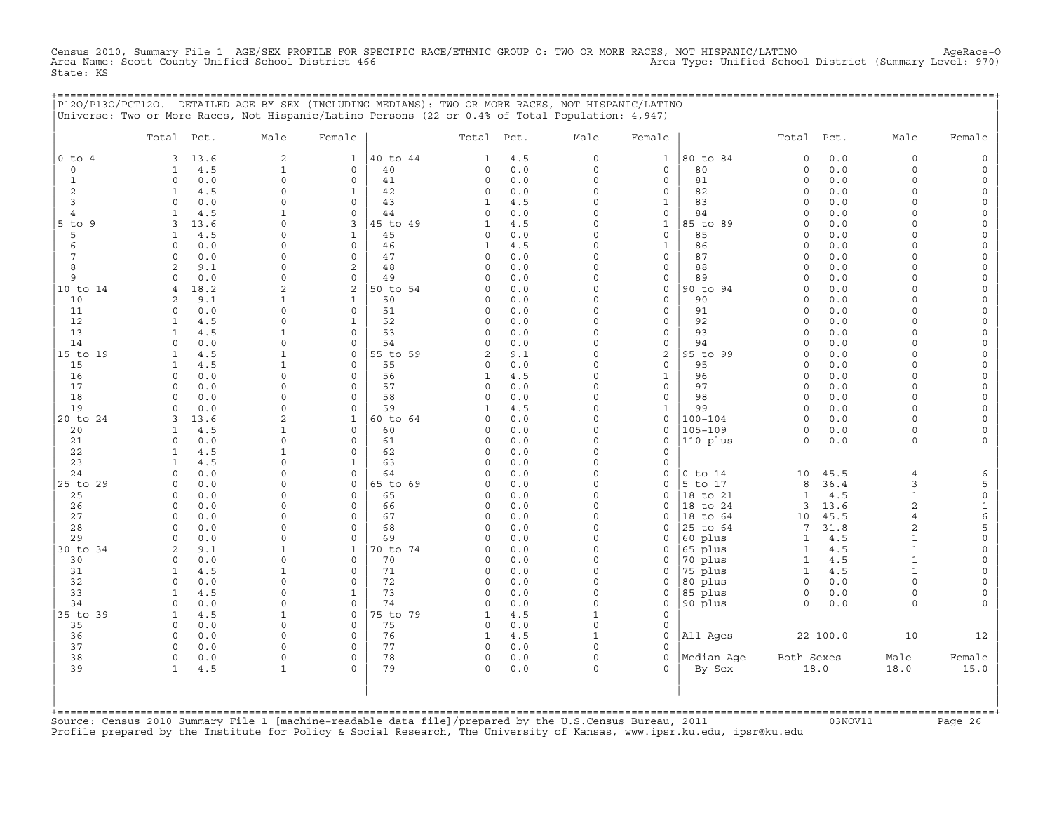Census 2010, Summary File 1 AGE/SEX PROFILE FOR SPECIFIC RACE/ETHNIC GROUP O: TWO OR MORE RACES, NOT HISPANIC/LATINO AgeRace-O<br>Area Name: Scott County Unified School District 466 State: KS

|                             | P120/P130/PCT120. DETAILED AGE BY SEX (INCLUDING MEDIANS): TWO OR MORE RACES, NOT HISPANIC/LATINO<br>Universe: Two or More Races, Not Hispanic/Latino Persons (22 or 0.4% of Total Population: 4,947) |                                |                              |                |                     |            |                          |                             | ============================= |                      |            |                              |          |
|-----------------------------|-------------------------------------------------------------------------------------------------------------------------------------------------------------------------------------------------------|--------------------------------|------------------------------|----------------|---------------------|------------|--------------------------|-----------------------------|-------------------------------|----------------------|------------|------------------------------|----------|
|                             | Total Pct.                                                                                                                                                                                            | Male                           | Female                       |                | Total Pct.          |            | Male                     | Female                      |                               | Total Pct.           |            | Male                         | Female   |
| $0$ to $4$<br>$\circ$       | 13.6<br>3<br>4.5<br>1                                                                                                                                                                                 | $\overline{a}$<br>$\mathbf{1}$ | $\mathbf{1}$<br>0            | 40 to 44<br>40 | 1<br>$\circ$        | 4.5<br>0.0 | $\circ$<br>$\circ$       | $\mathbf{1}$<br>$\mathbf 0$ | 80 to 84<br>80                | $\Omega$<br>$\circ$  | 0.0<br>0.0 | $\mathbf 0$<br>$\mathbf 0$   |          |
| $\mathbf{1}$                | 0.0<br>$\Omega$                                                                                                                                                                                       | $\Omega$                       | $\mathbf 0$                  | 41             | $\circ$             | 0.0        | $\Omega$                 | $\mathbf 0$                 | 81                            | $\Omega$             | 0.0        | $\Omega$                     |          |
| 2                           | $\mathbf{1}$<br>4.5                                                                                                                                                                                   | $\Omega$                       | $\mathbf{1}$                 | 42             | 0                   | 0.0        | $\Omega$                 | 0                           | 82                            | $\mathbf 0$          | 0.0        | $\Omega$                     |          |
| 3                           | $\Omega$<br>0.0                                                                                                                                                                                       | $\Omega$                       | $\mathbf 0$                  | 43             | $\mathbf{1}$        | 4.5        | $\Omega$                 | $\mathbf{1}$                | 83                            | $\mathbf 0$          | 0.0        | $\cap$                       | $\Omega$ |
| $\overline{4}$              | 4.5<br>1                                                                                                                                                                                              | $\mathbf{1}$                   | $\mathbf{0}$                 | 44             | $\circ$             | 0.0        | $\Omega$                 | $\mathsf{O}\xspace$         | 84                            | $\Omega$             | 0.0        | $\Omega$                     |          |
| $5$ to $9$<br>5             | 13.6<br>3<br>4.5                                                                                                                                                                                      | $\Omega$<br>$\Omega$           | 3                            | 45 to 49       | $\mathbf{1}$        | 4.5<br>0.0 | $\Omega$<br>$\Omega$     | $\mathbf{1}$<br>$\mathbf 0$ | 85 to 89<br>85                | $\Omega$<br>$\Omega$ | 0.0<br>0.0 | ∩                            |          |
| 6                           | 1<br>0.0<br>$\Omega$                                                                                                                                                                                  | $\Omega$                       | 1<br>$\mathbf{0}$            | 45<br>46       | 0<br>1              | 4.5        | $\Omega$                 | 1                           | 86                            | $\Omega$             | 0.0        | $\cap$                       |          |
| 7                           | $\Omega$<br>0.0                                                                                                                                                                                       | $\Omega$                       | $\Omega$                     | 47             | $\circ$             | 0.0        | $\Omega$                 | $\mathbf{0}$                | 87                            | $\Omega$             | 0.0        | $\cap$                       |          |
| 8                           | 2<br>9.1                                                                                                                                                                                              | $\Omega$                       | $\overline{a}$               | 48             | $\circ$             | 0.0        | $\Omega$                 | $\mathbf 0$                 | 88                            | $\Omega$             | 0.0        | $\Omega$                     |          |
| 9                           | $\Omega$<br>0.0                                                                                                                                                                                       | $\Omega$                       | $\mathbf 0$                  | 49             | $\Omega$            | 0.0        | $\Omega$                 | 0                           | 89                            | $\Omega$             | 0.0        |                              |          |
| 10 to 14                    | $\overline{4}$<br>18.2                                                                                                                                                                                | $\overline{a}$                 | $\overline{a}$               | 50 to 54       | $\Omega$            | 0.0        | $\Omega$                 | $\mathbf 0$                 | 90 to 94                      | $\Omega$             | 0.0        |                              |          |
| 10                          | 2<br>9.1                                                                                                                                                                                              | $\mathbf{1}$                   | $\mathbf{1}$                 | 50             | 0                   | 0.0        | $\Omega$                 | $\mathsf{O}\xspace$         | 90                            | $\Omega$             | 0.0        | $\cap$<br>$\cap$             |          |
| 11<br>12                    | $\circ$<br>0.0<br>4.5<br>$\mathbf{1}$                                                                                                                                                                 | $\Omega$<br>$\Omega$           | $\mathsf{O}$<br>$\mathbf{1}$ | 51<br>52       | 0<br>$\Omega$       | 0.0<br>0.0 | $\Omega$<br>$\cap$       | 0<br>$\mathbf 0$            | 91<br>92                      | $\Omega$<br>$\Omega$ | 0.0<br>0.0 |                              |          |
| 13                          | $\mathbf{1}$<br>4.5                                                                                                                                                                                   | $\mathbf{1}$                   | $\Omega$                     | 53             | $\Omega$            | 0.0        | $\Omega$                 | $\mathbf 0$                 | 93                            | $\Omega$             | 0.0        |                              |          |
| 14                          | $\Omega$<br>0.0                                                                                                                                                                                       | $\Omega$                       | $\Omega$                     | 54             | $\Omega$            | 0.0        | $\Omega$                 | $\mathbf 0$                 | 94                            | $\Omega$             | 0.0        | ∩                            |          |
| 15 to 19                    | 4.5<br>$\mathbf{1}$                                                                                                                                                                                   | $\mathbf{1}$                   | 0                            | 55 to 59       | 2                   | 9.1        | $\Omega$                 | 2                           | 95 to 99                      | $\Omega$             | 0.0        | $\cap$                       |          |
| 15                          | 4.5<br>$\mathbf{1}$                                                                                                                                                                                   | $\mathbf{1}$                   | $\Omega$                     | 55             | $\circ$             | 0.0        | $\Omega$                 | $\mathbf 0$                 | 95                            | $\Omega$             | 0.0        | $\Omega$                     |          |
| 16                          | $\circ$<br>0.0                                                                                                                                                                                        | $\Omega$                       | $\circ$                      | 56             | $\mathbf{1}$        | 4.5        | $\circ$                  | $\mathbf{1}$                | 96                            | $\circ$              | 0.0        | $\Omega$                     |          |
| 17<br>18                    | $\Omega$<br>0.0<br>$\Omega$<br>0.0                                                                                                                                                                    | $\Omega$<br>$\Omega$           | 0<br>0                       | 57<br>58       | $\circ$<br>$\circ$  | 0.0<br>0.0 | $\Omega$<br>$\Omega$     | 0<br>$\mathbf 0$            | 97<br>98                      | $\Omega$<br>$\Omega$ | 0.0<br>0.0 | $\Omega$<br>$\Omega$         |          |
| 19                          | $\circ$<br>0.0                                                                                                                                                                                        | $\Omega$                       | $\circ$                      | 59             | 1                   | 4.5        | $\Omega$                 | $\mathbf{1}$                | 99                            | $\circ$              | 0.0        | $\Omega$                     |          |
| 20 to 24                    | 3<br>13.6                                                                                                                                                                                             | $\mathfrak{D}$                 | $\mathbf{1}$                 | 60 to 64       | $\Omega$            | 0.0        | $\Omega$                 | $\mathbf 0$                 | $100 - 104$                   | $\Omega$             | 0.0        | $\cap$                       |          |
| 20                          | 4.5<br>$\mathbf{1}$                                                                                                                                                                                   | 1                              | $\Omega$                     | 60             | $\Omega$            | 0.0        | $\Omega$                 | $\Omega$                    | $105 - 109$                   | $\Omega$             | 0.0        | $\cap$                       |          |
| 21                          | 0.0<br>$\mathbf 0$                                                                                                                                                                                    | $\Omega$                       | $\Omega$                     | 61             | 0                   | 0.0        | $\Omega$                 | $\mathbf 0$                 | 110 plus                      | $\Omega$             | 0.0        | $\Omega$                     |          |
| 22                          | 4.5<br>1                                                                                                                                                                                              | $\mathbf{1}$                   | 0                            | 62             | 0                   | 0.0        | $\Omega$                 | $\Omega$                    |                               |                      |            |                              |          |
| 23<br>24                    | 4.5<br>$\mathbf{1}$<br>0.0<br>$\Omega$                                                                                                                                                                | $\Omega$<br>$\Omega$           | $\mathbf{1}$<br>$\circ$      | 63<br>64       | $\circ$<br>$\Omega$ | 0.0<br>0.0 | $\Omega$<br>$\Omega$     | 0<br>$\mathbf 0$            | $0$ to $14$                   | 10                   | 45.5       | $\overline{4}$               |          |
| 25 to 29                    | $\circ$<br>0.0                                                                                                                                                                                        | $\Omega$                       | $\mathbf{0}$                 | 65 to 69       | $\circ$             | 0.0        | $\Omega$                 | $\mathbf 0$                 | 5 to 17                       | 8                    | 36.4       | 3                            | 5        |
| 25                          | $\circ$<br>0.0                                                                                                                                                                                        | $\Omega$                       | $\mathbf{0}$                 | 65             | 0                   | 0.0        | $\Omega$                 | 0                           | 18 to 21                      | $\mathbf{1}$         | 4.5        | $\mathbf{1}$                 | $\circ$  |
| 26                          | $\circ$<br>0.0                                                                                                                                                                                        | $\Omega$                       | 0                            | 66             | 0                   | 0.0        | $\cap$                   | $\mathbf 0$                 | 18 to 24                      | 3                    | 13.6       | 2                            | 1        |
| 27                          | $\circ$<br>0.0                                                                                                                                                                                        | $\Omega$                       | $\Omega$                     | 67             | $\circ$             | 0.0        | $\Omega$                 | $\mathbf 0$                 | 18 to 64                      | 10                   | 45.5       | $\overline{4}$               | 6        |
| 28                          | $\Omega$<br>0.0                                                                                                                                                                                       | $\Omega$                       | $\Omega$                     | 68             | $\Omega$            | 0.0        | $\Omega$                 | $\Omega$                    | 25 to 64                      | 7                    | 31.8       | 2                            | 5        |
| 29<br>30 to 34              | 0.0<br>$\Omega$<br>2<br>9.1                                                                                                                                                                           | $\Omega$<br>$\mathbf{1}$       | $\Omega$<br>1                | 69<br>70 to 74 | $\cap$<br>0         | 0.0<br>0.0 | $\cap$<br>$\Omega$       | $\Omega$<br>0               | 60 plus<br>65 plus            | $\mathbf{1}$<br>1    | 4.5<br>4.5 | $\mathbf{1}$<br>$\mathbf{1}$ | $\Omega$ |
| 30                          | 0.0<br>$\circ$                                                                                                                                                                                        | $\Omega$                       | 0                            | 70             | $\circ$             | 0.0        | $\Omega$                 | $\mathbf 0$                 | 70 plus                       | $\mathbf{1}$         | 4.5        | $\mathbf{1}$                 |          |
| 31                          | 4.5<br>$\mathbf{1}$                                                                                                                                                                                   | $\mathbf{1}$                   | $\circ$                      | 71             | 0                   | 0.0        | $\Omega$                 | $\mathbf 0$                 | 75 plus                       | $\mathbf{1}$         | 4.5        |                              |          |
| 32                          | $\circ$<br>0.0                                                                                                                                                                                        | $\Omega$                       | 0                            | 72             | 0                   | 0.0        | $\Omega$                 | 0                           | 80 plus                       | $\circ$              | 0.0        | $\Omega$                     |          |
| 33                          | 4.5<br>$\mathbf{1}$                                                                                                                                                                                   | $\Omega$                       | $\mathbf{1}$                 | 73             | $\circ$             | 0.0        | $\Omega$                 | 0                           | 85 plus                       | $\circ$              | 0.0        | $\Omega$                     |          |
| 34                          | 0.0<br>$\Omega$                                                                                                                                                                                       | $\Omega$                       | $\Omega$                     | 74             | $\Omega$            | 0.0        | $\Omega$                 | 0                           | 90 plus                       | $\Omega$             | 0.0        | $\Omega$                     |          |
| 35 to 39                    | 4.5<br>$\mathbf{1}$<br>$\Omega$                                                                                                                                                                       | $\mathbf{1}$<br>$\Omega$       | $\Omega$<br>$\Omega$         | 75 to 79       | $\mathbf{1}$        | 4.5        | $\mathbf{1}$<br>$\Omega$ | $\Omega$                    |                               |                      |            |                              |          |
| 35<br>36                    | 0.0<br>0.0<br>$\Omega$                                                                                                                                                                                | $\Omega$                       | 0                            | 75<br>76       | 0<br>1              | 0.0<br>4.5 | $\mathbf{1}$             | $\mathbf 0$<br>$\mathbf 0$  | All Ages                      |                      | 22 100.0   | 10                           | 12       |
| 37                          | $\Omega$<br>0.0                                                                                                                                                                                       | $\Omega$                       | $\Omega$                     | 77             | 0                   | 0.0        | $\cap$                   | $\Omega$                    |                               |                      |            |                              |          |
| 38                          | $\circ$<br>0.0                                                                                                                                                                                        | $\circ$                        | $\circ$                      | 78             | 0                   | 0.0        | $\circ$                  | $\mathbf 0$                 | Median Aqe                    | Both Sexes           |            | Male                         | Female   |
| 39                          | 4.5<br>$\mathbf{1}$                                                                                                                                                                                   | 1                              | $\Omega$                     | 79             | $\circ$             | 0.0        | $\Omega$                 | $\Omega$                    | By Sex                        |                      | 18.0       | 18.0                         | 15.0     |
|                             |                                                                                                                                                                                                       |                                |                              |                |                     |            |                          |                             |                               |                      |            |                              |          |
|                             |                                                                                                                                                                                                       |                                |                              |                |                     |            |                          |                             |                               |                      |            |                              |          |
| $+$ = = = = = = = = = = = = |                                                                                                                                                                                                       |                                |                              |                |                     |            |                          |                             |                               |                      |            |                              |          |

+===================================================================================================================================================+Source: Census 2010 Summary File 1 [machine−readable data file]/prepared by the U.S.Census Bureau, 2011 03NOV11 Page 26 Profile prepared by the Institute for Policy & Social Research, The University of Kansas, www.ipsr.ku.edu, ipsr@ku.edu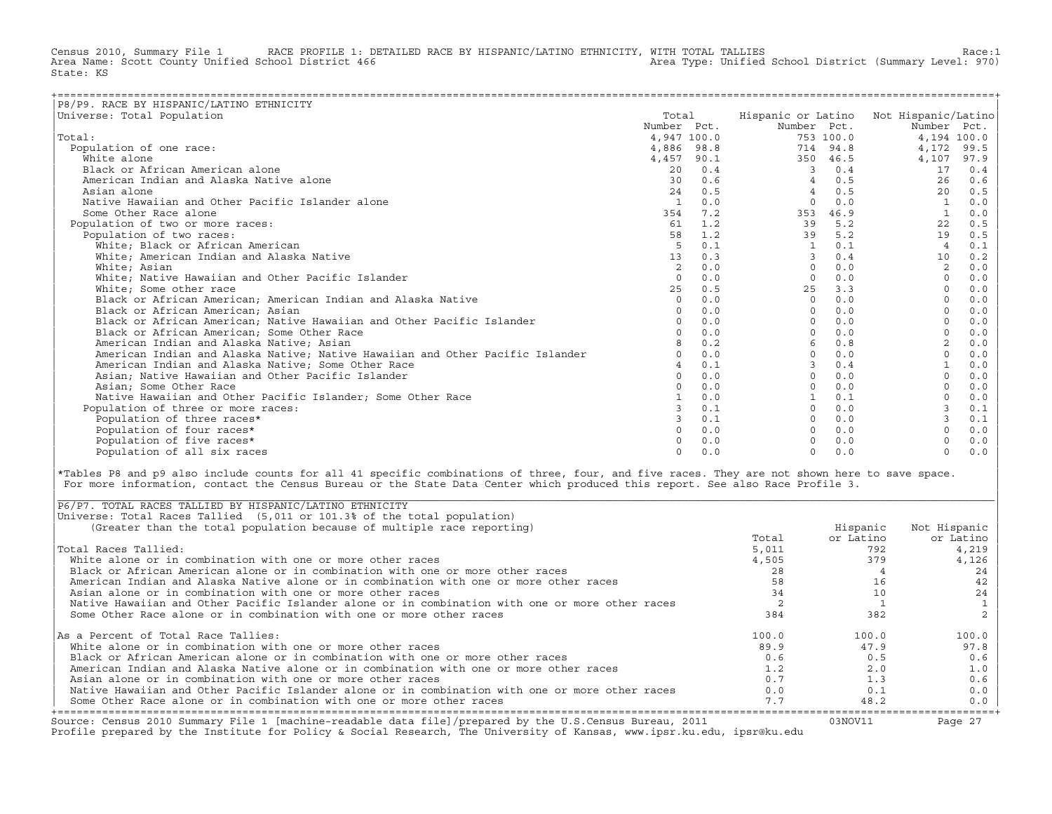Census 2010, Summary File 1 RACE PROFILE 1: DETAILED RACE BY HISPANIC/LATINO ETHNICITY, WITH TOTAL TALLIES Race:1<br>Area Name: Scott County Unified School District 466 Area Type: Unified School District (Summary Level: 970) Area Name: Scott County Unified School District 466 State: KS

| P8/P9. RACE BY HISPANIC/LATINO ETHNICITY                                      |              |     |             |           |                                        |      |
|-------------------------------------------------------------------------------|--------------|-----|-------------|-----------|----------------------------------------|------|
| Universe: Total Population                                                    | Total        |     |             |           | Hispanic or Latino Not Hispanic/Latino |      |
|                                                                               | Number Pct.  |     | Number Pct. |           | Number Pct.                            |      |
| Total:                                                                        | 4,947 100.0  |     |             | 753 100.0 | 4,194 100.0                            |      |
| Population of one race:                                                       | 4,886 98.8   |     |             | 714 94.8  | 4,172                                  | 99.5 |
| White alone                                                                   | 4,457 90.1   |     |             | 350 46.5  | 4,107                                  | 97.9 |
| Black or African American alone                                               | 20           | 0.4 |             | 0.4       | 17                                     | 0.4  |
| American Indian and Alaska Native alone                                       | 30           | 0.6 | 4           | 0.5       | 26                                     | 0.6  |
| Asian alone                                                                   | 24           | 0.5 |             | 0.5       | 20                                     | 0.5  |
| Native Hawaiian and Other Pacific Islander alone                              | $\mathbf{1}$ | 0.0 | $\Omega$    | 0.0       |                                        | 0.0  |
| Some Other Race alone                                                         | 354          | 7.2 | 353         | 46.9      |                                        | 0.0  |
| Population of two or more races:                                              | 61           | 1.2 | 39          | 5.2       | 22                                     | 0.5  |
| Population of two races:                                                      | 58           | 1.2 | 39          | 5.2       | 19                                     | 0.5  |
| White: Black or African American                                              | 5            | 0.1 | 1           | 0.1       | $\overline{4}$                         | 0.1  |
| White; American Indian and Alaska Native                                      | 13           | 0.3 | 3           | 0.4       | 10                                     | 0.2  |
| White; Asian                                                                  | 2            | 0.0 | $\Omega$    | 0.0       | 2                                      | 0.0  |
| White; Native Hawaiian and Other Pacific Islander                             | $\Omega$     | 0.0 | $\Omega$    | 0.0       | $\Omega$                               | 0.0  |
| White; Some other race                                                        | 2.5          | 0.5 | 25          | 3.3       |                                        | 0.0  |
| Black or African American; American Indian and Alaska Native                  | $\Omega$     | 0.0 | $\Omega$    | 0.0       |                                        | 0.0  |
| Black or African American; Asian                                              | $\Omega$     | 0.0 | $\Omega$    | 0.0       |                                        | 0.0  |
| Black or African American; Native Hawaiian and Other Pacific Islander         | $\Omega$     | 0.0 | $\Omega$    | 0.0       |                                        | 0.0  |
| Black or African American; Some Other Race                                    |              | 0.0 | $\Omega$    | 0.0       |                                        | 0.0  |
| American Indian and Alaska Native; Asian                                      |              | 0.2 | 6           | 0.8       |                                        | 0.0  |
| American Indian and Alaska Native; Native Hawaiian and Other Pacific Islander |              | 0.0 | $\Omega$    | 0.0       |                                        | 0.0  |
| American Indian and Alaska Native; Some Other Race                            |              | 0.1 |             | 0.4       |                                        | 0.0  |
| Asian; Native Hawaiian and Other Pacific Islander                             | $\Omega$     | 0.0 |             | 0.0       |                                        | 0.0  |
| Asian: Some Other Race                                                        |              | 0.0 |             | 0.0       |                                        | 0.0  |
| Native Hawaiian and Other Pacific Islander; Some Other Race                   |              | 0.0 |             | 0.1       |                                        | 0.0  |
| Population of three or more races:                                            |              | 0.1 | $\Omega$    | 0.0       |                                        | 0.1  |
| Population of three races*                                                    |              | 0.1 |             | 0.0       | 3                                      | 0.1  |
| Population of four races*                                                     |              | 0.0 |             | 0.0       |                                        | 0.0  |
| Population of five races*                                                     |              | 0.0 |             | 0.0       |                                        | 0.0  |
| Population of all six races                                                   | $\Omega$     | 0.0 | $\Omega$    | 0.0       | $\Omega$                               | 0.0  |

|\*Tables P8 and p9 also include counts for all 41 specific combinations of three, four, and five races. They are not shown here to save space. | For more information, contact the Census Bureau or the State Data Center which produced this report. See also Race Profile 3.

| |

|\_\_\_\_\_\_\_\_\_\_\_\_\_\_\_\_\_\_\_\_\_\_\_\_\_\_\_\_\_\_\_\_\_\_\_\_\_\_\_\_\_\_\_\_\_\_\_\_\_\_\_\_\_\_\_\_\_\_\_\_\_\_\_\_\_\_\_\_\_\_\_\_\_\_\_\_\_\_\_\_\_\_\_\_\_\_\_\_\_\_\_\_\_\_\_\_\_\_\_\_\_\_\_\_\_\_\_\_\_\_\_\_\_\_\_\_\_\_\_\_\_\_\_\_\_\_\_\_\_\_\_\_\_\_\_\_\_\_\_\_\_\_\_\_\_\_\_|

| Source: Census 2010 Summary File 1 [machine-readable data file]/prepared by the U.S.Census Bureau, 2011<br>Profile prepared by the Institute for Policy & Social Research, The University of Kansas, www.ipsr.ku.edu, ipsr@ku.edu |       | 03NOV11   | Page 27      |
|-----------------------------------------------------------------------------------------------------------------------------------------------------------------------------------------------------------------------------------|-------|-----------|--------------|
| Some Other Race alone or in combination with one or more other races                                                                                                                                                              | 7.7   | 48.2      | $0.0$        |
| Native Hawaiian and Other Pacific Islander alone or in combination with one or more other races                                                                                                                                   | 0.0   | 0.1       | 0.0          |
| Asian alone or in combination with one or more other races                                                                                                                                                                        | 0.7   | 1.3       | 0.6          |
| American Indian and Alaska Native alone or in combination with one or more other races                                                                                                                                            | 1.2   | 2.0       | 1.0          |
| Black or African American alone or in combination with one or more other races                                                                                                                                                    | 0.6   | 0.5       | 0.6          |
| White alone or in combination with one or more other races                                                                                                                                                                        | 89.9  | 47.9      | 97.8         |
| As a Percent of Total Race Tallies:                                                                                                                                                                                               | 100.0 | 100.0     | 100.0        |
| Some Other Race alone or in combination with one or more other races                                                                                                                                                              | 384   | 382       |              |
| Native Hawaiian and Other Pacific Islander alone or in combination with one or more other races                                                                                                                                   |       |           |              |
| Asian alone or in combination with one or more other races                                                                                                                                                                        | 34    | 10        | 24           |
| American Indian and Alaska Native alone or in combination with one or more other races                                                                                                                                            | 58    | 16        | 42           |
| Black or African American alone or in combination with one or more other races                                                                                                                                                    | 28    |           | 24           |
| White alone or in combination with one or more other races                                                                                                                                                                        | 4,505 | 379       | 4,126        |
| Total Races Tallied:                                                                                                                                                                                                              | 5,011 | 792       | 4,219        |
|                                                                                                                                                                                                                                   | Total | or Latino | or Latino    |
| (Greater than the total population because of multiple race reporting)                                                                                                                                                            |       | Hispanic  | Not Hispanic |
| Universe: Total Races Tallied (5,011 or 101.3% of the total population)                                                                                                                                                           |       |           |              |
| P6/P7. TOTAL RACES TALLIED BY HISPANIC/LATINO ETHNICITY                                                                                                                                                                           |       |           |              |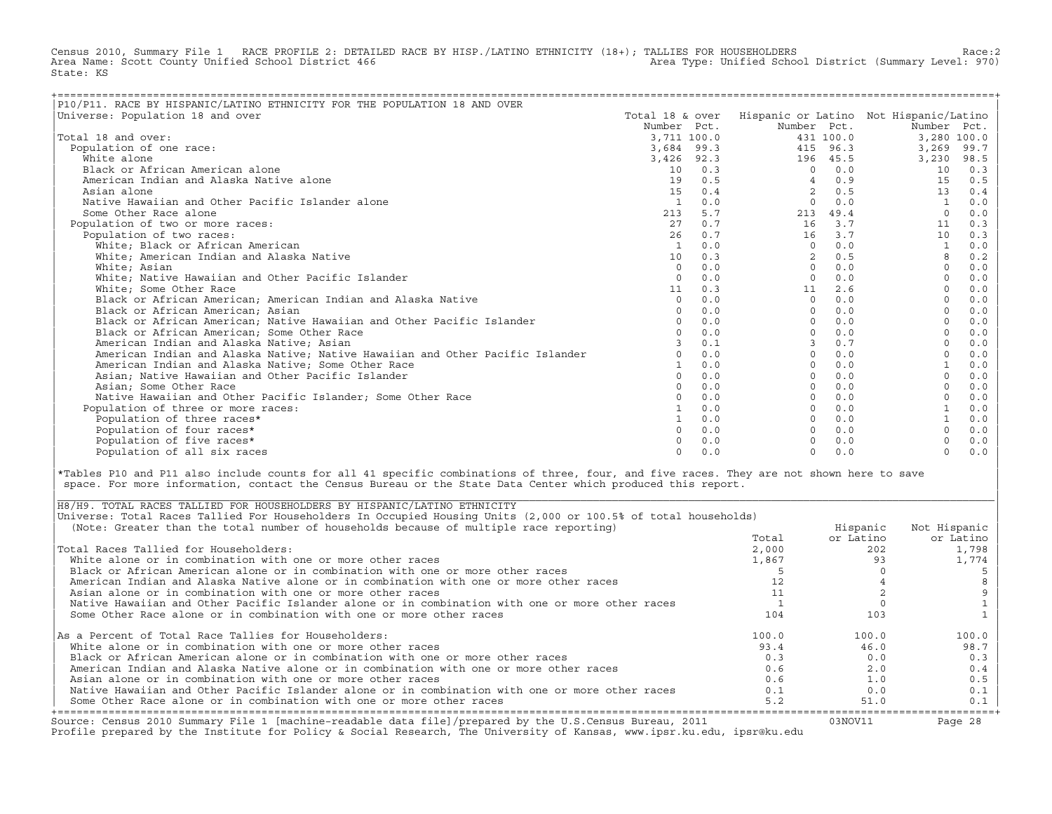Census 2010, Summary File 1 RACE PROFILE 2: DETAILED RACE BY HISP./LATINO ETHNICITY (18+); TALLIES FOR HOUSEHOLDERS Race:2<br>Area Name: Scott County Unified School District 466 Area Type: Unified School District (Summary Lev Area Type: Unified School District (Summary Level: 970) State: KS

| P10/P11. RACE BY HISPANIC/LATINO ETHNICITY FOR THE POPULATION 18 AND OVER     |                            |     |                |           |                                        |       |
|-------------------------------------------------------------------------------|----------------------------|-----|----------------|-----------|----------------------------------------|-------|
| Universe: Population 18 and over                                              | Total 18 & over            |     |                |           | Hispanic or Latino Not Hispanic/Latino |       |
|                                                                               | Number Pct.                |     | Number Pct.    |           | Number Pct.                            |       |
| Total 18 and over:                                                            | 3,711 100.0                |     |                | 431 100.0 | 3,280 100.0                            |       |
| Population of one race:                                                       |                            |     |                | 415 96.3  | 3,269                                  | 99.7  |
| White alone                                                                   | 3,684 99.3<br>$3,426$ 92.3 |     |                | 196 45.5  | 3,230                                  | 98.5  |
|                                                                               |                            | 0.3 |                | 0.0       |                                        |       |
| Black or African American alone                                               | 10                         |     | $\Omega$       |           | 10                                     | 0.3   |
| American Indian and Alaska Native alone                                       | 19                         | 0.5 |                | 0.9       | 15                                     | 0.5   |
| Asian alone                                                                   | 15                         | 0.4 | $\overline{2}$ | 0.5       | 13                                     | 0.4   |
| Native Hawaiian and Other Pacific Islander alone                              | $\mathbf{1}$               | 0.0 | $\Omega$       | 0.0       |                                        | 0.0   |
| Some Other Race alone                                                         | 213                        | 5.7 | 213            | 49.4      |                                        | 0.0   |
| Population of two or more races:                                              | 27                         | 0.7 | 16             | 3.7       | 11                                     | 0.3   |
| Population of two races:                                                      | 26                         | 0.7 | 16             | 3.7       | 10                                     | 0.3   |
| White; Black or African American                                              | $\overline{1}$             | 0.0 | $\Omega$       | 0.0       |                                        | 0.0   |
| White; American Indian and Alaska Native                                      | 10                         | 0.3 | $\overline{2}$ | 0.5       |                                        | 0.2   |
| White; Asian                                                                  | $\Omega$                   | 0.0 | $\Omega$       | 0.0       | $\Omega$                               | 0.0   |
| White; Native Hawaiian and Other Pacific Islander                             | $\Omega$                   | 0.0 | $\Omega$       | 0.0       |                                        | 0.0   |
| White; Some Other Race                                                        | 11                         | 0.3 | 11             | 2.6       |                                        | 0.0   |
| Black or African American; American Indian and Alaska Native                  | $\Omega$                   | 0.0 | $\Omega$       | 0.0       |                                        | 0.0   |
| Black or African American; Asian                                              |                            | 0.0 | $\Omega$       | 0.0       |                                        | 0.0   |
| Black or African American; Native Hawaiian and Other Pacific Islander         |                            | 0.0 | $\Omega$       | 0.0       |                                        | 0.0   |
| Black or African American; Some Other Race                                    |                            | 0.0 | $\Omega$       | 0.0       |                                        | 0.0   |
| American Indian and Alaska Native; Asian                                      |                            | 0.1 |                | 0.7       |                                        | 0.0   |
| American Indian and Alaska Native; Native Hawaiian and Other Pacific Islander |                            | 0.0 | $\Omega$       | 0.0       |                                        | 0.0   |
| American Indian and Alaska Native; Some Other Race                            |                            | 0.0 | $\Omega$       | 0.0       |                                        | 0.0   |
| Asian; Native Hawaiian and Other Pacific Islander                             | $\cap$                     | 0.0 | $\Omega$       | 0.0       | $\Omega$                               | 0.0   |
| Asian; Some Other Race                                                        |                            | 0.0 | $\Omega$       | 0.0       |                                        | 0.0   |
| Native Hawaiian and Other Pacific Islander: Some Other Race                   |                            | 0.0 | $\Omega$       | 0.0       |                                        | 0.0   |
| Population of three or more races:                                            |                            | 0.0 | $\Omega$       | 0.0       |                                        | 0.0   |
| Population of three races*                                                    |                            | 0.0 | $\Omega$       | 0.0       |                                        | 0.0   |
| Population of four races*                                                     |                            | 0.0 | $\Omega$       | 0.0       |                                        | 0.0   |
| Population of five races*                                                     |                            | 0.0 |                | 0.0       |                                        | $0.0$ |
| Population of all six races                                                   | $\cap$                     | 0.0 | $\Omega$       | 0.0       | $\Omega$                               | 0.0   |

|\*Tables P10 and P11 also include counts for all 41 specific combinations of three, four, and five races. They are not shown here to save | space. For more information, contact the Census Bureau or the State Data Center which produced this report.

| Source: Census 2010 Summary File 1 [machine-readable data file]/prepared by the U.S.Census Bureau, 2011<br>Profile prepared by the Institute for Policy & Social Research, The University of Kansas, www.ipsr.ku.edu, ipsr@ku.edu |       | 03NOV11   | Page 28      |
|-----------------------------------------------------------------------------------------------------------------------------------------------------------------------------------------------------------------------------------|-------|-----------|--------------|
| Some Other Race alone or in combination with one or more other races                                                                                                                                                              | 5.2   | 51.0      | $0.1$        |
| Native Hawaiian and Other Pacific Islander alone or in combination with one or more other races                                                                                                                                   | 0.1   | 0.0       | 0.1          |
| Asian alone or in combination with one or more other races                                                                                                                                                                        | 0.6   | 1.0       | 0.5          |
| American Indian and Alaska Native alone or in combination with one or more other races                                                                                                                                            | 0.6   | 2.0       | 0.4          |
| Black or African American alone or in combination with one or more other races                                                                                                                                                    | 0.3   | 0.0       | 0.3          |
| White alone or in combination with one or more other races                                                                                                                                                                        | 93.4  | 46.0      | 98.7         |
| As a Percent of Total Race Tallies for Householders:                                                                                                                                                                              | 100.0 | 100.0     | 100.0        |
| Some Other Race alone or in combination with one or more other races                                                                                                                                                              | 104   | 103       |              |
| Native Hawaiian and Other Pacific Islander alone or in combination with one or more other races                                                                                                                                   |       |           |              |
| Asian alone or in combination with one or more other races                                                                                                                                                                        |       |           |              |
| American Indian and Alaska Native alone or in combination with one or more other races                                                                                                                                            |       |           |              |
| Black or African American alone or in combination with one or more other races                                                                                                                                                    |       |           |              |
| White alone or in combination with one or more other races                                                                                                                                                                        | 1,867 | 93        | 1,774        |
| Total Races Tallied for Householders:                                                                                                                                                                                             | 2,000 | 202       | 1,798        |
|                                                                                                                                                                                                                                   | Total | or Latino | or Latino    |
| (Note: Greater than the total number of households because of multiple race reporting)                                                                                                                                            |       | Hispanic  | Not Hispanic |
| Universe: Total Races Tallied For Householders In Occupied Housing Units (2,000 or 100.5% of total households)                                                                                                                    |       |           |              |
| H8/H9. TOTAL RACES TALLIED FOR HOUSEHOLDERS BY HISPANIC/LATINO ETHNICITY                                                                                                                                                          |       |           |              |

| |

|\_\_\_\_\_\_\_\_\_\_\_\_\_\_\_\_\_\_\_\_\_\_\_\_\_\_\_\_\_\_\_\_\_\_\_\_\_\_\_\_\_\_\_\_\_\_\_\_\_\_\_\_\_\_\_\_\_\_\_\_\_\_\_\_\_\_\_\_\_\_\_\_\_\_\_\_\_\_\_\_\_\_\_\_\_\_\_\_\_\_\_\_\_\_\_\_\_\_\_\_\_\_\_\_\_\_\_\_\_\_\_\_\_\_\_\_\_\_\_\_\_\_\_\_\_\_\_\_\_\_\_\_\_\_\_\_\_\_\_\_\_\_\_\_\_\_\_|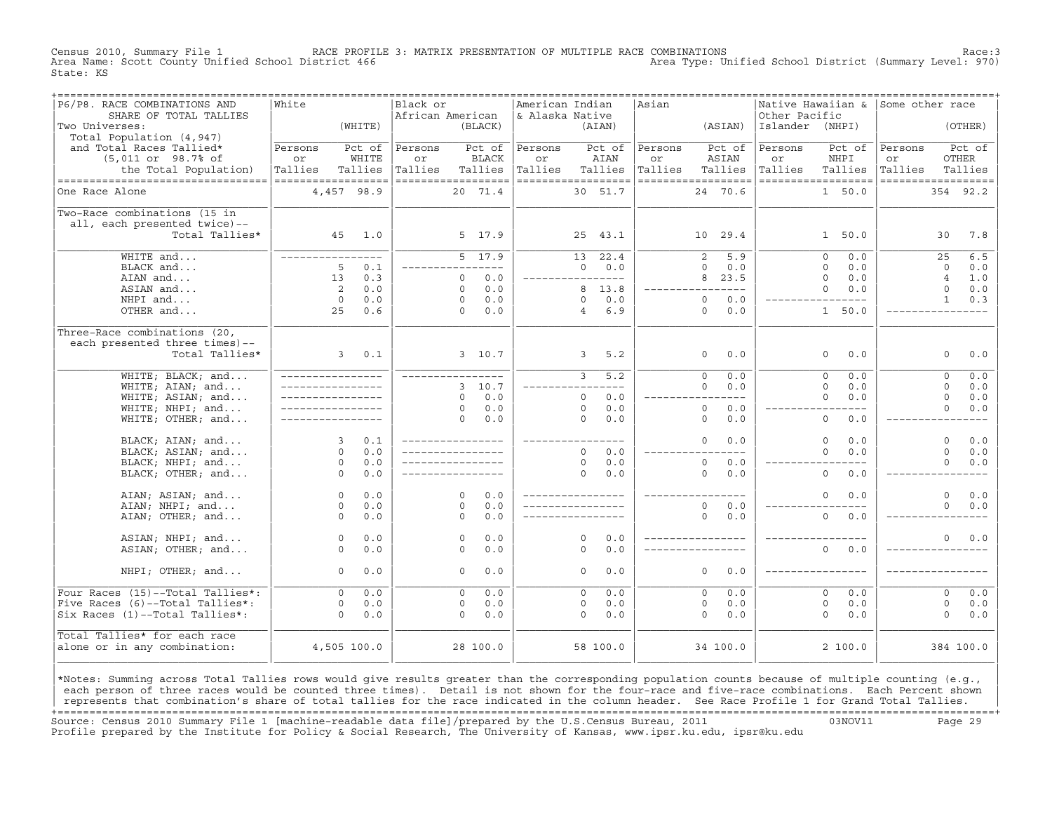Census 2010, Summary File 1 RACE PROFILE 3: MATRIX PRESENTATION OF MULTIPLE RACE COMBINATIONS Race:3 Area Type: Unified School District (Summary Level: 970) State: KS

| P6/P8. RACE COMBINATIONS AND       | White              |                    | Black or         |                    | American Indian    |                |          | Asian   | ================================== |                 | Native Hawaiian & Some other race |                    |                |           |
|------------------------------------|--------------------|--------------------|------------------|--------------------|--------------------|----------------|----------|---------|------------------------------------|-----------------|-----------------------------------|--------------------|----------------|-----------|
| SHARE OF TOTAL TALLIES             |                    |                    | African American |                    | & Alaska Native    |                |          |         |                                    | Other Pacific   |                                   |                    |                |           |
| Two Universes:                     |                    | (WHITE)            |                  | (BLACK)            |                    |                | (AIAN)   |         | (ASIAN)                            | Islander (NHPI) |                                   |                    |                | (OTHER)   |
| Total Population (4,947)           |                    |                    |                  |                    |                    |                |          |         |                                    |                 |                                   |                    |                |           |
| and Total Races Tallied*           | Persons            | Pct of             | Persons          | Pct of             | Persons            |                | Pct of   | Persons | Pct of                             | Persons         | Pct of                            | Persons            |                | Pct of    |
| (5,011 or 98.7% of                 | or                 | WHITE              | or               | <b>BLACK</b>       | or                 |                | AIAN     | or      | ASIAN                              | or              | NHPI                              | or                 |                | OTHER     |
| the Total Population)              | Tallies            | Tallies            | Tallies          | Tallies            | Tallies            |                | Tallies  | Tallies | Tallies                            | Tallies         | Tallies                           | Tallies            |                | Tallies   |
| ---------------------------------- | ================== |                    |                  | ------------------ | ------------------ |                |          |         | ------------------                 |                 | ------------------                | ------------------ |                |           |
| One Race Alone                     |                    | 4,457 98.9         |                  | 20 71.4            |                    |                | 30 51.7  |         | 24 70.6                            |                 | 1 50.0                            |                    |                | 354 92.2  |
| Two-Race combinations (15 in       |                    |                    |                  |                    |                    |                |          |         |                                    |                 |                                   |                    |                |           |
| all, each presented twice)--       |                    |                    |                  |                    |                    |                |          |         |                                    |                 |                                   |                    |                |           |
| Total Tallies*                     |                    | 45 1.0             |                  | 5 17.9             |                    |                | 25 43.1  |         | 10 29.4                            |                 | 1, 50.0                           |                    | 30             | 7.8       |
|                                    |                    |                    |                  |                    |                    |                |          |         |                                    |                 |                                   |                    |                |           |
| WHITE and                          | _________________  |                    |                  | 5, 17.9            |                    | 13             | 22.4     |         | 5.9<br>2                           |                 | $\Omega$<br>0.0                   |                    | 25             | 6.5       |
| BLACK and                          | 5                  | 0.1                |                  | --------           |                    | $\Omega$       | 0.0      |         | $\Omega$<br>0.0                    |                 | $\Omega$<br>0.0                   |                    | $\Omega$       | 0.0       |
| AIAN and                           | 13                 | 0.3                |                  | 0.0<br>$\Omega$    | _________________  |                |          |         | 8<br>23.5                          |                 | $\Omega$<br>0.0                   |                    | $\overline{4}$ | 1.0       |
| ASIAN and                          | 2                  | 0.0                |                  | 0.0<br>$\Omega$    |                    |                | 8 13.8   |         | $- - - -$                          |                 | $\Omega$<br>0.0                   |                    | $\Omega$       | 0.0       |
| NHPI and                           | $\Omega$           | 0.0                |                  | 0.0<br>$\Omega$    |                    | $\Omega$       | 0.0      |         | $\Omega$<br>0.0                    |                 | $- - - -$                         |                    | $\mathbf{1}$   | 0.3       |
| OTHER and                          | 25                 | 0.6                |                  | 0.0<br>$\Omega$    |                    | $\overline{4}$ | 6.9      |         | $\circ$<br>0.0                     |                 | 1 50.0                            |                    |                |           |
| Three-Race combinations (20,       |                    |                    |                  |                    |                    |                |          |         |                                    |                 |                                   |                    |                |           |
| each presented three times)--      |                    |                    |                  |                    |                    |                |          |         |                                    |                 |                                   |                    |                |           |
| Total Tallies*                     |                    | $3^{\circ}$<br>0.1 |                  | 3, 10.7            |                    | $\overline{3}$ | 5.2      |         | 0.0<br>$\circ$                     |                 | 0.0<br>$\circ$                    |                    | $\circ$        | 0.0       |
| WHITE; BLACK; and                  | _________________  |                    |                  | _________________  |                    | $\overline{3}$ | 5.2      |         | $\overline{0}$<br>0.0              |                 | $\overline{0}$<br>0.0             |                    | $\circ$        | 0.0       |
| WHITE; AIAN; and                   |                    |                    |                  | 3, 10, 7           |                    |                | $- - -$  |         | $\Omega$<br>0.0                    |                 | $\Omega$<br>0.0                   |                    | $\Omega$       | 0.0       |
| WHITE; ASIAN; and                  | _________________  |                    |                  | 0.0<br>$\Omega$    |                    | $\circ$        | 0.0      |         | $- - -$                            |                 | $\Omega$<br>0.0                   |                    | $\mathbf 0$    | 0.0       |
| WHITE; NHPI; and                   |                    |                    |                  | 0.0<br>$\Omega$    |                    | $\Omega$       | 0.0      |         | $\circ$<br>0.0                     |                 | $- - - -$                         |                    | $\Omega$       | 0.0       |
| WHITE; OTHER; and                  |                    |                    |                  | 0.0<br>$\Omega$    |                    | $\Omega$       | $0.0$    |         | $\circ$<br>0.0                     |                 | $\circ$<br>0.0                    |                    |                |           |
|                                    |                    |                    |                  |                    |                    |                |          |         |                                    |                 |                                   |                    |                |           |
| BLACK; AIAN; and                   | $\mathbf{3}$       | 0.1                |                  | ________________   | ________________   |                |          |         | $\Omega$<br>0.0                    |                 | $\Omega$<br>0.0                   |                    | $\Omega$       | 0.0       |
| BLACK; ASIAN; and                  | $\Omega$           | 0.0                |                  | _________________  |                    | $\Omega$       | 0.0      |         | _________                          |                 | $\Omega$<br>0.0                   |                    | $\Omega$       | 0.0       |
| BLACK; NHPI; and                   | $\circ$            | 0.0                |                  |                    |                    | $\circ$        | 0.0      |         | $\circ$<br>0.0                     |                 |                                   |                    | $\Omega$       | 0.0       |
| BLACK; OTHER; and                  | $\Omega$           | 0.0                |                  |                    |                    | $\Omega$       | 0.0      |         | $\Omega$<br>0.0                    |                 | $\Omega$<br>0.0                   |                    |                |           |
| AIAN; ASIAN; and                   | $\circ$            | 0.0                |                  | $\Omega$<br>0.0    | _________________  |                |          |         |                                    |                 | $\mathbf{0}$<br>0.0               |                    | $\Omega$       | 0.0       |
| AIAN; NHPI; and                    | $\Omega$           | 0.0                |                  | 0.0<br>$\Omega$    |                    |                |          |         | 0.0<br>$\Omega$                    |                 |                                   |                    | $\Omega$       | 0.0       |
| AIAN; OTHER; and                   | $\Omega$           | 0.0                |                  | $\Omega$<br>0.0    |                    |                |          |         | $\Omega$<br>0.0                    |                 | $\overline{0}$<br>0.0             |                    |                |           |
|                                    |                    |                    |                  |                    |                    |                |          |         |                                    |                 |                                   |                    |                |           |
| ASIAN; NHPI; and                   | $\circ$            | 0.0                |                  | 0.0<br>$\Omega$    |                    | $\Omega$       | 0.0      |         | _________________                  |                 |                                   |                    | $\Omega$       | 0.0       |
| ASIAN; OTHER; and                  | $\Omega$           | 0.0                |                  | 0.0<br>$\Omega$    |                    | $\Omega$       | 0.0      |         |                                    |                 | $\Omega$<br>0.0                   |                    |                |           |
| NHPI; OTHER; and                   | $\Omega$           | 0.0                |                  | 0.0<br>$\Omega$    |                    | $\Omega$       | 0.0      |         | $\Omega$<br>0.0                    |                 |                                   |                    |                |           |
|                                    |                    |                    |                  |                    |                    |                |          |         |                                    |                 |                                   |                    |                |           |
| Four Races (15)--Total Tallies*:   | $\Omega$           | 0.0                |                  | 0.0<br>$\Omega$    |                    | $\Omega$       | 0.0      |         | $\Omega$<br>0.0                    |                 | $\Omega$<br>0.0                   |                    | $\Omega$       | 0.0       |
| Five Races (6)--Total Tallies*:    | $\circ$            | 0.0                |                  | 0.0<br>$\circ$     |                    | 0              | 0.0      |         | 0.0<br>$\circ$                     |                 | $\mathbf{0}$<br>0.0               |                    | $\circ$        | 0.0       |
| Six Races (1)--Total Tallies*:     | $\Omega$           | 0.0                |                  | 0.0<br>$\Omega$    |                    | $\Omega$       | 0.0      |         | $\Omega$<br>0.0                    |                 | $\Omega$<br>0.0                   |                    | $\Omega$       | 0.0       |
| Total Tallies* for each race       |                    |                    |                  |                    |                    |                |          |         |                                    |                 |                                   |                    |                |           |
| alone or in any combination:       |                    | 4,505 100.0        |                  | 28 100.0           |                    |                | 58 100.0 |         | 34 100.0                           |                 | 2100.0                            |                    |                | 384 100.0 |
|                                    |                    |                    |                  |                    |                    |                |          |         |                                    |                 |                                   |                    |                |           |
|                                    |                    |                    |                  |                    |                    |                |          |         |                                    |                 |                                   |                    |                |           |

|\*Notes: Summing across Total Tallies rows would give results greater than the corresponding population counts because of multiple counting (e.g., | each person of three races would be counted three times). Detail is not shown for the four-race and five-race combinations. Each Percent shown represents that combination's share of total tallies for the race indicated in the column header. See Race Profile 1 for Grand Total Tallies. +===================================================================================================================================================+ Source: Census 2010 Summary File 1 [machine−readable data file]/prepared by the U.S.Census Bureau, 2011 03NOV11 Page 29 Profile prepared by the Institute for Policy & Social Research, The University of Kansas, www.ipsr.ku.edu, ipsr@ku.edu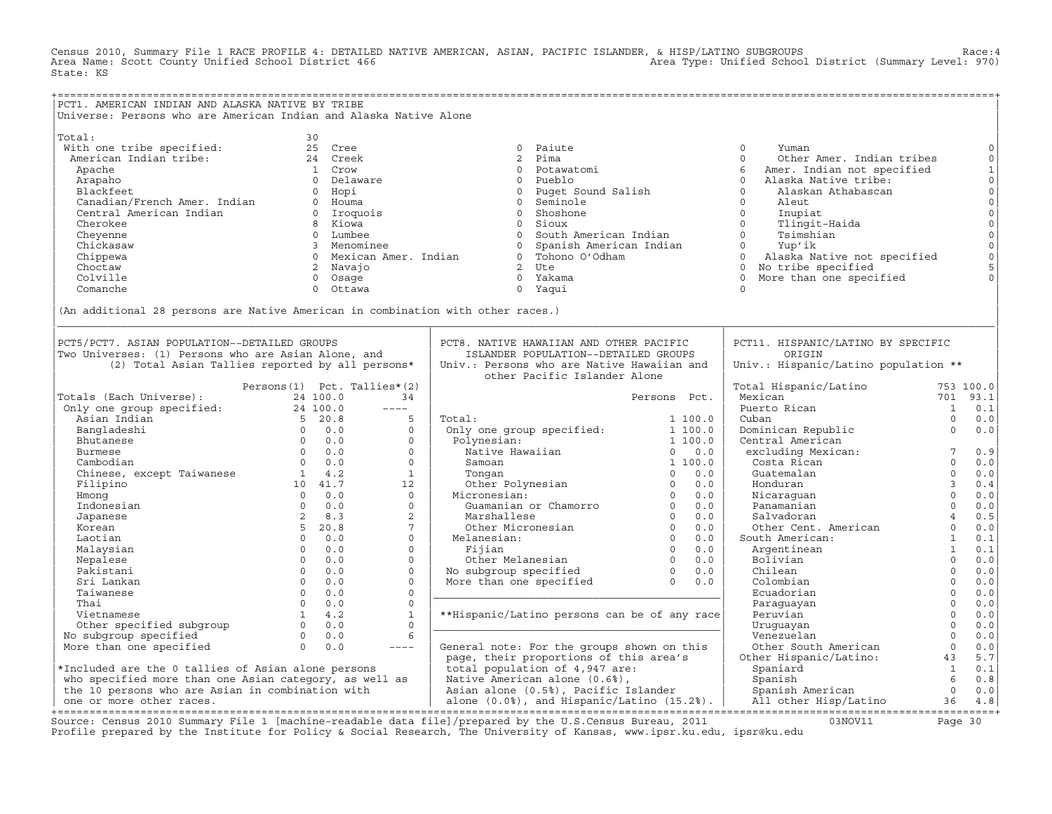Census 2010, Summary File 1 RACE PROFILE 4: DETAILED NATIVE AMERICAN, ASIAN, PACIFIC ISLANDER, & HISP/LATINO SUBGROUPS<br>Area Name: Scott County Unified School District 466 (Area Natea Type: Unified School District (Summary State: KS

| PCT1. AMERICAN INDIAN AND ALASKA NATIVE BY TRIBE                                              |                             |                    |                        |                         |                                            |                                                 |                                         |                 |                     |
|-----------------------------------------------------------------------------------------------|-----------------------------|--------------------|------------------------|-------------------------|--------------------------------------------|-------------------------------------------------|-----------------------------------------|-----------------|---------------------|
| Universe: Persons who are American Indian and Alaska Native Alone                             |                             |                    |                        |                         |                                            |                                                 |                                         |                 |                     |
| Total:                                                                                        | 30                          |                    |                        |                         |                                            |                                                 |                                         |                 |                     |
| With one tribe specified:                                                                     |                             | 25 Cree            |                        | $\Omega$                | Paiute                                     |                                                 | $\Omega$<br>Yuman                       |                 | $\circ$             |
| American Indian tribe:                                                                        |                             | 24 Creek           |                        | $\overline{2}$          | Pima                                       |                                                 | $\Omega$<br>Other Amer. Indian tribes   |                 | $\mathbb O$         |
| Apache                                                                                        |                             | 1 Crow             |                        | $\Omega$                | Potawatomi                                 |                                                 | 6<br>Amer. Indian not specified         |                 | $\mathbf 1$         |
| Arapaho                                                                                       |                             | 0 Delaware         |                        | $\circ$                 | Pueblo                                     |                                                 | $\Omega$<br>Alaska Native tribe:        |                 | $\circ$             |
| Blackfeet                                                                                     |                             | 0 Hopi             |                        | $\overline{0}$          | Puget Sound Salish                         |                                                 | $\Omega$<br>Alaskan Athabascan          |                 | $\circ$             |
|                                                                                               |                             | 0 Houma            |                        | $\circ$                 | Seminole                                   |                                                 | $\Omega$<br>Aleut                       |                 | $\mathsf{O}\xspace$ |
| Blackfeet<br>Canadian/French Amer. Indian<br>American Indian                                  |                             | 0 Iroquois         |                        | $\circ$                 | Shoshone                                   |                                                 | $\Omega$<br>Inupiat                     |                 | $\mathsf{O}\xspace$ |
| Cherokee                                                                                      |                             | 8 Kiowa            |                        | $\Omega$                | Sioux                                      |                                                 | $\Omega$<br>Tlingit-Haida               |                 | $\mathsf{O}\xspace$ |
| Cheyenne                                                                                      |                             | 0 Lumbee           |                        | $\overline{0}$          |                                            | South American Indian                           | $\Omega$<br>Tsimshian                   |                 | $\mathsf{O}$        |
| Chickasaw                                                                                     |                             | 3 Menominee        |                        | $\circ$                 | Spanish American Indian                    |                                                 | Yup'ik<br>$\overline{0}$                |                 | $\mathsf O$         |
| Chippewa                                                                                      |                             |                    | 0 Mexican Amer. Indian |                         | 0 Tohono O'Odham                           |                                                 | $\Omega$<br>Alaska Native not specified |                 | $\circ$             |
| Choctaw                                                                                       |                             | 2 Navajo           |                        |                         | $2$ Ute                                    |                                                 | 0 No tribe specified                    |                 | 5                   |
| Colville                                                                                      |                             | 0 Osage            |                        |                         | 0 Yakama                                   |                                                 | More than one specified<br>$\Omega$     |                 | $\Omega$            |
| Comanche                                                                                      |                             | $\Omega$<br>Ottawa |                        |                         | 0 Yaqui                                    |                                                 | $\Omega$                                |                 |                     |
|                                                                                               |                             |                    |                        |                         |                                            |                                                 |                                         |                 |                     |
| (An additional 28 persons are Native American in combination with other races.)               |                             |                    |                        |                         |                                            |                                                 |                                         |                 |                     |
| PCT5/PCT7. ASIAN POPULATION--DETAILED GROUPS                                                  |                             |                    |                        |                         | PCT8. NATIVE HAWAIIAN AND OTHER PACIFIC    |                                                 | PCT11. HISPANIC/LATINO BY SPECIFIC      |                 |                     |
| Two Universes: (1) Persons who are Asian Alone, and                                           |                             |                    |                        |                         | ISLANDER POPULATION--DETAILED GROUPS       |                                                 | ORIGIN                                  |                 |                     |
| (2) Total Asian Tallies reported by all persons*                                              |                             |                    |                        |                         | Univ.: Persons who are Native Hawaiian and |                                                 | Univ.: Hispanic/Latino population **    |                 |                     |
|                                                                                               |                             |                    |                        |                         | other Pacific Islander Alone               |                                                 |                                         |                 |                     |
|                                                                                               | Persons(1) Pct. Tallies*(2) |                    |                        |                         |                                            |                                                 | Total Hispanic/Latino                   |                 | 753 100.0           |
| Totals (Each Universe):                                                                       |                             | 24 100.0           | 34                     |                         |                                            | Persons Pct.                                    | Mexican                                 |                 | 701 93.1            |
| ootars (Each Universe): 24 100.0<br>Only one group specified: 24 100.0<br>Asian Indian 5 20.8 |                             |                    | $---$                  |                         |                                            |                                                 | Puerto Rican                            | <sup>1</sup>    | 0.1                 |
|                                                                                               |                             |                    | 5                      | Total:                  |                                            | 1 100.0                                         | Cuban                                   | $\Omega$        | 0.0                 |
| Bangladeshi                                                                                   |                             | $0 \qquad 0.0$     | $\Omega$               |                         | Only one group specified:                  | 1 100.0                                         | Dominican Republic                      | $\Omega$        | 0.0                 |
| Bhutanese                                                                                     |                             | $0 \qquad 0.0$     | $\Omega$               | Polynesian:             |                                            | 1 100.0                                         | Central American                        |                 |                     |
| Burmese                                                                                       | $0 \t 0.0$                  |                    | $\Omega$               |                         | Native Hawaiian                            | 0.0<br>$\overline{0}$                           | excluding Mexican:                      | $7\overline{ }$ | 0.9                 |
| Cambodian                                                                                     |                             | $0 \t 0.0$         | $\Omega$               | Samoan                  |                                            | 1 100.0                                         | Costa Rican                             | $\Omega$        | 0.0                 |
| Chinese, except Taiwanese 1 4.2                                                               |                             |                    | $\mathbf{1}$           | Tongan                  |                                            | 0.0<br>$\circ$                                  | Guatemalan                              | $\Omega$        | 0.0                 |
| Filipino                                                                                      |                             | 10 41.7            | 12                     |                         | Other Polynesian 0                         | 0.0                                             | Honduran                                | $\overline{3}$  | 0.4                 |
| Hmong                                                                                         |                             | $0 \t 0.0$         | $\Omega$               | Micronesian:            |                                            | $\Omega$<br>0.0                                 | Nicaraquan                              | $\Omega$        | 0.0                 |
| Indonesian                                                                                    |                             | $0 \t 0.0$         | $\Omega$               |                         | Guamanian or Chamorro                      | $\overline{0}$<br>0.0                           | Panamanian                              | $\Omega$        | 0.0                 |
| Japanese                                                                                      |                             | $2 \t 8.3$         | $\overline{2}$         | Marshallese             |                                            | $\Omega$<br>0.0                                 | Salvadoran                              | $\overline{4}$  | 0.5                 |
| Korean                                                                                        |                             | 5, 20.8            | $7^{\circ}$            | Other Micronesian       |                                            | $\overline{0}$<br>0.0                           | Other Cent. American                    | $\circ$         | 0.0                 |
| Laotian                                                                                       |                             | $0 \t 0.0$         | $\Omega$               | Melanesian:             |                                            | $\overline{0}$<br>0.0                           | South American:                         | $\mathbf{1}$    | 0.1                 |
| Malaysian                                                                                     |                             | $0 \t 0.0$         | $\Omega$               | Fijian                  |                                            | $\overline{0}$<br>0.0                           | Argentinean                             | $\mathbf{1}$    | 0.1                 |
| Nepalese                                                                                      | $\Omega$                    | 0.0                | $\Omega$               | Other Melanesian        |                                            | 0.0                                             | Bolivian                                | $\Omega$        | 0.0                 |
| Pakistani                                                                                     |                             | $0 \t 0.0$         | $\Omega$               | No subgroup specified   |                                            | 0.0                                             | Chilean                                 | $\Omega$        | 0.0                 |
| Sri Lankan                                                                                    |                             | $0 \t 0.0$         | $\mathbf{0}$           | More than one specified |                                            | 0.0                                             | Colombian                               | $\Omega$        | 0.0                 |
| Taiwanese                                                                                     |                             | $0 \t 0.0$         | $\Omega$               |                         |                                            |                                                 | Ecuadorian                              | $\Omega$        | 0.0                 |
| Thai                                                                                          |                             | $0 \t 0.0$         | $\Omega$               |                         |                                            |                                                 | Paraguayan                              | $\mathbf 0$     | 0.0                 |
| Vietnamese                                                                                    |                             | $1 \t 4.2$         | $\mathbf{1}$           |                         |                                            | **Hispanic/Latino persons can be of any race    | Peruvian                                | $\mathbf 0$     | $0.0$               |
| Other specified subgroup                                                                      |                             | $0 \t 0.0$         | $\Omega$               |                         |                                            |                                                 | Uruquayan                               | $\Omega$        | $0.0$               |
| No subgroup specified                                                                         |                             | $0 \t 0.0$         | 6                      |                         |                                            |                                                 | Venezuelan                              | $\Omega$        | 0.0                 |
| More than one specified                                                                       | $\Omega$                    | 0.0                | $---$                  |                         |                                            | General note: For the groups shown on this      | Other South American                    | $\circ$         | 0.0                 |
|                                                                                               |                             |                    |                        |                         | page, their proportions of this area's     |                                                 | Other Hispanic/Latino:                  | 43              | 5.7                 |
| *Included are the 0 tallies of Asian alone persons                                            |                             |                    |                        |                         | total population of 4,947 are:             |                                                 | Spaniard                                | $\overline{1}$  | 0.1                 |
| who specified more than one Asian category, as well as                                        |                             |                    |                        |                         | Native American alone (0.6%),              |                                                 | Spanish                                 | 6               | 0.8                 |
| the 10 persons who are Asian in combination with                                              |                             |                    |                        |                         | Asian alone (0.5%), Pacific Islander       |                                                 | Spanish American                        | $\Omega$        | 0.0                 |
| one or more other races.                                                                      |                             |                    |                        |                         |                                            | alone $(0.0%$ , and Hispanic/Latino $(15.2%)$ . | All other Hisp/Latino                   | 36              | $4.8$               |

+===================================================================================================================================================+ Source: Census 2010 Summary File 1 [machine−readable data file]/prepared by the U.S.Census Bureau, 2011 03NOV11 Page 30 Source: Census 2010 Summary File 1 [machine-readable data file]/prepared by the U.S.Census Bureau, 2011<br>Profile prepared by the Institute for Policy & Social Research, The University of Kansas, www.ipsr.ku.edu, ipsr@ku.edu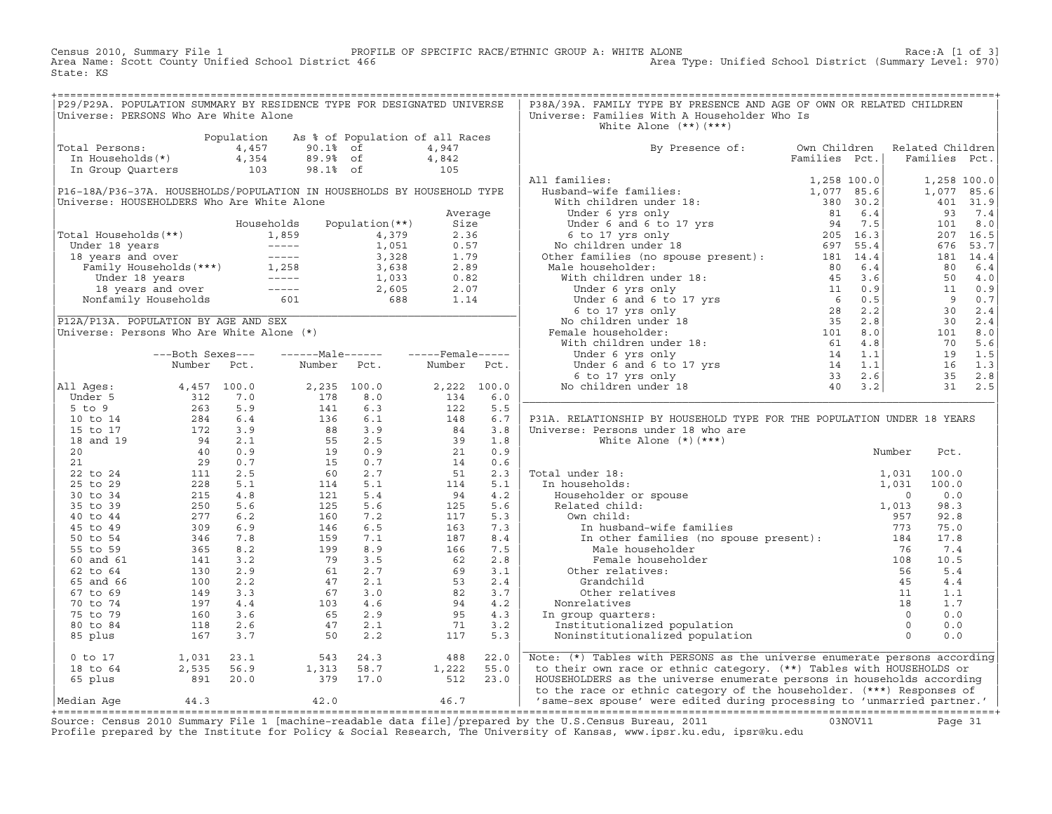Census 2010, Summary File 1 PROFILE OF SPECIFIC RACE/ETHNIC GROUP A: WHITE ALONE RACE 2010, Summary File 1 of 3]<br>Area Name: Scott County Unified School District 466 Area Type: Unified School District (Summary Level: 970) Area Type: Unified School District (Summary Level: 970) State: KS

| P29/P29A. POPULATION SUMMARY BY RESIDENCE TYPE FOR DESIGNATED UNIVERSE                                                                                           |  |      |  | P38A/39A. FAMILY TYPE BY PRESENCE AND AGE OF OWN OR RELATED CHILDREN           |  |  |  |  |  |  |
|------------------------------------------------------------------------------------------------------------------------------------------------------------------|--|------|--|--------------------------------------------------------------------------------|--|--|--|--|--|--|
| Universe: PERSONS Who Are White Alone                                                                                                                            |  |      |  | Universe: Families With A Householder Who Is                                   |  |  |  |  |  |  |
|                                                                                                                                                                  |  |      |  | White Alone $(**)$ $(***)$                                                     |  |  |  |  |  |  |
| Population As % of Population of all Races<br>Total Persons: $4,457$<br>10.1% of $4,947$<br>In Households(*) $4,354$<br>103 98.1% of $4,842$<br>103 98.1% of 105 |  |      |  |                                                                                |  |  |  |  |  |  |
|                                                                                                                                                                  |  |      |  | By Presence of: Own Children Related Children<br>Families Pct.   Families Pct. |  |  |  |  |  |  |
|                                                                                                                                                                  |  |      |  |                                                                                |  |  |  |  |  |  |
|                                                                                                                                                                  |  |      |  |                                                                                |  |  |  |  |  |  |
|                                                                                                                                                                  |  |      |  |                                                                                |  |  |  |  |  |  |
|                                                                                                                                                                  |  |      |  |                                                                                |  |  |  |  |  |  |
|                                                                                                                                                                  |  |      |  |                                                                                |  |  |  |  |  |  |
|                                                                                                                                                                  |  |      |  |                                                                                |  |  |  |  |  |  |
|                                                                                                                                                                  |  |      |  |                                                                                |  |  |  |  |  |  |
|                                                                                                                                                                  |  |      |  |                                                                                |  |  |  |  |  |  |
|                                                                                                                                                                  |  |      |  |                                                                                |  |  |  |  |  |  |
|                                                                                                                                                                  |  |      |  |                                                                                |  |  |  |  |  |  |
|                                                                                                                                                                  |  |      |  |                                                                                |  |  |  |  |  |  |
|                                                                                                                                                                  |  |      |  |                                                                                |  |  |  |  |  |  |
|                                                                                                                                                                  |  |      |  |                                                                                |  |  |  |  |  |  |
|                                                                                                                                                                  |  |      |  |                                                                                |  |  |  |  |  |  |
|                                                                                                                                                                  |  |      |  |                                                                                |  |  |  |  |  |  |
|                                                                                                                                                                  |  |      |  |                                                                                |  |  |  |  |  |  |
|                                                                                                                                                                  |  |      |  |                                                                                |  |  |  |  |  |  |
|                                                                                                                                                                  |  |      |  |                                                                                |  |  |  |  |  |  |
|                                                                                                                                                                  |  |      |  |                                                                                |  |  |  |  |  |  |
|                                                                                                                                                                  |  |      |  |                                                                                |  |  |  |  |  |  |
|                                                                                                                                                                  |  |      |  |                                                                                |  |  |  |  |  |  |
|                                                                                                                                                                  |  |      |  |                                                                                |  |  |  |  |  |  |
|                                                                                                                                                                  |  |      |  |                                                                                |  |  |  |  |  |  |
|                                                                                                                                                                  |  |      |  |                                                                                |  |  |  |  |  |  |
|                                                                                                                                                                  |  |      |  |                                                                                |  |  |  |  |  |  |
|                                                                                                                                                                  |  |      |  |                                                                                |  |  |  |  |  |  |
|                                                                                                                                                                  |  |      |  |                                                                                |  |  |  |  |  |  |
|                                                                                                                                                                  |  |      |  | P31A. RELATIONSHIP BY HOUSEHOLD TYPE FOR THE POPULATION UNDER 18 YEARS         |  |  |  |  |  |  |
|                                                                                                                                                                  |  |      |  |                                                                                |  |  |  |  |  |  |
|                                                                                                                                                                  |  |      |  |                                                                                |  |  |  |  |  |  |
|                                                                                                                                                                  |  |      |  |                                                                                |  |  |  |  |  |  |
|                                                                                                                                                                  |  |      |  |                                                                                |  |  |  |  |  |  |
|                                                                                                                                                                  |  |      |  |                                                                                |  |  |  |  |  |  |
|                                                                                                                                                                  |  |      |  |                                                                                |  |  |  |  |  |  |
|                                                                                                                                                                  |  |      |  |                                                                                |  |  |  |  |  |  |
|                                                                                                                                                                  |  |      |  |                                                                                |  |  |  |  |  |  |
|                                                                                                                                                                  |  |      |  |                                                                                |  |  |  |  |  |  |
|                                                                                                                                                                  |  |      |  |                                                                                |  |  |  |  |  |  |
|                                                                                                                                                                  |  |      |  |                                                                                |  |  |  |  |  |  |
|                                                                                                                                                                  |  |      |  |                                                                                |  |  |  |  |  |  |
|                                                                                                                                                                  |  |      |  |                                                                                |  |  |  |  |  |  |
|                                                                                                                                                                  |  |      |  |                                                                                |  |  |  |  |  |  |
|                                                                                                                                                                  |  |      |  |                                                                                |  |  |  |  |  |  |
|                                                                                                                                                                  |  |      |  |                                                                                |  |  |  |  |  |  |
|                                                                                                                                                                  |  |      |  |                                                                                |  |  |  |  |  |  |
|                                                                                                                                                                  |  |      |  |                                                                                |  |  |  |  |  |  |
|                                                                                                                                                                  |  |      |  |                                                                                |  |  |  |  |  |  |
|                                                                                                                                                                  |  |      |  |                                                                                |  |  |  |  |  |  |
|                                                                                                                                                                  |  |      |  |                                                                                |  |  |  |  |  |  |
|                                                                                                                                                                  |  |      |  |                                                                                |  |  |  |  |  |  |
|                                                                                                                                                                  |  |      |  |                                                                                |  |  |  |  |  |  |
| 0 to 17<br>18 to 64<br>18 to 64<br>2,535<br>56.9<br>1,313<br>58.7<br>1,222<br>55.0<br>512<br>23.0<br>56.9<br>379<br>17.0<br>512<br>23.0                          |  |      |  | Note: (*) Tables with PERSONS as the universe enumerate persons according      |  |  |  |  |  |  |
|                                                                                                                                                                  |  |      |  | to their own race or ethnic category. (**) Tables with HOUSEHOLDS or           |  |  |  |  |  |  |
|                                                                                                                                                                  |  |      |  | HOUSEHOLDERS as the universe enumerate persons in households according         |  |  |  |  |  |  |
|                                                                                                                                                                  |  |      |  | to the race or ethnic category of the householder. (***) Responses of          |  |  |  |  |  |  |
|                                                                                                                                                                  |  | 46.7 |  | 'same-sex spouse' were edited during processing to 'unmarried partner.'        |  |  |  |  |  |  |
|                                                                                                                                                                  |  |      |  |                                                                                |  |  |  |  |  |  |

|Median Age 44.3 42.0 46.7 | 'same−sex spouse' were edited during processing to 'unmarried partner.' | +===================================================================================================================================================+ Source: Census 2010 Summary File 1 [machine−readable data file]/prepared by the U.S.Census Bureau, 2011 03NOV11 Page 31 Profile prepared by the Institute for Policy & Social Research, The University of Kansas, www.ipsr.ku.edu, ipsr@ku.edu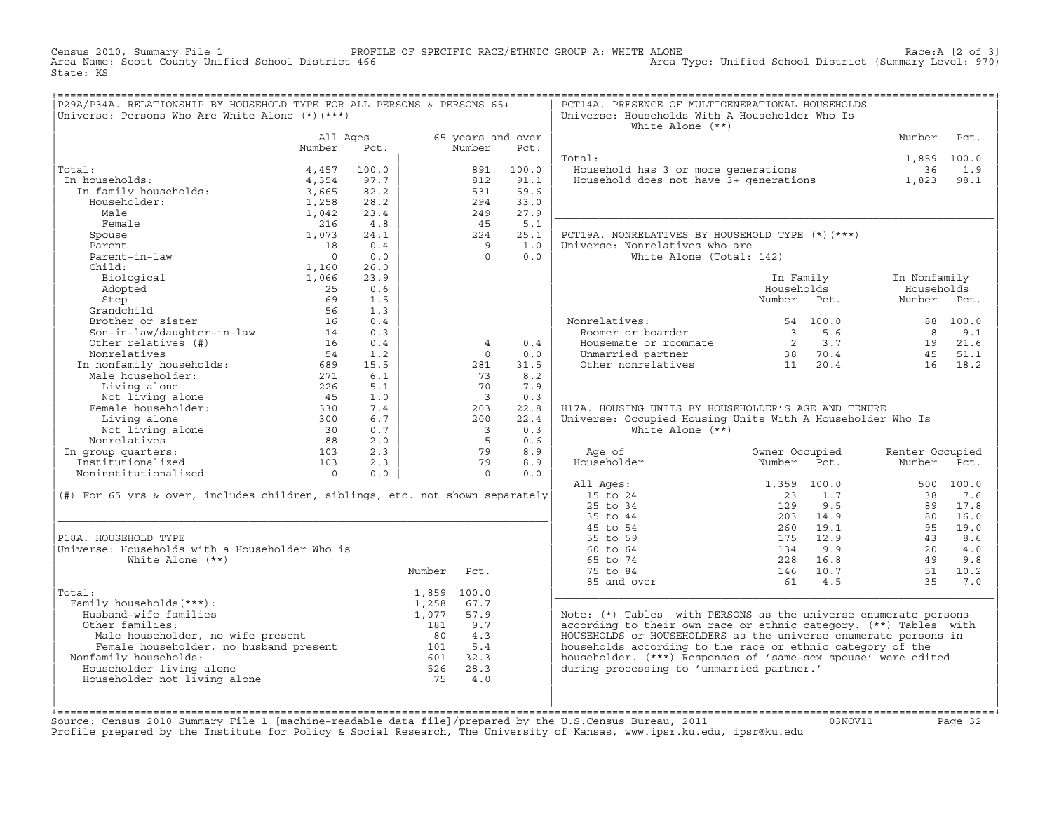Census 2010, Summary File 1 PROFILE OF SPECIFIC RACE/ETHNIC GROUP A: WHITE ALONE Race:A [2 of 3] Area Type: Unified School District (Summary Level: 970) State: KS

| P29A/P34A. RELATIONSHIP BY HOUSEHOLD TYPE FOR ALL PERSONS & PERSONS 65+<br>Universe: Persons Who Are White Alone (*) (***)                                               |                |            |             |                          |       | PCT14A. PRESENCE OF MULTIGENERATIONAL HOUSEHOLDS<br>Universe: Households With A Householder Who Is |                                                                                                                                                                                                                                                                                                                                                                                                                |                 |                 |
|--------------------------------------------------------------------------------------------------------------------------------------------------------------------------|----------------|------------|-------------|--------------------------|-------|----------------------------------------------------------------------------------------------------|----------------------------------------------------------------------------------------------------------------------------------------------------------------------------------------------------------------------------------------------------------------------------------------------------------------------------------------------------------------------------------------------------------------|-----------------|-----------------|
|                                                                                                                                                                          | All Ages       |            |             | 65 years and over        |       | White Alone $(**)$                                                                                 |                                                                                                                                                                                                                                                                                                                                                                                                                | Number          | Pct.            |
|                                                                                                                                                                          | Number         | Pct.       |             | Number                   | Pct.  |                                                                                                    |                                                                                                                                                                                                                                                                                                                                                                                                                |                 |                 |
|                                                                                                                                                                          |                |            |             |                          |       | Total:                                                                                             |                                                                                                                                                                                                                                                                                                                                                                                                                | 1,859 100.0     |                 |
| Total:                                                                                                                                                                   | 4,457          | 100.0      |             | 891                      | 100.0 | Household has 3 or more generations                                                                |                                                                                                                                                                                                                                                                                                                                                                                                                | 36              | 1.9             |
| In households:<br>al:<br>1 households:<br>In family households:                                                                                                          | 4,354          | 97.7       |             | 812                      | 91.1  | Household does not have 3+ generations                                                             |                                                                                                                                                                                                                                                                                                                                                                                                                | 1,823           | 98.1            |
|                                                                                                                                                                          | 3,665          | 82.2       |             | 531                      | 59.6  |                                                                                                    |                                                                                                                                                                                                                                                                                                                                                                                                                |                 |                 |
| Householder:                                                                                                                                                             | 1,258          | 28.2       |             | 294                      | 33.0  |                                                                                                    |                                                                                                                                                                                                                                                                                                                                                                                                                |                 |                 |
| Male                                                                                                                                                                     | 1,042          | 23.4       |             | 249                      | 27.9  |                                                                                                    |                                                                                                                                                                                                                                                                                                                                                                                                                |                 |                 |
| Female                                                                                                                                                                   | 216            | 4.8        |             | 45                       | 5.1   |                                                                                                    |                                                                                                                                                                                                                                                                                                                                                                                                                |                 |                 |
| Spouse                                                                                                                                                                   | 1,073          | 24.1       |             | 224                      | 25.1  | PCT19A. NONRELATIVES BY HOUSEHOLD TYPE (*) (***)                                                   |                                                                                                                                                                                                                                                                                                                                                                                                                |                 |                 |
| Parent                                                                                                                                                                   | 18             | 0.4        |             | $\overline{9}$           | 1.0   | Universe: Nonrelatives who are                                                                     |                                                                                                                                                                                                                                                                                                                                                                                                                |                 |                 |
| Parent-in-law                                                                                                                                                            | $\overline{0}$ | 0.0        |             | $\Omega$                 | 0.0   | White Alone (Total: 142)                                                                           |                                                                                                                                                                                                                                                                                                                                                                                                                |                 |                 |
| Child:                                                                                                                                                                   | 1,160          | 26.0       |             |                          |       |                                                                                                    |                                                                                                                                                                                                                                                                                                                                                                                                                |                 |                 |
| Biological                                                                                                                                                               | 1,066          | 23.9       |             |                          |       |                                                                                                    | In Family                                                                                                                                                                                                                                                                                                                                                                                                      | In Nonfamily    |                 |
| Adopted                                                                                                                                                                  | 25             | 0.6        |             |                          |       |                                                                                                    | Households                                                                                                                                                                                                                                                                                                                                                                                                     | Households      |                 |
| Step                                                                                                                                                                     | 69             | 1.5        |             |                          |       |                                                                                                    | Number Pct.                                                                                                                                                                                                                                                                                                                                                                                                    | Number Pct.     |                 |
| Grandchild                                                                                                                                                               | 56             | 1.3        |             |                          |       |                                                                                                    |                                                                                                                                                                                                                                                                                                                                                                                                                |                 |                 |
| Brother or sister<br>Son-in-law/daughter-in-law 14                                                                                                                       | 16             | 0.4<br>0.3 |             |                          |       | Nonrelatives:<br>onrelatives:<br>Roomer or boarder                                                 | 54 100.0                                                                                                                                                                                                                                                                                                                                                                                                       | 8               | 88 100.0<br>9.1 |
| Other relatives (#)                                                                                                                                                      | 16             | 0.4        |             | $\overline{4}$           | 0.4   | Housemate or roommate                                                                              | $\begin{array}{@{}c@{\hspace{1em}}c@{\hspace{1em}}c@{\hspace{1em}}c@{\hspace{1em}}c@{\hspace{1em}}c@{\hspace{1em}}c@{\hspace{1em}}c@{\hspace{1em}}c@{\hspace{1em}}c@{\hspace{1em}}c@{\hspace{1em}}c@{\hspace{1em}}c@{\hspace{1em}}c@{\hspace{1em}}c@{\hspace{1em}}c@{\hspace{1em}}c@{\hspace{1em}}c@{\hspace{1em}}c@{\hspace{1em}}c@{\hspace{1em}}c@{\hspace{1em}}c@{\hspace{1em}}c@{\hspace{1em}}c@{\hspace{$ |                 | 19 21.6         |
| Nonrelatives                                                                                                                                                             | 54             | 1.2        |             | $\Omega$                 | 0.0   |                                                                                                    |                                                                                                                                                                                                                                                                                                                                                                                                                | 4.5             | 51.1            |
|                                                                                                                                                                          |                | 15.5       |             | 281                      | 31.5  | Unmarried partner 38 70.4<br>Other nonrelatives 11 20.4                                            |                                                                                                                                                                                                                                                                                                                                                                                                                | 16              | 18.2            |
|                                                                                                                                                                          |                | 6.1        |             | 73                       | 8.2   |                                                                                                    |                                                                                                                                                                                                                                                                                                                                                                                                                |                 |                 |
|                                                                                                                                                                          |                | 5.1        |             | 70                       | 7.9   |                                                                                                    |                                                                                                                                                                                                                                                                                                                                                                                                                |                 |                 |
|                                                                                                                                                                          |                | 1.0        |             | $\overline{\mathbf{3}}$  | 0.3   |                                                                                                    |                                                                                                                                                                                                                                                                                                                                                                                                                |                 |                 |
| Living alone 226<br>Not living alone 45<br>Female householder: 3300<br>200                                                                                               |                | 7.4        |             | 203                      | 22.8  | H17A. HOUSING UNITS BY HOUSEHOLDER'S AGE AND TENURE                                                |                                                                                                                                                                                                                                                                                                                                                                                                                |                 |                 |
| Living alone                                                                                                                                                             | 300            | 6.7        |             | 200                      | 22.4  | Universe: Occupied Housing Units With A Householder Who Is                                         |                                                                                                                                                                                                                                                                                                                                                                                                                |                 |                 |
| Not living alone                                                                                                                                                         |                | 0.7        |             | $\overline{\phantom{a}}$ | 0.3   | White Alone $(**)$                                                                                 |                                                                                                                                                                                                                                                                                                                                                                                                                |                 |                 |
| Nonrelatives                                                                                                                                                             |                | 2.0        |             | $5^{\circ}$              | 0.6   |                                                                                                    |                                                                                                                                                                                                                                                                                                                                                                                                                |                 |                 |
| In group quarters:                                                                                                                                                       |                | 2.3        |             | 79                       | 8.9   | Age of                                                                                             | Owner Occupied                                                                                                                                                                                                                                                                                                                                                                                                 | Renter Occupied |                 |
| Institutionalized                                                                                                                                                        |                | 2.3        |             | 79                       | 8.9   | Householder                                                                                        | Number Pct.                                                                                                                                                                                                                                                                                                                                                                                                    | Number Pct.     |                 |
| Noninstitutionalized                                                                                                                                                     |                | 0.0        |             | $\Omega$                 | 0.0   |                                                                                                    |                                                                                                                                                                                                                                                                                                                                                                                                                |                 |                 |
|                                                                                                                                                                          |                |            |             |                          |       | All Ages:                                                                                          | 1,359 100.0                                                                                                                                                                                                                                                                                                                                                                                                    |                 | 500 100.0       |
| (#) For 65 yrs & over, includes children, siblings, etc. not shown separately                                                                                            |                |            |             |                          |       | 15 to 24                                                                                           | 23<br>1.7                                                                                                                                                                                                                                                                                                                                                                                                      | 38              | 7.6             |
|                                                                                                                                                                          |                |            |             |                          |       | $25$ to $34$                                                                                       | 129<br>9.5                                                                                                                                                                                                                                                                                                                                                                                                     | 89              | 17.8            |
|                                                                                                                                                                          |                |            |             |                          |       | 35 to 44                                                                                           | 203 14.9                                                                                                                                                                                                                                                                                                                                                                                                       | 80              | 16.0            |
|                                                                                                                                                                          |                |            |             |                          |       | 45 to 54                                                                                           | 19.1<br>260                                                                                                                                                                                                                                                                                                                                                                                                    | 95              | 19.0            |
| P18A. HOUSEHOLD TYPE                                                                                                                                                     |                |            |             |                          |       | 55 to 59                                                                                           | 175<br>12.9                                                                                                                                                                                                                                                                                                                                                                                                    | 43              | 8.6             |
| Universe: Households with a Householder Who is<br>White Alone $(**)$                                                                                                     |                |            |             |                          |       | 60 to 64<br>65 to 74                                                                               | 9.9<br>134<br>228<br>16.8                                                                                                                                                                                                                                                                                                                                                                                      | 20<br>49        | 4.0<br>9.8      |
|                                                                                                                                                                          |                |            |             |                          |       |                                                                                                    | 146 10.7                                                                                                                                                                                                                                                                                                                                                                                                       |                 | 51 10.2         |
|                                                                                                                                                                          |                |            | Number      | Pct.                     |       | 75 to 84                                                                                           | 61 4.5                                                                                                                                                                                                                                                                                                                                                                                                         | 35              | 7.0             |
| Total:                                                                                                                                                                   |                |            | 1,859 100.0 |                          |       | 85 and over                                                                                        |                                                                                                                                                                                                                                                                                                                                                                                                                |                 |                 |
| Family households (***) :                                                                                                                                                |                |            | 1,258       | 67.7                     |       |                                                                                                    |                                                                                                                                                                                                                                                                                                                                                                                                                |                 |                 |
| Husband-wife families                                                                                                                                                    |                |            | 1,077 57.9  |                          |       | Note: (*) Tables with PERSONS as the universe enumerate persons                                    |                                                                                                                                                                                                                                                                                                                                                                                                                |                 |                 |
| Other families:                                                                                                                                                          |                |            | 181         | 9.7                      |       | according to their own race or ethnic category. (**) Tables with                                   |                                                                                                                                                                                                                                                                                                                                                                                                                |                 |                 |
| And the communities.<br>Male householder, no wife present and the same sense of the sense of the Female householder, no husband present<br>Family households: $601$ 32.3 |                |            |             |                          |       | HOUSEHOLDS or HOUSEHOLDERS as the universe enumerate persons in                                    |                                                                                                                                                                                                                                                                                                                                                                                                                |                 |                 |
|                                                                                                                                                                          |                |            |             |                          |       | households according to the race or ethnic category of the                                         |                                                                                                                                                                                                                                                                                                                                                                                                                |                 |                 |
| Nonfamily households:                                                                                                                                                    |                |            |             |                          |       | householder. (***) Responses of 'same-sex spouse' were edited                                      |                                                                                                                                                                                                                                                                                                                                                                                                                |                 |                 |
| Householder living alone                                                                                                                                                 |                |            | 526         | 28.3                     |       | during processing to 'unmarried partner.'                                                          |                                                                                                                                                                                                                                                                                                                                                                                                                |                 |                 |
| Householder not living alone                                                                                                                                             |                |            | 75          | 4.0                      |       |                                                                                                    |                                                                                                                                                                                                                                                                                                                                                                                                                |                 |                 |
|                                                                                                                                                                          |                |            |             |                          |       |                                                                                                    |                                                                                                                                                                                                                                                                                                                                                                                                                |                 |                 |
|                                                                                                                                                                          |                |            |             |                          |       |                                                                                                    |                                                                                                                                                                                                                                                                                                                                                                                                                |                 |                 |

+===================================================================================================================================================+Source: Census 2010 Summary File 1 [machine−readable data file]/prepared by the U.S.Census Bureau, 2011 03NOV11 Page 32 Profile prepared by the Institute for Policy & Social Research, The University of Kansas, www.ipsr.ku.edu, ipsr@ku.edu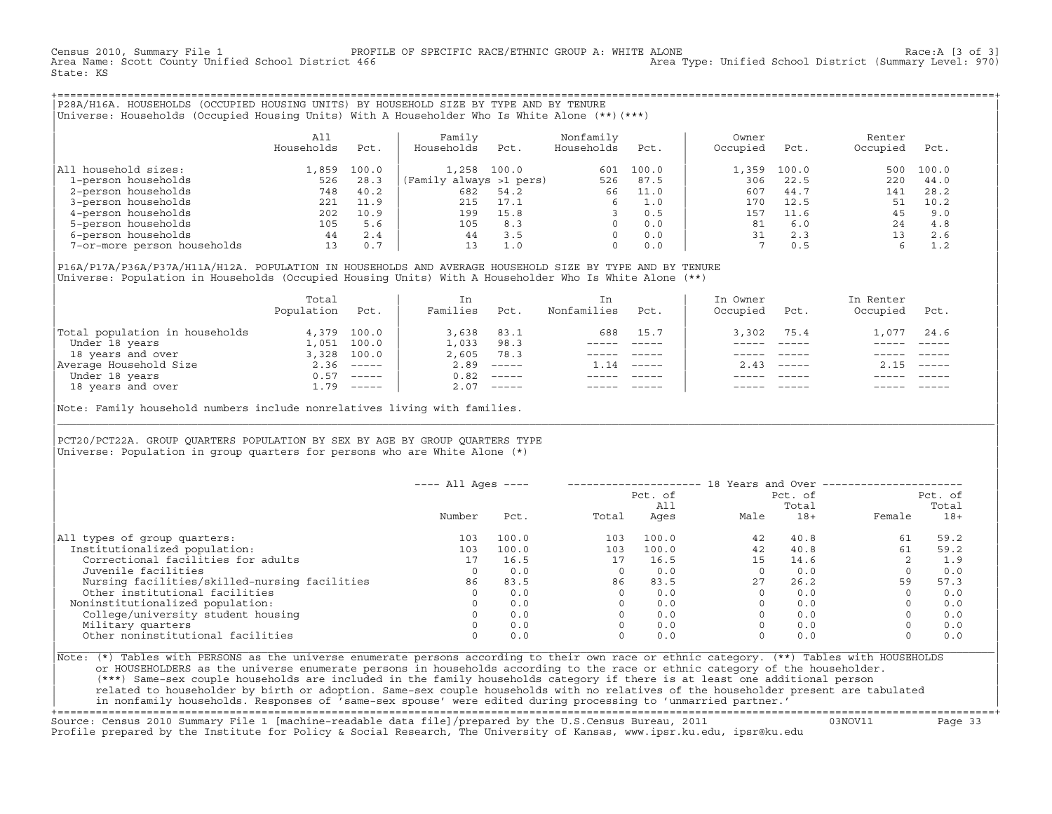Census 2010, Summary File 1 PROFILE OF SPECIFIC RACE/ETHNIC GROUP A: WHITE ALONE Race:A [3 of 3] Area Type: Unified School District (Summary Level: 970) State: KS

+===================================================================================================================================================+|P28A/H16A. HOUSEHOLDS (OCCUPIED HOUSING UNITS) BY HOUSEHOLD SIZE BY TYPE AND BY TENURE | |Universe: Households (Occupied Housing Units) With A Householder Who Is White Alone (\*\*)(\*\*\*) |

|                             | All<br>Households | Pct.  | Family<br>Households    | Pct.  | Nonfamily<br>Households | Pct.  | Owner<br>Occupied | Pct.  | Renter<br>Occupied | Pct.  |
|-----------------------------|-------------------|-------|-------------------------|-------|-------------------------|-------|-------------------|-------|--------------------|-------|
| household sizes:<br>All     | 1,859             | 100.0 | 1,258                   | 100.0 | 601                     | 100.0 | 1,359             | 100.0 | 500                | 100.0 |
| 1-person households         | 526               | 28.3  | (Family always >1 pers) |       | 526                     | 87.5  | 306               | 22.5  | 220                | 44.0  |
| 2-person households         | 748               | 40.2  | 682                     | 54.2  | 66                      | 11.0  | 607               | 44.7  | 141                | 28.2  |
| 3-person households         | 221               | 11.9  | 215                     | 17.1  | 6                       | 1.0   | 170               | 12.5  | 51                 | 10.2  |
| 4-person households         | 202               | 10.9  | 199                     | 15.8  |                         | 0.5   | 157               | 11.6  | 45                 | 9.0   |
| 5-person households         | 105               | 5.6   | 105                     | 8.3   | $\Omega$                | 0.0   | 81                | 6.0   | 24                 | 4.8   |
| 6-person households         | 44                | 2.4   | 44                      | 3.5   | $\Omega$                | 0.0   | 31                | 2.3   | 13                 | 2.6   |
| 7-or-more person households | 13                | 0.7   | 13                      | 1.0   | $\Omega$                | 0.0   |                   | 0.5   |                    | 1.2   |

|P16A/P17A/P36A/P37A/H11A/H12A. POPULATION IN HOUSEHOLDS AND AVERAGE HOUSEHOLD SIZE BY TYPE AND BY TENURE | |Universe: Population in Households (Occupied Housing Units) With A Householder Who Is White Alone (\*\*) |

|                                | Total<br>Population | Pct.         | In<br>Families | Pct.     | In.<br>Nonfamilies | Pct.     | In Owner<br>Occupied | Pct.          | In Renter<br>Occupied | Pct.                      |
|--------------------------------|---------------------|--------------|----------------|----------|--------------------|----------|----------------------|---------------|-----------------------|---------------------------|
| Total population in households |                     | 4,379 100.0  | 3,638          | 83.1     | 688                | 15.7     | 3,302                | 75.4          | 1,077                 | 24.6                      |
| Under 18 years                 | 1,051               | 100.0        | 1,033          | 98.3     |                    |          |                      |               |                       |                           |
| 18 years and over              | 3,328               | 100.0        | 2,605          | 78.3     |                    |          |                      |               |                       |                           |
| Average Household Size         |                     | $2.36$ ----- | 2.89           | $------$ | 1.14               | $------$ | 2.43                 | $- - - - - -$ | 2.15                  | $\qquad \qquad - - - - -$ |
| Under 18 years                 | 0.57                | ______       | 0.82           | $------$ |                    |          |                      |               |                       |                           |
| 18 years and over              |                     | $1.79$ ----- | 2.07           |          |                    |          |                      | $- - - - -$   |                       | $- - - - -$               |
|                                |                     |              |                |          |                    |          |                      |               |                       |                           |

Note: Family household numbers include nonrelatives living with families.

| | PCT20/PCT22A. GROUP OUARTERS POPULATION BY SEX BY AGE BY GROUP OUARTERS TYPE Universe: Population in group quarters for persons who are White Alone  $(*)$ 

|                                               |        |       |       | Pct. of<br>All |      | Pct. of<br>Total |        | Pct. of<br>Total |
|-----------------------------------------------|--------|-------|-------|----------------|------|------------------|--------|------------------|
|                                               | Number | Pct.  | Total | Ages           | Male | $18+$            | Female | $18+$            |
| All types of group quarters:                  | 103    | 100.0 | 103   | 100.0          | 42   | 40.8             | 61     | 59.2             |
| Institutionalized population:                 | 103    | 100.0 | 103   | 100.0          | 42   | 40.8             | 61     | 59.2             |
| Correctional facilities for adults            |        | 16.5  | 17    | 16.5           | 15   | 14.6             | 2      | 1.9              |
| Juvenile facilities                           |        | 0.0   |       | 0.0            |      | 0.0              |        | 0.0              |
| Nursing facilities/skilled-nursing facilities | 86     | 83.5  | 86    | 83.5           | 27   | 26.2             | 59     | 57.3             |
| Other institutional facilities                |        | 0.0   |       | 0.0            |      | 0.0              |        | 0.0              |
| Noninstitutionalized population:              |        | 0.0   |       | 0.0            |      | 0.0              |        | 0.0              |
| College/university student housing            |        | 0.0   |       | 0.0            |      | 0.0              |        | 0.0              |
| Military quarters                             |        | 0.0   |       | 0.0            |      | 0.0              |        | 0.0              |
| Other noninstitutional facilities             |        | 0.0   |       | 0.0            |      | 0.0              |        | 0.0              |

|\_\_\_\_\_\_\_\_\_\_\_\_\_\_\_\_\_\_\_\_\_\_\_\_\_\_\_\_\_\_\_\_\_\_\_\_\_\_\_\_\_\_\_\_\_\_\_\_\_\_\_\_\_\_\_\_\_\_\_\_\_\_\_\_\_\_\_\_\_\_\_\_\_\_\_\_\_\_\_\_\_\_\_\_\_\_\_\_\_\_\_\_\_\_\_\_\_\_\_\_\_\_\_\_\_\_\_\_\_\_\_\_\_\_\_\_\_\_\_\_\_\_\_\_\_\_\_\_\_\_\_\_\_\_\_\_\_\_\_\_\_\_\_\_\_\_\_|

| |

|Note: (\*) Tables with PERSONS as the universe enumerate persons according to their own race or ethnic category. (\*\*) Tables with HOUSEHOLDS | or HOUSEHOLDERS as the universe enumerate persons in households according to the race or ethnic category of the householder. | (\*\*\*) Same−sex couple households are included in the family households category if there is at least one additional person | | related to householder by birth or adoption. Same−sex couple households with no relatives of the householder present are tabulated | | in nonfamily households. Responses of 'same−sex spouse' were edited during processing to 'unmarried partner.' |

+===================================================================================================================================================+ Source: Census 2010 Summary File 1 [machine−readable data file]/prepared by the U.S.Census Bureau, 2011 03NOV11 Page 33 Profile prepared by the Institute for Policy & Social Research, The University of Kansas, www.ipsr.ku.edu, ipsr@ku.edu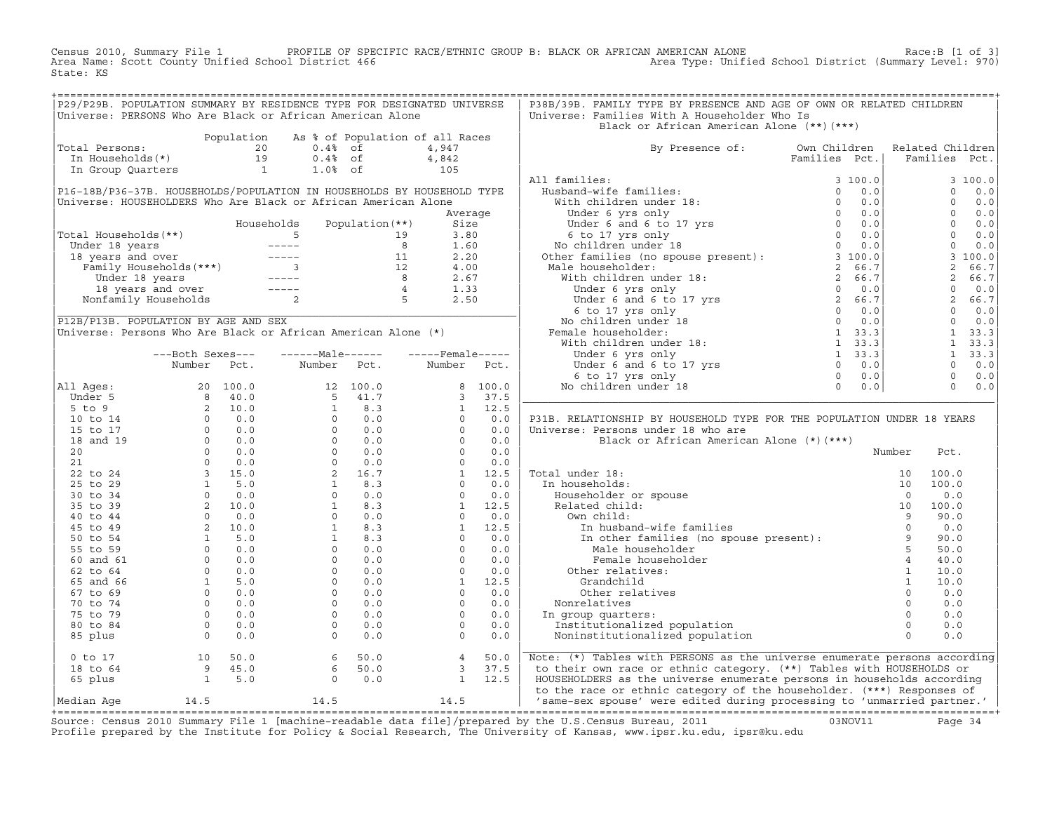Census 2010, Summary File 1 PROFILE OF SPECIFIC RACE/ETHNIC GROUP B: BLACK OR AFRICAN AMERICAN ALONE Race:B [1 of 3]<br>Area Name: Scott County Unified School District 466 Area Type: Unified School District (Summary Level: 97 Area Type: Unified School District (Summary Level: 970) State: KS

| P29/P29B. POPULATION SUMMARY BY RESIDENCE TYPE FOR DESIGNATED UNIVERSE                                                                      |  |  |  | P38B/39B. FAMILY TYPE BY PRESENCE AND AGE OF OWN OR RELATED CHILDREN           |  |  |
|---------------------------------------------------------------------------------------------------------------------------------------------|--|--|--|--------------------------------------------------------------------------------|--|--|
| Universe: PERSONS Who Are Black or African American Alone                                                                                   |  |  |  | Universe: Families With A Householder Who Is                                   |  |  |
|                                                                                                                                             |  |  |  | Black or African American Alone (**)(***)                                      |  |  |
| Population As % of Population of all Races<br>Total Persons:<br>19 0.4% of 4,947<br>In Households(*)<br>19 0.4% of 4,842<br>10% 1.0% of 105 |  |  |  |                                                                                |  |  |
|                                                                                                                                             |  |  |  |                                                                                |  |  |
|                                                                                                                                             |  |  |  | By Presence of: Own Children Related Children<br>Families Pct.   Families Pct. |  |  |
|                                                                                                                                             |  |  |  |                                                                                |  |  |
|                                                                                                                                             |  |  |  |                                                                                |  |  |
|                                                                                                                                             |  |  |  |                                                                                |  |  |
|                                                                                                                                             |  |  |  |                                                                                |  |  |
|                                                                                                                                             |  |  |  |                                                                                |  |  |
|                                                                                                                                             |  |  |  |                                                                                |  |  |
|                                                                                                                                             |  |  |  |                                                                                |  |  |
|                                                                                                                                             |  |  |  |                                                                                |  |  |
|                                                                                                                                             |  |  |  |                                                                                |  |  |
|                                                                                                                                             |  |  |  |                                                                                |  |  |
|                                                                                                                                             |  |  |  |                                                                                |  |  |
|                                                                                                                                             |  |  |  |                                                                                |  |  |
|                                                                                                                                             |  |  |  |                                                                                |  |  |
|                                                                                                                                             |  |  |  |                                                                                |  |  |
|                                                                                                                                             |  |  |  |                                                                                |  |  |
|                                                                                                                                             |  |  |  |                                                                                |  |  |
|                                                                                                                                             |  |  |  |                                                                                |  |  |
|                                                                                                                                             |  |  |  |                                                                                |  |  |
|                                                                                                                                             |  |  |  |                                                                                |  |  |
|                                                                                                                                             |  |  |  |                                                                                |  |  |
|                                                                                                                                             |  |  |  |                                                                                |  |  |
|                                                                                                                                             |  |  |  |                                                                                |  |  |
|                                                                                                                                             |  |  |  |                                                                                |  |  |
|                                                                                                                                             |  |  |  |                                                                                |  |  |
|                                                                                                                                             |  |  |  | P31B. RELATIONSHIP BY HOUSEHOLD TYPE FOR THE POPULATION UNDER 18 YEARS         |  |  |
|                                                                                                                                             |  |  |  |                                                                                |  |  |
|                                                                                                                                             |  |  |  |                                                                                |  |  |
|                                                                                                                                             |  |  |  |                                                                                |  |  |
|                                                                                                                                             |  |  |  |                                                                                |  |  |
|                                                                                                                                             |  |  |  |                                                                                |  |  |
|                                                                                                                                             |  |  |  |                                                                                |  |  |
|                                                                                                                                             |  |  |  |                                                                                |  |  |
|                                                                                                                                             |  |  |  |                                                                                |  |  |
|                                                                                                                                             |  |  |  |                                                                                |  |  |
|                                                                                                                                             |  |  |  |                                                                                |  |  |
|                                                                                                                                             |  |  |  |                                                                                |  |  |
|                                                                                                                                             |  |  |  |                                                                                |  |  |
|                                                                                                                                             |  |  |  |                                                                                |  |  |
|                                                                                                                                             |  |  |  |                                                                                |  |  |
|                                                                                                                                             |  |  |  |                                                                                |  |  |
|                                                                                                                                             |  |  |  |                                                                                |  |  |
|                                                                                                                                             |  |  |  |                                                                                |  |  |
|                                                                                                                                             |  |  |  |                                                                                |  |  |
|                                                                                                                                             |  |  |  |                                                                                |  |  |
|                                                                                                                                             |  |  |  |                                                                                |  |  |
|                                                                                                                                             |  |  |  |                                                                                |  |  |
|                                                                                                                                             |  |  |  |                                                                                |  |  |
|                                                                                                                                             |  |  |  |                                                                                |  |  |
|                                                                                                                                             |  |  |  |                                                                                |  |  |
|                                                                                                                                             |  |  |  |                                                                                |  |  |

+===================================================================================================================================================+Source: Census 2010 Summary File 1 [machine−readable data file]/prepared by the U.S.Census Bureau, 2011 03NOV11 Page 34 Profile prepared by the Institute for Policy & Social Research, The University of Kansas, www.ipsr.ku.edu, ipsr@ku.edu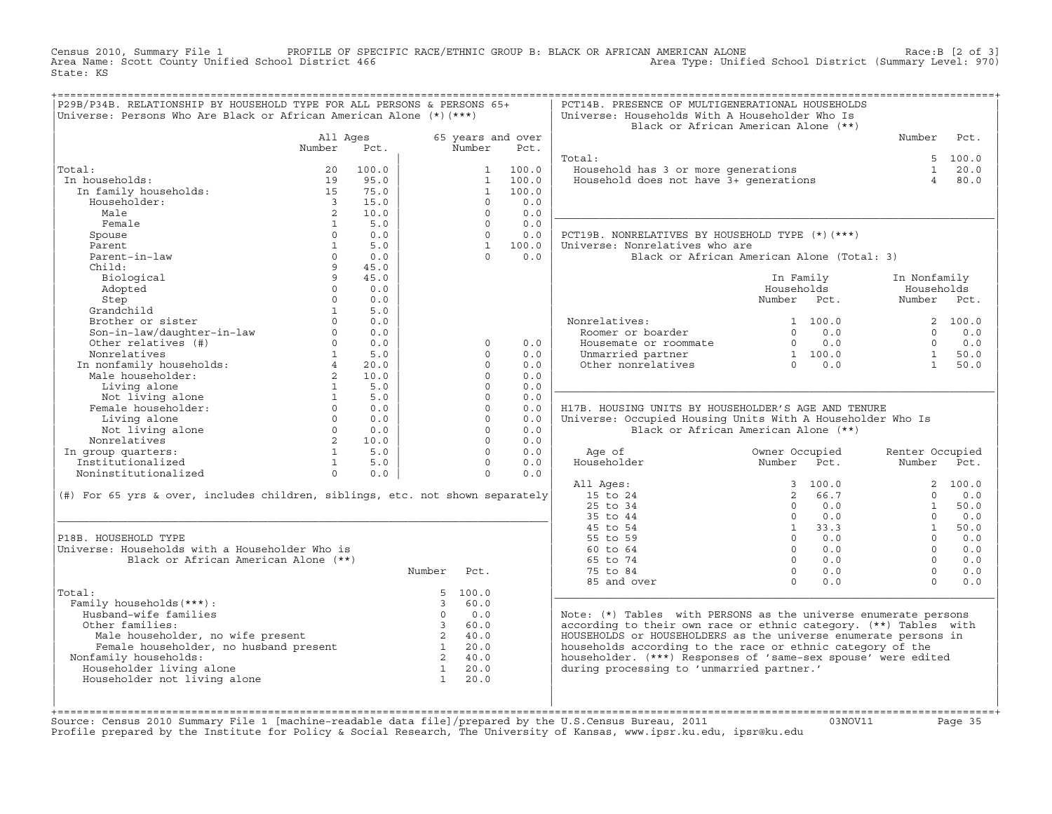Census 2010, Summary File 1 PROFILE OF SPECIFIC RACE/ETHNIC GROUP B: BLACK OR AFRICAN AMERICAN ALONE Race:B [2 of 3]<br>Area Name: Scott County Unified School District 466 Area Type: Unified School District (Summary Level: 97 Area Type: Unified School District (Summary Level: 970) State: KS

| P29B/P34B. RELATIONSHIP BY HOUSEHOLD TYPE FOR ALL PERSONS & PERSONS 65+<br>Universe: Persons Who Are Black or African American Alone (*) (***) |                          |               |                         |                      |                   | PCT14B. PRESENCE OF MULTIGENERATIONAL HOUSEHOLDS<br>Universe: Households With A Householder Who Is<br>Black or African American Alone (**) |                |                  |                 |             |
|------------------------------------------------------------------------------------------------------------------------------------------------|--------------------------|---------------|-------------------------|----------------------|-------------------|--------------------------------------------------------------------------------------------------------------------------------------------|----------------|------------------|-----------------|-------------|
|                                                                                                                                                | All Ages                 |               |                         |                      | 65 years and over |                                                                                                                                            |                |                  | Number          | Pct.        |
|                                                                                                                                                | Number                   | Pct.          |                         | Number               | Pct.              |                                                                                                                                            |                |                  |                 |             |
|                                                                                                                                                |                          |               |                         |                      |                   | Total:                                                                                                                                     |                |                  |                 | 5, 100.0    |
| Total:                                                                                                                                         | 20                       | 100.0         |                         | $\mathbf{1}$         | 100.0             | Household has 3 or more generations<br>Household does not have 3+ generations                                                              |                |                  |                 | 1 20.0      |
| In households:                                                                                                                                 | 19                       | 95.0          |                         | $\mathbf{1}$         | 100.0             |                                                                                                                                            |                |                  | $\overline{4}$  | 80.0        |
| In family households:                                                                                                                          | 1.5                      | 75.0          |                         | $\mathbf{1}$         | 100.0             |                                                                                                                                            |                |                  |                 |             |
| Householder:                                                                                                                                   | $\overline{\mathbf{3}}$  | 15.0          |                         | $\Omega$             | 0.0               |                                                                                                                                            |                |                  |                 |             |
| Male                                                                                                                                           | 2                        | 10.0          |                         | $\Omega$             | 0.0               |                                                                                                                                            |                |                  |                 |             |
| Female                                                                                                                                         | 1                        | 5.0           |                         | $\Omega$             | 0.0               |                                                                                                                                            |                |                  |                 |             |
| Spouse                                                                                                                                         | $\Omega$                 | 0.0           |                         | $\Omega$             | 0.0               | PCT19B. NONRELATIVES BY HOUSEHOLD TYPE (*)(***)                                                                                            |                |                  |                 |             |
| Parent                                                                                                                                         | $\overline{1}$           | 5.0           |                         | $\overline{1}$       | 100.0             | Universe: Nonrelatives who are                                                                                                             |                |                  |                 |             |
| Parent-in-law                                                                                                                                  | $\Omega$                 | 0.0           |                         | $\cap$               | 0.0               | Black or African American Alone (Total: 3)                                                                                                 |                |                  |                 |             |
| Child:                                                                                                                                         | 9                        | 45.0          |                         |                      |                   |                                                                                                                                            |                |                  |                 |             |
| Biological                                                                                                                                     | $\overline{9}$           | 45.0          |                         |                      |                   |                                                                                                                                            | In Family      |                  | In Nonfamily    |             |
| Adopted                                                                                                                                        | $\Omega$                 | 0.0           |                         |                      |                   |                                                                                                                                            | Households     |                  | Households      |             |
| Step                                                                                                                                           | $\Omega$                 | 0.0           |                         |                      |                   |                                                                                                                                            | Number Pct.    |                  | Number Pct.     |             |
| Grandchild                                                                                                                                     | 1                        | 5.0           |                         |                      |                   |                                                                                                                                            |                |                  |                 |             |
| Brother or sister                                                                                                                              | $\Omega$                 | 0.0           |                         |                      |                   | Nonrelatives:                                                                                                                              |                | 1 100.0          |                 | 2 100.0     |
| Son-in-law/daughter-in-law                                                                                                                     | $\Omega$                 | 0.0           |                         |                      |                   | Roomer or boarder                                                                                                                          | $\Omega$       | 0.0              | $\Omega$        | 0.0         |
| Other relatives (#)                                                                                                                            | $\Omega$                 | 0.0           |                         | $\Omega$             | 0.0               | Housemate or roommate                                                                                                                      |                | $0 \qquad 0.0$   | $\Omega$        | 0.0         |
| Nonrelatives                                                                                                                                   | $\mathbf{1}$             | 5.0           |                         | $\Omega$             | 0.0               | Unmarried partner                                                                                                                          |                | 1 100.0          | $\mathbf{1}$    | 50.0        |
| Nonfamily households:                                                                                                                          | $4\overline{ }$          | 20.0          |                         | $\Omega$             | 0.0               | Other nonrelatives                                                                                                                         |                | $0 \t 0.0$       | 1               | 50.0        |
| Male householder:                                                                                                                              | $2^{\circ}$              | 10.0          |                         | $\Omega$             | 0.0               |                                                                                                                                            |                |                  |                 |             |
| Living alone                                                                                                                                   | $\mathbf{1}$             | 5.0           |                         | $\Omega$             | 0.0               |                                                                                                                                            |                |                  |                 |             |
| Not living alone<br>Female householder:                                                                                                        | $\mathbf{1}$             | 5.0           |                         | $\circ$              | 0.0               |                                                                                                                                            |                |                  |                 |             |
|                                                                                                                                                | $\Omega$                 | 0.0           |                         | $\Omega$             | 0.0               | H17B. HOUSING UNITS BY HOUSEHOLDER'S AGE AND TENURE                                                                                        |                |                  |                 |             |
| Living alone                                                                                                                                   |                          | $0 \t 0.0$    |                         | $\Omega$             | 0.0               | Universe: Occupied Housing Units With A Householder Who Is                                                                                 |                |                  |                 |             |
| Not living alone                                                                                                                               |                          | $0 \t 0.0$    |                         | $\Omega$             | 0.0               | Black or African American Alone (**)                                                                                                       |                |                  |                 |             |
| Nonrelatives                                                                                                                                   | $2^{\circ}$              | 10.0          |                         | $\Omega$             | 0.0               |                                                                                                                                            |                |                  |                 |             |
| In group quarters:                                                                                                                             |                          | $1 \quad 5.0$ |                         | $\Omega$<br>$\Omega$ | 0.0               | Age of                                                                                                                                     | Owner Occupied |                  | Renter Occupied |             |
| Institutionalized<br>Noninstitutionalized                                                                                                      | $\mathbf{1}$<br>$\Omega$ | 5.0           |                         | $\Omega$             | 0.0<br>0.0        | Householder                                                                                                                                | Number         | Pct.             | Number          | Pct.        |
|                                                                                                                                                |                          | 0.0           |                         |                      |                   |                                                                                                                                            |                |                  |                 |             |
|                                                                                                                                                |                          |               |                         |                      |                   | All Ages:                                                                                                                                  | $\overline{2}$ | 3, 100.0<br>66.7 | $\Omega$        | 2 100.0     |
| (#) For 65 yrs & over, includes children, siblings, etc. not shown separately                                                                  |                          |               |                         |                      |                   | 15 to 24<br>25 to 34                                                                                                                       | $\circ$        | 0.0              | $\mathbf{1}$    | 0.0<br>50.0 |
|                                                                                                                                                |                          |               |                         |                      |                   | 35 to 44                                                                                                                                   | $\Omega$       | 0.0              | $\Omega$        | 0.0         |
|                                                                                                                                                |                          |               |                         |                      |                   | 45 to 54                                                                                                                                   | $\overline{1}$ | 33.3             | $\mathbf{1}$    | 50.0        |
| P18B. HOUSEHOLD TYPE                                                                                                                           |                          |               |                         |                      |                   | 55 to 59                                                                                                                                   | $\Omega$       | 0.0              | $\Omega$        | 0.0         |
| Universe: Households with a Householder Who is                                                                                                 |                          |               |                         |                      |                   | 60 to 64                                                                                                                                   | $\Omega$       | 0.0              | $\Omega$        | 0.0         |
| Black or African American Alone (**)                                                                                                           |                          |               |                         |                      |                   | 65 to 74                                                                                                                                   | $\Omega$       | 0.0              | $\Omega$        | 0.0         |
|                                                                                                                                                |                          |               | Number                  | Pct.                 |                   | 75 to 84                                                                                                                                   | $\Omega$       | 0.0              | $\Omega$        | 0.0         |
|                                                                                                                                                |                          |               |                         |                      |                   | 85 and over                                                                                                                                | $\Omega$       | 0.0              | $\Omega$        | 0.0         |
| Total:                                                                                                                                         |                          |               |                         | 5, 100.0             |                   |                                                                                                                                            |                |                  |                 |             |
| Family households (***) :                                                                                                                      |                          |               | 3                       | 60.0                 |                   |                                                                                                                                            |                |                  |                 |             |
| Husband-wife families                                                                                                                          |                          |               | $\Omega$                | 0.0                  |                   | Note: $(*)$ Tables with PERSONS as the universe enumerate persons                                                                          |                |                  |                 |             |
| Other families:                                                                                                                                |                          |               | $\overline{\mathbf{3}}$ | 60.0                 |                   | according to their own race or ethnic category. (**) Tables with                                                                           |                |                  |                 |             |
|                                                                                                                                                |                          |               |                         | 2 40.0               |                   | HOUSEHOLDS or HOUSEHOLDERS as the universe enumerate persons in                                                                            |                |                  |                 |             |
| Male householder, no wife present<br>Female householder, no husband present                                                                    |                          |               | $\overline{1}$          | 20.0                 |                   | households according to the race or ethnic category of the                                                                                 |                |                  |                 |             |
| Nonfamily households:                                                                                                                          |                          |               |                         | 2 40.0               |                   | householder. (***) Responses of 'same-sex spouse' were edited                                                                              |                |                  |                 |             |
| Householder living alone                                                                                                                       |                          |               | 1                       | 20.0                 |                   | during processing to 'unmarried partner.'                                                                                                  |                |                  |                 |             |
| Householder not living alone                                                                                                                   |                          |               | $\mathbf{1}$            | 20.0                 |                   |                                                                                                                                            |                |                  |                 |             |
|                                                                                                                                                |                          |               |                         |                      |                   |                                                                                                                                            |                |                  |                 |             |
|                                                                                                                                                |                          |               |                         |                      |                   |                                                                                                                                            |                |                  |                 |             |
|                                                                                                                                                |                          |               |                         |                      |                   |                                                                                                                                            |                |                  |                 |             |

+===================================================================================================================================================+Source: Census 2010 Summary File 1 [machine−readable data file]/prepared by the U.S.Census Bureau, 2011 03NOV11 Page 35 Profile prepared by the Institute for Policy & Social Research, The University of Kansas, www.ipsr.ku.edu, ipsr@ku.edu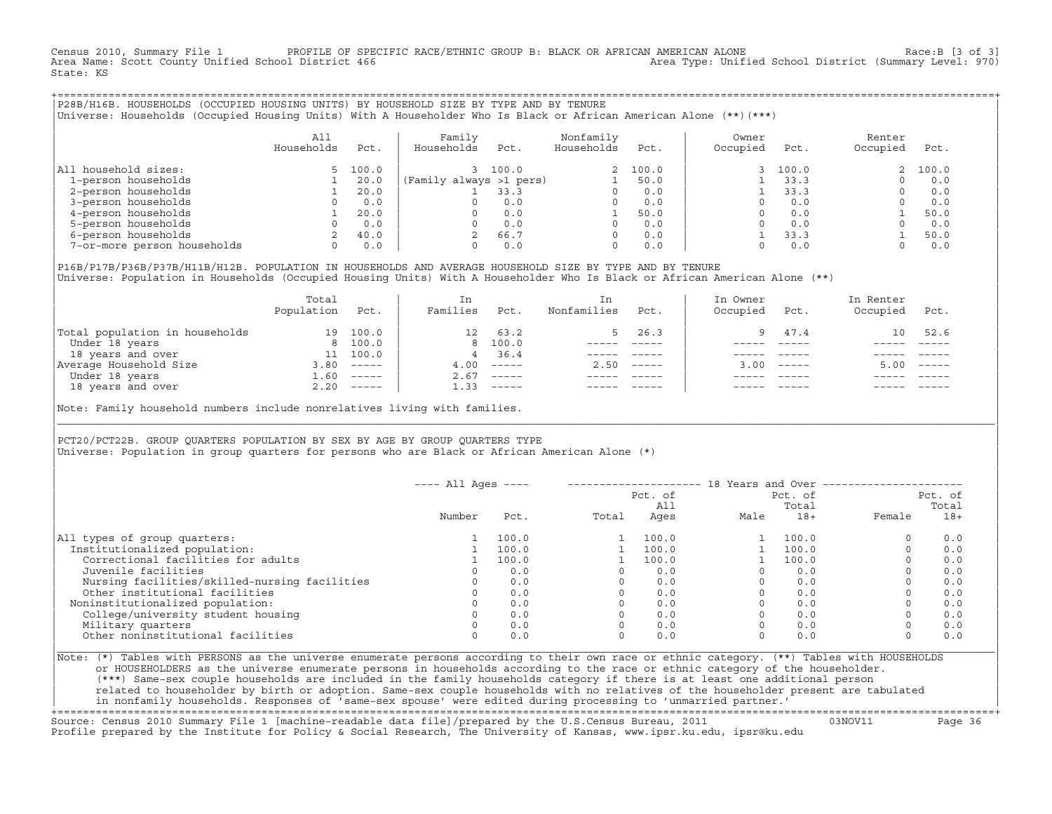Census 2010, Summary File 1 PROFILE OF SPECIFIC RACE/ETHNIC GROUP B: BLACK OR AFRICAN AMERICAN ALONE Race:B [3 of 3]<br>Area Name: Scott County Unified School District 466 Area Type: Unified School District (Summary Level: 97 Area Type: Unified School District (Summary Level: 970) State: KS

+===================================================================================================================================================+|P28B/H16B. HOUSEHOLDS (OCCUPIED HOUSING UNITS) BY HOUSEHOLD SIZE BY TYPE AND BY TENURE | |Universe: Households (Occupied Housing Units) With A Householder Who Is Black or African American Alone (\*\*)(\*\*\*) |

|                             | A11<br>Households | Pct.  | Family<br>Households<br>Pct. | Nonfamily<br>Households | Pct.  | Owner<br>Occupied | Pct.  | Renter<br>Occupied | Pct.  |
|-----------------------------|-------------------|-------|------------------------------|-------------------------|-------|-------------------|-------|--------------------|-------|
| All household sizes:        |                   | 100.0 | 100.0                        |                         | 100.0 |                   | 100.0 |                    | 100.0 |
| 1-person households         |                   | 20.0  | (Family always >1 pers)      |                         | 50.0  |                   | 33.3  |                    | 0.0   |
| 2-person households         |                   | 20.0  | 33.3                         |                         | 0.0   |                   | 33.3  |                    | 0.0   |
| 3-person households         |                   | 0.0   | 0.0                          |                         | 0.0   |                   | 0.0   |                    | 0.0   |
| 4-person households         |                   | 20.0  | 0.0                          |                         | 50.0  |                   | 0.0   |                    | 50.0  |
| 5-person households         |                   | 0.0   | 0.0                          |                         | 0.0   |                   | 0.0   |                    | 0.0   |
| 6-person households         |                   | 40.0  | 66.7                         | $\Omega$                | 0.0   |                   | 33.3  |                    | 50.0  |
| 7-or-more person households | 0                 | 0.0   | 0.0                          | 0                       | 0.0   |                   | 0.0   |                    | 0.0   |

|P16B/P17B/P36B/P37B/H11B/H12B. POPULATION IN HOUSEHOLDS AND AVERAGE HOUSEHOLD SIZE BY TYPE AND BY TENURE | Universe: Population in Households (Occupied Housing Units) With A Householder Who Is Black or African American Alone (\*\*)

|                                | Total<br>Population | Pct.         | In<br>Families   | Pct.                                                                                                                                                                                                                                                                                                                                                                                                                                                                                 | In.<br>Nonfamilies | Pct.                      | In Owner<br>Occupied | Pct.         | In Renter<br>Occupied | Pct.                      |
|--------------------------------|---------------------|--------------|------------------|--------------------------------------------------------------------------------------------------------------------------------------------------------------------------------------------------------------------------------------------------------------------------------------------------------------------------------------------------------------------------------------------------------------------------------------------------------------------------------------|--------------------|---------------------------|----------------------|--------------|-----------------------|---------------------------|
| Total population in households | 19                  | 100.0        | 12 <sup>12</sup> | 63.2                                                                                                                                                                                                                                                                                                                                                                                                                                                                                 |                    | 26.3                      | $\alpha$             | 47.4         | 10                    | 52.6                      |
| Under 18 years                 |                     | 8 100.0      |                  | 8 100.0                                                                                                                                                                                                                                                                                                                                                                                                                                                                              |                    |                           |                      |              |                       |                           |
| 18 years and over              | 11                  | 100.0        | $\overline{4}$   | 36.4                                                                                                                                                                                                                                                                                                                                                                                                                                                                                 |                    |                           |                      |              |                       |                           |
| Average Household Size         | 3.80                | $------$     | 4.00             | $------$                                                                                                                                                                                                                                                                                                                                                                                                                                                                             | 2.50               | $\qquad \qquad - - - - -$ |                      | $3.00$ ----- | 5.00                  | $\qquad \qquad - - - - -$ |
| Under 18 years                 | 1.60                | $------$     | 2.67             | $------$                                                                                                                                                                                                                                                                                                                                                                                                                                                                             |                    |                           |                      |              |                       |                           |
| 18 years and over              |                     | $2.20$ ----- | 1.33             | $\begin{tabular}{cccccc} \multicolumn{2}{c}{} & \multicolumn{2}{c}{} & \multicolumn{2}{c}{} & \multicolumn{2}{c}{} & \multicolumn{2}{c}{} & \multicolumn{2}{c}{} & \multicolumn{2}{c}{} & \multicolumn{2}{c}{} & \multicolumn{2}{c}{} & \multicolumn{2}{c}{} & \multicolumn{2}{c}{} & \multicolumn{2}{c}{} & \multicolumn{2}{c}{} & \multicolumn{2}{c}{} & \multicolumn{2}{c}{} & \multicolumn{2}{c}{} & \multicolumn{2}{c}{} & \multicolumn{2}{c}{} & \multicolumn{2}{c}{} & \mult$ |                    |                           |                      | $- - - - -$  |                       | $- - - - -$               |
|                                |                     |              |                  |                                                                                                                                                                                                                                                                                                                                                                                                                                                                                      |                    |                           |                      |              |                       |                           |

Note: Family household numbers include nonrelatives living with families.

| | PCT20/PCT22B. GROUP OUARTERS POPULATION BY SEX BY AGE BY GROUP OUARTERS TYPE Universe: Population in group quarters for persons who are Black or African American Alone (\*)

|                                               | $---$ All Ages $---$ |       |       | Pct. of<br>All |      | Pct. of<br>Total | 18 Years and Over -------------- | Pct. of<br>Total |
|-----------------------------------------------|----------------------|-------|-------|----------------|------|------------------|----------------------------------|------------------|
|                                               | Number               | Pct.  | Total | Ages           | Male | $18+$            | Female                           | $18+$            |
| All types of group quarters:                  |                      | 100.0 |       | 100.0          |      | 100.0            | $\circ$                          | 0.0              |
| Institutionalized population:                 |                      | 100.0 |       | 100.0          |      | 100.0            | $\Omega$                         | 0.0              |
| Correctional facilities for adults            |                      | 100.0 |       | 100.0          |      | 100.0            | $\Omega$                         | 0.0              |
| Juvenile facilities                           |                      | 0.0   |       | 0.0            |      | 0.0              | $\circ$                          | 0.0              |
| Nursing facilities/skilled-nursing facilities |                      | 0.0   |       | 0.0            |      | 0.0              | $\circ$                          | 0.0              |
| Other institutional facilities                |                      | 0.0   |       | 0.0            |      | 0.0              | $\Omega$                         | 0.0              |
| Noninstitutionalized population:              |                      | 0.0   |       | 0.0            |      | 0.0              |                                  | 0.0              |
| College/university student housing            |                      | 0.0   |       | 0.0            |      | 0.0              | $\circ$                          | 0.0              |
| Military quarters                             |                      | 0.0   |       | 0.0            |      | 0.0              | $\Omega$                         | 0.0              |
| Other noninstitutional facilities             |                      | 0.0   |       | 0.0            |      | 0.0              | $\Omega$                         | 0.0              |

|\_\_\_\_\_\_\_\_\_\_\_\_\_\_\_\_\_\_\_\_\_\_\_\_\_\_\_\_\_\_\_\_\_\_\_\_\_\_\_\_\_\_\_\_\_\_\_\_\_\_\_\_\_\_\_\_\_\_\_\_\_\_\_\_\_\_\_\_\_\_\_\_\_\_\_\_\_\_\_\_\_\_\_\_\_\_\_\_\_\_\_\_\_\_\_\_\_\_\_\_\_\_\_\_\_\_\_\_\_\_\_\_\_\_\_\_\_\_\_\_\_\_\_\_\_\_\_\_\_\_\_\_\_\_\_\_\_\_\_\_\_\_\_\_\_\_\_|

| |

|Note: (\*) Tables with PERSONS as the universe enumerate persons according to their own race or ethnic category. (\*\*) Tables with HOUSEHOLDS | or HOUSEHOLDERS as the universe enumerate persons in households according to the race or ethnic category of the householder. | (\*\*\*) Same−sex couple households are included in the family households category if there is at least one additional person | | related to householder by birth or adoption. Same−sex couple households with no relatives of the householder present are tabulated | | in nonfamily households. Responses of 'same−sex spouse' were edited during processing to 'unmarried partner.' | +===================================================================================================================================================+

Source: Census 2010 Summary File 1 [machine−readable data file]/prepared by the U.S.Census Bureau, 2011 03NOV11 Page 36 Profile prepared by the Institute for Policy & Social Research, The University of Kansas, www.ipsr.ku.edu, ipsr@ku.edu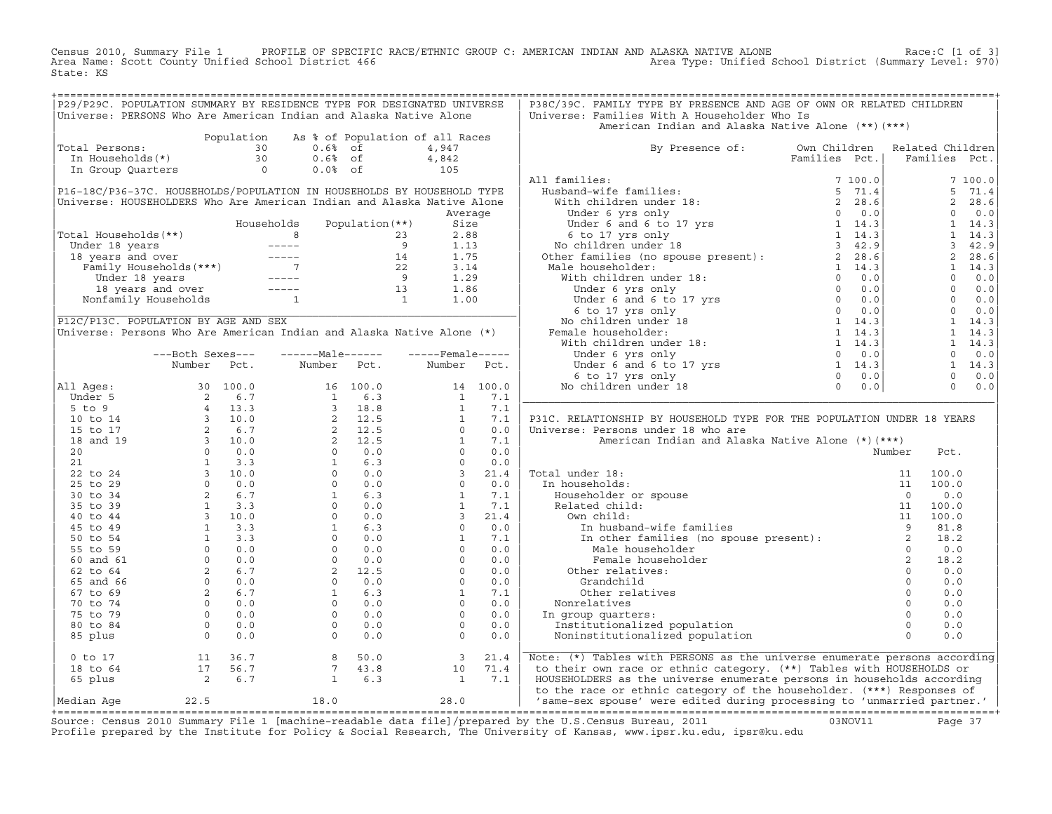Census 2010, Summary File 1 PROFILE OF SPECIFIC RACE/ETHNIC GROUP C: AMERICAN INDIAN AND ALASKA NATIVE ALONE Race:C [1 of 3]<br>Area Name: Scott County Unified School District 466 Area Type: Unified School District (Summary L Area Type: Unified School District (Summary Level: 970) State: KS

|                                                                                                                                                                                                                                                               |                  | Universe: PERSONS Who Are American Indian and Alaska Native Alone                |                  |      | Universe: Families With A Householder Who Is<br>American Indian and Alaska Native Alone (**) (***)                                                                                                                                                                                                                                                                                                                                                               |  |                                                                                                                                                                                                                                                                                       |               |                |
|---------------------------------------------------------------------------------------------------------------------------------------------------------------------------------------------------------------------------------------------------------------|------------------|----------------------------------------------------------------------------------|------------------|------|------------------------------------------------------------------------------------------------------------------------------------------------------------------------------------------------------------------------------------------------------------------------------------------------------------------------------------------------------------------------------------------------------------------------------------------------------------------|--|---------------------------------------------------------------------------------------------------------------------------------------------------------------------------------------------------------------------------------------------------------------------------------------|---------------|----------------|
|                                                                                                                                                                                                                                                               |                  | Population As % of Population of all Races                                       |                  |      |                                                                                                                                                                                                                                                                                                                                                                                                                                                                  |  |                                                                                                                                                                                                                                                                                       |               |                |
| Population As * of Population of all K<br>otal Persons: 30 0.6* of 4,947<br>In Households(*) 30 0.6* of 4,842<br>In Group Quarters 0 0.0* of 105<br>Total Persons:                                                                                            |                  |                                                                                  |                  |      | By Presence of: Own Children Related Children<br>Families Pct.   Families Pct.                                                                                                                                                                                                                                                                                                                                                                                   |  |                                                                                                                                                                                                                                                                                       |               |                |
|                                                                                                                                                                                                                                                               |                  |                                                                                  |                  |      |                                                                                                                                                                                                                                                                                                                                                                                                                                                                  |  |                                                                                                                                                                                                                                                                                       | Families Pct. |                |
|                                                                                                                                                                                                                                                               |                  |                                                                                  |                  |      |                                                                                                                                                                                                                                                                                                                                                                                                                                                                  |  |                                                                                                                                                                                                                                                                                       |               |                |
|                                                                                                                                                                                                                                                               |                  |                                                                                  |                  |      | All families:                                                                                                                                                                                                                                                                                                                                                                                                                                                    |  |                                                                                                                                                                                                                                                                                       |               | 7100.0         |
| P16-18C/P36-37C. HOUSEHOLDS/POPULATION IN HOUSEHOLDS BY HOUSEHOLD TYPE                                                                                                                                                                                        |                  |                                                                                  |                  |      |                                                                                                                                                                                                                                                                                                                                                                                                                                                                  |  |                                                                                                                                                                                                                                                                                       |               | 5 71.4         |
| Universe: HOUSEHOLDERS Who Are American Indian and Alaska Native Alone                                                                                                                                                                                        |                  |                                                                                  |                  |      |                                                                                                                                                                                                                                                                                                                                                                                                                                                                  |  |                                                                                                                                                                                                                                                                                       |               | 2, 28.6        |
|                                                                                                                                                                                                                                                               |                  |                                                                                  | Average          |      |                                                                                                                                                                                                                                                                                                                                                                                                                                                                  |  |                                                                                                                                                                                                                                                                                       |               | $0 \qquad 0.0$ |
|                                                                                                                                                                                                                                                               |                  | Households Population (**)                                                       | Size             |      |                                                                                                                                                                                                                                                                                                                                                                                                                                                                  |  |                                                                                                                                                                                                                                                                                       |               |                |
|                                                                                                                                                                                                                                                               |                  |                                                                                  |                  |      |                                                                                                                                                                                                                                                                                                                                                                                                                                                                  |  |                                                                                                                                                                                                                                                                                       |               |                |
|                                                                                                                                                                                                                                                               |                  |                                                                                  |                  |      |                                                                                                                                                                                                                                                                                                                                                                                                                                                                  |  |                                                                                                                                                                                                                                                                                       |               |                |
|                                                                                                                                                                                                                                                               |                  |                                                                                  |                  |      |                                                                                                                                                                                                                                                                                                                                                                                                                                                                  |  |                                                                                                                                                                                                                                                                                       |               |                |
|                                                                                                                                                                                                                                                               |                  |                                                                                  |                  |      |                                                                                                                                                                                                                                                                                                                                                                                                                                                                  |  |                                                                                                                                                                                                                                                                                       |               |                |
|                                                                                                                                                                                                                                                               |                  |                                                                                  |                  |      |                                                                                                                                                                                                                                                                                                                                                                                                                                                                  |  |                                                                                                                                                                                                                                                                                       |               |                |
|                                                                                                                                                                                                                                                               |                  |                                                                                  |                  |      |                                                                                                                                                                                                                                                                                                                                                                                                                                                                  |  |                                                                                                                                                                                                                                                                                       |               |                |
| Fotal Households (**)<br>Under 18 years<br>18 years and over<br>Family Households (***)<br>The Family Households (***)<br>14 1.75<br>22 3.14<br>Under 18 years<br>14 1.75<br>22 3.14<br>Under 18 years<br>14 1.75<br>22 3.14<br>Under 18 years<br>13 1.86<br> |                  |                                                                                  |                  |      |                                                                                                                                                                                                                                                                                                                                                                                                                                                                  |  | $2\ \n\begin{bmatrix}\n2 & 28.6 \\ 0 & 0.0 \\ 1 & 4.3 \\ 3 & 42.9 \\ 2 & 28.6 \\ 1 & 14.3 \\ 3 & 42.9 \\ 2 & 8.6 \\ 1 & 14.3 \\ 0 & 0.0 \\ 0 & 0.0 \\ 0 & 0.0 \\ 1 & 14.3 \\ 1 & 14.3 \\ 1 & 14.3 \\ 0 & 0.0 \\ 0 & 0.0 \\ 1 & 14.3 \\ 0 & 0.0 \\ 0 & 0.0 \\ 0 & 0.0 \\ 0 & 0.0 \\ 0$ |               |                |
|                                                                                                                                                                                                                                                               |                  |                                                                                  |                  |      |                                                                                                                                                                                                                                                                                                                                                                                                                                                                  |  |                                                                                                                                                                                                                                                                                       |               |                |
| P12C/P13C. POPULATION BY AGE AND SEX<br>Universe: Persons Who Are American Indian and Alaska Native Alone (*)                                                                                                                                                 |                  |                                                                                  |                  |      |                                                                                                                                                                                                                                                                                                                                                                                                                                                                  |  |                                                                                                                                                                                                                                                                                       |               |                |
|                                                                                                                                                                                                                                                               |                  |                                                                                  |                  |      |                                                                                                                                                                                                                                                                                                                                                                                                                                                                  |  |                                                                                                                                                                                                                                                                                       |               |                |
|                                                                                                                                                                                                                                                               |                  |                                                                                  |                  |      |                                                                                                                                                                                                                                                                                                                                                                                                                                                                  |  |                                                                                                                                                                                                                                                                                       |               |                |
|                                                                                                                                                                                                                                                               | ---Both Sexes--- | -------Male------                                                                | -----Female----- |      |                                                                                                                                                                                                                                                                                                                                                                                                                                                                  |  |                                                                                                                                                                                                                                                                                       |               |                |
|                                                                                                                                                                                                                                                               |                  | Number Pct. Number Pct. Number Pct.                                              |                  |      |                                                                                                                                                                                                                                                                                                                                                                                                                                                                  |  |                                                                                                                                                                                                                                                                                       |               |                |
|                                                                                                                                                                                                                                                               |                  |                                                                                  |                  |      |                                                                                                                                                                                                                                                                                                                                                                                                                                                                  |  |                                                                                                                                                                                                                                                                                       |               |                |
|                                                                                                                                                                                                                                                               |                  |                                                                                  |                  |      |                                                                                                                                                                                                                                                                                                                                                                                                                                                                  |  |                                                                                                                                                                                                                                                                                       |               |                |
|                                                                                                                                                                                                                                                               |                  |                                                                                  |                  |      |                                                                                                                                                                                                                                                                                                                                                                                                                                                                  |  |                                                                                                                                                                                                                                                                                       |               |                |
|                                                                                                                                                                                                                                                               |                  |                                                                                  |                  |      | P31C. RELATIONSHIP BY HOUSEHOLD TYPE FOR THE POPULATION UNDER 18 YEARS                                                                                                                                                                                                                                                                                                                                                                                           |  |                                                                                                                                                                                                                                                                                       |               |                |
|                                                                                                                                                                                                                                                               |                  |                                                                                  |                  |      | Universe: Persons under 18 who are                                                                                                                                                                                                                                                                                                                                                                                                                               |  |                                                                                                                                                                                                                                                                                       |               |                |
|                                                                                                                                                                                                                                                               |                  |                                                                                  |                  |      | American Indian and Alaska Native Alone (*)(***)                                                                                                                                                                                                                                                                                                                                                                                                                 |  |                                                                                                                                                                                                                                                                                       |               |                |
|                                                                                                                                                                                                                                                               |                  |                                                                                  |                  |      |                                                                                                                                                                                                                                                                                                                                                                                                                                                                  |  | Number                                                                                                                                                                                                                                                                                | Pct.          |                |
|                                                                                                                                                                                                                                                               |                  |                                                                                  |                  |      |                                                                                                                                                                                                                                                                                                                                                                                                                                                                  |  |                                                                                                                                                                                                                                                                                       |               |                |
|                                                                                                                                                                                                                                                               |                  |                                                                                  |                  |      |                                                                                                                                                                                                                                                                                                                                                                                                                                                                  |  |                                                                                                                                                                                                                                                                                       |               |                |
|                                                                                                                                                                                                                                                               |                  |                                                                                  |                  |      |                                                                                                                                                                                                                                                                                                                                                                                                                                                                  |  |                                                                                                                                                                                                                                                                                       |               |                |
|                                                                                                                                                                                                                                                               |                  |                                                                                  |                  |      |                                                                                                                                                                                                                                                                                                                                                                                                                                                                  |  |                                                                                                                                                                                                                                                                                       |               |                |
|                                                                                                                                                                                                                                                               |                  |                                                                                  |                  |      |                                                                                                                                                                                                                                                                                                                                                                                                                                                                  |  |                                                                                                                                                                                                                                                                                       |               |                |
|                                                                                                                                                                                                                                                               |                  |                                                                                  |                  |      |                                                                                                                                                                                                                                                                                                                                                                                                                                                                  |  |                                                                                                                                                                                                                                                                                       |               |                |
|                                                                                                                                                                                                                                                               |                  |                                                                                  |                  |      |                                                                                                                                                                                                                                                                                                                                                                                                                                                                  |  |                                                                                                                                                                                                                                                                                       |               |                |
|                                                                                                                                                                                                                                                               |                  |                                                                                  |                  |      |                                                                                                                                                                                                                                                                                                                                                                                                                                                                  |  |                                                                                                                                                                                                                                                                                       |               |                |
|                                                                                                                                                                                                                                                               |                  |                                                                                  |                  |      |                                                                                                                                                                                                                                                                                                                                                                                                                                                                  |  |                                                                                                                                                                                                                                                                                       |               |                |
|                                                                                                                                                                                                                                                               |                  |                                                                                  |                  |      |                                                                                                                                                                                                                                                                                                                                                                                                                                                                  |  |                                                                                                                                                                                                                                                                                       |               |                |
|                                                                                                                                                                                                                                                               |                  |                                                                                  |                  |      | $\begin{tabular}{llllllll} \texttt{al under 18:} & & & & & 11 & 100.0 \\ \texttt{n} \texttt{households:} & & & & 11 & 100.0 \\ \texttt{Householder or spouse} & & & & 11 & 100.0 \\ \texttt{Related child:} & & & & 11 & 100.0 \\ \texttt{0} \texttt{Wn child:} & & & 11 & 100.0 \\ \texttt{In husband-wife families} & & & 11 & 100.0 \\ \texttt{In other families (no spouse present):} & & 2 & 18.2 \\ \texttt{Male householder} & & 0 & 0.0 \\ \texttt{0} &$ |  |                                                                                                                                                                                                                                                                                       | 18.2          |                |
|                                                                                                                                                                                                                                                               |                  |                                                                                  |                  |      |                                                                                                                                                                                                                                                                                                                                                                                                                                                                  |  |                                                                                                                                                                                                                                                                                       | 0.0           |                |
|                                                                                                                                                                                                                                                               |                  |                                                                                  |                  |      |                                                                                                                                                                                                                                                                                                                                                                                                                                                                  |  |                                                                                                                                                                                                                                                                                       | 0.0           |                |
|                                                                                                                                                                                                                                                               |                  |                                                                                  |                  |      |                                                                                                                                                                                                                                                                                                                                                                                                                                                                  |  |                                                                                                                                                                                                                                                                                       | 0.0           |                |
|                                                                                                                                                                                                                                                               |                  |                                                                                  |                  |      |                                                                                                                                                                                                                                                                                                                                                                                                                                                                  |  |                                                                                                                                                                                                                                                                                       | 0.0           |                |
|                                                                                                                                                                                                                                                               |                  |                                                                                  |                  |      |                                                                                                                                                                                                                                                                                                                                                                                                                                                                  |  |                                                                                                                                                                                                                                                                                       | 0.0           |                |
|                                                                                                                                                                                                                                                               |                  |                                                                                  |                  |      |                                                                                                                                                                                                                                                                                                                                                                                                                                                                  |  |                                                                                                                                                                                                                                                                                       | 0.0           |                |
|                                                                                                                                                                                                                                                               |                  |                                                                                  |                  |      |                                                                                                                                                                                                                                                                                                                                                                                                                                                                  |  |                                                                                                                                                                                                                                                                                       | 0.0           |                |
|                                                                                                                                                                                                                                                               |                  |                                                                                  |                  | 21.4 | Male householder<br>Male householder<br>Female householder<br>Temale householder<br>Other relatives:<br>Grandchild<br>Other relatives<br>Other relatives<br>Nonrelatives<br>In group quarters:<br>Institutionalized population<br>Noninstitutionaliz<br>Note: (*) Tables with PERSONS as the universe enumerate persons according                                                                                                                                |  |                                                                                                                                                                                                                                                                                       |               |                |
|                                                                                                                                                                                                                                                               |                  |                                                                                  |                  |      | to their own race or ethnic category. (**) Tables with HOUSEHOLDS or                                                                                                                                                                                                                                                                                                                                                                                             |  |                                                                                                                                                                                                                                                                                       |               |                |
|                                                                                                                                                                                                                                                               |                  | 0 to 17<br>18 to 64<br>17 56.7<br>2 6.7<br>2 6.7<br>1 6.3<br>1 7.1<br>3<br>1 7.1 |                  |      | HOUSEHOLDERS as the universe enumerate persons in households according<br>Median Age 22.5 18.0 18.0 28.0 to the race or ethnic category of the householder. (***) Responses of 18.0 28.0<br>To the race or ethnic category of the householder. (***) Responses of 18.0 28.0 28.0 28.0 28.0 28.0 28.0 28.0<br>                                                                                                                                                    |  |                                                                                                                                                                                                                                                                                       |               |                |

+===================================================================================================================================================+Source: Census 2010 Summary File 1 [machine−readable data file]/prepared by the U.S.Census Bureau, 2011 03NOV11 Page 37 Profile prepared by the Institute for Policy & Social Research, The University of Kansas, www.ipsr.ku.edu, ipsr@ku.edu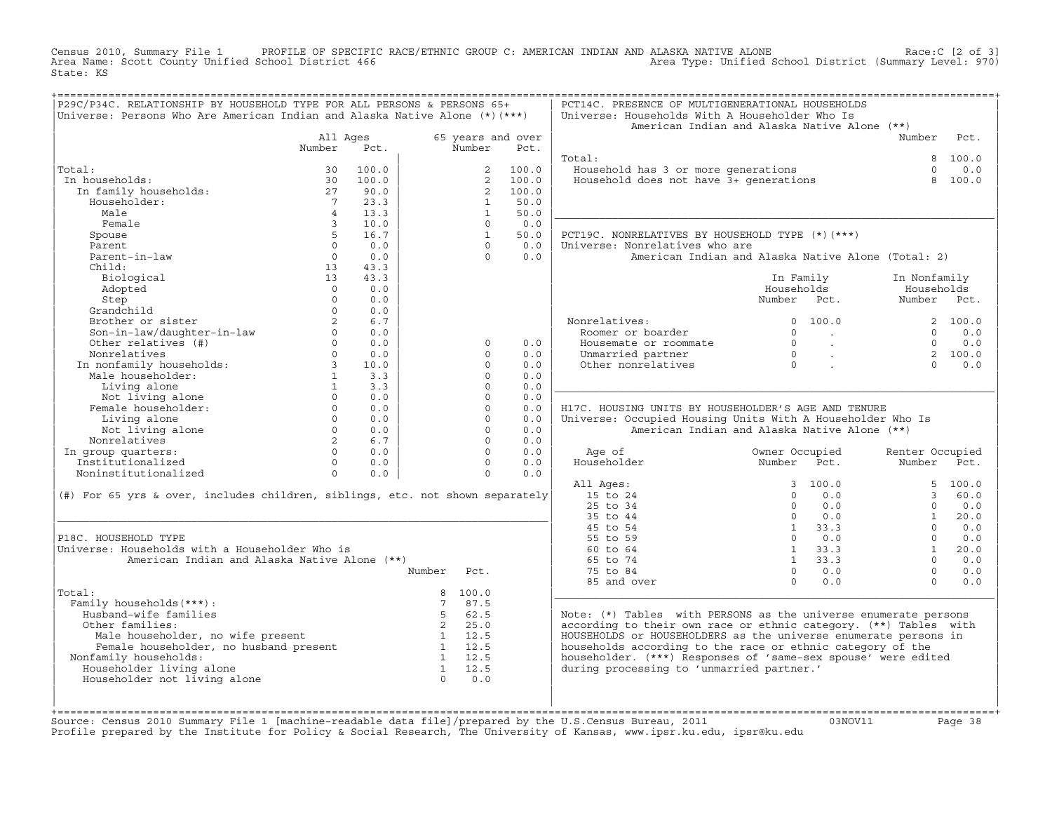Census 2010, Summary File 1 PROFILE OF SPECIFIC RACE/ETHNIC GROUP C: AMERICAN INDIAN AND ALASKA NATIVE ALONE Race:C [2 of 3]<br>Area Name: Scott County Unified School District 466 Rece/ETHNIC GROUP C: AMERICAN INDIAN AND ALAS Area Type: Unified School District (Summary Level: 970) State: KS

| P29C/P34C. RELATIONSHIP BY HOUSEHOLD TYPE FOR ALL PERSONS & PERSONS 65+<br>Universe: Persons Who Are American Indian and Alaska Native Alone (*) (***) |                        |              |                          |             | PCT14C. PRESENCE OF MULTIGENERATIONAL HOUSEHOLDS<br>Universe: Households With A Householder Who Is<br>American Indian and Alaska Native Alone (**) |                                     |                             |                 |          |
|--------------------------------------------------------------------------------------------------------------------------------------------------------|------------------------|--------------|--------------------------|-------------|----------------------------------------------------------------------------------------------------------------------------------------------------|-------------------------------------|-----------------------------|-----------------|----------|
|                                                                                                                                                        | All Ages               |              | 65 years and over        |             |                                                                                                                                                    |                                     |                             | Number Pct.     |          |
|                                                                                                                                                        | Number                 | Pct.         | Number                   | Pct.        |                                                                                                                                                    |                                     |                             |                 |          |
|                                                                                                                                                        |                        |              |                          |             | Total:                                                                                                                                             |                                     |                             |                 | 8 100.0  |
| Total:                                                                                                                                                 | 30                     | 100.0        | 2                        | 100.0       | Household has 3 or more generations<br>Household does not have 3+ generations                                                                      |                                     |                             | $\Omega$        | 0.0      |
| In households:                                                                                                                                         | 30                     | 100.0        | $\overline{2}$           | 100.0       |                                                                                                                                                    |                                     |                             | 8               | 100.0    |
| In family households:                                                                                                                                  | 27                     | 90.0         | 2                        | 100.0       |                                                                                                                                                    |                                     |                             |                 |          |
| Householder:                                                                                                                                           | $7\overline{ }$        | 23.3         | $\mathbf{1}$             | 50.0        |                                                                                                                                                    |                                     |                             |                 |          |
| Male                                                                                                                                                   | $\overline{4}$         | 13.3         | $\mathbf{1}$             | 50.0        |                                                                                                                                                    |                                     |                             |                 |          |
| Female                                                                                                                                                 | $\mathbf{3}$<br>5      | 10.0<br>16.7 | $\Omega$<br>$\mathbf{1}$ | 0.0         |                                                                                                                                                    |                                     |                             |                 |          |
| Spouse<br>Parent                                                                                                                                       | $\Omega$               | 0.0          | $\Omega$                 | 50.0<br>0.0 | PCT19C. NONRELATIVES BY HOUSEHOLD TYPE (*) (***)<br>Universe: Nonrelatives who are                                                                 |                                     |                             |                 |          |
| Parent-in-law                                                                                                                                          | $\Omega$               | 0.0          | $\Omega$                 | 0.0         | American Indian and Alaska Native Alone (Total: 2)                                                                                                 |                                     |                             |                 |          |
| Child:                                                                                                                                                 | 13                     | 43.3         |                          |             |                                                                                                                                                    |                                     |                             |                 |          |
| Biological                                                                                                                                             | 13                     | 43.3         |                          |             |                                                                                                                                                    |                                     | In Family                   | In Nonfamily    |          |
| Adopted                                                                                                                                                | $\Omega$               | 0.0          |                          |             |                                                                                                                                                    | Households                          |                             | Households      |          |
| Step                                                                                                                                                   | $\Omega$               | 0.0          |                          |             |                                                                                                                                                    | Number Pct.                         |                             | Number Pct.     |          |
| Grandchild                                                                                                                                             | $\Omega$               | 0.0          |                          |             |                                                                                                                                                    |                                     |                             |                 |          |
| Brother or sister                                                                                                                                      |                        | 6.7          |                          |             | Nonrelatives:                                                                                                                                      |                                     | 0 100.0                     |                 | 2 100.0  |
|                                                                                                                                                        | $\circ$                | 0.0          |                          |             | Roomer or boarder                                                                                                                                  | $\Omega$                            | <b>Contractor</b>           | $\Omega$        | 0.0      |
| Son-in-law/daughter-in-law<br>Other relatives (#)                                                                                                      | $\Omega$               | 0.0          | $\Omega$                 | 0.0         | Housemate or roommate                                                                                                                              |                                     | $\sim 10^{11}$ km s $^{-1}$ | $\Omega$        | 0.0      |
| Nonrelatives                                                                                                                                           |                        | $0 \t 0.0$   | $\cap$                   | 0.0         | Unmarried partner                                                                                                                                  |                                     | $\sim 10^{11}$ km           |                 | 2 100.0  |
| Nonrelatives<br>In nonfamily households:<br>Male householder:<br>1                                                                                     |                        | 10.0         | $\Omega$                 | 0.0         | Other nonrelatives                                                                                                                                 | $\begin{matrix}0\\0\\0\end{matrix}$ |                             | $\cap$          | 0.0      |
|                                                                                                                                                        |                        | 3.3          | $\Omega$                 | 0.0         |                                                                                                                                                    |                                     |                             |                 |          |
| Living alone                                                                                                                                           | 1                      | 3.3          | $\Omega$                 | 0.0         |                                                                                                                                                    |                                     |                             |                 |          |
| Not living alone                                                                                                                                       | $\Omega$               | 0.0          | $\Omega$                 | 0.0         |                                                                                                                                                    |                                     |                             |                 |          |
| Female householder:                                                                                                                                    | $\Omega$               | 0.0          | $\Omega$                 | 0.0         | H17C. HOUSING UNITS BY HOUSEHOLDER'S AGE AND TENURE                                                                                                |                                     |                             |                 |          |
| Living alone                                                                                                                                           | $\Omega$               | 0.0          | $\circ$                  | 0.0         | Universe: Occupied Housing Units With A Householder Who Is                                                                                         |                                     |                             |                 |          |
| Not living alone                                                                                                                                       | $\Omega$               | 0.0          | $\Omega$                 | 0.0         | American Indian and Alaska Native Alone (**)                                                                                                       |                                     |                             |                 |          |
| Nonrelatives                                                                                                                                           | $2 \quad \blacksquare$ | 6.7          | $\Omega$                 | 0.0         |                                                                                                                                                    |                                     |                             |                 |          |
| In group quarters:                                                                                                                                     | $\Omega$               | 0.0          | $\Omega$                 | 0.0         | Age of                                                                                                                                             | Owner Occupied                      |                             | Renter Occupied |          |
| Institutionalized                                                                                                                                      | $\Omega$               | 0.0          | $\Omega$                 | 0.0         | Householder                                                                                                                                        | Number Pct.                         |                             | Number          | Pct.     |
| Noninstitutionalized                                                                                                                                   | $\Omega$               | 0.0          | $\Omega$                 | 0.0         |                                                                                                                                                    |                                     |                             |                 |          |
|                                                                                                                                                        |                        |              |                          |             | All Ages:                                                                                                                                          |                                     | 3, 100.0                    |                 | 5, 100.0 |
| (#) For 65 yrs & over, includes children, siblings, etc. not shown separately                                                                          |                        |              |                          |             | 15 to 24                                                                                                                                           | $\Omega$                            | 0.0                         | $\overline{3}$  | 60.0     |
|                                                                                                                                                        |                        |              |                          |             | 25 to 34                                                                                                                                           | $\Omega$                            | 0.0                         | $\Omega$        | $0.0$    |
|                                                                                                                                                        |                        |              |                          |             | 35 to 44                                                                                                                                           | $\Omega$                            | 0.0                         | 1               | 20.0     |
|                                                                                                                                                        |                        |              |                          |             | 45 to 54                                                                                                                                           |                                     | $1 \t33.3$                  | $\cap$          | 0.0      |
| P18C. HOUSEHOLD TYPE                                                                                                                                   |                        |              |                          |             | 55 to 59                                                                                                                                           |                                     | $0 \t 0.0$                  | $\Omega$        | 0.0      |
| Universe: Households with a Householder Who is                                                                                                         |                        |              |                          |             | $60 \text{ to } 64$                                                                                                                                |                                     | $1 \t33.3$                  | 1               | 20.0     |
| American Indian and Alaska Native Alone (**)                                                                                                           |                        |              |                          |             | 65 to 74                                                                                                                                           |                                     | $1 \t33.3$                  | $\Omega$        | 0.0      |
|                                                                                                                                                        |                        | Number       | Pct.                     |             | 75 to 84                                                                                                                                           |                                     | $0 \qquad 0.0$              | $\cap$          | 0.0      |
|                                                                                                                                                        |                        |              |                          |             | 85 and over                                                                                                                                        | $\Omega$                            | 0.0                         | $\Omega$        | 0.0      |
| Total:                                                                                                                                                 |                        |              | 100.0<br>8               |             |                                                                                                                                                    |                                     |                             |                 |          |
| Family households (***) :                                                                                                                              |                        |              | 87.5<br>7                |             |                                                                                                                                                    |                                     |                             |                 |          |
| Husband-wife families                                                                                                                                  |                        |              | 5 <sub>5</sub><br>62.5   |             | Note: $(*)$ Tables with PERSONS as the universe enumerate persons                                                                                  |                                     |                             |                 |          |
| Other families:                                                                                                                                        |                        |              | 2 25.0                   |             | according to their own race or ethnic category. (**) Tables with                                                                                   |                                     |                             |                 |          |
|                                                                                                                                                        |                        |              |                          |             | HOUSEHOLDS or HOUSEHOLDERS as the universe enumerate persons in                                                                                    |                                     |                             |                 |          |
|                                                                                                                                                        |                        |              |                          |             | households according to the race or ethnic category of the                                                                                         |                                     |                             |                 |          |
| France nouseholder, no wife present<br>Female householder, no husband present<br>iamily households:<br>useholder living alone<br>Nonfamily households: |                        |              |                          |             | householder. (***) Responses of 'same-sex spouse' were edited                                                                                      |                                     |                             |                 |          |
| Householder living alone                                                                                                                               |                        |              | 1 12.5                   |             | during processing to 'unmarried partner.'                                                                                                          |                                     |                             |                 |          |
| Householder not living alone                                                                                                                           |                        |              | $\Omega$<br>0.0          |             |                                                                                                                                                    |                                     |                             |                 |          |
|                                                                                                                                                        |                        |              |                          |             |                                                                                                                                                    |                                     |                             |                 |          |
|                                                                                                                                                        |                        |              |                          |             |                                                                                                                                                    |                                     |                             |                 |          |

+===================================================================================================================================================+Source: Census 2010 Summary File 1 [machine−readable data file]/prepared by the U.S.Census Bureau, 2011 03NOV11 Page 38 Profile prepared by the Institute for Policy & Social Research, The University of Kansas, www.ipsr.ku.edu, ipsr@ku.edu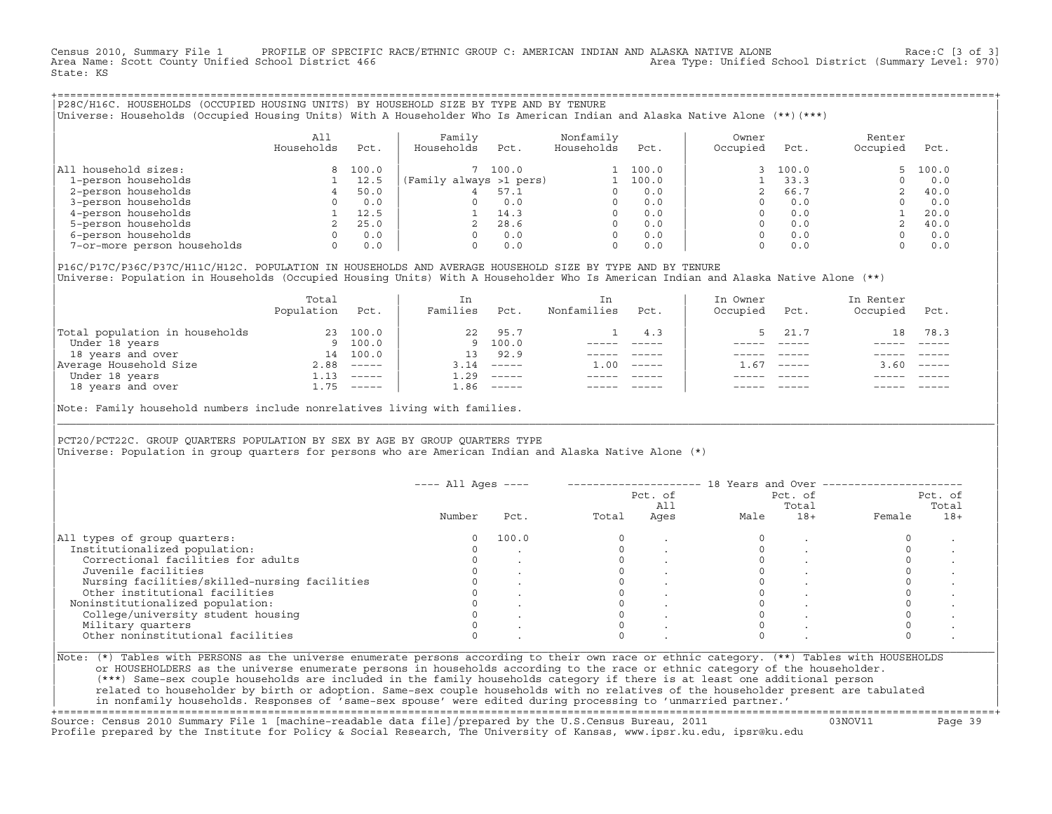Census 2010, Summary File 1 PROFILE OF SPECIFIC RACE/ETHNIC GROUP C: AMERICAN INDIAN AND ALASKA NATIVE ALONE Race:C [3 of 3]<br>Area Name: Scott County Unified School District 466 Area Type: Unified School District (Summary L Area Type: Unified School District (Summary Level: 970) State: KS

+===================================================================================================================================================+|P28C/H16C. HOUSEHOLDS (OCCUPIED HOUSING UNITS) BY HOUSEHOLD SIZE BY TYPE AND BY TENURE | |Universe: Households (Occupied Housing Units) With A Householder Who Is American Indian and Alaska Native Alone (\*\*)(\*\*\*) |

|                             | A11<br>Households | Pct.  | Family<br>Households    | Pct.  | Nonfamily<br>Households | Pct.  | Owner<br>Occupied | Pct.  | Renter<br>Occupied | Pct.  |
|-----------------------------|-------------------|-------|-------------------------|-------|-------------------------|-------|-------------------|-------|--------------------|-------|
| All household sizes:        |                   | 100.0 |                         | 100.0 |                         | 100.0 |                   | 100.0 | $5 -$              | 100.0 |
| 1-person households         |                   | 12.5  | (Family always >1 pers) |       |                         | 100.0 |                   | 33.3  |                    | 0.0   |
| 2-person households         |                   | 50.0  | 4                       | 57.1  |                         | 0.0   |                   | 66.7  |                    | 40.0  |
| 3-person households         |                   | 0.0   |                         | 0.0   |                         | 0.0   |                   | 0.0   |                    | 0.0   |
| 4-person households         |                   | 12.5  |                         | 14.3  |                         | 0.0   |                   | 0.0   |                    | 20.0  |
| 5-person households         |                   | 25.0  |                         | 28.6  |                         | 0.0   |                   | 0.0   |                    | 40.0  |
| 6-person households         | $\Omega$          | 0.0   |                         | 0.0   | $\Omega$                | 0.0   |                   | 0.0   |                    | 0.0   |
| 7-or-more person households | 0                 | 0.0   |                         | 0.0   | $\Omega$                | 0.0   |                   | 0.0   |                    | 0.0   |

|P16C/P17C/P36C/P37C/H11C/H12C. POPULATION IN HOUSEHOLDS AND AVERAGE HOUSEHOLD SIZE BY TYPE AND BY TENURE | Universe: Population in Households (Occupied Housing Units) With A Householder Who Is American Indian and Alaska Native Alone (\*\*)

|                                | Total<br>Population | Pct.         | In<br>Families | Pct.                                                                                                                                                                                                                                                                                                                                                                                                                                                                                 | In.<br>Nonfamilies | Pct.     | In Owner<br>Occupied | Pct.          | In Renter<br>Occupied | Pct.                      |
|--------------------------------|---------------------|--------------|----------------|--------------------------------------------------------------------------------------------------------------------------------------------------------------------------------------------------------------------------------------------------------------------------------------------------------------------------------------------------------------------------------------------------------------------------------------------------------------------------------------|--------------------|----------|----------------------|---------------|-----------------------|---------------------------|
| Total population in households | 23                  | 100.0        | 22             | 95.7                                                                                                                                                                                                                                                                                                                                                                                                                                                                                 |                    | 4.3      |                      | 21.7          | 18                    | 78.3                      |
| Under 18 years                 |                     | 9 100.0      |                | 9 100.0                                                                                                                                                                                                                                                                                                                                                                                                                                                                              |                    |          |                      |               |                       |                           |
| 18 years and over              | 14                  | 100.0        | 13             | 92.9                                                                                                                                                                                                                                                                                                                                                                                                                                                                                 |                    |          |                      |               |                       |                           |
| Average Household Size         | 2.88                | $------$     | 3.14           | $------$                                                                                                                                                                                                                                                                                                                                                                                                                                                                             | 1.00               | $------$ | - 67                 | $\frac{1}{2}$ | 3.60                  | $\qquad \qquad - - - - -$ |
| Under 18 years                 | 1.13                | $------$     | 1.29           | $------$                                                                                                                                                                                                                                                                                                                                                                                                                                                                             |                    |          |                      |               |                       |                           |
| 18 years and over              |                     | $1.75$ ----- | 1.86           | $\begin{tabular}{cccccc} \multicolumn{2}{c}{} & \multicolumn{2}{c}{} & \multicolumn{2}{c}{} & \multicolumn{2}{c}{} & \multicolumn{2}{c}{} & \multicolumn{2}{c}{} & \multicolumn{2}{c}{} & \multicolumn{2}{c}{} & \multicolumn{2}{c}{} & \multicolumn{2}{c}{} & \multicolumn{2}{c}{} & \multicolumn{2}{c}{} & \multicolumn{2}{c}{} & \multicolumn{2}{c}{} & \multicolumn{2}{c}{} & \multicolumn{2}{c}{} & \multicolumn{2}{c}{} & \multicolumn{2}{c}{} & \multicolumn{2}{c}{} & \mult$ |                    |          |                      | $- - - - -$   |                       | $- - - - -$               |
|                                |                     |              |                |                                                                                                                                                                                                                                                                                                                                                                                                                                                                                      |                    |          |                      |               |                       |                           |

Note: Family household numbers include nonrelatives living with families.

| | PCT20/PCT22C. GROUP OUARTERS POPULATION BY SEX BY AGE BY GROUP OUARTERS TYPE Universe: Population in group quarters for persons who are American Indian and Alaska Native Alone (\*)

|                                               |        |       |       | Pct. of<br>All |      | Pct. of<br>Total | Pct. of<br>Total |       |  |
|-----------------------------------------------|--------|-------|-------|----------------|------|------------------|------------------|-------|--|
|                                               | Number | Pct.  | Total | Ages           | Male | $18+$            | Female           | $18+$ |  |
| All types of group quarters:                  |        | 100.0 |       |                |      |                  |                  |       |  |
| Institutionalized population:                 |        |       |       |                |      |                  |                  |       |  |
| Correctional facilities for adults            |        |       |       |                |      |                  |                  |       |  |
| Juvenile facilities                           |        |       |       |                |      |                  |                  |       |  |
| Nursing facilities/skilled-nursing facilities |        |       |       |                |      |                  |                  |       |  |
| Other institutional facilities                |        |       |       |                |      |                  |                  |       |  |
| Noninstitutionalized population:              |        |       |       |                |      |                  |                  |       |  |
| College/university student housing            |        |       |       |                |      |                  |                  |       |  |
| Military quarters                             |        |       |       |                |      |                  |                  |       |  |
| Other noninstitutional facilities             |        |       |       |                |      |                  |                  |       |  |

|\_\_\_\_\_\_\_\_\_\_\_\_\_\_\_\_\_\_\_\_\_\_\_\_\_\_\_\_\_\_\_\_\_\_\_\_\_\_\_\_\_\_\_\_\_\_\_\_\_\_\_\_\_\_\_\_\_\_\_\_\_\_\_\_\_\_\_\_\_\_\_\_\_\_\_\_\_\_\_\_\_\_\_\_\_\_\_\_\_\_\_\_\_\_\_\_\_\_\_\_\_\_\_\_\_\_\_\_\_\_\_\_\_\_\_\_\_\_\_\_\_\_\_\_\_\_\_\_\_\_\_\_\_\_\_\_\_\_\_\_\_\_\_\_\_\_\_|

| |

| or HOUSEHOLDERS as the universe enumerate persons in households according to the race or ethnic category of the householder. | | (\*\*\*) Same−sex couple households are included in the family households category if there is at least one additional person | | related to householder by birth or adoption. Same−sex couple households with no relatives of the householder present are tabulated | | in nonfamily households. Responses of 'same−sex spouse' were edited during processing to 'unmarried partner.' | +===================================================================================================================================================+

Source: Census 2010 Summary File 1 [machine−readable data file]/prepared by the U.S.Census Bureau, 2011 03NOV11 Page 39 Profile prepared by the Institute for Policy & Social Research, The University of Kansas, www.ipsr.ku.edu, ipsr@ku.edu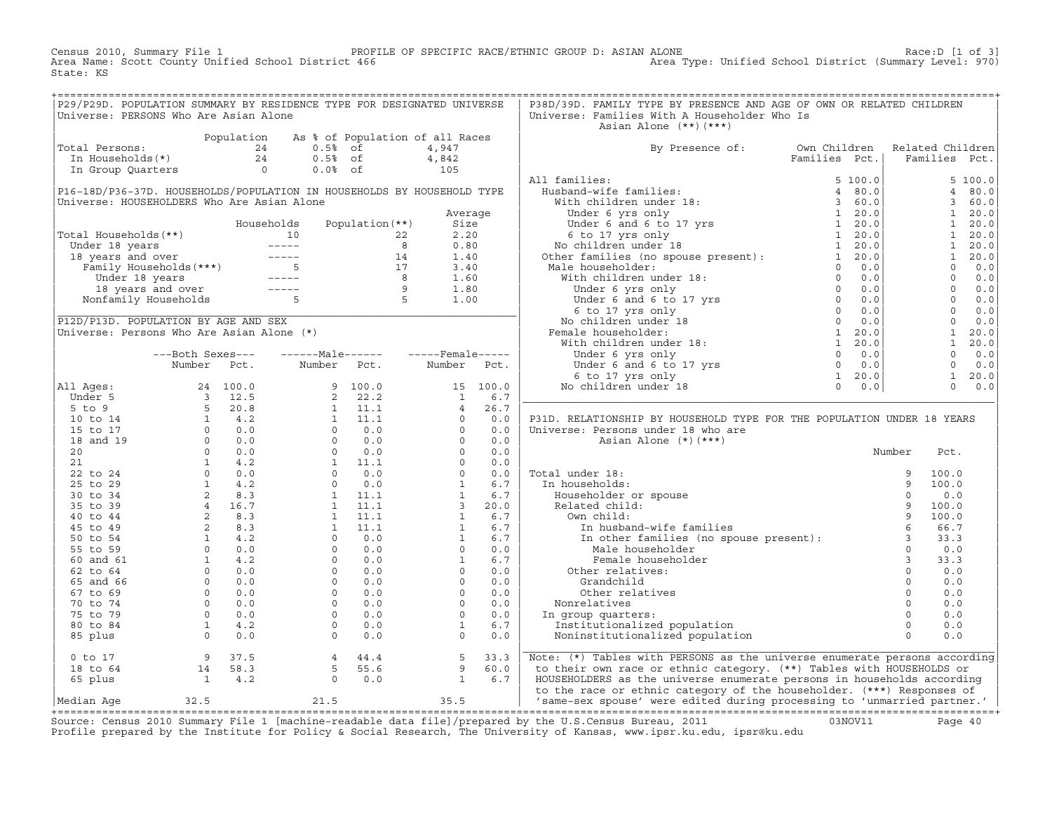Census 2010, Summary File 1 PROFILE OF SPECIFIC RACE/ETHNIC GROUP D: ASIAN ALONE Race:D [1 of 3]<br>Area Name: Scott County Unified School District 466 Area Type: Unified School District (Summary Level: 970) Area Type: Unified School District (Summary Level: 970) State: KS

| P29/P29D. POPULATION SUMMARY BY RESIDENCE TYPE FOR DESIGNATED UNIVERSE                                                                                                                                                                                   |  |                                                          |  | P38D/39D. FAMILY TYPE BY PRESENCE AND AGE OF OWN OR RELATED CHILDREN                                                                                                                                                                                                                                                                                                                                                                                                               |  |  |
|----------------------------------------------------------------------------------------------------------------------------------------------------------------------------------------------------------------------------------------------------------|--|----------------------------------------------------------|--|------------------------------------------------------------------------------------------------------------------------------------------------------------------------------------------------------------------------------------------------------------------------------------------------------------------------------------------------------------------------------------------------------------------------------------------------------------------------------------|--|--|
| Universe: PERSONS Who Are Asian Alone                                                                                                                                                                                                                    |  |                                                          |  | Universe: Families With A Householder Who Is<br>Asian Alone (**)(***)                                                                                                                                                                                                                                                                                                                                                                                                              |  |  |
| Total Persons:<br>Total Persons:<br>The Households (*)<br>The Households (*)<br>The Bould Communication of all Races<br>The Households (*)<br>The Group Quarters<br>The Group Quarters<br>Communication of the Association of the Association            |  |                                                          |  |                                                                                                                                                                                                                                                                                                                                                                                                                                                                                    |  |  |
|                                                                                                                                                                                                                                                          |  |                                                          |  | By Presence of: Own Children Related Children<br>Families Pct.   Families Pct.                                                                                                                                                                                                                                                                                                                                                                                                     |  |  |
|                                                                                                                                                                                                                                                          |  |                                                          |  |                                                                                                                                                                                                                                                                                                                                                                                                                                                                                    |  |  |
|                                                                                                                                                                                                                                                          |  |                                                          |  |                                                                                                                                                                                                                                                                                                                                                                                                                                                                                    |  |  |
|                                                                                                                                                                                                                                                          |  |                                                          |  | $\begin{tabular}{l c c c} \multicolumn{3}{l}{ \textbf{Byp} \textbf{ Presence of:}} & \multicolumn{3}{l}{ \textbf{byp} \textbf{ Presence of:}} & \multicolumn{3}{l}{ \textbf{byp} \textbf{ Presence of:}} & \multicolumn{3}{l}{ \textbf{Families Pct.}} & \multicolumn{3}{l}{ \textbf{Families Pct.}} & \multicolumn{3}{l}{ \textbf{Families Pct.}} \\ & \multicolumn{3}{l}{ \textbf{Families Pct.}} & \multicolumn{3}{l}{ \textbf{Families Pct.}} & \multicolumn{3}{l}{ \textbf{F$ |  |  |
| P16-18D/P36-37D. HOUSEHOLDS/POPULATION IN HOUSEHOLDS BY HOUSEHOLD TYPE                                                                                                                                                                                   |  |                                                          |  |                                                                                                                                                                                                                                                                                                                                                                                                                                                                                    |  |  |
| Universe: HOUSEHOLDERS Who Are Asian Alone                                                                                                                                                                                                               |  |                                                          |  |                                                                                                                                                                                                                                                                                                                                                                                                                                                                                    |  |  |
|                                                                                                                                                                                                                                                          |  |                                                          |  |                                                                                                                                                                                                                                                                                                                                                                                                                                                                                    |  |  |
|                                                                                                                                                                                                                                                          |  |                                                          |  |                                                                                                                                                                                                                                                                                                                                                                                                                                                                                    |  |  |
| Nouseholds Population (**)<br>Total Households (**)<br>Under 18 years<br>10 22 2.20<br>18 years and over<br>Tamily Households (***)<br>Under 18 years<br>14 1.40<br>Family Households (***)<br>5 17 3.40<br>18 years<br>16 22 2.20<br>14 1.40<br>17 3.40 |  |                                                          |  |                                                                                                                                                                                                                                                                                                                                                                                                                                                                                    |  |  |
|                                                                                                                                                                                                                                                          |  |                                                          |  |                                                                                                                                                                                                                                                                                                                                                                                                                                                                                    |  |  |
|                                                                                                                                                                                                                                                          |  |                                                          |  |                                                                                                                                                                                                                                                                                                                                                                                                                                                                                    |  |  |
|                                                                                                                                                                                                                                                          |  |                                                          |  |                                                                                                                                                                                                                                                                                                                                                                                                                                                                                    |  |  |
|                                                                                                                                                                                                                                                          |  |                                                          |  |                                                                                                                                                                                                                                                                                                                                                                                                                                                                                    |  |  |
|                                                                                                                                                                                                                                                          |  |                                                          |  |                                                                                                                                                                                                                                                                                                                                                                                                                                                                                    |  |  |
|                                                                                                                                                                                                                                                          |  |                                                          |  |                                                                                                                                                                                                                                                                                                                                                                                                                                                                                    |  |  |
|                                                                                                                                                                                                                                                          |  |                                                          |  |                                                                                                                                                                                                                                                                                                                                                                                                                                                                                    |  |  |
| Universe: Persons Who Are Asian Alone (*)                                                                                                                                                                                                                |  |                                                          |  |                                                                                                                                                                                                                                                                                                                                                                                                                                                                                    |  |  |
|                                                                                                                                                                                                                                                          |  |                                                          |  |                                                                                                                                                                                                                                                                                                                                                                                                                                                                                    |  |  |
|                                                                                                                                                                                                                                                          |  | ---Both Sexes---    ------Male------    -----Female----- |  |                                                                                                                                                                                                                                                                                                                                                                                                                                                                                    |  |  |
|                                                                                                                                                                                                                                                          |  | Number Pct. Number Pct. Number Pct.                      |  |                                                                                                                                                                                                                                                                                                                                                                                                                                                                                    |  |  |
|                                                                                                                                                                                                                                                          |  |                                                          |  |                                                                                                                                                                                                                                                                                                                                                                                                                                                                                    |  |  |
|                                                                                                                                                                                                                                                          |  |                                                          |  |                                                                                                                                                                                                                                                                                                                                                                                                                                                                                    |  |  |
|                                                                                                                                                                                                                                                          |  |                                                          |  |                                                                                                                                                                                                                                                                                                                                                                                                                                                                                    |  |  |
|                                                                                                                                                                                                                                                          |  |                                                          |  | P31D. RELATIONSHIP BY HOUSEHOLD TYPE FOR THE POPULATION UNDER 18 YEARS                                                                                                                                                                                                                                                                                                                                                                                                             |  |  |
|                                                                                                                                                                                                                                                          |  |                                                          |  |                                                                                                                                                                                                                                                                                                                                                                                                                                                                                    |  |  |
|                                                                                                                                                                                                                                                          |  |                                                          |  |                                                                                                                                                                                                                                                                                                                                                                                                                                                                                    |  |  |
|                                                                                                                                                                                                                                                          |  |                                                          |  |                                                                                                                                                                                                                                                                                                                                                                                                                                                                                    |  |  |
|                                                                                                                                                                                                                                                          |  |                                                          |  |                                                                                                                                                                                                                                                                                                                                                                                                                                                                                    |  |  |
|                                                                                                                                                                                                                                                          |  |                                                          |  |                                                                                                                                                                                                                                                                                                                                                                                                                                                                                    |  |  |
|                                                                                                                                                                                                                                                          |  |                                                          |  |                                                                                                                                                                                                                                                                                                                                                                                                                                                                                    |  |  |
|                                                                                                                                                                                                                                                          |  |                                                          |  |                                                                                                                                                                                                                                                                                                                                                                                                                                                                                    |  |  |
|                                                                                                                                                                                                                                                          |  |                                                          |  |                                                                                                                                                                                                                                                                                                                                                                                                                                                                                    |  |  |
|                                                                                                                                                                                                                                                          |  |                                                          |  |                                                                                                                                                                                                                                                                                                                                                                                                                                                                                    |  |  |
|                                                                                                                                                                                                                                                          |  |                                                          |  |                                                                                                                                                                                                                                                                                                                                                                                                                                                                                    |  |  |
|                                                                                                                                                                                                                                                          |  |                                                          |  |                                                                                                                                                                                                                                                                                                                                                                                                                                                                                    |  |  |
|                                                                                                                                                                                                                                                          |  |                                                          |  |                                                                                                                                                                                                                                                                                                                                                                                                                                                                                    |  |  |
|                                                                                                                                                                                                                                                          |  |                                                          |  |                                                                                                                                                                                                                                                                                                                                                                                                                                                                                    |  |  |
|                                                                                                                                                                                                                                                          |  |                                                          |  |                                                                                                                                                                                                                                                                                                                                                                                                                                                                                    |  |  |
|                                                                                                                                                                                                                                                          |  |                                                          |  |                                                                                                                                                                                                                                                                                                                                                                                                                                                                                    |  |  |
|                                                                                                                                                                                                                                                          |  |                                                          |  |                                                                                                                                                                                                                                                                                                                                                                                                                                                                                    |  |  |
|                                                                                                                                                                                                                                                          |  |                                                          |  |                                                                                                                                                                                                                                                                                                                                                                                                                                                                                    |  |  |
|                                                                                                                                                                                                                                                          |  |                                                          |  |                                                                                                                                                                                                                                                                                                                                                                                                                                                                                    |  |  |
|                                                                                                                                                                                                                                                          |  |                                                          |  |                                                                                                                                                                                                                                                                                                                                                                                                                                                                                    |  |  |
|                                                                                                                                                                                                                                                          |  |                                                          |  |                                                                                                                                                                                                                                                                                                                                                                                                                                                                                    |  |  |
|                                                                                                                                                                                                                                                          |  |                                                          |  |                                                                                                                                                                                                                                                                                                                                                                                                                                                                                    |  |  |
|                                                                                                                                                                                                                                                          |  |                                                          |  |                                                                                                                                                                                                                                                                                                                                                                                                                                                                                    |  |  |
|                                                                                                                                                                                                                                                          |  |                                                          |  | 0 to 17 and 14 and 18 to 64 and 14 58.3 and 18 to 64 and 14 58.3 and 14 4.4 5 5 55.6 and 18 to 64 and 14 58.3 5 55.6 and 18 to 64 and 14 58.3 5 55.6 9 60.0 b their own race or ethnic category. (**) Tables with HERSONS as t                                                                                                                                                                                                                                                     |  |  |
|                                                                                                                                                                                                                                                          |  |                                                          |  |                                                                                                                                                                                                                                                                                                                                                                                                                                                                                    |  |  |

Source: Census 2010 Summary File 1 [machine-readable data file]/prepared by the U.S.Census Bureau, 2011 Page 40<br>Profile prepared by the Institute for Policy & Social Research, The University of Kansas, www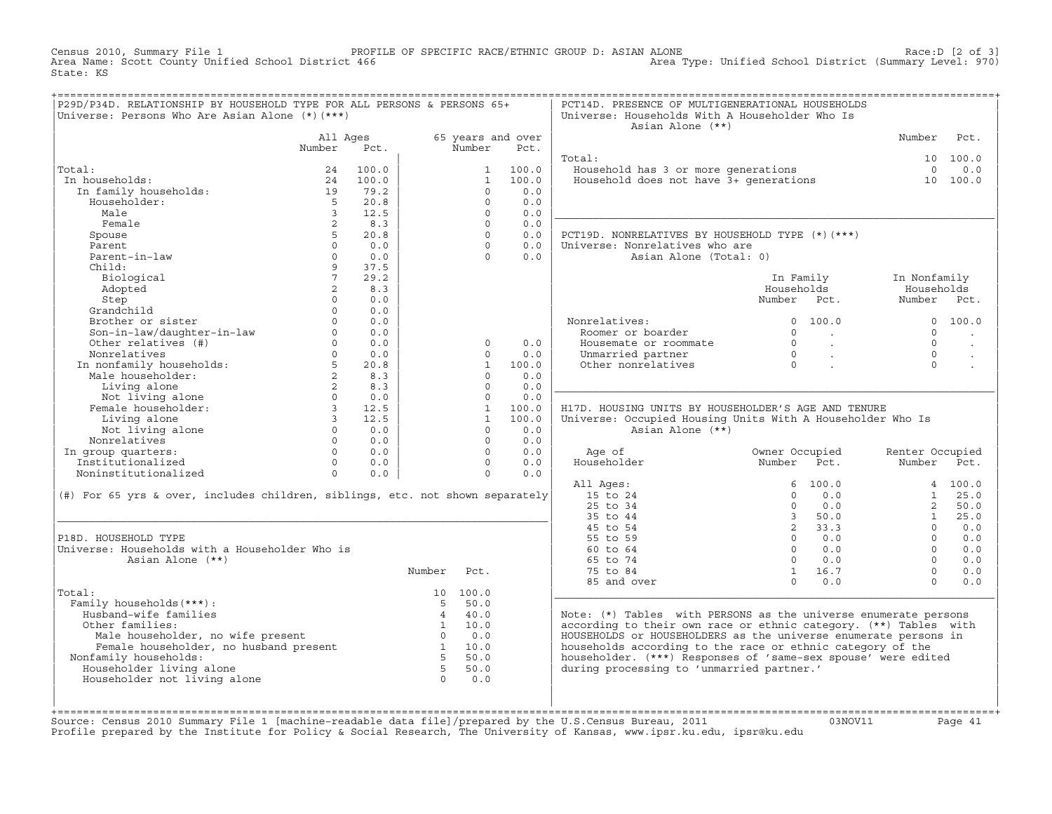Census 2010, Summary File 1 PROFILE OF SPECIFIC RACE/ETHNIC GROUP D: ASIAN ALONE Race:D [2 of 3] Area Type: Unified School District (Summary Level: 970) State: KS

| P29D/P34D. RELATIONSHIP BY HOUSEHOLD TYPE FOR ALL PERSONS & PERSONS 65+<br>Universe: Persons Who Are Asian Alone (*) (***) |                         |                |                |              |                           | PCT14D. PRESENCE OF MULTIGENERATIONAL HOUSEHOLDS<br>Universe: Households With A Householder Who Is<br>Asian Alone (**) |                                                                                |                 |                      |
|----------------------------------------------------------------------------------------------------------------------------|-------------------------|----------------|----------------|--------------|---------------------------|------------------------------------------------------------------------------------------------------------------------|--------------------------------------------------------------------------------|-----------------|----------------------|
|                                                                                                                            | All Ages<br>Number      | Pct.           |                | Number       | 65 years and over<br>Pct. |                                                                                                                        |                                                                                | Number          | Pct.                 |
|                                                                                                                            |                         |                |                |              |                           | Total:                                                                                                                 |                                                                                |                 | 10 100.0             |
| Total:                                                                                                                     | 24                      | 100.0          |                | $\mathbf{1}$ | 100.0                     | Household has 3 or more generations 0 0.0<br>Household does not have 3+ generations 10 100.0                           |                                                                                |                 |                      |
| In households:                                                                                                             | 24                      | 100.0          |                | $\mathbf{1}$ | 100.0                     |                                                                                                                        |                                                                                |                 |                      |
| In family households:                                                                                                      | 19                      | 79.2           |                | $\Omega$     | 0.0                       |                                                                                                                        |                                                                                |                 |                      |
| Householder:                                                                                                               | $-5$                    | 20.8           |                | $\Omega$     | 0.0                       |                                                                                                                        |                                                                                |                 |                      |
| Male                                                                                                                       | $\overline{3}$          | 12.5           |                | $\Omega$     | 0.0                       |                                                                                                                        |                                                                                |                 |                      |
| Female                                                                                                                     | 2                       | 8.3            |                | $\Omega$     | 0.0                       |                                                                                                                        |                                                                                |                 |                      |
| Spouse                                                                                                                     | 5 <sup>1</sup>          | 20.8           |                | $\Omega$     | 0.0                       | PCT19D. NONRELATIVES BY HOUSEHOLD TYPE (*) (***)                                                                       |                                                                                |                 |                      |
| Parent                                                                                                                     | $\Omega$                | 0.0            |                | $\Omega$     | 0.0                       | Universe: Nonrelatives who are                                                                                         |                                                                                |                 |                      |
| Parent-in-law                                                                                                              | $\circ$                 | 0.0            |                | $\Omega$     | 0.0                       | Asian Alone (Total: 0)                                                                                                 |                                                                                |                 |                      |
| Child:                                                                                                                     | 9                       | 37.5           |                |              |                           |                                                                                                                        |                                                                                |                 |                      |
| Biological                                                                                                                 | 7 <sup>7</sup>          | 29.2           |                |              |                           |                                                                                                                        | In Family                                                                      | In Nonfamily    |                      |
| Adopted                                                                                                                    | $\overline{a}$          | 8.3            |                |              |                           |                                                                                                                        | Households                                                                     | Households      |                      |
| Step                                                                                                                       | $\circ$                 | 0.0            |                |              |                           |                                                                                                                        | Number Pct.                                                                    | Number Pct.     |                      |
| Grandchild                                                                                                                 | $\Omega$                | 0.0            |                |              |                           |                                                                                                                        |                                                                                |                 |                      |
| Brother or sister                                                                                                          | $\Omega$                | 0.0            |                |              |                           | Nonrelatives:                                                                                                          | 0, 100, 0                                                                      |                 | 0, 100, 0            |
|                                                                                                                            | $\Omega$                | 0.0            |                |              |                           | Roomer or boarder                                                                                                      | $\Omega$<br>$\sim$ $\sim$                                                      | $\Omega$        |                      |
| Son-in-law/daughter-in-law<br>Other relatives (#)                                                                          | $0 \qquad \qquad$       | 0.0            |                | $\Omega$     | 0.0                       | Housemate or roommate                                                                                                  | $\begin{matrix} 0 & & \cdot \\ & & 0 \\ & & & \cdot \\ & & & & 0 \end{matrix}$ | $\Omega$        | $\sim$               |
| Nonrelatives                                                                                                               |                         | $0 \t 0.0$     |                | $\Omega$     | 0.0                       | Unmarried partner                                                                                                      |                                                                                | $\Omega$        | $\ddot{\phantom{a}}$ |
|                                                                                                                            |                         | 20.8           |                | $\mathbf{1}$ | 100.0                     | Other nonrelatives                                                                                                     |                                                                                | $\Omega$        |                      |
|                                                                                                                            |                         | 8.3            |                | $\Omega$     | 0.0                       |                                                                                                                        |                                                                                |                 |                      |
| Non-contractive households:<br>Male householder:<br>2<br>Living alone 2                                                    |                         | 8.3            |                | $\Omega$     | 0.0                       |                                                                                                                        |                                                                                |                 |                      |
|                                                                                                                            |                         | $0 \t 0.0$     |                | $\circ$      | 0.0                       |                                                                                                                        |                                                                                |                 |                      |
| Living alone<br>Not living alone<br>Female householder:                                                                    | $3 \t 12.5$             |                |                | 1            | 100.0                     | H17D. HOUSING UNITS BY HOUSEHOLDER'S AGE AND TENURE                                                                    |                                                                                |                 |                      |
| Living alone                                                                                                               | $\overline{\mathbf{3}}$ | 12.5           |                | 1            | 100.0                     | Universe: Occupied Housing Units With A Householder Who Is                                                             |                                                                                |                 |                      |
| Not living alone                                                                                                           | $\Omega$                | 0.0            |                | $\Omega$     | 0.0                       | Asian Alone (**)                                                                                                       |                                                                                |                 |                      |
| Nonrelatives                                                                                                               | $\circ$                 | 0.0            |                | $\Omega$     | 0.0                       |                                                                                                                        |                                                                                |                 |                      |
| In group quarters:                                                                                                         |                         | 0.0            |                |              | $\Omega$<br>0.0           | Age of                                                                                                                 | Owner Occupied                                                                 | Renter Occupied |                      |
| Institutionalized                                                                                                          |                         | $0 \qquad 0.0$ |                | $\Omega$     | 0.0                       | Householder                                                                                                            | Number<br>Pct.                                                                 | Number Pct.     |                      |
| Noninstitutionalized                                                                                                       | $\Omega$                | 0.0            |                | $\Omega$     | 0.0                       |                                                                                                                        |                                                                                |                 |                      |
|                                                                                                                            |                         |                |                |              |                           | All Ages:                                                                                                              | 6, 100.0                                                                       |                 | 4 100.0              |
| (#) For 65 yrs & over, includes children, siblings, etc. not shown separately                                              |                         |                |                |              |                           | 15 to 24                                                                                                               | $\Omega$<br>0.0                                                                | $\mathbf{1}$    | 25.0                 |
|                                                                                                                            |                         |                |                |              |                           | 25 to 34                                                                                                               | 0.0<br>$\circ$                                                                 | $\overline{2}$  | 50.0                 |
|                                                                                                                            |                         |                |                |              |                           | 35 to 44                                                                                                               | 3, 50.0                                                                        | 1               | 25.0                 |
|                                                                                                                            |                         |                |                |              |                           | 45 to 54                                                                                                               | 2, 33.3                                                                        | $\Omega$        | 0.0                  |
| P18D. HOUSEHOLD TYPE                                                                                                       |                         |                |                |              |                           | 55 to 59                                                                                                               | $0 \t 0.0$                                                                     | $\Omega$        | 0.0                  |
| Universe: Households with a Householder Who is                                                                             |                         |                |                |              |                           | 60 to 64                                                                                                               | $\overline{0}$<br>0.0                                                          | $\Omega$        | 0.0                  |
| Asian Alone (**)                                                                                                           |                         |                |                |              |                           | 65 to 74                                                                                                               | $0 \qquad 0.0$                                                                 | $\Omega$        | 0.0                  |
|                                                                                                                            |                         |                | Number         | Pct.         |                           | 75 to 84                                                                                                               | 1 16.7                                                                         | $\Omega$        | 0.0                  |
|                                                                                                                            |                         |                |                |              |                           | 85 and over                                                                                                            | $0 \t 0.0$                                                                     | $\Omega$        | 0.0                  |
| Total:                                                                                                                     |                         |                |                | 10 100.0     |                           |                                                                                                                        |                                                                                |                 |                      |
| Family households (***) :                                                                                                  |                         |                | $5 -$          | 50.0         |                           |                                                                                                                        |                                                                                |                 |                      |
| Husband-wife families                                                                                                      |                         |                |                | $4 \t 40.0$  |                           | Note: (*) Tables with PERSONS as the universe enumerate persons                                                        |                                                                                |                 |                      |
| Other families:                                                                                                            |                         |                |                | 1 10.0       |                           | according to their own race or ethnic category. (**) Tables with                                                       |                                                                                |                 |                      |
| Male householder, no wife present 0 0.0<br>Female householder, no husband present 1 10.0<br>$\frac{1}{2}$ 1 10.0           |                         |                |                |              |                           | HOUSEHOLDS or HOUSEHOLDERS as the universe enumerate persons in                                                        |                                                                                |                 |                      |
|                                                                                                                            |                         |                |                |              |                           | households according to the race or ethnic category of the                                                             |                                                                                |                 |                      |
| Nonfamily households:                                                                                                      |                         |                | $-5$           | 50.0         |                           | householder. (***) Responses of 'same-sex spouse' were edited                                                          |                                                                                |                 |                      |
| Householder living alone                                                                                                   |                         |                | 5 <sub>5</sub> | 50.0         |                           | during processing to 'unmarried partner.'                                                                              |                                                                                |                 |                      |
| Householder not living alone                                                                                               |                         |                | $\overline{0}$ | 0.0          |                           |                                                                                                                        |                                                                                |                 |                      |
|                                                                                                                            |                         |                |                |              |                           |                                                                                                                        |                                                                                |                 |                      |
|                                                                                                                            |                         |                |                |              |                           |                                                                                                                        |                                                                                |                 |                      |

+===================================================================================================================================================+Source: Census 2010 Summary File 1 [machine−readable data file]/prepared by the U.S.Census Bureau, 2011 03NOV11 Page 41 Profile prepared by the Institute for Policy & Social Research, The University of Kansas, www.ipsr.ku.edu, ipsr@ku.edu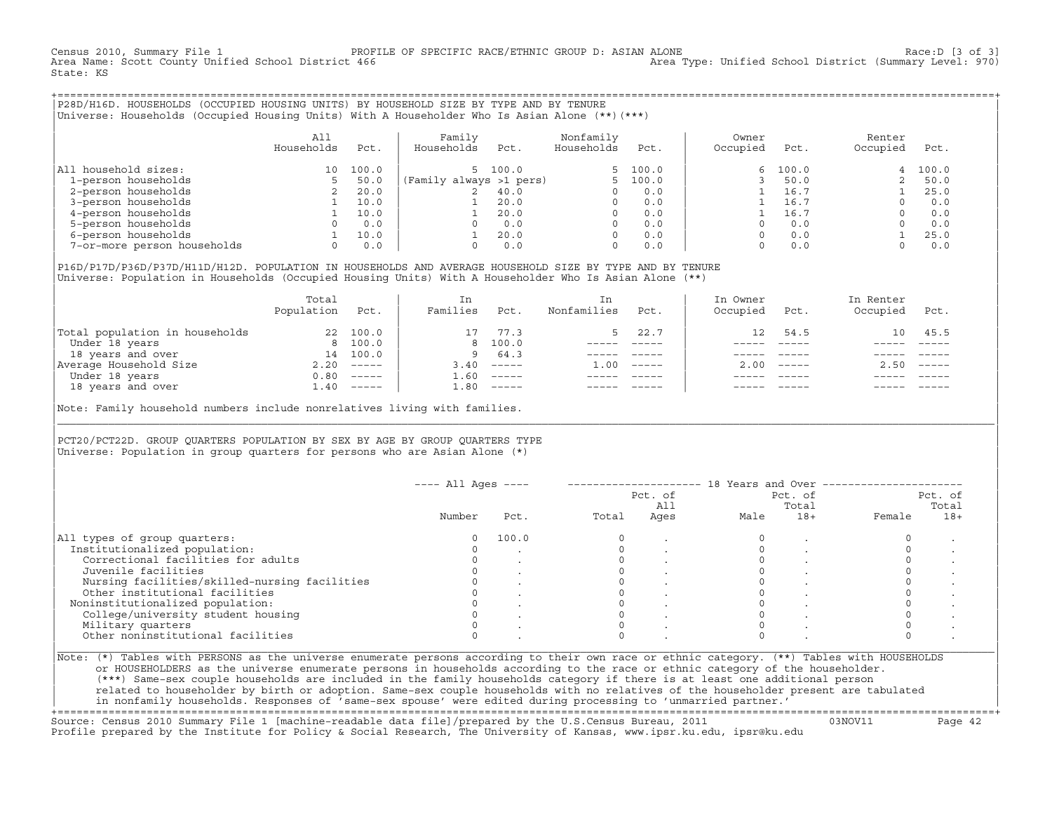Census 2010, Summary File 1 PROFILE OF SPECIFIC RACE/ETHNIC GROUP D: ASIAN ALONE Race:D [3 of 3] Area Type: Unified School District (Summary Level: 970) State: KS

+===================================================================================================================================================+|P28D/H16D. HOUSEHOLDS (OCCUPIED HOUSING UNITS) BY HOUSEHOLD SIZE BY TYPE AND BY TENURE | |Universe: Households (Occupied Housing Units) With A Householder Who Is Asian Alone (\*\*)(\*\*\*) |

|                             | All<br>Households | Pct.  | Family<br>Households    | Pct.    | Nonfamily<br>Households | Pct.     | Owner<br>Occupied | Pct.  | Renter<br>Occupied | Pct.  |
|-----------------------------|-------------------|-------|-------------------------|---------|-------------------------|----------|-------------------|-------|--------------------|-------|
| household sizes:<br>All     | 10                | 100.0 |                         | 5 100.0 |                         | 5, 100.0 | 6                 | 100.0 | 4                  | 100.0 |
| 1-person households         |                   | 50.0  | (Family always >1 pers) |         |                         | 100.0    |                   | 50.0  |                    | 50.0  |
| 2-person households         |                   | 20.0  |                         | 40.0    |                         | 0.0      |                   | 16.7  |                    | 25.0  |
| 3-person households         |                   | 10.0  |                         | 20.0    | $\Omega$                | 0.0      |                   | 16.7  |                    | 0.0   |
| 4-person households         |                   | 10.0  |                         | 20.0    | $\Omega$                | 0.0      |                   | 16.7  |                    | 0.0   |
| 5-person households         |                   | 0.0   |                         | 0.0     | $\Omega$                | 0.0      |                   | 0.0   |                    | 0.0   |
| 6-person households         |                   | 10.0  |                         | 20.0    | $\Omega$                | 0.0      |                   | 0.0   |                    | 25.0  |
| 7-or-more person households | 0                 | 0.0   |                         | 0.0     | 0                       | 0.0      |                   | 0.0   |                    | 0.0   |

|P16D/P17D/P36D/P37D/H11D/H12D. POPULATION IN HOUSEHOLDS AND AVERAGE HOUSEHOLD SIZE BY TYPE AND BY TENURE | Universe: Population in Households (Occupied Housing Units) With A Householder Who Is Asian Alone (\*\*)

|                                | Total<br>Population | Pct.     | In<br>Families | Pct.     | In.<br>Nonfamilies | Pct.     | In Owner<br>Occupied | Pct.          | In Renter<br>Occupied | Pct.                      |
|--------------------------------|---------------------|----------|----------------|----------|--------------------|----------|----------------------|---------------|-----------------------|---------------------------|
| Total population in households | 22                  | 100.0    |                | 77.3     |                    | 22.7     | 12                   | 54.5          |                       | 10 45.5                   |
| Under 18 years                 |                     | 8 100.0  |                | 8 100.0  |                    |          |                      |               |                       |                           |
| 18 years and over              | 14                  | 100.0    | 9              | 64.3     |                    |          |                      |               |                       |                           |
| Average Household Size         | 2.20                | $------$ | 3.40           | $------$ | 1.00               | $------$ | 200                  | $- - - - - -$ | 2.50                  | $\qquad \qquad - - - - -$ |
| Under 18 years                 | 0.80                | $------$ | 1.60           | $------$ |                    |          |                      |               |                       |                           |
| 18 years and over              | 1.40                |          | 1.80           |          |                    |          |                      | $- - - - -$   |                       | $- - - - -$               |
|                                |                     |          |                |          |                    |          |                      |               |                       |                           |

Note: Family household numbers include nonrelatives living with families.

| | PCT20/PCT22D. GROUP OUARTERS POPULATION BY SEX BY AGE BY GROUP OUARTERS TYPE Universe: Population in group quarters for persons who are Asian Alone  $(*)$ 

|                                               |        |       |       | Pct. of<br>All |      | Pct. of<br>Total | Pct. of<br>Total |       |  |
|-----------------------------------------------|--------|-------|-------|----------------|------|------------------|------------------|-------|--|
|                                               | Number | Pct.  | Total | Ages           | Male | $18+$            | Female           | $18+$ |  |
| All types of group quarters:                  |        | 100.0 |       |                |      |                  |                  |       |  |
| Institutionalized population:                 |        |       |       |                |      |                  |                  |       |  |
| Correctional facilities for adults            |        |       |       |                |      |                  |                  |       |  |
| Juvenile facilities                           |        |       |       |                |      |                  |                  |       |  |
| Nursing facilities/skilled-nursing facilities |        |       |       |                |      |                  |                  |       |  |
| Other institutional facilities                |        |       |       |                |      |                  |                  |       |  |
| Noninstitutionalized population:              |        |       |       |                |      |                  |                  |       |  |
| College/university student housing            |        |       |       |                |      |                  |                  |       |  |
| Military quarters                             |        |       |       |                |      |                  |                  |       |  |
| Other noninstitutional facilities             |        |       |       |                |      |                  |                  |       |  |

|\_\_\_\_\_\_\_\_\_\_\_\_\_\_\_\_\_\_\_\_\_\_\_\_\_\_\_\_\_\_\_\_\_\_\_\_\_\_\_\_\_\_\_\_\_\_\_\_\_\_\_\_\_\_\_\_\_\_\_\_\_\_\_\_\_\_\_\_\_\_\_\_\_\_\_\_\_\_\_\_\_\_\_\_\_\_\_\_\_\_\_\_\_\_\_\_\_\_\_\_\_\_\_\_\_\_\_\_\_\_\_\_\_\_\_\_\_\_\_\_\_\_\_\_\_\_\_\_\_\_\_\_\_\_\_\_\_\_\_\_\_\_\_\_\_\_\_|

| |

or HOUSEHOLDERS as the universe enumerate persons in households according to the race or ethnic category of the householder. | (\*\*\*) Same−sex couple households are included in the family households category if there is at least one additional person | | related to householder by birth or adoption. Same−sex couple households with no relatives of the householder present are tabulated | | in nonfamily households. Responses of 'same−sex spouse' were edited during processing to 'unmarried partner.' |

+===================================================================================================================================================+ Source: Census 2010 Summary File 1 [machine−readable data file]/prepared by the U.S.Census Bureau, 2011 03NOV11 Page 42 Profile prepared by the Institute for Policy & Social Research, The University of Kansas, www.ipsr.ku.edu, ipsr@ku.edu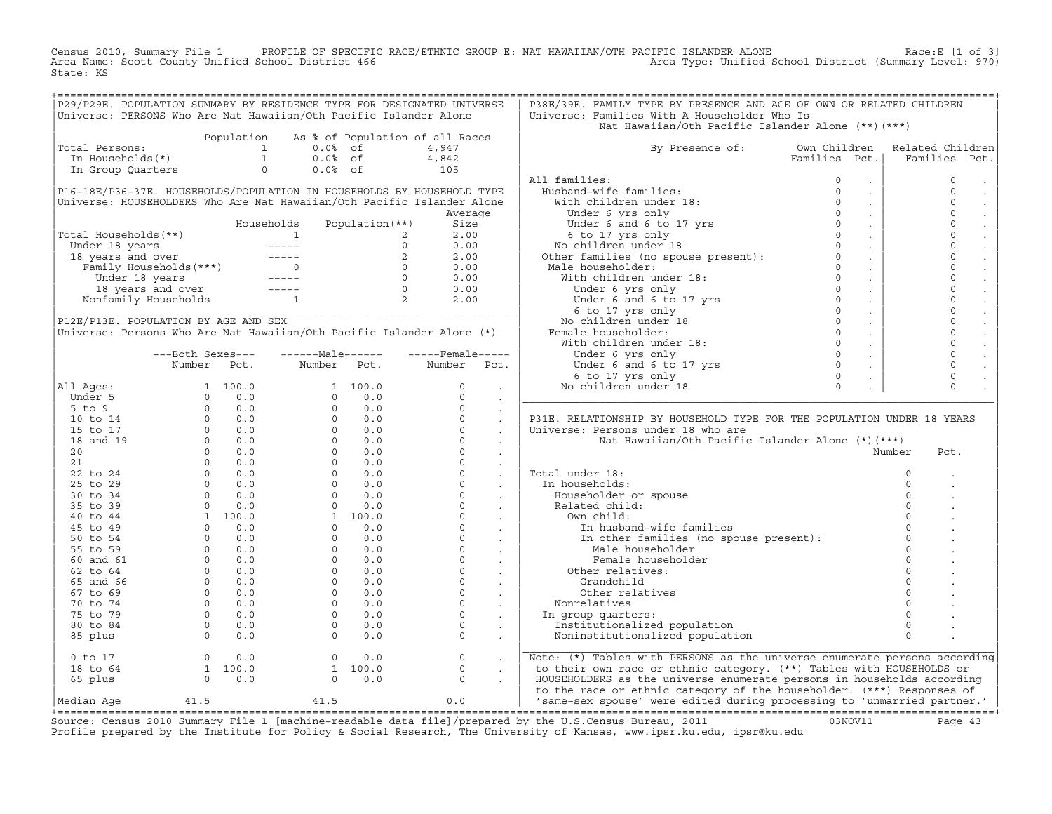Census 2010, Summary File 1 PROFILE OF SPECIFIC RACE/ETHNIC GROUP E: NAT HAWAIIAN/OTH PACIFIC ISLANDER ALONE Race:E [1 of 3]<br>Area Name: Scott County Unified School District 466 State: KS

|                      | P29/P29E. POPULATION SUMMARY BY RESIDENCE TYPE FOR DESIGNATED UNIVERSE                                                                                                                                                                                                                                                                                           |               |                |                   |                                 |                      | P38E/39E. FAMILY TYPE BY PRESENCE AND AGE OF OWN OR RELATED CHILDREN                                                                                                                                                                                                                                                                                |               |            |                  |  |
|----------------------|------------------------------------------------------------------------------------------------------------------------------------------------------------------------------------------------------------------------------------------------------------------------------------------------------------------------------------------------------------------|---------------|----------------|-------------------|---------------------------------|----------------------|-----------------------------------------------------------------------------------------------------------------------------------------------------------------------------------------------------------------------------------------------------------------------------------------------------------------------------------------------------|---------------|------------|------------------|--|
|                      | Universe: PERSONS Who Are Nat Hawaiian/Oth Pacific Islander Alone                                                                                                                                                                                                                                                                                                |               |                |                   |                                 |                      | Universe: Families With A Householder Who Is                                                                                                                                                                                                                                                                                                        |               |            |                  |  |
|                      |                                                                                                                                                                                                                                                                                                                                                                  |               |                |                   |                                 |                      | Nat Hawaiian/Oth Pacific Islander Alone (**) (***)                                                                                                                                                                                                                                                                                                  |               |            |                  |  |
| Total Persons:       | Population                                                                                                                                                                                                                                                                                                                                                       |               | $0.0\%$ of     |                   | As % of Population of all Races |                      | By Presence of: Own Children                                                                                                                                                                                                                                                                                                                        |               |            | Related Children |  |
|                      | otal Persons: $\begin{bmatrix} 1 & 1 \\ 1 & 1 \end{bmatrix}$<br>In Households (*) 1<br>In Group Quarters 0                                                                                                                                                                                                                                                       |               |                |                   | 4,947                           |                      |                                                                                                                                                                                                                                                                                                                                                     |               |            |                  |  |
|                      |                                                                                                                                                                                                                                                                                                                                                                  |               | $0.0%$ of      |                   | $4,842$<br>$105$                |                      |                                                                                                                                                                                                                                                                                                                                                     | Families Pct. |            | Families Pct.    |  |
|                      |                                                                                                                                                                                                                                                                                                                                                                  |               | $0.0%$ of      |                   |                                 |                      |                                                                                                                                                                                                                                                                                                                                                     |               |            |                  |  |
|                      |                                                                                                                                                                                                                                                                                                                                                                  |               |                |                   |                                 |                      | All families:                                                                                                                                                                                                                                                                                                                                       |               |            | $\mathbb O$      |  |
|                      | P16-18E/P36-37E. HOUSEHOLDS/POPULATION IN HOUSEHOLDS BY HOUSEHOLD TYPE                                                                                                                                                                                                                                                                                           |               |                |                   |                                 |                      |                                                                                                                                                                                                                                                                                                                                                     |               | $\sim$     | $\circ$          |  |
|                      | Universe: HOUSEHOLDERS Who Are Nat Hawaiian/Oth Pacific Islander Alone                                                                                                                                                                                                                                                                                           |               |                |                   |                                 |                      |                                                                                                                                                                                                                                                                                                                                                     |               | $\sim$     | $\circ$          |  |
|                      |                                                                                                                                                                                                                                                                                                                                                                  |               |                |                   | Average                         |                      |                                                                                                                                                                                                                                                                                                                                                     |               | $\sim$     | $\circ$          |  |
|                      |                                                                                                                                                                                                                                                                                                                                                                  | Households    |                | Population $(**)$ | Size                            |                      |                                                                                                                                                                                                                                                                                                                                                     |               | $\sim$     | $\mathsf{O}$     |  |
| Total Households(**) |                                                                                                                                                                                                                                                                                                                                                                  |               |                |                   | 2.00                            |                      |                                                                                                                                                                                                                                                                                                                                                     |               | $\sim 100$ | $\mathsf{O}$     |  |
|                      |                                                                                                                                                                                                                                                                                                                                                                  |               |                |                   | 0.00                            |                      |                                                                                                                                                                                                                                                                                                                                                     |               | $\sim 10$  | $\circ$          |  |
|                      |                                                                                                                                                                                                                                                                                                                                                                  |               |                |                   | 2.00                            |                      |                                                                                                                                                                                                                                                                                                                                                     |               | $\sim 100$ | $\mathbf 0$      |  |
|                      |                                                                                                                                                                                                                                                                                                                                                                  |               |                |                   | 0.00                            |                      |                                                                                                                                                                                                                                                                                                                                                     |               | $\sim 10$  | $\mathbf{0}$     |  |
|                      |                                                                                                                                                                                                                                                                                                                                                                  |               |                |                   | 0.00                            |                      |                                                                                                                                                                                                                                                                                                                                                     |               | $\sim 100$ | $\mathbf{0}$     |  |
|                      | otal Households (**)<br>Under 18 years<br>18 years and over<br>18 years and over<br>Family Households (***)<br>Under 18 years<br>18 years and over<br>18 years and over<br>18 years and over<br>19 years and over<br>19 years and over<br>19 years a                                                                                                             |               |                |                   | 0.00                            |                      | All families:<br>With children under 18:<br>With children under 18:<br>Under 6 yrs only<br>Under 6 and 6 to 17 yrs<br>6 to 17 yrs<br>6 to 17 yrs only<br>No children under 18<br>Other families (no spouse present):<br>Other families (no spous                                                                                                    |               | $\sim 10$  | $\mathbf 0$      |  |
|                      |                                                                                                                                                                                                                                                                                                                                                                  |               |                |                   | 2.00                            |                      |                                                                                                                                                                                                                                                                                                                                                     |               | $\sim$     | $\mathbf 0$      |  |
|                      |                                                                                                                                                                                                                                                                                                                                                                  |               |                |                   |                                 |                      |                                                                                                                                                                                                                                                                                                                                                     |               | $\sim 100$ | $\mathbf 0$      |  |
|                      | P12E/P13E. POPULATION BY AGE AND SEX                                                                                                                                                                                                                                                                                                                             |               |                |                   |                                 |                      |                                                                                                                                                                                                                                                                                                                                                     |               | $\sim 10$  | $\circ$          |  |
|                      | Universe: Persons Who Are Nat Hawaiian/Oth Pacific Islander Alone (*)                                                                                                                                                                                                                                                                                            |               |                |                   |                                 |                      |                                                                                                                                                                                                                                                                                                                                                     |               | $\sim$     | $\mathbf 0$      |  |
|                      |                                                                                                                                                                                                                                                                                                                                                                  |               |                |                   |                                 |                      |                                                                                                                                                                                                                                                                                                                                                     |               | $\sim 100$ | $\mathbf 0$      |  |
|                      | ---Both Sexes---                                                                                                                                                                                                                                                                                                                                                 | $---Male----$ |                |                   | $---$ Female -----              |                      |                                                                                                                                                                                                                                                                                                                                                     |               | $\sim$     | $\mathbf 0$      |  |
|                      | Number<br>Pct.                                                                                                                                                                                                                                                                                                                                                   |               | Number         | Pct.              | Number                          | Pct.                 |                                                                                                                                                                                                                                                                                                                                                     |               | $\sim$     | $\circ$          |  |
|                      |                                                                                                                                                                                                                                                                                                                                                                  |               |                |                   |                                 |                      |                                                                                                                                                                                                                                                                                                                                                     |               | $\sim$     | $\mathsf{O}$     |  |
| All Ages:            |                                                                                                                                                                                                                                                                                                                                                                  |               |                |                   | $\circ$                         | $\ddot{\phantom{a}}$ |                                                                                                                                                                                                                                                                                                                                                     |               |            | $\Omega$         |  |
| Under 5              |                                                                                                                                                                                                                                                                                                                                                                  |               |                |                   | $\Omega$                        | $\sim$               |                                                                                                                                                                                                                                                                                                                                                     |               |            |                  |  |
| $5$ to $9$           |                                                                                                                                                                                                                                                                                                                                                                  |               |                |                   | $\circ$                         | $\blacksquare$       |                                                                                                                                                                                                                                                                                                                                                     |               |            |                  |  |
| 10 to 14             |                                                                                                                                                                                                                                                                                                                                                                  |               |                |                   | $\Omega$                        | $\ddot{\phantom{a}}$ | P31E. RELATIONSHIP BY HOUSEHOLD TYPE FOR THE POPULATION UNDER 18 YEARS                                                                                                                                                                                                                                                                              |               |            |                  |  |
| 15 to 17             |                                                                                                                                                                                                                                                                                                                                                                  |               |                |                   | $\circ$                         | $\sim$               | Universe: Persons under 18 who are                                                                                                                                                                                                                                                                                                                  |               |            |                  |  |
| 18 and 19            |                                                                                                                                                                                                                                                                                                                                                                  |               |                |                   | $\Omega$                        |                      | Nat Hawaiian/Oth Pacific Islander Alone (*)(***)                                                                                                                                                                                                                                                                                                    |               |            |                  |  |
| 20                   |                                                                                                                                                                                                                                                                                                                                                                  |               |                |                   | $\Omega$                        | $\ddot{\phantom{a}}$ |                                                                                                                                                                                                                                                                                                                                                     |               |            | Number<br>Pct.   |  |
| 21                   |                                                                                                                                                                                                                                                                                                                                                                  |               |                |                   | $\Omega$                        | $\sim$               |                                                                                                                                                                                                                                                                                                                                                     |               |            |                  |  |
| 22 to 24             |                                                                                                                                                                                                                                                                                                                                                                  |               |                |                   | $\circ$                         | $\sim$               | Total under 18:                                                                                                                                                                                                                                                                                                                                     |               |            | $\circ$          |  |
| 25 to 29             |                                                                                                                                                                                                                                                                                                                                                                  |               |                |                   | $\circ$                         | $\sim$               |                                                                                                                                                                                                                                                                                                                                                     |               |            | $\circ$          |  |
|                      |                                                                                                                                                                                                                                                                                                                                                                  |               |                |                   | $\Omega$                        | $\sim$               | In households:                                                                                                                                                                                                                                                                                                                                      |               |            | $\Omega$         |  |
| 30 to 34             |                                                                                                                                                                                                                                                                                                                                                                  |               |                |                   | $\circ$                         |                      | Householder or spouse                                                                                                                                                                                                                                                                                                                               |               |            | $\Omega$         |  |
| 35 to 39             |                                                                                                                                                                                                                                                                                                                                                                  |               |                |                   |                                 | $\sim$               | Related child:                                                                                                                                                                                                                                                                                                                                      |               |            |                  |  |
| 40 to 44             |                                                                                                                                                                                                                                                                                                                                                                  |               |                |                   | $\Omega$                        | $\sim$               | Own child:                                                                                                                                                                                                                                                                                                                                          |               |            |                  |  |
| 45 to 49             |                                                                                                                                                                                                                                                                                                                                                                  |               |                |                   | $\circ$                         | $\sim$               | In husband-wife families                                                                                                                                                                                                                                                                                                                            |               |            | $\Omega$         |  |
| 50 to 54             |                                                                                                                                                                                                                                                                                                                                                                  |               |                |                   | $\circ$                         | $\sim$ $-$           | In other families (no spouse present):                                                                                                                                                                                                                                                                                                              |               |            | $\circ$          |  |
| 55 to 59             |                                                                                                                                                                                                                                                                                                                                                                  |               |                |                   | $\circ$                         | $\sim 10^{-11}$      | Male householder                                                                                                                                                                                                                                                                                                                                    |               |            | $\Omega$         |  |
| 60 and 61            |                                                                                                                                                                                                                                                                                                                                                                  |               |                |                   | $\circ$                         | $\sim$               | Female householder                                                                                                                                                                                                                                                                                                                                  |               |            | $\Omega$         |  |
| 62 to 64             |                                                                                                                                                                                                                                                                                                                                                                  |               |                |                   | $\Omega$                        |                      | Other relatives:                                                                                                                                                                                                                                                                                                                                    |               |            |                  |  |
| 65 and 66            |                                                                                                                                                                                                                                                                                                                                                                  |               |                |                   | $\circ$                         | $\sim$               | Grandchild                                                                                                                                                                                                                                                                                                                                          |               |            |                  |  |
| 67 to 69             |                                                                                                                                                                                                                                                                                                                                                                  |               |                |                   | $\circ$                         | $\sim$               | Other relatives                                                                                                                                                                                                                                                                                                                                     |               |            | $\Omega$         |  |
| 70 to 74             |                                                                                                                                                                                                                                                                                                                                                                  |               |                |                   | $\circ$                         | $\ddot{\phantom{a}}$ | Nonrelatives                                                                                                                                                                                                                                                                                                                                        |               |            |                  |  |
| 75 to 79             |                                                                                                                                                                                                                                                                                                                                                                  |               |                |                   | $\circ$                         | $\sim$               | In group quarters:                                                                                                                                                                                                                                                                                                                                  |               |            |                  |  |
| 80 to 84             |                                                                                                                                                                                                                                                                                                                                                                  |               |                |                   | $\Omega$                        | $\ddot{\phantom{a}}$ | Institutionalized population                                                                                                                                                                                                                                                                                                                        |               |            | $\Omega$         |  |
| 85 plus              | $\begin{array}{cccccc} \text{Number} & & \text{FCC} \, , \\ & & 1 & 100.0 \\ & & 0 & 0.0 \\ & & 0 & 0.0 \\ & & 0 & 0.0 \\ & & 0 & 0.0 \\ & & 0 & 0.0 \\ & & 0 & 0.0 \\ & & 0 & 0.0 \\ & & 0 & 0.0 \\ & & 0 & 0.0 \\ & & 0 & 0.0 \\ & & 0 & 0.0 \\ & & 0 & 0.0 \\ & & 0 & 0.0 \\ & & 0 & 0.0 \\ & & 0 & 0.0 \\ & & 0 & 0.0 \\ & & 0 & 0.0 \\ & & 0 & 0.0 \\ & & $ |               |                |                   | $\Omega$                        |                      | Noninstitutionalized population                                                                                                                                                                                                                                                                                                                     |               |            | $\Omega$         |  |
| $0$ to $17$          | $\begin{array}{ccc} 0 & 0.0 \\ 1 & 100.0 \\ 0 & 0.0 \end{array}$                                                                                                                                                                                                                                                                                                 |               | $\overline{0}$ | 0.0               | $\circ$                         |                      | Note: (*) Tables with PERSONS as the universe enumerate persons according                                                                                                                                                                                                                                                                           |               |            |                  |  |
| 18 to 64             |                                                                                                                                                                                                                                                                                                                                                                  |               |                | 1 100.0           | $\circ$                         | $\sim 10^{-11}$      | to their own race or ethnic category. (**) Tables with HOUSEHOLDS or                                                                                                                                                                                                                                                                                |               |            |                  |  |
| 65 plus              |                                                                                                                                                                                                                                                                                                                                                                  |               |                | $0 \t 0.0$        | $\Omega$                        |                      | HOUSEHOLDERS as the universe enumerate persons in households according                                                                                                                                                                                                                                                                              |               |            |                  |  |
|                      |                                                                                                                                                                                                                                                                                                                                                                  |               |                |                   |                                 |                      | to the race or ethnic category of the householder. (***) Responses of                                                                                                                                                                                                                                                                               |               |            |                  |  |
| Median Aqe           | 41.5                                                                                                                                                                                                                                                                                                                                                             | 41.5          |                |                   | 0.0                             |                      | 'same-sex spouse' were edited during processing to 'unmarried partner.'                                                                                                                                                                                                                                                                             |               |            |                  |  |
|                      |                                                                                                                                                                                                                                                                                                                                                                  |               |                |                   |                                 |                      | $P_{\text{OMQO}}$ , $P_{\text{OMQO}}$ , $P_{\text{OMQO}}$ , $P_{\text{OMQO}}$ , $P_{\text{OMQO}}$ , $P_{\text{OMQO}}$ , $P_{\text{OMQO}}$ , $P_{\text{OMQO}}$ , $P_{\text{OMQO}}$ , $P_{\text{OMQO}}$ , $P_{\text{OMQO}}$ , $P_{\text{OMQO}}$ , $P_{\text{OMQO}}$ , $P_{\text{OMQO}}$ , $P_{\text{OMQO}}$ , $P_{\text{OMQO}}$ , $P_{\text{OMQO}}$ , |               |            |                  |  |

Source: Census 2010 Summary File 1 [machine-readable data file]/prepared by the U.S.Census Bureau, 2011 Page 43<br>Profile prepared by the Institute for Policy & Social Research, The University of Kansas, www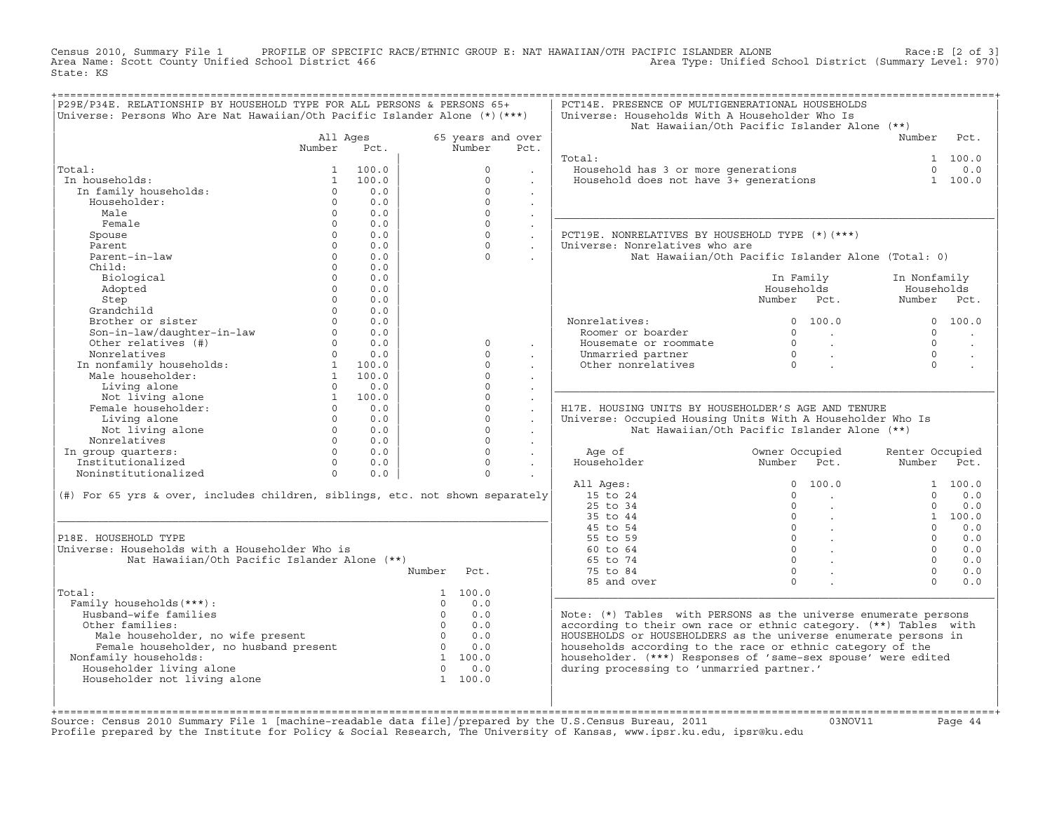Census 2010, Summary File 1 PROFILE OF SPECIFIC RACE/ETHNIC GROUP E: NAT HAWAIIAN/OTH PACIFIC ISLANDER ALONE<br>Area Name: Scott County Unified School District 466 Area Type: Unified School D State: KS

| P29E/P34E. RELATIONSHIP BY HOUSEHOLD TYPE FOR ALL PERSONS & PERSONS 65+                        |                |                          |                |                   |                             | PCT14E. PRESENCE OF MULTIGENERATIONAL HOUSEHOLDS                                  |                                      |                                          |                 |         |
|------------------------------------------------------------------------------------------------|----------------|--------------------------|----------------|-------------------|-----------------------------|-----------------------------------------------------------------------------------|--------------------------------------|------------------------------------------|-----------------|---------|
| Universe: Persons Who Are Nat Hawaiian/Oth Pacific Islander Alone (*) (***)                    |                |                          |                |                   |                             | Universe: Households With A Householder Who Is                                    |                                      |                                          |                 |         |
|                                                                                                |                |                          |                |                   |                             | Nat Hawaiian/Oth Pacific Islander Alone (**)                                      |                                      |                                          |                 |         |
|                                                                                                | All Ages       |                          |                | 65 years and over |                             |                                                                                   |                                      |                                          | Number          | Pct.    |
|                                                                                                | Number         | Pct.                     |                | Number            | Pct.                        |                                                                                   |                                      |                                          |                 |         |
|                                                                                                |                |                          |                |                   |                             | Total:                                                                            |                                      |                                          |                 | 1 100.0 |
| Total:                                                                                         | $\mathbf{1}$   | 100.0                    |                | $\Omega$          |                             | <br>Household has 3 or more generations<br>Household does not have 3+ generations |                                      |                                          | $\cap$          | 0.0     |
| In households:                                                                                 | $\mathbf{1}$   | 100.0                    |                | $\Omega$          | $\cdot$                     |                                                                                   |                                      |                                          |                 | 1 100.0 |
| In family households:                                                                          | $\Omega$       | 0.0                      |                | $\Omega$          | $\mathbf{r}$                |                                                                                   |                                      |                                          |                 |         |
| Householder:                                                                                   | $\Omega$       | 0.0                      |                | $\Omega$          | $\ddot{\phantom{0}}$        |                                                                                   |                                      |                                          |                 |         |
| Male                                                                                           | $\Omega$       | 0.0                      |                | $\circ$           |                             |                                                                                   |                                      |                                          |                 |         |
| Female                                                                                         | $\Omega$       | 0.0                      |                | $\circ$           |                             |                                                                                   |                                      |                                          |                 |         |
|                                                                                                | $\circ$        | 0.0                      |                | $\circ$           | $\mathcal{L}_{\mathcal{A}}$ | PCT19E. NONRELATIVES BY HOUSEHOLD TYPE (*) (***)                                  |                                      |                                          |                 |         |
| Spouse                                                                                         | $\Omega$       |                          |                | $\Omega$          | $\sim$                      |                                                                                   |                                      |                                          |                 |         |
| Parent                                                                                         |                | 0.0                      |                |                   | $\ddot{\phantom{0}}$        | Universe: Nonrelatives who are                                                    |                                      |                                          |                 |         |
| Parent-in-law                                                                                  | $\Omega$       | 0.0                      |                | $\Omega$          |                             | Nat Hawaiian/Oth Pacific Islander Alone (Total: 0)                                |                                      |                                          |                 |         |
| Child:                                                                                         | $\Omega$       | 0.0                      |                |                   |                             |                                                                                   |                                      |                                          |                 |         |
| Biological                                                                                     | $\Omega$       | 0.0                      |                |                   |                             |                                                                                   | In Family                            |                                          | In Nonfamily    |         |
| Adopted                                                                                        | $\Omega$       | 0.0                      |                |                   |                             |                                                                                   | Households                           |                                          | Households      |         |
| Step                                                                                           | $\Omega$       | 0.0                      |                |                   |                             |                                                                                   | Number Pct.                          |                                          | Number Pct.     |         |
| Grandchild                                                                                     | $\Omega$       | 0.0                      |                |                   |                             |                                                                                   |                                      |                                          |                 |         |
| Brother or sister                                                                              | $\Omega$       | 0.0                      |                |                   |                             | Nonrelatives:                                                                     |                                      | 0 100.0                                  |                 | 0 100.0 |
| Son-in-law/daughter-in-law<br>Other relatives (#)<br>Nonrelatives (#)                          | $\overline{0}$ | 0.0                      |                |                   |                             | Roomer or boarder                                                                 | $\Omega$                             | <b>Contract Contract Street</b>          | $\Omega$        |         |
|                                                                                                | $\Omega$       | 0.0                      |                | $\Omega$          | $\ddot{\phantom{a}}$        | Housemate or roommate                                                             | $\overline{0}$                       | $\sim 10^{11}$                           | $\Omega$        | $\sim$  |
| Nonrelatives                                                                                   | $\Omega$       | 0.0                      |                | $\Omega$          |                             | Unmarried partner                                                                 |                                      | $\sim 100$ km $^{-1}$                    | $\Omega$        |         |
| Nonrelatives<br>In nonfamily households:<br>Male householder:<br>1 100.0<br>1 100.0<br>1 100.0 |                |                          |                | $\Omega$          |                             | Other nonrelatives                                                                | $\begin{matrix} 0 \\ 0 \end{matrix}$ |                                          | $\cap$          |         |
|                                                                                                |                |                          |                | $\circ$           | $\cdot$                     |                                                                                   |                                      |                                          |                 |         |
|                                                                                                | $\Omega$       | 0.0                      |                | $\Omega$          | $\cdot$                     |                                                                                   |                                      |                                          |                 |         |
| Iliving alone<br>Not living alone<br>emale householder:                                        |                | 1 100.0                  |                | $\Omega$          | $\ddot{\phantom{a}}$        |                                                                                   |                                      |                                          |                 |         |
| Female householder:                                                                            | $\overline{0}$ | 0.0                      |                | $\circ$           |                             | H17E. HOUSING UNITS BY HOUSEHOLDER'S AGE AND TENURE                               |                                      |                                          |                 |         |
|                                                                                                | $\Omega$       | 0.0                      |                | $\Omega$          | $\ddot{\phantom{a}}$        |                                                                                   |                                      |                                          |                 |         |
| Living alone                                                                                   |                |                          |                |                   | $\ddot{\phantom{a}}$        | Universe: Occupied Housing Units With A Householder Who Is                        |                                      |                                          |                 |         |
| Not living alone                                                                               |                | $0 \qquad \qquad$<br>0.0 |                | $\mathbf 0$       | $\ddot{\phantom{0}}$        | Nat Hawaiian/Oth Pacific Islander Alone (**)                                      |                                      |                                          |                 |         |
| Nonrelatives                                                                                   | $\Omega$       | 0.0                      |                | $\Omega$          | $\sim$                      |                                                                                   |                                      |                                          |                 |         |
| In group quarters:                                                                             | $\Omega$       | 0.0                      |                | $\Omega$          | $\cdot$                     | Age of                                                                            | Owner Occupied                       |                                          | Renter Occupied |         |
| Institutionalized                                                                              | $\Omega$       | 0.0                      |                | $\Omega$          |                             | Householder                                                                       | Number Pct.                          |                                          | Number          | Pct.    |
| Noninstitutionalized                                                                           | $\Omega$       | 0.0                      |                | $\Omega$          |                             |                                                                                   |                                      |                                          |                 |         |
|                                                                                                |                |                          |                |                   |                             | All Ages:                                                                         | $\Omega$                             | 100.0                                    |                 | 1 100.0 |
| (#) For 65 yrs & over, includes children, siblings, etc. not shown separately                  |                |                          |                |                   |                             | 15 to 24                                                                          | $\Omega$                             | <b>Contractor</b>                        | $\Omega$        | 0.0     |
|                                                                                                |                |                          |                |                   |                             | 25 to 34                                                                          | $\Omega$                             | $\ddot{\phantom{a}}$                     | $\Omega$        | 0.0     |
|                                                                                                |                |                          |                |                   |                             | 35 to 44                                                                          | $\overline{0}$                       | $\sim 10^{11}$ km                        |                 | 1 100.0 |
|                                                                                                |                |                          |                |                   |                             | 45 to 54                                                                          | $\overline{0}$                       | $\sim 10^{11}$ km $^{-1}$                | $\cap$          | 0.0     |
| P18E. HOUSEHOLD TYPE                                                                           |                |                          |                |                   |                             | 55 to 59                                                                          |                                      | $\begin{array}{ccc} & & 0 & \end{array}$ | $\Omega$        | 0.0     |
| Universe: Households with a Householder Who is                                                 |                |                          |                |                   |                             | $60$ to $64$                                                                      |                                      | $0 \qquad \qquad .$                      | $\Omega$        | 0.0     |
| Nat Hawaiian/Oth Pacific Islander Alone (**)                                                   |                |                          |                |                   |                             | 65 to 74                                                                          | $\Omega$                             |                                          | $\Omega$        | 0.0     |
|                                                                                                |                |                          | Number         | Pct.              |                             | 75 to 84                                                                          | $\Omega$                             |                                          | $\Omega$        | 0.0     |
|                                                                                                |                |                          |                |                   |                             | 85 and over                                                                       | $\Omega$                             |                                          | $\cap$          | 0.0     |
| Total:                                                                                         |                |                          |                | 1 100.0           |                             |                                                                                   |                                      |                                          |                 |         |
| Family households (***) :                                                                      |                |                          | $\Omega$       | 0.0               |                             |                                                                                   |                                      |                                          |                 |         |
| Husband-wife families                                                                          |                |                          | $\overline{0}$ | 0.0               |                             |                                                                                   |                                      |                                          |                 |         |
|                                                                                                |                |                          | $\sim$ 0       | 0.0               |                             | Note: (*) Tables with PERSONS as the universe enumerate persons                   |                                      |                                          |                 |         |
| Other families:                                                                                |                |                          | $\overline{0}$ | 0.0               |                             | according to their own race or ethnic category. (**) Tables with                  |                                      |                                          |                 |         |
| male householder, no wife present<br>Female householder, no husband present                    |                |                          |                |                   |                             | HOUSEHOLDS or HOUSEHOLDERS as the universe enumerate persons in                   |                                      |                                          |                 |         |
|                                                                                                |                |                          | $\overline{0}$ | 0.0               |                             | households according to the race or ethnic category of the                        |                                      |                                          |                 |         |
| Nonfamily households:                                                                          |                |                          |                | 1, 100, 0         |                             | householder. (***) Responses of 'same-sex spouse' were edited                     |                                      |                                          |                 |         |
| Householder living alone                                                                       |                |                          | $\Omega$       | 0.0               |                             | during processing to 'unmarried partner.'                                         |                                      |                                          |                 |         |
| Householder not living alone                                                                   |                |                          |                | 1 100.0           |                             |                                                                                   |                                      |                                          |                 |         |
|                                                                                                |                |                          |                |                   |                             |                                                                                   |                                      |                                          |                 |         |
|                                                                                                |                |                          |                |                   |                             |                                                                                   |                                      |                                          |                 |         |
|                                                                                                |                |                          |                |                   |                             |                                                                                   |                                      |                                          |                 |         |

+===================================================================================================================================================+Source: Census 2010 Summary File 1 [machine−readable data file]/prepared by the U.S.Census Bureau, 2011 03NOV11 Page 44 Profile prepared by the Institute for Policy & Social Research, The University of Kansas, www.ipsr.ku.edu, ipsr@ku.edu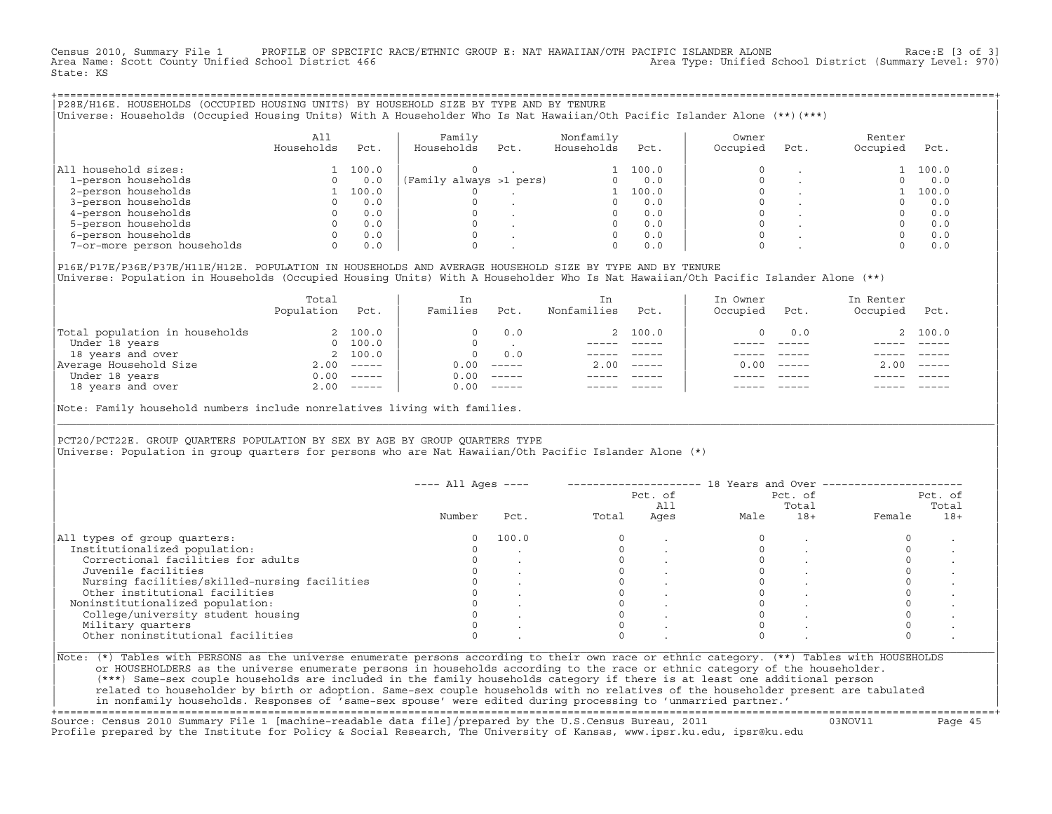Census 2010, Summary File 1 PROFILE OF SPECIFIC RACE/ETHNIC GROUP E: NAT HAWAIIAN/OTH PACIFIC ISLANDER ALONE Race:E [3 of 3]<br>Area Name: Scott County Unified School District 466 Area Type: Unified School District (Summary L Area Type: Unified School District (Summary Level: 970) State: KS

+===================================================================================================================================================+|P28E/H16E. HOUSEHOLDS (OCCUPIED HOUSING UNITS) BY HOUSEHOLD SIZE BY TYPE AND BY TENURE | |Universe: Households (Occupied Housing Units) With A Householder Who Is Nat Hawaiian/Oth Pacific Islander Alone (\*\*)(\*\*\*) |

|                             | All<br>Households | Pct.  | Family<br>Households    | Pct. | Nonfamily<br>Households | Pct.  | Owner<br>Occupied | Pct. | Renter<br>Occupied | Pct.  |
|-----------------------------|-------------------|-------|-------------------------|------|-------------------------|-------|-------------------|------|--------------------|-------|
| household sizes:<br>All     |                   | 100.0 |                         |      |                         | 100.0 |                   |      |                    | 100.0 |
| 1-person households         |                   | 0.0   | (Family always >1 pers) |      |                         | 0.0   |                   |      |                    | 0.0   |
| 2-person households         |                   | 100.0 |                         |      |                         | 100.0 |                   |      |                    | 100.0 |
| 3-person households         |                   | 0.0   |                         |      |                         | 0.0   |                   |      |                    | 0.0   |
| 4-person households         |                   | 0.0   |                         |      |                         | 0.0   |                   |      |                    | 0.0   |
| 5-person households         |                   | 0.0   |                         |      |                         | 0.0   |                   |      |                    | 0.0   |
| 6-person households         |                   | 0.0   |                         |      |                         | 0.0   |                   |      |                    | 0.0   |
| 7-or-more person households |                   | 0.0   |                         |      | $\Omega$                | 0.0   |                   |      |                    | 0.0   |

|P16E/P17E/P36E/P37E/H11E/H12E. POPULATION IN HOUSEHOLDS AND AVERAGE HOUSEHOLD SIZE BY TYPE AND BY TENURE | |Universe: Population in Households (Occupied Housing Units) With A Householder Who Is Nat Hawaiian/Oth Pacific Islander Alone (\*\*) |

|                                | Total<br>Population | Pct.         | In<br>Families | Pct.     | In<br>Nonfamilies | Pct.     | In Owner<br>Occupied | Pct.          | In Renter<br>Occupied | Pct.        |
|--------------------------------|---------------------|--------------|----------------|----------|-------------------|----------|----------------------|---------------|-----------------------|-------------|
| Total population in households |                     | 2 100.0      | $\Omega$       | 0.0      |                   | 2 100.0  |                      | 0.0           |                       | 2 100.0     |
| Under 18 years                 | $\Omega$            | 100.0        | $\Omega$       |          |                   |          |                      |               |                       |             |
| 18 years and over              |                     | 2 100.0      | $\Omega$       | 0.0      |                   |          |                      |               |                       |             |
| Average Household Size         | 2.00                | $------$     | 0.00           | $------$ | 2.00              | $------$ | 0.00                 | $\frac{1}{2}$ | 2.00                  | $------$    |
| Under 18 years                 | 0.00                | $------$     | 0.00           | $------$ |                   |          |                      |               |                       |             |
| 18 years and over              |                     | $2.00$ ----- | 0.00           |          |                   |          |                      |               |                       | $- - - - -$ |
|                                |                     |              |                |          |                   |          |                      |               |                       |             |

Note: Family household numbers include nonrelatives living with families.

| | PCT20/PCT22E. GROUP OUARTERS POPULATION BY SEX BY AGE BY GROUP OUARTERS TYPE |Universe: Population in group quarters for persons who are Nat Hawaiian/Oth Pacific Islander Alone (\*) |

|                                               |        |       |       | Pct. of<br>All |      | Pct. of<br>Total | Pct. of<br>Total |       |  |
|-----------------------------------------------|--------|-------|-------|----------------|------|------------------|------------------|-------|--|
|                                               | Number | Pct.  | Total | Ages           | Male | $18+$            | Female           | $18+$ |  |
| All types of group quarters:                  |        | 100.0 |       |                |      |                  |                  |       |  |
| Institutionalized population:                 |        |       |       |                |      |                  |                  |       |  |
| Correctional facilities for adults            |        |       |       |                |      |                  |                  |       |  |
| Juvenile facilities                           |        |       |       |                |      |                  |                  |       |  |
| Nursing facilities/skilled-nursing facilities |        |       |       |                |      |                  |                  |       |  |
| Other institutional facilities                |        |       |       |                |      |                  |                  |       |  |
| Noninstitutionalized population:              |        |       |       |                |      |                  |                  |       |  |
| College/university student housing            |        |       |       |                |      |                  |                  |       |  |
| Military quarters                             |        |       |       |                |      |                  |                  |       |  |
| Other noninstitutional facilities             |        |       |       |                |      |                  |                  |       |  |

|\_\_\_\_\_\_\_\_\_\_\_\_\_\_\_\_\_\_\_\_\_\_\_\_\_\_\_\_\_\_\_\_\_\_\_\_\_\_\_\_\_\_\_\_\_\_\_\_\_\_\_\_\_\_\_\_\_\_\_\_\_\_\_\_\_\_\_\_\_\_\_\_\_\_\_\_\_\_\_\_\_\_\_\_\_\_\_\_\_\_\_\_\_\_\_\_\_\_\_\_\_\_\_\_\_\_\_\_\_\_\_\_\_\_\_\_\_\_\_\_\_\_\_\_\_\_\_\_\_\_\_\_\_\_\_\_\_\_\_\_\_\_\_\_\_\_\_|

| |

or HOUSEHOLDERS as the universe enumerate persons in households according to the race or ethnic category of the householder. | (\*\*\*) Same−sex couple households are included in the family households category if there is at least one additional person | | related to householder by birth or adoption. Same−sex couple households with no relatives of the householder present are tabulated | | in nonfamily households. Responses of 'same−sex spouse' were edited during processing to 'unmarried partner.' |

+===================================================================================================================================================+ Source: Census 2010 Summary File 1 [machine−readable data file]/prepared by the U.S.Census Bureau, 2011 03NOV11 Page 45 Profile prepared by the Institute for Policy & Social Research, The University of Kansas, www.ipsr.ku.edu, ipsr@ku.edu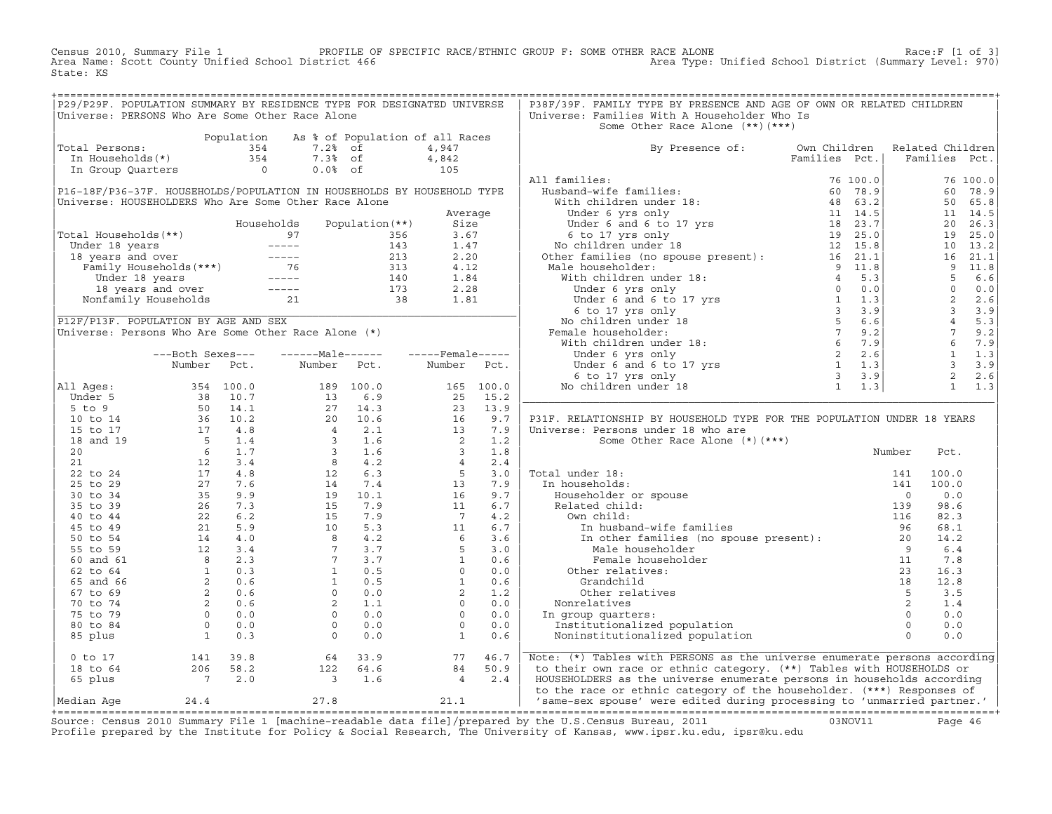Census 2010, Summary File 1 PROFILE OF SPECIFIC RACE/ETHNIC GROUP F: SOME OTHER RACE ALONE Race:F [1 of 3]<br>Area Name: Scott County Unified School District 466 Area Type: Unified School District (Summary Level: 970) Area Type: Unified School District (Summary Level: 970) State: KS

| P29/P29F. POPULATION SUMMARY BY RESIDENCE TYPE FOR DESIGNATED UNIVERSE                                                                                  |  |  |  | P38F/39F. FAMILY TYPE BY PRESENCE AND AGE OF OWN OR RELATED CHILDREN                                                                                                                                                           |  |  |  |
|---------------------------------------------------------------------------------------------------------------------------------------------------------|--|--|--|--------------------------------------------------------------------------------------------------------------------------------------------------------------------------------------------------------------------------------|--|--|--|
| Universe: PERSONS Who Are Some Other Race Alone                                                                                                         |  |  |  | Universe: Families With A Householder Who Is                                                                                                                                                                                   |  |  |  |
|                                                                                                                                                         |  |  |  | Some Other Race Alone (**) (***)                                                                                                                                                                                               |  |  |  |
| Population As % of Population of all Races<br>Total Persons: 354 7.2% of 4,947<br>In Households(*) 354 7.3% of 4,842<br>In Group Quarters 0 0.0% of 105 |  |  |  |                                                                                                                                                                                                                                |  |  |  |
|                                                                                                                                                         |  |  |  | By Presence of: Own Children Related Children<br>Families Pct.   Families Pct.                                                                                                                                                 |  |  |  |
|                                                                                                                                                         |  |  |  |                                                                                                                                                                                                                                |  |  |  |
|                                                                                                                                                         |  |  |  |                                                                                                                                                                                                                                |  |  |  |
|                                                                                                                                                         |  |  |  |                                                                                                                                                                                                                                |  |  |  |
|                                                                                                                                                         |  |  |  |                                                                                                                                                                                                                                |  |  |  |
|                                                                                                                                                         |  |  |  |                                                                                                                                                                                                                                |  |  |  |
|                                                                                                                                                         |  |  |  |                                                                                                                                                                                                                                |  |  |  |
|                                                                                                                                                         |  |  |  |                                                                                                                                                                                                                                |  |  |  |
|                                                                                                                                                         |  |  |  |                                                                                                                                                                                                                                |  |  |  |
|                                                                                                                                                         |  |  |  |                                                                                                                                                                                                                                |  |  |  |
|                                                                                                                                                         |  |  |  |                                                                                                                                                                                                                                |  |  |  |
|                                                                                                                                                         |  |  |  |                                                                                                                                                                                                                                |  |  |  |
|                                                                                                                                                         |  |  |  |                                                                                                                                                                                                                                |  |  |  |
|                                                                                                                                                         |  |  |  |                                                                                                                                                                                                                                |  |  |  |
|                                                                                                                                                         |  |  |  |                                                                                                                                                                                                                                |  |  |  |
|                                                                                                                                                         |  |  |  |                                                                                                                                                                                                                                |  |  |  |
|                                                                                                                                                         |  |  |  |                                                                                                                                                                                                                                |  |  |  |
|                                                                                                                                                         |  |  |  |                                                                                                                                                                                                                                |  |  |  |
|                                                                                                                                                         |  |  |  |                                                                                                                                                                                                                                |  |  |  |
|                                                                                                                                                         |  |  |  |                                                                                                                                                                                                                                |  |  |  |
|                                                                                                                                                         |  |  |  |                                                                                                                                                                                                                                |  |  |  |
|                                                                                                                                                         |  |  |  |                                                                                                                                                                                                                                |  |  |  |
|                                                                                                                                                         |  |  |  |                                                                                                                                                                                                                                |  |  |  |
|                                                                                                                                                         |  |  |  |                                                                                                                                                                                                                                |  |  |  |
|                                                                                                                                                         |  |  |  | P31F. RELATIONSHIP BY HOUSEHOLD TYPE FOR THE POPULATION UNDER 18 YEARS                                                                                                                                                         |  |  |  |
|                                                                                                                                                         |  |  |  |                                                                                                                                                                                                                                |  |  |  |
|                                                                                                                                                         |  |  |  |                                                                                                                                                                                                                                |  |  |  |
|                                                                                                                                                         |  |  |  |                                                                                                                                                                                                                                |  |  |  |
|                                                                                                                                                         |  |  |  |                                                                                                                                                                                                                                |  |  |  |
|                                                                                                                                                         |  |  |  |                                                                                                                                                                                                                                |  |  |  |
|                                                                                                                                                         |  |  |  |                                                                                                                                                                                                                                |  |  |  |
|                                                                                                                                                         |  |  |  |                                                                                                                                                                                                                                |  |  |  |
|                                                                                                                                                         |  |  |  |                                                                                                                                                                                                                                |  |  |  |
|                                                                                                                                                         |  |  |  |                                                                                                                                                                                                                                |  |  |  |
|                                                                                                                                                         |  |  |  |                                                                                                                                                                                                                                |  |  |  |
|                                                                                                                                                         |  |  |  |                                                                                                                                                                                                                                |  |  |  |
|                                                                                                                                                         |  |  |  |                                                                                                                                                                                                                                |  |  |  |
|                                                                                                                                                         |  |  |  |                                                                                                                                                                                                                                |  |  |  |
|                                                                                                                                                         |  |  |  |                                                                                                                                                                                                                                |  |  |  |
|                                                                                                                                                         |  |  |  |                                                                                                                                                                                                                                |  |  |  |
|                                                                                                                                                         |  |  |  |                                                                                                                                                                                                                                |  |  |  |
|                                                                                                                                                         |  |  |  |                                                                                                                                                                                                                                |  |  |  |
|                                                                                                                                                         |  |  |  |                                                                                                                                                                                                                                |  |  |  |
|                                                                                                                                                         |  |  |  |                                                                                                                                                                                                                                |  |  |  |
|                                                                                                                                                         |  |  |  |                                                                                                                                                                                                                                |  |  |  |
|                                                                                                                                                         |  |  |  |                                                                                                                                                                                                                                |  |  |  |
|                                                                                                                                                         |  |  |  |                                                                                                                                                                                                                                |  |  |  |
|                                                                                                                                                         |  |  |  |                                                                                                                                                                                                                                |  |  |  |
|                                                                                                                                                         |  |  |  | 0 to 17 and 141 39.8 64 33.9 and 18 to 64 and 18 to 64 and 206 58.2 and 206 58.2 and 18 to 64 and 206 58.2 and 18 to 64 and 206 58.2 and 1.6 and 1.6 and 1.6 and 1.6 and 1.6 and 1.6 and 1.6 and 1.6 and 1.6 and 1.6 and 1.6 a |  |  |  |

Source: Census 2010 Summary File 1 [machine-readable data file]/prepared by the U.S.Census Bureau, 2011 Page 46<br>Profile prepared by the Institute for Policy & Social Research, The University of Kansas, www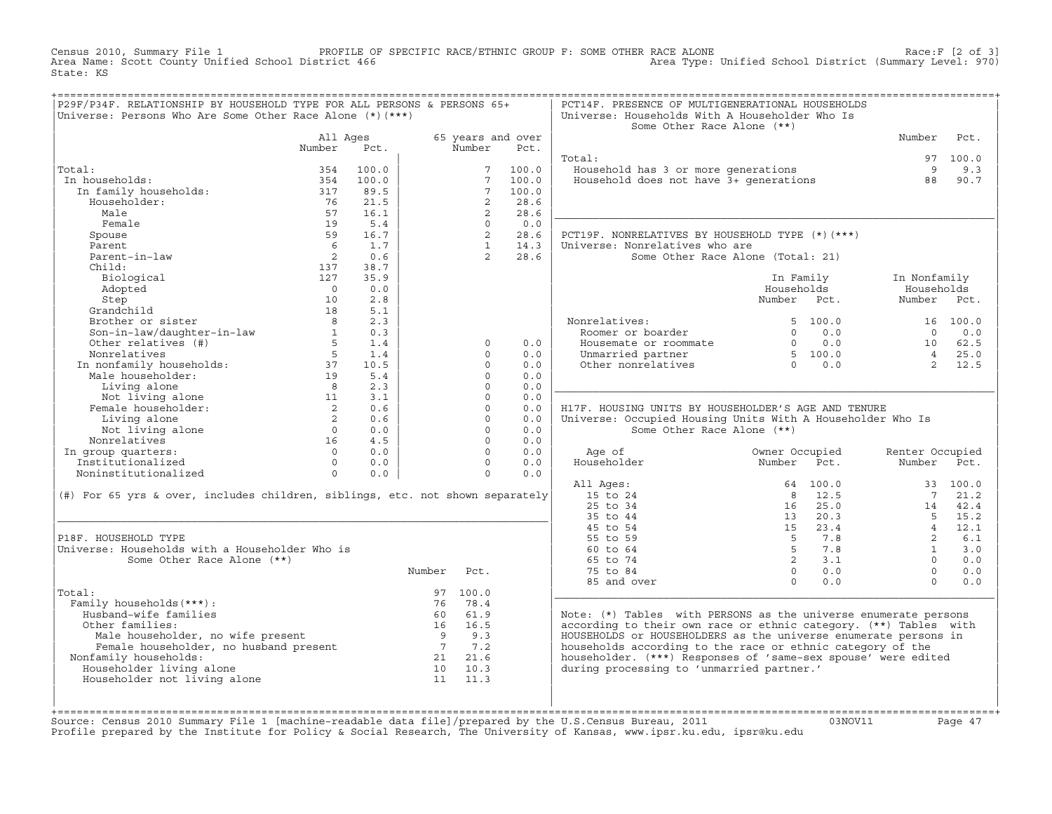Census 2010, Summary File 1 PROFILE OF SPECIFIC RACE/ETHNIC GROUP F: SOME OTHER RACE ALONE RACE OF SPACE:F [2 of 3]<br>Area Name: Scott County Unified School District 466 Area Type: Unified School District (Summary Level: 970 Area Type: Unified School District (Summary Level: 970) State: KS

| P29F/P34F. RELATIONSHIP BY HOUSEHOLD TYPE FOR ALL PERSONS & PERSONS 65+                                                                                                                                                                                                                                                                                                                       |             |          |             |          |                                   | PCT14F. PRESENCE OF MULTIGENERATIONAL HOUSEHOLDS                                                                                                                                                                                     |                                                                                                                                                                                                                                                                                    |             |          |
|-----------------------------------------------------------------------------------------------------------------------------------------------------------------------------------------------------------------------------------------------------------------------------------------------------------------------------------------------------------------------------------------------|-------------|----------|-------------|----------|-----------------------------------|--------------------------------------------------------------------------------------------------------------------------------------------------------------------------------------------------------------------------------------|------------------------------------------------------------------------------------------------------------------------------------------------------------------------------------------------------------------------------------------------------------------------------------|-------------|----------|
|                                                                                                                                                                                                                                                                                                                                                                                               |             |          |             |          |                                   |                                                                                                                                                                                                                                      |                                                                                                                                                                                                                                                                                    |             |          |
| Universe: Persons Who Are Some Other Race Alone $(*)$ $(***)$                                                                                                                                                                                                                                                                                                                                 |             |          |             |          |                                   | Universe: Households With A Householder Who Is                                                                                                                                                                                       |                                                                                                                                                                                                                                                                                    |             |          |
|                                                                                                                                                                                                                                                                                                                                                                                               |             |          |             |          |                                   | Some Other Race Alone (**)                                                                                                                                                                                                           |                                                                                                                                                                                                                                                                                    |             |          |
|                                                                                                                                                                                                                                                                                                                                                                                               |             | All Ages |             |          | 65 years and over                 |                                                                                                                                                                                                                                      |                                                                                                                                                                                                                                                                                    | Number Pct. |          |
|                                                                                                                                                                                                                                                                                                                                                                                               | Number Pct. |          |             | Number   | Pct.                              |                                                                                                                                                                                                                                      |                                                                                                                                                                                                                                                                                    |             |          |
| tal:<br>n households:<br>100.0<br>In family households:<br>Householder:<br>Male<br>Male<br>Female<br>Spouse<br>Parent<br>Farent 19<br>Spouse<br>Farent 100.0<br>Spouse<br>228.6<br>Parent<br>228.6<br>Parent<br>228.6<br>228.6<br>228.6<br>228.6<br>228.6<br>228.6<br>228.6<br>2                                                                                                              |             |          |             |          |                                   | Total:                                                                                                                                                                                                                               |                                                                                                                                                                                                                                                                                    |             | 97 100.0 |
| Total:                                                                                                                                                                                                                                                                                                                                                                                        |             |          |             |          |                                   | Cal.<br>Household has 3 or more generations and the set of the set of the set of the set of the set of the set of the<br>Household does not have 3+ generations and the set of the set of the set of the set of the set of the set o |                                                                                                                                                                                                                                                                                    |             |          |
| In households:                                                                                                                                                                                                                                                                                                                                                                                |             |          |             |          |                                   |                                                                                                                                                                                                                                      |                                                                                                                                                                                                                                                                                    |             |          |
|                                                                                                                                                                                                                                                                                                                                                                                               |             |          |             |          |                                   |                                                                                                                                                                                                                                      |                                                                                                                                                                                                                                                                                    |             |          |
|                                                                                                                                                                                                                                                                                                                                                                                               |             |          |             |          |                                   |                                                                                                                                                                                                                                      |                                                                                                                                                                                                                                                                                    |             |          |
|                                                                                                                                                                                                                                                                                                                                                                                               |             |          |             |          |                                   |                                                                                                                                                                                                                                      |                                                                                                                                                                                                                                                                                    |             |          |
|                                                                                                                                                                                                                                                                                                                                                                                               |             |          |             |          |                                   |                                                                                                                                                                                                                                      |                                                                                                                                                                                                                                                                                    |             |          |
|                                                                                                                                                                                                                                                                                                                                                                                               |             |          |             |          |                                   | PCT19F. NONRELATIVES BY HOUSEHOLD TYPE (*)(***)                                                                                                                                                                                      |                                                                                                                                                                                                                                                                                    |             |          |
|                                                                                                                                                                                                                                                                                                                                                                                               |             |          |             |          |                                   | Universe: Nonrelatives who are                                                                                                                                                                                                       |                                                                                                                                                                                                                                                                                    |             |          |
|                                                                                                                                                                                                                                                                                                                                                                                               |             |          |             |          |                                   |                                                                                                                                                                                                                                      | Some Other Race Alone (Total: 21)                                                                                                                                                                                                                                                  |             |          |
|                                                                                                                                                                                                                                                                                                                                                                                               |             |          |             |          |                                   |                                                                                                                                                                                                                                      |                                                                                                                                                                                                                                                                                    |             |          |
|                                                                                                                                                                                                                                                                                                                                                                                               |             |          |             |          |                                   |                                                                                                                                                                                                                                      |                                                                                                                                                                                                                                                                                    |             |          |
|                                                                                                                                                                                                                                                                                                                                                                                               |             |          |             |          |                                   |                                                                                                                                                                                                                                      | In Family 1n Nonfamily                                                                                                                                                                                                                                                             |             |          |
|                                                                                                                                                                                                                                                                                                                                                                                               |             |          |             |          |                                   |                                                                                                                                                                                                                                      | Households                                                                                                                                                                                                                                                                         | Households  |          |
|                                                                                                                                                                                                                                                                                                                                                                                               |             |          |             |          |                                   |                                                                                                                                                                                                                                      | Number Pct.                                                                                                                                                                                                                                                                        | Number Pct. |          |
| $\begin{tabular}{l c c c c} \hline \textbf{name} & \textbf{19} & 5.4 & 0 & 0. \\\hline \textbf{Spouse} & & & & & & 9 & 16.7 & 2 & 28. \\\hline \textbf{Parent} & & & & 6 & 1.7 & 2 & 28. \\\hline \textbf{Parent} & & & & 2 & 0.6 & 1 & 14. \\\hline \textbf{Parent-in-law} & & & 2 & 0.6 & 2 & 28. \\\hline \textbf{Child:} & & & 127 & 35.9 & 2 & 28. \\\hline \textbf{Bidogical} & & & 12$ |             |          |             |          |                                   |                                                                                                                                                                                                                                      |                                                                                                                                                                                                                                                                                    |             |          |
|                                                                                                                                                                                                                                                                                                                                                                                               |             |          |             |          |                                   | Nonrelatives:<br>Roomer or boarder<br>Housemate or roommate<br>5 100.0 0 0 0.0<br>10 62.5<br>Unmarried partner<br>5 100.0 0 10 62.5<br>Unmarried partner<br>5 100.0 0 10 62.5<br>2 12.5                                              |                                                                                                                                                                                                                                                                                    |             |          |
|                                                                                                                                                                                                                                                                                                                                                                                               |             |          |             |          |                                   |                                                                                                                                                                                                                                      |                                                                                                                                                                                                                                                                                    |             |          |
|                                                                                                                                                                                                                                                                                                                                                                                               |             |          |             |          | 0.0                               |                                                                                                                                                                                                                                      |                                                                                                                                                                                                                                                                                    |             |          |
|                                                                                                                                                                                                                                                                                                                                                                                               |             |          |             |          | 0.0                               |                                                                                                                                                                                                                                      |                                                                                                                                                                                                                                                                                    |             |          |
|                                                                                                                                                                                                                                                                                                                                                                                               |             |          |             |          | 0.0                               |                                                                                                                                                                                                                                      |                                                                                                                                                                                                                                                                                    |             |          |
|                                                                                                                                                                                                                                                                                                                                                                                               |             |          |             |          | 0.0                               |                                                                                                                                                                                                                                      |                                                                                                                                                                                                                                                                                    |             |          |
|                                                                                                                                                                                                                                                                                                                                                                                               |             |          |             |          | 0.0                               |                                                                                                                                                                                                                                      |                                                                                                                                                                                                                                                                                    |             |          |
|                                                                                                                                                                                                                                                                                                                                                                                               |             |          |             |          | 0.0                               |                                                                                                                                                                                                                                      |                                                                                                                                                                                                                                                                                    |             |          |
|                                                                                                                                                                                                                                                                                                                                                                                               |             |          |             |          |                                   |                                                                                                                                                                                                                                      |                                                                                                                                                                                                                                                                                    |             |          |
|                                                                                                                                                                                                                                                                                                                                                                                               |             |          |             |          | 0.0                               | H17F. HOUSING UNITS BY HOUSEHOLDER'S AGE AND TENURE                                                                                                                                                                                  |                                                                                                                                                                                                                                                                                    |             |          |
|                                                                                                                                                                                                                                                                                                                                                                                               |             |          |             |          | 0.0                               | Universe: Occupied Housing Units With A Householder Who Is                                                                                                                                                                           |                                                                                                                                                                                                                                                                                    |             |          |
|                                                                                                                                                                                                                                                                                                                                                                                               |             |          |             |          | 0.0                               | Some Other Race Alone (**)                                                                                                                                                                                                           |                                                                                                                                                                                                                                                                                    |             |          |
|                                                                                                                                                                                                                                                                                                                                                                                               |             |          |             |          | 0.0                               |                                                                                                                                                                                                                                      |                                                                                                                                                                                                                                                                                    |             |          |
|                                                                                                                                                                                                                                                                                                                                                                                               |             |          |             |          | 0.0                               |                                                                                                                                                                                                                                      |                                                                                                                                                                                                                                                                                    |             |          |
|                                                                                                                                                                                                                                                                                                                                                                                               |             |          |             |          | $\begin{matrix}0&0.0\end{matrix}$ |                                                                                                                                                                                                                                      | Owner Occupied Renter Occupied<br>Number Pct. Number Pct.                                                                                                                                                                                                                          |             |          |
|                                                                                                                                                                                                                                                                                                                                                                                               |             |          |             |          | 0.0                               |                                                                                                                                                                                                                                      |                                                                                                                                                                                                                                                                                    |             |          |
|                                                                                                                                                                                                                                                                                                                                                                                               |             |          |             |          |                                   | All Ages:                                                                                                                                                                                                                            |                                                                                                                                                                                                                                                                                    |             |          |
| (#) For 65 yrs & over, includes children, siblings, etc. not shown separately                                                                                                                                                                                                                                                                                                                 |             |          |             |          |                                   | 15 to 24                                                                                                                                                                                                                             |                                                                                                                                                                                                                                                                                    |             |          |
|                                                                                                                                                                                                                                                                                                                                                                                               |             |          |             |          |                                   | 25 to 34                                                                                                                                                                                                                             |                                                                                                                                                                                                                                                                                    |             |          |
|                                                                                                                                                                                                                                                                                                                                                                                               |             |          |             |          |                                   | 35 to 44                                                                                                                                                                                                                             |                                                                                                                                                                                                                                                                                    |             |          |
|                                                                                                                                                                                                                                                                                                                                                                                               |             |          |             |          |                                   | 45 to 54                                                                                                                                                                                                                             | $\begin{array}{cccccc} 64 & 100.0 & & & & & 33 & 100.0 \\ 8 & 12.5 & & & 7 & 21.2 \\ 16 & 25.0 & & & 14 & 42.4 \\ 13 & 20.3 & & & 5 & 15.2 \\ 15 & 23.4 & & 4 & 12.1 \\ 5 & 7.8 & & 2 & 6.1 \\ 5 & 7.8 & & 1 & 3.0 \\ 2 & 3.1 & & 0 & 0.0 \\ 0 & 0.0 & & & 0 & 0.0 \\ \end{array}$ |             |          |
| P18F. HOUSEHOLD TYPE                                                                                                                                                                                                                                                                                                                                                                          |             |          |             |          |                                   | 55 to 59                                                                                                                                                                                                                             |                                                                                                                                                                                                                                                                                    |             |          |
| Universe: Households with a Householder Who is                                                                                                                                                                                                                                                                                                                                                |             |          |             |          |                                   |                                                                                                                                                                                                                                      |                                                                                                                                                                                                                                                                                    |             |          |
|                                                                                                                                                                                                                                                                                                                                                                                               |             |          |             |          |                                   | 60 to 64                                                                                                                                                                                                                             |                                                                                                                                                                                                                                                                                    |             |          |
| Some Other Race Alone (**)                                                                                                                                                                                                                                                                                                                                                                    |             |          |             |          |                                   | 65 to 74                                                                                                                                                                                                                             |                                                                                                                                                                                                                                                                                    |             |          |
|                                                                                                                                                                                                                                                                                                                                                                                               |             |          | Number Pct. |          |                                   | 75 to 84                                                                                                                                                                                                                             |                                                                                                                                                                                                                                                                                    |             |          |
|                                                                                                                                                                                                                                                                                                                                                                                               |             |          |             |          |                                   | 85 and over                                                                                                                                                                                                                          |                                                                                                                                                                                                                                                                                    |             |          |
| Total:                                                                                                                                                                                                                                                                                                                                                                                        |             |          |             | 97 100.0 |                                   |                                                                                                                                                                                                                                      |                                                                                                                                                                                                                                                                                    |             |          |
| Family households (***) :<br>ily households (***):<br>iusband-wife families<br>ther families:<br>Male householder, no wife present<br>Family households:<br>family households:<br>Section of the present<br>Family households:<br>iouseholder living alone<br>ouseholder not                                                                                                                  |             |          |             | 76 78.4  |                                   |                                                                                                                                                                                                                                      |                                                                                                                                                                                                                                                                                    |             |          |
| Husband-wife families                                                                                                                                                                                                                                                                                                                                                                         |             |          |             |          |                                   | Note: (*) Tables with PERSONS as the universe enumerate persons                                                                                                                                                                      |                                                                                                                                                                                                                                                                                    |             |          |
| Other families:                                                                                                                                                                                                                                                                                                                                                                               |             |          |             |          |                                   | according to their own race or ethnic category. (**) Tables with                                                                                                                                                                     |                                                                                                                                                                                                                                                                                    |             |          |
|                                                                                                                                                                                                                                                                                                                                                                                               |             |          |             |          |                                   | HOUSEHOLDS or HOUSEHOLDERS as the universe enumerate persons in                                                                                                                                                                      |                                                                                                                                                                                                                                                                                    |             |          |
|                                                                                                                                                                                                                                                                                                                                                                                               |             |          |             |          |                                   | households according to the race or ethnic category of the                                                                                                                                                                           |                                                                                                                                                                                                                                                                                    |             |          |
| Nonfamily households:                                                                                                                                                                                                                                                                                                                                                                         |             |          |             |          |                                   | householder. (***) Responses of 'same-sex spouse' were edited                                                                                                                                                                        |                                                                                                                                                                                                                                                                                    |             |          |
| Householder living alone                                                                                                                                                                                                                                                                                                                                                                      |             |          |             |          |                                   | during processing to 'unmarried partner.'                                                                                                                                                                                            |                                                                                                                                                                                                                                                                                    |             |          |
| Householder not living alone                                                                                                                                                                                                                                                                                                                                                                  |             |          |             |          |                                   |                                                                                                                                                                                                                                      |                                                                                                                                                                                                                                                                                    |             |          |
|                                                                                                                                                                                                                                                                                                                                                                                               |             |          |             |          |                                   |                                                                                                                                                                                                                                      |                                                                                                                                                                                                                                                                                    |             |          |
|                                                                                                                                                                                                                                                                                                                                                                                               |             |          |             |          |                                   |                                                                                                                                                                                                                                      |                                                                                                                                                                                                                                                                                    |             |          |
|                                                                                                                                                                                                                                                                                                                                                                                               |             |          |             |          |                                   |                                                                                                                                                                                                                                      |                                                                                                                                                                                                                                                                                    |             |          |

+===================================================================================================================================================+Source: Census 2010 Summary File 1 [machine−readable data file]/prepared by the U.S.Census Bureau, 2011 03NOV11 Page 47 Profile prepared by the Institute for Policy & Social Research, The University of Kansas, www.ipsr.ku.edu, ipsr@ku.edu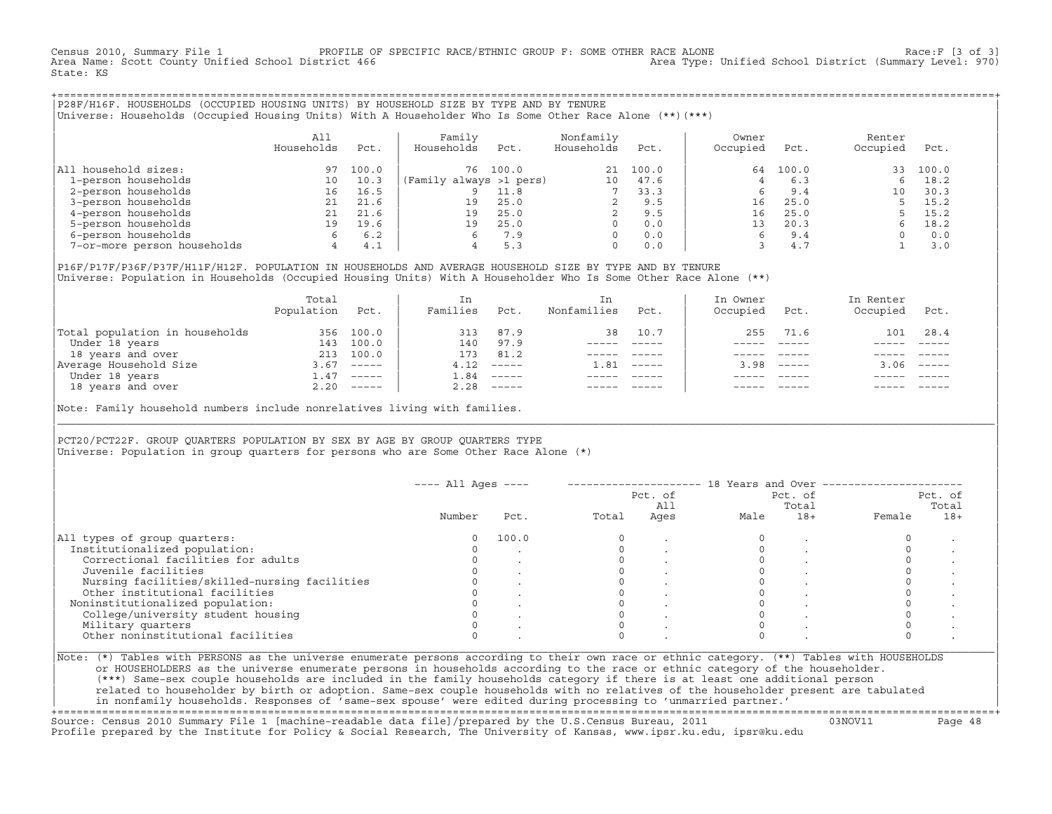Census 2010, Summary File 1 PROFILE OF SPECIFIC RACE/ETHNIC GROUP F: SOME OTHER RACE ALONE RACE OLD FROCE:F [3 of 3]<br>Area Name: Scott County Unified School District 466 Area Type: Unified School District (Summary Level: 97 Area Type: Unified School District (Summary Level: 970) State: KS

+===================================================================================================================================================+|P28F/H16F. HOUSEHOLDS (OCCUPIED HOUSING UNITS) BY HOUSEHOLD SIZE BY TYPE AND BY TENURE | |Universe: Households (Occupied Housing Units) With A Householder Who Is Some Other Race Alone (\*\*)(\*\*\*) |

|                             | All<br>Households | Pct.  | Family<br>Households    | Pct.  | Nonfamily<br>Households | Pct.  | Owner<br>Occupied | Pct.  | Renter<br>Occupied | Pct.  |  |
|-----------------------------|-------------------|-------|-------------------------|-------|-------------------------|-------|-------------------|-------|--------------------|-------|--|
| household sizes:<br>All     | 97                | 100.0 | 76                      | 100.0 | 21                      | 100.0 | 64                | 100.0 | 33                 | 100.0 |  |
| 1-person households         | 10                | 10.3  | (Family always >1 pers) |       | 10                      | 47.6  |                   | 6.3   |                    | 18.2  |  |
| 2-person households         | 16                | 16.5  |                         | 11.8  |                         | 33.3  |                   | 9.4   | 10                 | 30.3  |  |
| 3-person households         | 21                | 21.6  | 19                      | 25.0  |                         | 9.5   | 16                | 25.0  |                    | 15.2  |  |
| 4-person households         |                   | 21.6  | 19                      | 25.0  |                         | 9.5   | 16                | 25.0  |                    | 15.2  |  |
| 5-person households         | 19                | 19.6  | 19                      | 25.0  | $\Omega$                | 0.0   | 13                | 20.3  |                    | 18.2  |  |
| 6-person households         | 6                 | 6.2   |                         | 7.9   | $\Omega$                | 0.0   |                   | 9.4   |                    | 0.0   |  |
| 7-or-more person households | 4                 | 4.1   |                         | 5.3   | $\mathbf 0$             | 0.0   |                   | 4.7   |                    | 3.0   |  |

|P16F/P17F/P36F/P37F/H11F/H12F. POPULATION IN HOUSEHOLDS AND AVERAGE HOUSEHOLD SIZE BY TYPE AND BY TENURE | Universe: Population in Households (Occupied Housing Units) With A Householder Who Is Some Other Race Alone (\*\*)

|                                | Total<br>Population | Pct.                      | In<br>Families | Pct.     | In.<br>Nonfamilies | Pct.     | In Owner<br>Occupied | Pct.                      | In Renter<br>Occupied | Pct.                      |
|--------------------------------|---------------------|---------------------------|----------------|----------|--------------------|----------|----------------------|---------------------------|-----------------------|---------------------------|
| Total population in households | 356                 | 100.0                     | 313            | 87.9     | 38                 | 10.7     | 255                  | 71.6                      | 101                   | 28.4                      |
| Under 18 years                 | 143                 | 100.0                     | 140            | 97.9     |                    |          |                      |                           |                       |                           |
| 18 years and over              | 213                 | 100.0                     | 173            | 81.2     |                    |          |                      |                           |                       |                           |
| Average Household Size         | 3.67                | $\qquad \qquad - - - - -$ | 4.12           | $------$ | 1.81               | $------$ | 3.98                 | $\qquad \qquad - - - - -$ | 3.06                  | $\qquad \qquad - - - - -$ |
| Under 18 years                 | 1.47                | $------$                  | 84             | $------$ |                    |          |                      |                           |                       |                           |
| 18 years and over              |                     | $2.20$ -----              | 2.28           |          |                    |          |                      | $- - - - -$               |                       | $- - - - -$               |
|                                |                     |                           |                |          |                    |          |                      |                           |                       |                           |

Note: Family household numbers include nonrelatives living with families.

| | PCT20/PCT22F. GROUP OUARTERS POPULATION BY SEX BY AGE BY GROUP OUARTERS TYPE Universe: Population in group quarters for persons who are Some Other Race Alone (\*)

|                                               |        |       |       |      | Pct. of<br>Pct. of<br>All |       | Pct. of<br>Total |       |
|-----------------------------------------------|--------|-------|-------|------|---------------------------|-------|------------------|-------|
|                                               | Number | Pct.  | Total | Ages | Male                      | $18+$ | Female           | $18+$ |
| All types of group quarters:                  | 0      | 100.0 |       |      |                           |       |                  |       |
| Institutionalized population:                 |        |       |       |      |                           |       |                  |       |
| Correctional facilities for adults            |        |       |       |      |                           |       |                  |       |
| Juvenile facilities                           |        |       |       |      |                           |       |                  |       |
| Nursing facilities/skilled-nursing facilities |        |       |       |      |                           |       |                  |       |
| Other institutional facilities                |        |       |       |      |                           |       |                  |       |
| Noninstitutionalized population:              |        |       |       |      |                           |       |                  |       |
| College/university student housing            |        |       |       |      |                           |       |                  |       |
| Military quarters                             |        |       |       |      |                           |       |                  |       |
| Other noninstitutional facilities             |        |       |       |      |                           |       |                  |       |

|\_\_\_\_\_\_\_\_\_\_\_\_\_\_\_\_\_\_\_\_\_\_\_\_\_\_\_\_\_\_\_\_\_\_\_\_\_\_\_\_\_\_\_\_\_\_\_\_\_\_\_\_\_\_\_\_\_\_\_\_\_\_\_\_\_\_\_\_\_\_\_\_\_\_\_\_\_\_\_\_\_\_\_\_\_\_\_\_\_\_\_\_\_\_\_\_\_\_\_\_\_\_\_\_\_\_\_\_\_\_\_\_\_\_\_\_\_\_\_\_\_\_\_\_\_\_\_\_\_\_\_\_\_\_\_\_\_\_\_\_\_\_\_\_\_\_\_|

| |

or HOUSEHOLDERS as the universe enumerate persons in households according to the race or ethnic category of the householder. | (\*\*\*) Same−sex couple households are included in the family households category if there is at least one additional person | | related to householder by birth or adoption. Same−sex couple households with no relatives of the householder present are tabulated | | in nonfamily households. Responses of 'same−sex spouse' were edited during processing to 'unmarried partner.' |

+===================================================================================================================================================+ Source: Census 2010 Summary File 1 [machine−readable data file]/prepared by the U.S.Census Bureau, 2011 03NOV11 Page 48 Profile prepared by the Institute for Policy & Social Research, The University of Kansas, www.ipsr.ku.edu, ipsr@ku.edu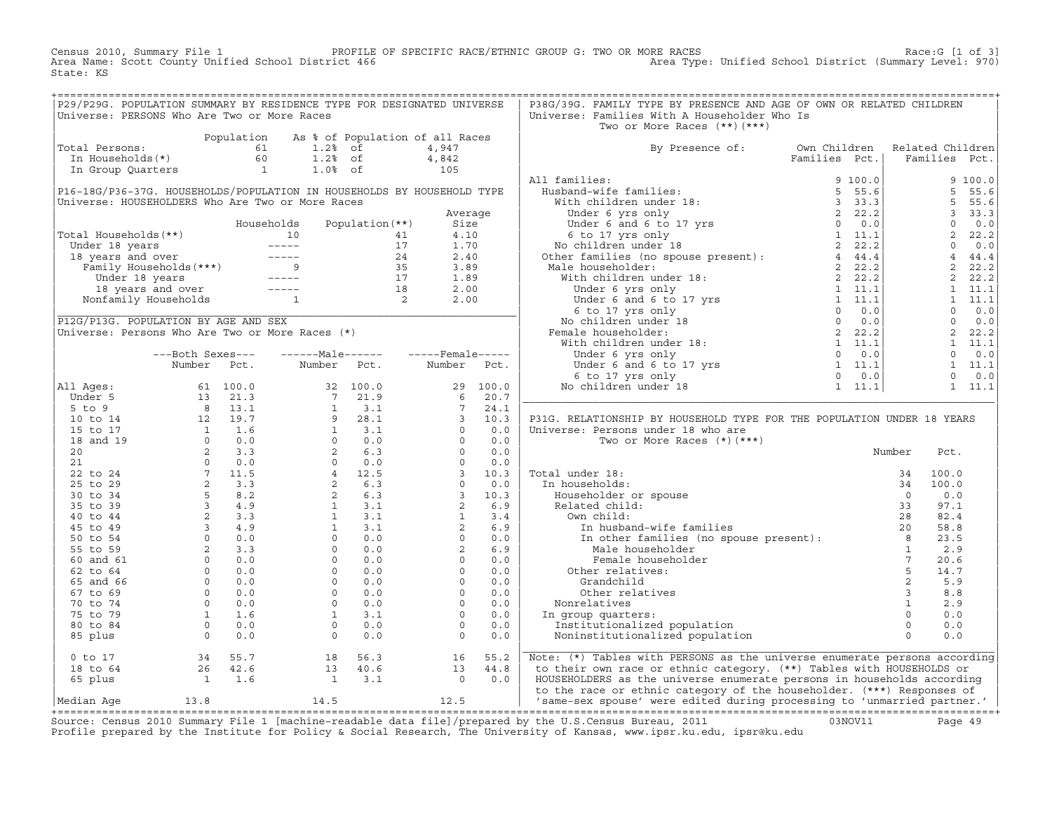Census 2010, Summary File 1 PROFILE OF SPECIFIC RACE/ETHNIC GROUP G: TWO OR MORE RACES Race:G [1 of 3] Area Name: Scott County Unified School District 466 Area Type: Unified School District (Summary Level: 970) State: KS

|                |                                             | P29/P29G. POPULATION SUMMARY BY RESIDENCE TYPE FOR DESIGNATED UNIVERSE                                                                                                                                                                                                    |  | P38G/39G. FAMILY TYPE BY PRESENCE AND AGE OF OWN OR RELATED CHILDREN                                                                                                                                                                                                                                                                                                                                                                                                                                         |        |      |  |
|----------------|---------------------------------------------|---------------------------------------------------------------------------------------------------------------------------------------------------------------------------------------------------------------------------------------------------------------------------|--|--------------------------------------------------------------------------------------------------------------------------------------------------------------------------------------------------------------------------------------------------------------------------------------------------------------------------------------------------------------------------------------------------------------------------------------------------------------------------------------------------------------|--------|------|--|
|                | Universe: PERSONS Who Are Two or More Races |                                                                                                                                                                                                                                                                           |  | Universe: Families With A Householder Who Is                                                                                                                                                                                                                                                                                                                                                                                                                                                                 |        |      |  |
|                |                                             |                                                                                                                                                                                                                                                                           |  | Two or More Races $(**)$ $(***)$                                                                                                                                                                                                                                                                                                                                                                                                                                                                             |        |      |  |
|                |                                             |                                                                                                                                                                                                                                                                           |  |                                                                                                                                                                                                                                                                                                                                                                                                                                                                                                              |        |      |  |
| Total Persons: |                                             | Population As % of Population of all Races<br>1.2% of 4,947<br>In Households(*) 60<br>In Group Quarters<br>1.0% of 1.0% of 105                                                                                                                                            |  |                                                                                                                                                                                                                                                                                                                                                                                                                                                                                                              |        |      |  |
|                |                                             |                                                                                                                                                                                                                                                                           |  | By Presence of: Own Children Related Children<br>Families Pct.   Families Pct.                                                                                                                                                                                                                                                                                                                                                                                                                               |        |      |  |
|                |                                             |                                                                                                                                                                                                                                                                           |  |                                                                                                                                                                                                                                                                                                                                                                                                                                                                                                              |        |      |  |
|                |                                             |                                                                                                                                                                                                                                                                           |  |                                                                                                                                                                                                                                                                                                                                                                                                                                                                                                              |        |      |  |
|                |                                             |                                                                                                                                                                                                                                                                           |  |                                                                                                                                                                                                                                                                                                                                                                                                                                                                                                              |        |      |  |
|                |                                             |                                                                                                                                                                                                                                                                           |  |                                                                                                                                                                                                                                                                                                                                                                                                                                                                                                              |        |      |  |
|                |                                             |                                                                                                                                                                                                                                                                           |  |                                                                                                                                                                                                                                                                                                                                                                                                                                                                                                              |        |      |  |
|                |                                             |                                                                                                                                                                                                                                                                           |  |                                                                                                                                                                                                                                                                                                                                                                                                                                                                                                              |        |      |  |
|                |                                             |                                                                                                                                                                                                                                                                           |  |                                                                                                                                                                                                                                                                                                                                                                                                                                                                                                              |        |      |  |
|                |                                             |                                                                                                                                                                                                                                                                           |  |                                                                                                                                                                                                                                                                                                                                                                                                                                                                                                              |        |      |  |
|                |                                             |                                                                                                                                                                                                                                                                           |  |                                                                                                                                                                                                                                                                                                                                                                                                                                                                                                              |        |      |  |
|                |                                             |                                                                                                                                                                                                                                                                           |  |                                                                                                                                                                                                                                                                                                                                                                                                                                                                                                              |        |      |  |
|                |                                             |                                                                                                                                                                                                                                                                           |  |                                                                                                                                                                                                                                                                                                                                                                                                                                                                                                              |        |      |  |
|                |                                             |                                                                                                                                                                                                                                                                           |  |                                                                                                                                                                                                                                                                                                                                                                                                                                                                                                              |        |      |  |
|                |                                             |                                                                                                                                                                                                                                                                           |  |                                                                                                                                                                                                                                                                                                                                                                                                                                                                                                              |        |      |  |
|                |                                             |                                                                                                                                                                                                                                                                           |  |                                                                                                                                                                                                                                                                                                                                                                                                                                                                                                              |        |      |  |
|                |                                             |                                                                                                                                                                                                                                                                           |  |                                                                                                                                                                                                                                                                                                                                                                                                                                                                                                              |        |      |  |
|                |                                             |                                                                                                                                                                                                                                                                           |  |                                                                                                                                                                                                                                                                                                                                                                                                                                                                                                              |        |      |  |
|                |                                             |                                                                                                                                                                                                                                                                           |  |                                                                                                                                                                                                                                                                                                                                                                                                                                                                                                              |        |      |  |
|                |                                             |                                                                                                                                                                                                                                                                           |  |                                                                                                                                                                                                                                                                                                                                                                                                                                                                                                              |        |      |  |
|                |                                             |                                                                                                                                                                                                                                                                           |  |                                                                                                                                                                                                                                                                                                                                                                                                                                                                                                              |        |      |  |
|                |                                             |                                                                                                                                                                                                                                                                           |  |                                                                                                                                                                                                                                                                                                                                                                                                                                                                                                              |        |      |  |
|                |                                             |                                                                                                                                                                                                                                                                           |  |                                                                                                                                                                                                                                                                                                                                                                                                                                                                                                              |        |      |  |
|                |                                             |                                                                                                                                                                                                                                                                           |  |                                                                                                                                                                                                                                                                                                                                                                                                                                                                                                              |        |      |  |
|                |                                             |                                                                                                                                                                                                                                                                           |  |                                                                                                                                                                                                                                                                                                                                                                                                                                                                                                              |        |      |  |
|                |                                             |                                                                                                                                                                                                                                                                           |  |                                                                                                                                                                                                                                                                                                                                                                                                                                                                                                              |        |      |  |
|                |                                             |                                                                                                                                                                                                                                                                           |  | P31G. RELATIONSHIP BY HOUSEHOLD TYPE FOR THE POPULATION UNDER 18 YEARS                                                                                                                                                                                                                                                                                                                                                                                                                                       |        |      |  |
|                |                                             |                                                                                                                                                                                                                                                                           |  |                                                                                                                                                                                                                                                                                                                                                                                                                                                                                                              |        |      |  |
|                |                                             |                                                                                                                                                                                                                                                                           |  | Universe: Persons under 18 who are                                                                                                                                                                                                                                                                                                                                                                                                                                                                           |        |      |  |
|                |                                             |                                                                                                                                                                                                                                                                           |  | Two or More Races $(*)$ $(***)$                                                                                                                                                                                                                                                                                                                                                                                                                                                                              | Number |      |  |
|                |                                             |                                                                                                                                                                                                                                                                           |  |                                                                                                                                                                                                                                                                                                                                                                                                                                                                                                              |        | Pct. |  |
|                |                                             |                                                                                                                                                                                                                                                                           |  |                                                                                                                                                                                                                                                                                                                                                                                                                                                                                                              |        |      |  |
|                |                                             |                                                                                                                                                                                                                                                                           |  |                                                                                                                                                                                                                                                                                                                                                                                                                                                                                                              |        |      |  |
|                |                                             |                                                                                                                                                                                                                                                                           |  |                                                                                                                                                                                                                                                                                                                                                                                                                                                                                                              |        |      |  |
|                |                                             |                                                                                                                                                                                                                                                                           |  |                                                                                                                                                                                                                                                                                                                                                                                                                                                                                                              |        |      |  |
|                |                                             |                                                                                                                                                                                                                                                                           |  |                                                                                                                                                                                                                                                                                                                                                                                                                                                                                                              |        |      |  |
|                |                                             |                                                                                                                                                                                                                                                                           |  |                                                                                                                                                                                                                                                                                                                                                                                                                                                                                                              |        |      |  |
|                |                                             |                                                                                                                                                                                                                                                                           |  |                                                                                                                                                                                                                                                                                                                                                                                                                                                                                                              |        |      |  |
|                |                                             |                                                                                                                                                                                                                                                                           |  | $\begin{tabular}{ c c c c } \hline \textbf{Total under 18:} & \textbf{Number } & \textbf{Pct.} \\\hline \textbf{In households:} & \textbf{34} & 100.0 \\ \hline \textbf{In householder or spouse} & 34 & 100.0 \\ \textbf{Related child:} & 3 & 97.1 \\ \textbf{Own child:} & 33 & 97.1 \\ \hline \textbf{In husband-wife families (no spouse present):} & 20 & 58.8 \\ \textbf{In other families (no spouse present):} & 8 & 23.5 \\ \textbf{Male householder} & 1 & 2.9 \\ \textbf{Female householder} & $ |        |      |  |
|                |                                             |                                                                                                                                                                                                                                                                           |  |                                                                                                                                                                                                                                                                                                                                                                                                                                                                                                              |        |      |  |
|                |                                             |                                                                                                                                                                                                                                                                           |  |                                                                                                                                                                                                                                                                                                                                                                                                                                                                                                              |        |      |  |
|                |                                             |                                                                                                                                                                                                                                                                           |  |                                                                                                                                                                                                                                                                                                                                                                                                                                                                                                              |        |      |  |
|                |                                             |                                                                                                                                                                                                                                                                           |  |                                                                                                                                                                                                                                                                                                                                                                                                                                                                                                              |        |      |  |
|                |                                             |                                                                                                                                                                                                                                                                           |  |                                                                                                                                                                                                                                                                                                                                                                                                                                                                                                              |        |      |  |
|                |                                             |                                                                                                                                                                                                                                                                           |  |                                                                                                                                                                                                                                                                                                                                                                                                                                                                                                              |        |      |  |
|                |                                             |                                                                                                                                                                                                                                                                           |  |                                                                                                                                                                                                                                                                                                                                                                                                                                                                                                              |        |      |  |
|                |                                             |                                                                                                                                                                                                                                                                           |  |                                                                                                                                                                                                                                                                                                                                                                                                                                                                                                              |        |      |  |
|                |                                             |                                                                                                                                                                                                                                                                           |  |                                                                                                                                                                                                                                                                                                                                                                                                                                                                                                              |        |      |  |
|                |                                             |                                                                                                                                                                                                                                                                           |  |                                                                                                                                                                                                                                                                                                                                                                                                                                                                                                              |        |      |  |
|                |                                             |                                                                                                                                                                                                                                                                           |  |                                                                                                                                                                                                                                                                                                                                                                                                                                                                                                              |        |      |  |
|                |                                             | 0 to 17<br>18 to 64<br>18 to 64<br>18 to 64<br>18 to 64<br>18 to 64<br>18 to 64<br>18 to 64<br>18 to 64<br>18 to 64<br>18 to 64<br>18 to 64<br>18 to 64<br>18 to 64<br>18 to 64<br>18 to 64<br>18 to 64<br>18 to 64<br>18 to 64<br>18 to 64<br>18 to 64<br>18 to 64<br>18 |  | Note: (*) Tables with PERSONS as the universe enumerate persons according                                                                                                                                                                                                                                                                                                                                                                                                                                    |        |      |  |
|                |                                             |                                                                                                                                                                                                                                                                           |  | to their own race or ethnic category. (**) Tables with HOUSEHOLDS or                                                                                                                                                                                                                                                                                                                                                                                                                                         |        |      |  |
|                |                                             |                                                                                                                                                                                                                                                                           |  | HOUSEHOLDERS as the universe enumerate persons in households according                                                                                                                                                                                                                                                                                                                                                                                                                                       |        |      |  |
|                |                                             |                                                                                                                                                                                                                                                                           |  | to the race or ethnic category of the householder. (***) Responses of                                                                                                                                                                                                                                                                                                                                                                                                                                        |        |      |  |
|                |                                             |                                                                                                                                                                                                                                                                           |  | Median Age 13.8 14.5 12.5 12.5 Same-sex spouse' were edited during processing to 'unmarried partner.'                                                                                                                                                                                                                                                                                                                                                                                                        |        |      |  |

|Median Age 13.8 14.5 12.5 | 'same−sex spouse' were edited during processing to 'unmarried partner.' | +===================================================================================================================================================+ Source: Census 2010 Summary File 1 [machine−readable data file]/prepared by the U.S.Census Bureau, 2011 03NOV11 Page 49 Profile prepared by the Institute for Policy & Social Research, The University of Kansas, www.ipsr.ku.edu, ipsr@ku.edu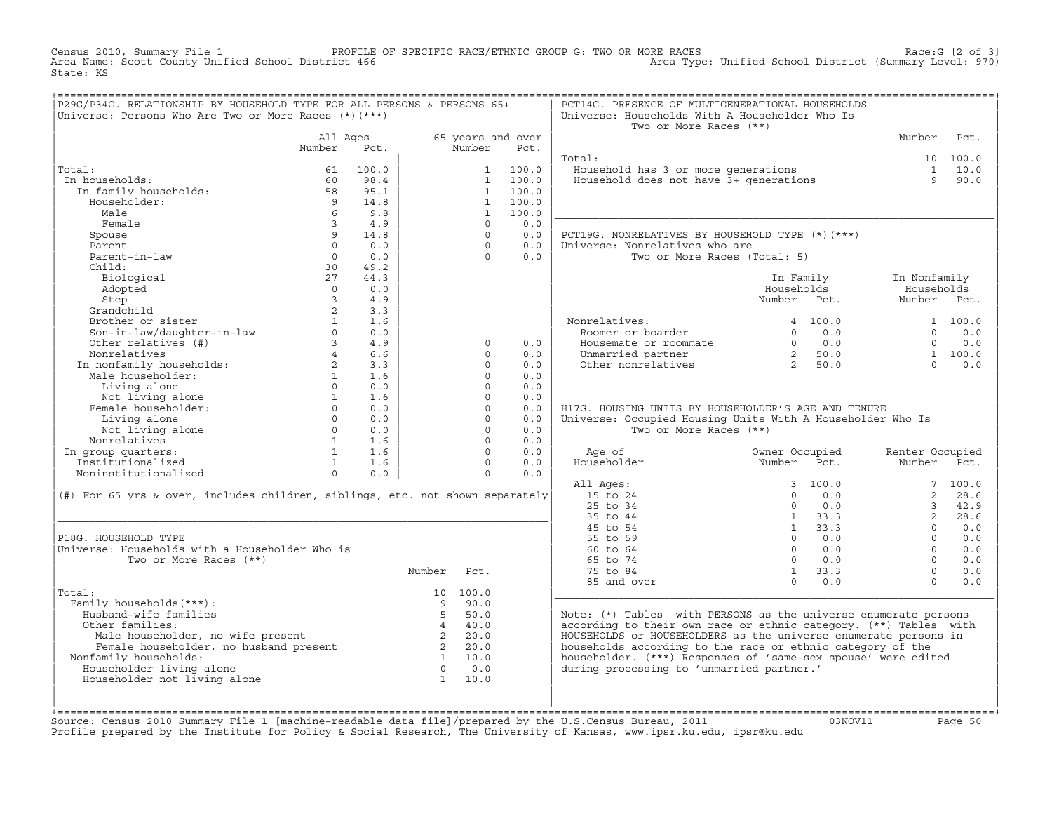Census 2010, Summary File 1 PROFILE OF SPECIFIC RACE/ETHNIC GROUP G: TWO OR MORE RACES Race:G [2 of 3]<br>Area Name: Scott County Unified School District 466 Area Type: Unified School District (Summary Level: 970) Area Type: Unified School District (Summary Level: 970) State: KS

| P29G/P34G. RELATIONSHIP BY HOUSEHOLD TYPE FOR ALL PERSONS & PERSONS 65+       |                                                   |                   |             |                      |            | PCT14G. PRESENCE OF MULTIGENERATIONAL HOUSEHOLDS                                                                                                                                                                                                                                                                 |                 |                 |          |
|-------------------------------------------------------------------------------|---------------------------------------------------|-------------------|-------------|----------------------|------------|------------------------------------------------------------------------------------------------------------------------------------------------------------------------------------------------------------------------------------------------------------------------------------------------------------------|-----------------|-----------------|----------|
| Universe: Persons Who Are Two or More Races $(*)$ $(***)$                     |                                                   |                   |             |                      |            | Universe: Households With A Householder Who Is<br>Two or More Races (**)                                                                                                                                                                                                                                         |                 |                 |          |
|                                                                               | All Ages                                          |                   |             | 65 years and over    |            |                                                                                                                                                                                                                                                                                                                  |                 | Number          | Pct.     |
|                                                                               | Number                                            | Pct.              |             | Number               | Pct.       |                                                                                                                                                                                                                                                                                                                  |                 |                 |          |
|                                                                               |                                                   |                   |             |                      |            | Total:                                                                                                                                                                                                                                                                                                           |                 |                 | 10 100.0 |
| Total:                                                                        | 61                                                | 100.0             |             |                      | 1 100.0    | Household has 3 or more generations<br>Household does not have 3+ generations                                                                                                                                                                                                                                    |                 |                 | 1 10.0   |
| In households:                                                                | 60                                                | 98.4              |             | $\overline{1}$       | 100.0      |                                                                                                                                                                                                                                                                                                                  |                 | Q               | 90.0     |
| In family households:                                                         | 58                                                | 95.1              |             |                      | 1 100.0    |                                                                                                                                                                                                                                                                                                                  |                 |                 |          |
| Householder:                                                                  | 9 <sup>°</sup>                                    | 14.8              |             |                      | 1 100.0    |                                                                                                                                                                                                                                                                                                                  |                 |                 |          |
| Male                                                                          | 6                                                 | 9.8               |             | 1                    | 100.0      |                                                                                                                                                                                                                                                                                                                  |                 |                 |          |
| Female                                                                        | $\overline{3}$                                    | 4.9               |             | $\Omega$             | 0.0        |                                                                                                                                                                                                                                                                                                                  |                 |                 |          |
| Spouse                                                                        | 9                                                 | 14.8              |             | $\Omega$             | 0.0        | PCT19G. NONRELATIVES BY HOUSEHOLD TYPE (*) (***)                                                                                                                                                                                                                                                                 |                 |                 |          |
| Parent                                                                        | $\cap$                                            | 0.0               |             | $\cap$               | 0.0        | Universe: Nonrelatives who are                                                                                                                                                                                                                                                                                   |                 |                 |          |
| Parent-in-law                                                                 | $\Omega$                                          | 0.0               |             | $\Omega$             | 0.0        | Two or More Races (Total: 5)                                                                                                                                                                                                                                                                                     |                 |                 |          |
| Child:                                                                        | 30                                                | 49.2              |             |                      |            |                                                                                                                                                                                                                                                                                                                  |                 |                 |          |
| Biological                                                                    | 27                                                | 44.3              |             |                      |            |                                                                                                                                                                                                                                                                                                                  | In Family       | In Nonfamily    |          |
| Adopted                                                                       | $\Omega$                                          | 0.0               |             |                      |            |                                                                                                                                                                                                                                                                                                                  | Households      | Households      |          |
| Step                                                                          | $\overline{3}$                                    | 4.9               |             |                      |            |                                                                                                                                                                                                                                                                                                                  | Number Pct.     | Number Pct.     |          |
| Grandchild                                                                    | $2^{\circ}$                                       | 3.3               |             |                      |            |                                                                                                                                                                                                                                                                                                                  |                 |                 |          |
| Brother or sister                                                             | 1                                                 | 1.6               |             |                      |            | Nonrelatives:<br>Roomer or boarder                                                                                                                                                                                                                                                                               | 4, 100, 0       |                 | 1 100.0  |
| Son-in-law/daughter-in-law                                                    | $\Omega$                                          | 0.0               |             |                      |            |                                                                                                                                                                                                                                                                                                                  | $0 \t 0.0$      | $\Omega$        | 0.0      |
| Other relatives (#)                                                           | $3^{\circ}$                                       | 4.9               |             | $\circ$              | 0.0        | Housemate or roommate $\begin{array}{ccc} 0 & 0.0 \\ 0.0 & 0.0 \\ 0 & 0.0 \\ 0 & 0.0 \\ 0 & 0.0 \\ 0 & 0.0 \\ 0 & 0.0 \\ 0 & 0.0 \\ 0 & 0.0 \\ 0 & 0.0 \\ 0 & 0.0 \\ 0 & 0.0 \\ 0 & 0.0 \\ 0 & 0.0 \\ 0 & 0.0 \\ 0 & 0.0 \\ 0 & 0.0 \\ 0 & 0.0 \\ 0 & 0.0 \\ 0 & 0.0 \\ 0 & 0.0 \\ 0 & 0.0 \\ 0 & 0.0 \\ 0 & 0.$ |                 | $\Omega$        | 0.0      |
| Nonrelatives<br>In nonfamily households:<br>The compliant:                    | $4\overline{ }$                                   | 6.6               |             | $\Omega$             | 0.0        |                                                                                                                                                                                                                                                                                                                  |                 |                 | 1 100.0  |
|                                                                               | $2^{\circ}$                                       | 3.3               |             | $\Omega$             | 0.0        |                                                                                                                                                                                                                                                                                                                  |                 | $\cap$          | 0.0      |
|                                                                               | 1                                                 | 1.6               |             | $\Omega$             | 0.0        |                                                                                                                                                                                                                                                                                                                  |                 |                 |          |
| Living alone                                                                  | $\Omega$                                          | 0.0               |             | $\Omega$<br>$\Omega$ | 0.0        |                                                                                                                                                                                                                                                                                                                  |                 |                 |          |
| Not living alone<br>male householder:<br>Female householder:                  | $\begin{array}{c} 1 \\ 0 \end{array}$<br>$\Omega$ | 1.6               |             | $\Omega$             | 0.0        |                                                                                                                                                                                                                                                                                                                  |                 |                 |          |
|                                                                               | $\Omega$                                          | 0.0               |             | $\Omega$             | 0.0        | H17G. HOUSING UNITS BY HOUSEHOLDER'S AGE AND TENURE                                                                                                                                                                                                                                                              |                 |                 |          |
| Living alone                                                                  |                                                   | 0.0<br>$0 \t 0.0$ |             | $\Omega$             | 0.0        | Universe: Occupied Housing Units With A Householder Who Is                                                                                                                                                                                                                                                       |                 |                 |          |
| Not living alone<br>Nonrelatives                                              | $1$ $\sim$                                        | 1.6               |             | $\Omega$             | 0.0<br>0.0 | Two or More Races (**)                                                                                                                                                                                                                                                                                           |                 |                 |          |
| In group quarters:                                                            | 1                                                 | 1.6               |             | $\Omega$             | 0.0        | Age of                                                                                                                                                                                                                                                                                                           | Owner Occupied  | Renter Occupied |          |
| Institutionalized                                                             |                                                   | 1 1.6             |             | $\Omega$             | 0.0        | Householder                                                                                                                                                                                                                                                                                                      | Number Pct.     | Number Pct.     |          |
| Noninstitutionalized                                                          | $\Omega$                                          | 0.0               |             | $\Omega$             | 0.0        |                                                                                                                                                                                                                                                                                                                  |                 |                 |          |
|                                                                               |                                                   |                   |             |                      |            | All Ages:                                                                                                                                                                                                                                                                                                        | 3 100.0         |                 | 7100.0   |
| (#) For 65 yrs & over, includes children, siblings, etc. not shown separately |                                                   |                   |             |                      |            | 15 to 24                                                                                                                                                                                                                                                                                                         | $\Omega$<br>0.0 | 2               | 28.6     |
|                                                                               |                                                   |                   |             |                      |            | $25$ to $34$                                                                                                                                                                                                                                                                                                     | $\Omega$<br>0.0 | $\mathcal{E}$   | 42.9     |
|                                                                               |                                                   |                   |             |                      |            | 35 to 44                                                                                                                                                                                                                                                                                                         | $1 \t33.3$      | $2^{\circ}$     | 28.6     |
|                                                                               |                                                   |                   |             |                      |            | 45 to 54                                                                                                                                                                                                                                                                                                         | $1 \t33.3$      | $\Omega$        | 0.0      |
| P18G. HOUSEHOLD TYPE                                                          |                                                   |                   |             |                      |            | 55 to 59                                                                                                                                                                                                                                                                                                         | $\Omega$<br>0.0 | $\Omega$        | 0.0      |
| Universe: Households with a Householder Who is                                |                                                   |                   |             |                      |            | 60 to 64                                                                                                                                                                                                                                                                                                         | 0.0<br>$\Omega$ | $\Omega$        | 0.0      |
| Two or More Races (**)                                                        |                                                   |                   |             |                      |            | 65 to 74                                                                                                                                                                                                                                                                                                         | $0 \t 0.0$      | $\Omega$        | 0.0      |
|                                                                               |                                                   |                   | Number      | Pct.                 |            | 75 to 84                                                                                                                                                                                                                                                                                                         | $1 \t33.3$      | $\Omega$        | 0.0      |
|                                                                               |                                                   |                   |             |                      |            | 85 and over                                                                                                                                                                                                                                                                                                      | $\Omega$<br>0.0 | $\Omega$        | 0.0      |
| Total:                                                                        |                                                   |                   |             | 10 100.0             |            |                                                                                                                                                                                                                                                                                                                  |                 |                 |          |
| Family households (***) :                                                     |                                                   |                   | $9^{\circ}$ | 90.0                 |            |                                                                                                                                                                                                                                                                                                                  |                 |                 |          |
| Husband-wife families                                                         |                                                   |                   | $5^{\circ}$ | 50.0                 |            | Note: (*) Tables with PERSONS as the universe enumerate persons                                                                                                                                                                                                                                                  |                 |                 |          |
| Other families:                                                               |                                                   |                   |             | $4 \t 40.0$          |            | according to their own race or ethnic category. (**) Tables with                                                                                                                                                                                                                                                 |                 |                 |          |
| Male householder, no wife present<br>Female householder, no husband present   |                                                   |                   |             | 20.0                 |            | HOUSEHOLDS or HOUSEHOLDERS as the universe enumerate persons in                                                                                                                                                                                                                                                  |                 |                 |          |
|                                                                               |                                                   |                   |             | 20.0                 |            | households according to the race or ethnic category of the                                                                                                                                                                                                                                                       |                 |                 |          |
| Nonfamily households:                                                         |                                                   |                   |             | $1 \quad 10.0$       |            | householder. (***) Responses of 'same-sex spouse' were edited                                                                                                                                                                                                                                                    |                 |                 |          |
| Householder living alone                                                      |                                                   |                   |             | $0 \t 0.0$           |            | during processing to 'unmarried partner.'                                                                                                                                                                                                                                                                        |                 |                 |          |
| Householder not living alone                                                  |                                                   |                   | 1           | 10.0                 |            |                                                                                                                                                                                                                                                                                                                  |                 |                 |          |
|                                                                               |                                                   |                   |             |                      |            |                                                                                                                                                                                                                                                                                                                  |                 |                 |          |
|                                                                               |                                                   |                   |             |                      |            |                                                                                                                                                                                                                                                                                                                  |                 |                 |          |

+===================================================================================================================================================+Source: Census 2010 Summary File 1 [machine−readable data file]/prepared by the U.S.Census Bureau, 2011 03NOV11 Page 50 Profile prepared by the Institute for Policy & Social Research, The University of Kansas, www.ipsr.ku.edu, ipsr@ku.edu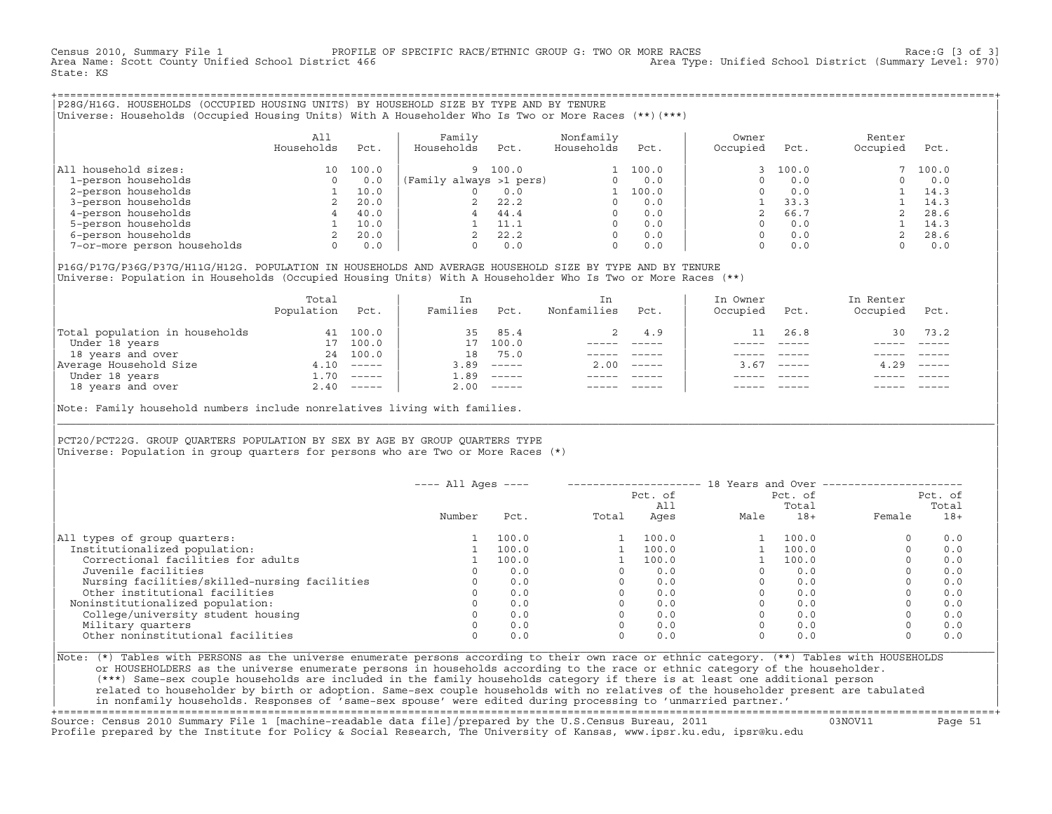Census 2010, Summary File 1 PROFILE OF SPECIFIC RACE/ETHNIC GROUP G: TWO OR MORE RACES Race:G [3 of 3] Area Type: Unified School District (Summary Level: 970) State: KS

+===================================================================================================================================================+|P28G/H16G. HOUSEHOLDS (OCCUPIED HOUSING UNITS) BY HOUSEHOLD SIZE BY TYPE AND BY TENURE | |Universe: Households (Occupied Housing Units) With A Householder Who Is Two or More Races (\*\*)(\*\*\*) |

|                             | A11<br>Households | Pct.  | Family<br>Households    | Pct.  | Nonfamily<br>Households | Pct.  | Owner<br>Occupied | Pct.  | Renter<br>Occupied | Pct.  |
|-----------------------------|-------------------|-------|-------------------------|-------|-------------------------|-------|-------------------|-------|--------------------|-------|
| All household sizes:        | 10                | 100.0 | 9                       | 100.0 |                         | 100.0 |                   | 100.0 |                    | 100.0 |
| 1-person households         | 0                 | 0.0   | (Family always >1 pers) |       |                         | 0.0   |                   | 0.0   |                    | 0.0   |
| 2-person households         |                   | 10.0  |                         | 0.0   |                         | 100.0 |                   | 0.0   |                    | 14.3  |
| 3-person households         |                   | 20.0  |                         | 22.2  |                         | 0.0   |                   | 33.3  |                    | 14.3  |
| 4-person households         |                   | 40.0  | 4                       | 44.4  |                         | 0.0   |                   | 66.7  |                    | 28.6  |
| 5-person households         |                   | 10.0  |                         | 11.1  |                         | 0.0   |                   | 0.0   |                    | 14.3  |
| 6-person households         |                   | 20.0  |                         | 22.2  | $\Omega$                | 0.0   |                   | 0.0   |                    | 28.6  |
| 7-or-more person households | 0                 | 0.0   |                         | 0.0   | $\Omega$                | 0.0   |                   | 0.0   |                    | 0.0   |

|P16G/P17G/P36G/P37G/H11G/H12G. POPULATION IN HOUSEHOLDS AND AVERAGE HOUSEHOLD SIZE BY TYPE AND BY TENURE | Universe: Population in Households (Occupied Housing Units) With A Householder Who Is Two or More Races (\*\*)

|                                | Total<br>Population | Pct.         | In<br>Families | Pct.                      | In.<br>Nonfamilies | Pct.     | In Owner<br>Occupied | Pct.          | In Renter<br>Occupied | Pct.                      |
|--------------------------------|---------------------|--------------|----------------|---------------------------|--------------------|----------|----------------------|---------------|-----------------------|---------------------------|
| Total population in households | 41                  | 100.0        | 35             | 85.4                      |                    | 4.9      |                      | 26.8          | 30                    | 73.2                      |
| Under 18 years                 | 17                  | 100.0        | 17             | 100.0                     |                    |          |                      |               |                       |                           |
| 18 years and over              |                     | 24 100.0     | 18             | 75.0                      |                    |          |                      |               |                       |                           |
| Average Household Size         | 4.10                | $------$     | 3.89           | $------$                  | 2.00               | $------$ | 3.67                 | $- - - - - -$ | 4.29                  | $\qquad \qquad - - - - -$ |
| Under 18 years                 | $\pm 0.70$          | $------$     | 1.89           | $------$                  |                    |          |                      |               |                       |                           |
| 18 years and over              |                     | $2.40$ ----- | 2.00           | $\qquad \qquad - - - - -$ |                    |          |                      |               |                       | $- - - - -$               |
|                                |                     |              |                |                           |                    |          |                      |               |                       |                           |

Note: Family household numbers include nonrelatives living with families.

| | PCT20/PCT22G. GROUP OUARTERS POPULATION BY SEX BY AGE BY GROUP OUARTERS TYPE Universe: Population in group quarters for persons who are Two or More Races  $(*)$ 

|                                               | $---$ All Ages $---$ |       |       |                |      | 18 Years and Over ------------------ |                  |       |
|-----------------------------------------------|----------------------|-------|-------|----------------|------|--------------------------------------|------------------|-------|
|                                               |                      |       |       | Pct. of<br>A11 |      | Pct. of<br>Total                     | Pct. of<br>Total |       |
|                                               | Number               | Pct.  | Total | Ages           | Male | $18+$                                | Female           | $18+$ |
| All types of group quarters:                  |                      | 100.0 |       | 100.0          |      | 100.0                                |                  | 0.0   |
| Institutionalized population:                 |                      | 100.0 |       | 100.0          |      | 100.0                                |                  | 0.0   |
| Correctional facilities for adults            |                      | 100.0 |       | 100.0          |      | 100.0                                |                  | 0.0   |
| Juvenile facilities                           |                      | 0.0   |       | 0.0            |      | 0.0                                  |                  | 0.0   |
| Nursing facilities/skilled-nursing facilities |                      | 0.0   |       | 0.0            |      | 0.0                                  |                  | 0.0   |
| Other institutional facilities                |                      | 0.0   |       | 0.0            |      | 0.0                                  |                  | 0.0   |
| Noninstitutionalized population:              |                      | 0.0   |       | 0.0            |      | 0.0                                  |                  | 0.0   |
| College/university student housing            |                      | 0.0   |       | 0.0            |      | 0.0                                  |                  | 0.0   |
| Military quarters                             |                      | 0.0   |       | 0.0            |      | 0.0                                  |                  | 0.0   |
| Other noninstitutional facilities             |                      | 0.0   |       | 0.0            |      | 0.0                                  |                  | 0.0   |

|\_\_\_\_\_\_\_\_\_\_\_\_\_\_\_\_\_\_\_\_\_\_\_\_\_\_\_\_\_\_\_\_\_\_\_\_\_\_\_\_\_\_\_\_\_\_\_\_\_\_\_\_\_\_\_\_\_\_\_\_\_\_\_\_\_\_\_\_\_\_\_\_\_\_\_\_\_\_\_\_\_\_\_\_\_\_\_\_\_\_\_\_\_\_\_\_\_\_\_\_\_\_\_\_\_\_\_\_\_\_\_\_\_\_\_\_\_\_\_\_\_\_\_\_\_\_\_\_\_\_\_\_\_\_\_\_\_\_\_\_\_\_\_\_\_\_\_|

| |

|Note: (\*) Tables with PERSONS as the universe enumerate persons according to their own race or ethnic category. (\*\*) Tables with HOUSEHOLDS | or HOUSEHOLDERS as the universe enumerate persons in households according to the race or ethnic category of the householder. | (\*\*\*) Same−sex couple households are included in the family households category if there is at least one additional person | | related to householder by birth or adoption. Same−sex couple households with no relatives of the householder present are tabulated | | in nonfamily households. Responses of 'same−sex spouse' were edited during processing to 'unmarried partner.' |

+===================================================================================================================================================+ Source: Census 2010 Summary File 1 [machine−readable data file]/prepared by the U.S.Census Bureau, 2011 03NOV11 Page 51 Profile prepared by the Institute for Policy & Social Research, The University of Kansas, www.ipsr.ku.edu, ipsr@ku.edu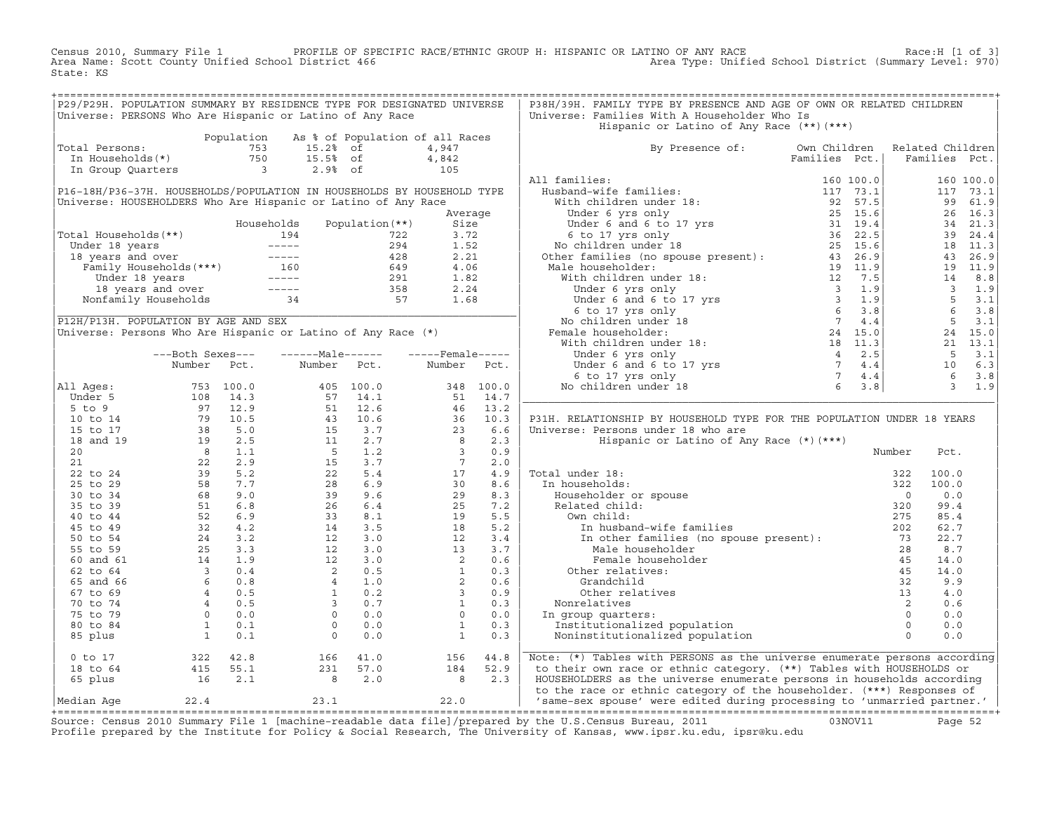Census 2010, Summary File 1 PROFILE OF SPECIFIC RACE/ETHNIC GROUP H: HISPANIC OR LATINO OF ANY RACE Race:H [1 of 3]<br>Area Name: Scott County Unified School District 466 Area Type: Unified School District (Summary Level: 970 Area Type: Unified School District (Summary Level: 970) State: KS

| P29/P29H. POPULATION SUMMARY BY RESIDENCE TYPE FOR DESIGNATED UNIVERSE                                                                                    |  |  |  | P38H/39H. FAMILY TYPE BY PRESENCE AND AGE OF OWN OR RELATED CHILDREN                                                                                                                                                                                                                                                                                                                                                                                                                 |  |        |      |  |
|-----------------------------------------------------------------------------------------------------------------------------------------------------------|--|--|--|--------------------------------------------------------------------------------------------------------------------------------------------------------------------------------------------------------------------------------------------------------------------------------------------------------------------------------------------------------------------------------------------------------------------------------------------------------------------------------------|--|--------|------|--|
| Universe: PERSONS Who Are Hispanic or Latino of Any Race                                                                                                  |  |  |  | Universe: Families With A Householder Who Is                                                                                                                                                                                                                                                                                                                                                                                                                                         |  |        |      |  |
|                                                                                                                                                           |  |  |  | Hispanic or Latino of Any Race (**)(***)                                                                                                                                                                                                                                                                                                                                                                                                                                             |  |        |      |  |
| Population As % of Population of all Races<br>Total Persons: 753 15.2% of 4,947<br>In Households(*) 750 15.5% of 4,842<br>In Group Quarters 3 2.9% of 105 |  |  |  |                                                                                                                                                                                                                                                                                                                                                                                                                                                                                      |  |        |      |  |
| Total Persons:                                                                                                                                            |  |  |  | By Presence of: Own Children Related Children<br>Families Pct.   Families Pct.                                                                                                                                                                                                                                                                                                                                                                                                       |  |        |      |  |
|                                                                                                                                                           |  |  |  |                                                                                                                                                                                                                                                                                                                                                                                                                                                                                      |  |        |      |  |
|                                                                                                                                                           |  |  |  |                                                                                                                                                                                                                                                                                                                                                                                                                                                                                      |  |        |      |  |
|                                                                                                                                                           |  |  |  |                                                                                                                                                                                                                                                                                                                                                                                                                                                                                      |  |        |      |  |
|                                                                                                                                                           |  |  |  |                                                                                                                                                                                                                                                                                                                                                                                                                                                                                      |  |        |      |  |
|                                                                                                                                                           |  |  |  |                                                                                                                                                                                                                                                                                                                                                                                                                                                                                      |  |        |      |  |
|                                                                                                                                                           |  |  |  |                                                                                                                                                                                                                                                                                                                                                                                                                                                                                      |  |        |      |  |
|                                                                                                                                                           |  |  |  |                                                                                                                                                                                                                                                                                                                                                                                                                                                                                      |  |        |      |  |
|                                                                                                                                                           |  |  |  |                                                                                                                                                                                                                                                                                                                                                                                                                                                                                      |  |        |      |  |
|                                                                                                                                                           |  |  |  |                                                                                                                                                                                                                                                                                                                                                                                                                                                                                      |  |        |      |  |
|                                                                                                                                                           |  |  |  |                                                                                                                                                                                                                                                                                                                                                                                                                                                                                      |  |        |      |  |
|                                                                                                                                                           |  |  |  |                                                                                                                                                                                                                                                                                                                                                                                                                                                                                      |  |        |      |  |
|                                                                                                                                                           |  |  |  |                                                                                                                                                                                                                                                                                                                                                                                                                                                                                      |  |        |      |  |
|                                                                                                                                                           |  |  |  |                                                                                                                                                                                                                                                                                                                                                                                                                                                                                      |  |        |      |  |
|                                                                                                                                                           |  |  |  |                                                                                                                                                                                                                                                                                                                                                                                                                                                                                      |  |        |      |  |
|                                                                                                                                                           |  |  |  |                                                                                                                                                                                                                                                                                                                                                                                                                                                                                      |  |        |      |  |
|                                                                                                                                                           |  |  |  |                                                                                                                                                                                                                                                                                                                                                                                                                                                                                      |  |        |      |  |
|                                                                                                                                                           |  |  |  |                                                                                                                                                                                                                                                                                                                                                                                                                                                                                      |  |        |      |  |
|                                                                                                                                                           |  |  |  |                                                                                                                                                                                                                                                                                                                                                                                                                                                                                      |  |        |      |  |
|                                                                                                                                                           |  |  |  |                                                                                                                                                                                                                                                                                                                                                                                                                                                                                      |  |        |      |  |
|                                                                                                                                                           |  |  |  |                                                                                                                                                                                                                                                                                                                                                                                                                                                                                      |  |        |      |  |
|                                                                                                                                                           |  |  |  |                                                                                                                                                                                                                                                                                                                                                                                                                                                                                      |  |        |      |  |
|                                                                                                                                                           |  |  |  |                                                                                                                                                                                                                                                                                                                                                                                                                                                                                      |  |        |      |  |
|                                                                                                                                                           |  |  |  |                                                                                                                                                                                                                                                                                                                                                                                                                                                                                      |  |        |      |  |
|                                                                                                                                                           |  |  |  | P31H. RELATIONSHIP BY HOUSEHOLD TYPE FOR THE POPULATION UNDER 18 YEARS                                                                                                                                                                                                                                                                                                                                                                                                               |  |        |      |  |
|                                                                                                                                                           |  |  |  | Universe: Persons under 18 who are                                                                                                                                                                                                                                                                                                                                                                                                                                                   |  |        |      |  |
|                                                                                                                                                           |  |  |  | Hispanic or Latino of Any Race (*) (***)                                                                                                                                                                                                                                                                                                                                                                                                                                             |  |        |      |  |
|                                                                                                                                                           |  |  |  |                                                                                                                                                                                                                                                                                                                                                                                                                                                                                      |  | Number | Pct. |  |
|                                                                                                                                                           |  |  |  |                                                                                                                                                                                                                                                                                                                                                                                                                                                                                      |  |        |      |  |
|                                                                                                                                                           |  |  |  |                                                                                                                                                                                                                                                                                                                                                                                                                                                                                      |  |        |      |  |
|                                                                                                                                                           |  |  |  |                                                                                                                                                                                                                                                                                                                                                                                                                                                                                      |  |        |      |  |
|                                                                                                                                                           |  |  |  |                                                                                                                                                                                                                                                                                                                                                                                                                                                                                      |  |        |      |  |
|                                                                                                                                                           |  |  |  |                                                                                                                                                                                                                                                                                                                                                                                                                                                                                      |  |        |      |  |
|                                                                                                                                                           |  |  |  |                                                                                                                                                                                                                                                                                                                                                                                                                                                                                      |  |        |      |  |
|                                                                                                                                                           |  |  |  |                                                                                                                                                                                                                                                                                                                                                                                                                                                                                      |  |        |      |  |
|                                                                                                                                                           |  |  |  |                                                                                                                                                                                                                                                                                                                                                                                                                                                                                      |  |        |      |  |
|                                                                                                                                                           |  |  |  |                                                                                                                                                                                                                                                                                                                                                                                                                                                                                      |  |        |      |  |
|                                                                                                                                                           |  |  |  |                                                                                                                                                                                                                                                                                                                                                                                                                                                                                      |  |        |      |  |
|                                                                                                                                                           |  |  |  |                                                                                                                                                                                                                                                                                                                                                                                                                                                                                      |  |        |      |  |
|                                                                                                                                                           |  |  |  |                                                                                                                                                                                                                                                                                                                                                                                                                                                                                      |  |        |      |  |
|                                                                                                                                                           |  |  |  |                                                                                                                                                                                                                                                                                                                                                                                                                                                                                      |  |        |      |  |
|                                                                                                                                                           |  |  |  |                                                                                                                                                                                                                                                                                                                                                                                                                                                                                      |  |        |      |  |
|                                                                                                                                                           |  |  |  |                                                                                                                                                                                                                                                                                                                                                                                                                                                                                      |  |        |      |  |
|                                                                                                                                                           |  |  |  |                                                                                                                                                                                                                                                                                                                                                                                                                                                                                      |  |        |      |  |
|                                                                                                                                                           |  |  |  | $\begin{tabular}{ c c c c } \hline \texttt{Total under 18:} & \texttt{number} & \texttt{row} & \texttt{row} \\ \hline \texttt{In householder or spouse} & 322 & 100.0 \\ \hline \texttt{Householder or spouse} & 322 & 100.0 \\ \texttt{Related child:} & 0 & 0. \\ \hline \texttt{Ow child:} & 320 & 99.4 \\ \hline \texttt{Im husband-wife families} & 320 & 99.4 \\ \hline \texttt{Im huband-wife families} & 275 & 85.4 \\ \hline \texttt{Im other families} & \texttt{In open}$ |  |        |      |  |
|                                                                                                                                                           |  |  |  | Note: (*) Tables with PERSONS as the universe enumerate persons according                                                                                                                                                                                                                                                                                                                                                                                                            |  |        |      |  |
|                                                                                                                                                           |  |  |  | to their own race or ethnic category. (**) Tables with HOUSEHOLDS or<br>HOUSEHOLDERS as the universe enumerate persons in households according                                                                                                                                                                                                                                                                                                                                       |  |        |      |  |
|                                                                                                                                                           |  |  |  | to the race or ethnic category of the householder. (***) Responses of                                                                                                                                                                                                                                                                                                                                                                                                                |  |        |      |  |
|                                                                                                                                                           |  |  |  | Median Age 22.4 23.1 22.0 Same-sex spouse' were edited during processing to 'unmarried partner.'                                                                                                                                                                                                                                                                                                                                                                                     |  |        |      |  |
|                                                                                                                                                           |  |  |  |                                                                                                                                                                                                                                                                                                                                                                                                                                                                                      |  |        |      |  |

+===================================================================================================================================================+Source: Census 2010 Summary File 1 [machine−readable data file]/prepared by the U.S.Census Bureau, 2011 03NOV11 Page 52 Profile prepared by the Institute for Policy & Social Research, The University of Kansas, www.ipsr.ku.edu, ipsr@ku.edu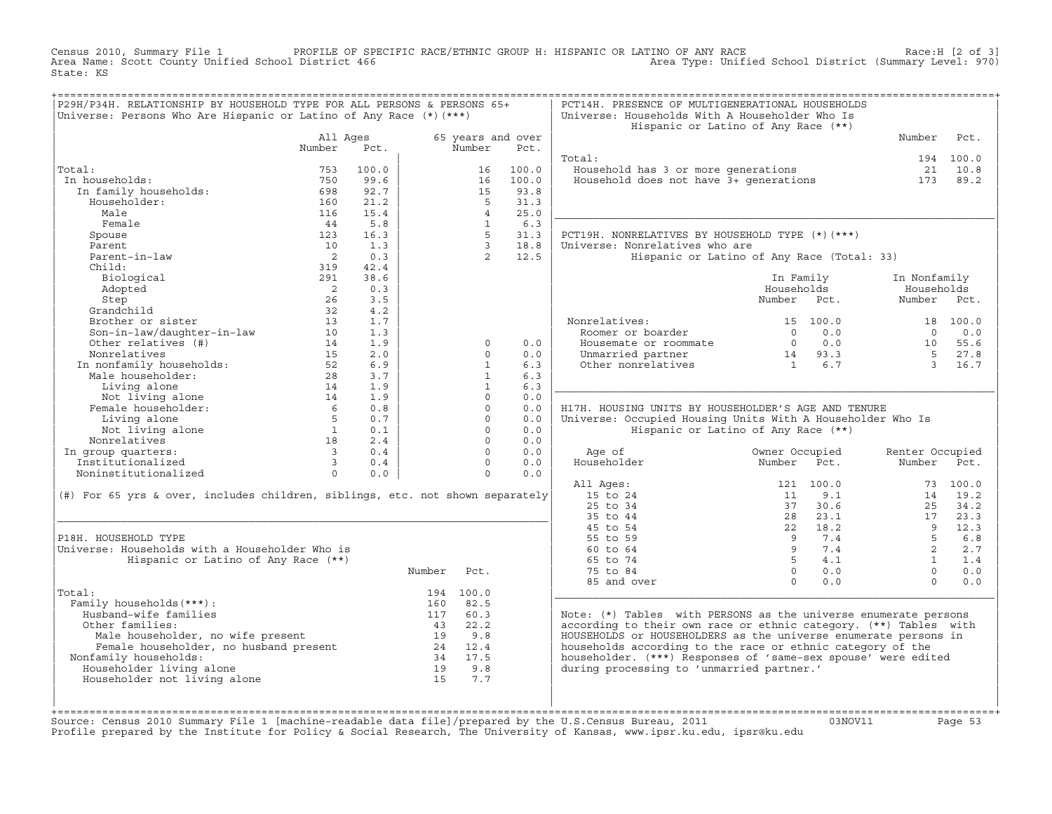Census 2010, Summary File 1 PROFILE OF SPECIFIC RACE/ETHNIC GROUP H: HISPANIC OR LATINO OF ANY RACE Race:H [2 of 3]<br>Area Name: Scott County Unified School District 466 Area Type: Unified School District (Summary Level: 970 Area Type: Unified School District (Summary Level: 970) State: KS

| P29H/P34H. RELATIONSHIP BY HOUSEHOLD TYPE FOR ALL PERSONS & PERSONS 65+<br>Universe: Persons Who Are Hispanic or Latino of Any Race (*) (***) |                            |       |        |                   |                           | PCT14H. PRESENCE OF MULTIGENERATIONAL HOUSEHOLDS<br>Universe: Households With A Householder Who Is |                                            |                               |            |
|-----------------------------------------------------------------------------------------------------------------------------------------------|----------------------------|-------|--------|-------------------|---------------------------|----------------------------------------------------------------------------------------------------|--------------------------------------------|-------------------------------|------------|
|                                                                                                                                               |                            |       |        |                   |                           |                                                                                                    | Hispanic or Latino of Any Race (**)        |                               |            |
|                                                                                                                                               | All Ages<br>Number         | Pct.  |        | Number            | 65 years and over<br>Pct. |                                                                                                    |                                            | Number                        | Pct.       |
|                                                                                                                                               |                            |       |        |                   |                           | Total:                                                                                             |                                            |                               | 194 100.0  |
| Total:                                                                                                                                        | 753                        | 100.0 |        | 16                | 100.0                     | Household has 3 or more generations                                                                |                                            |                               | 21 10.8    |
| In households:                                                                                                                                | 750                        | 99.6  |        | 16                | 100.0                     | Household has 3 or more generations<br>Household does not have 3+ generations                      |                                            | 173                           | 89.2       |
| In family households:                                                                                                                         | 698                        | 92.7  |        | 15                | 93.8                      |                                                                                                    |                                            |                               |            |
| Householder:                                                                                                                                  | 160                        | 21.2  |        | $5^{\circ}$       | 31.3                      |                                                                                                    |                                            |                               |            |
| Male                                                                                                                                          | 116                        | 15.4  |        | $\overline{4}$    | 25.0                      |                                                                                                    |                                            |                               |            |
| Female                                                                                                                                        | 44                         | 5.8   |        | $\overline{1}$    | 6.3                       |                                                                                                    |                                            |                               |            |
| Spouse                                                                                                                                        | 123                        | 16.3  |        | $5 -$             | 31.3                      | PCT19H. NONRELATIVES BY HOUSEHOLD TYPE (*) (***)                                                   |                                            |                               |            |
| Parent                                                                                                                                        | 10                         | 1.3   |        | $\overline{3}$    | 18.8                      | Universe: Nonrelatives who are                                                                     |                                            |                               |            |
| Parent-in-law                                                                                                                                 | $\overline{2}$             | 0.3   |        | $2^{\circ}$       | 12.5                      |                                                                                                    | Hispanic or Latino of Any Race (Total: 33) |                               |            |
| Child:                                                                                                                                        | 319                        | 42.4  |        |                   |                           |                                                                                                    |                                            |                               |            |
| Biological                                                                                                                                    | 291                        | 38.6  |        |                   |                           |                                                                                                    | In Family                                  | In Nonfamily                  |            |
| Adopted                                                                                                                                       | $\overline{\phantom{0}}^2$ | 0.3   |        |                   |                           |                                                                                                    | Households                                 | Households                    |            |
| Step                                                                                                                                          | 26                         | 3.5   |        |                   |                           |                                                                                                    | Number<br>Pct.                             | Number                        | Pct.       |
| Grandchild                                                                                                                                    | 32                         | 4.2   |        |                   |                           |                                                                                                    |                                            |                               |            |
| Brother or sister                                                                                                                             | 13                         | 1.7   |        |                   |                           | Nonrelatives:                                                                                      | 15 100.0                                   |                               | 18 100.0   |
| Son-in-law/daughter-in-law                                                                                                                    | 10                         | 1.3   |        |                   |                           | Roomer or boarder                                                                                  | 0.0<br>$\bigcap$                           | $\cap$                        | 0.0        |
| Other relatives (#)                                                                                                                           | 14                         | 1.9   |        | $\Omega$          | 0.0                       | Housemate or roommate                                                                              | $0 \qquad 0.0$                             |                               | 10 55.6    |
| Nonrelatives<br>Nonrelatives<br>In nonfamily households:<br>"ale householder:                                                                 | 1.5                        | 2.0   |        | $\Omega$          | 0.0                       | Unmarried partner                                                                                  | $14$ 93.3<br>1 6.7                         | $5^{\circ}$                   | 27.8       |
|                                                                                                                                               | 52                         | 6.9   |        | $\mathbf{1}$      | 6.3                       | Other nonrelatives                                                                                 |                                            | $\overline{3}$                | 16.7       |
|                                                                                                                                               | 28                         | 3.7   |        | $\mathbf{1}$      | 6.3                       |                                                                                                    |                                            |                               |            |
| Living alone                                                                                                                                  | 14                         | 1.9   |        | $\mathbf{1}$      | 6.3                       |                                                                                                    |                                            |                               |            |
| Not living alone                                                                                                                              | 14                         | 1.9   |        | $\circ$           | 0.0                       |                                                                                                    |                                            |                               |            |
| Female householder:                                                                                                                           | $6\overline{6}$            | 0.8   |        | $\Omega$          | 0.0                       | H17H. HOUSING UNITS BY HOUSEHOLDER'S AGE AND TENURE                                                |                                            |                               |            |
| Living alone                                                                                                                                  | $5^{\circ}$                | 0.7   |        | $\Omega$          | 0.0                       | Universe: Occupied Housing Units With A Householder Who Is                                         |                                            |                               |            |
| Not living alone                                                                                                                              | $\overline{1}$             | 0.1   |        | $\Omega$          | 0.0                       |                                                                                                    | Hispanic or Latino of Any Race (**)        |                               |            |
| Nonrelatives                                                                                                                                  | 18                         | 2.4   |        | $\Omega$          | 0.0                       |                                                                                                    |                                            |                               |            |
| In group quarters:                                                                                                                            | $\overline{\mathbf{3}}$    | 0.4   |        | $\Omega$          | 0.0                       | Age of                                                                                             | Owner Occupied                             | Renter Occupied               |            |
| Institutionalized                                                                                                                             | $\overline{\mathbf{3}}$    | 0.4   |        | $\Omega$          | 0.0                       | Householder                                                                                        | Number<br>Pct.                             | Number                        | Pct.       |
| Noninstitutionalized                                                                                                                          | $\Omega$                   | 0.0   |        | $\Omega$          | 0.0                       |                                                                                                    |                                            |                               |            |
|                                                                                                                                               |                            |       |        |                   |                           | All Ages:                                                                                          | 121 100.0                                  |                               | 73 100.0   |
| (#) For 65 yrs & over, includes children, siblings, etc. not shown separately                                                                 |                            |       |        |                   |                           | 15 to 24                                                                                           | 9.1<br>11                                  | 14                            | 19.2       |
|                                                                                                                                               |                            |       |        |                   |                           | 25 to 34                                                                                           | 37<br>30.6                                 | 25                            | 34.2       |
|                                                                                                                                               |                            |       |        |                   |                           | 35 to 44                                                                                           | 23.1<br>2.8                                | 17                            | 23.3       |
|                                                                                                                                               |                            |       |        |                   |                           | 45 to 54                                                                                           | 22 18.2<br>7.4                             | $\overline{9}$<br>$5^{\circ}$ | 12.3       |
| P18H. HOUSEHOLD TYPE<br>Universe: Households with a Householder Who is                                                                        |                            |       |        |                   |                           | 55 to 59<br>60 to 64                                                                               | 9<br>9 <sup>1</sup><br>7.4                 | 2                             | 6.8<br>2.7 |
|                                                                                                                                               |                            |       |        |                   |                           |                                                                                                    | $5^{\circ}$                                | $\mathbf{1}$                  |            |
| Hispanic or Latino of Any Race (**)                                                                                                           |                            |       |        |                   |                           | 65 to 74                                                                                           | 4.1<br>$\overline{0}$                      |                               | 1.4        |
|                                                                                                                                               |                            |       | Number | Pct.              |                           | 75 to 84                                                                                           | 0.0<br>$\Omega$                            | $\Omega$<br>$\Omega$          | 0.0        |
|                                                                                                                                               |                            |       |        |                   |                           | 85 and over                                                                                        | 0.0                                        |                               | 0.0        |
| Total:<br>Family households (***) :                                                                                                           |                            |       | 160    | 194 100.0<br>82.5 |                           |                                                                                                    |                                            |                               |            |
| Husband-wife families                                                                                                                         |                            |       | 117    | 60.3              |                           | Note: $(*)$ Tables with PERSONS as the universe enumerate persons                                  |                                            |                               |            |
| Other families:                                                                                                                               |                            |       |        | 43 22.2           |                           | according to their own race or ethnic category. (**) Tables with                                   |                                            |                               |            |
|                                                                                                                                               |                            |       |        | 19 9.8            |                           | HOUSEHOLDS or HOUSEHOLDERS as the universe enumerate persons in                                    |                                            |                               |            |
| num<br>Male householder, no wife present<br>Female householder, no husband present<br>Family households                                       |                            |       |        | 24 12.4           |                           | households according to the race or ethnic category of the                                         |                                            |                               |            |
| Nonfamily households:                                                                                                                         |                            |       |        | 34 17.5           |                           | householder. (***) Responses of 'same-sex spouse' were edited                                      |                                            |                               |            |
| Householder living alone                                                                                                                      |                            |       |        | 19 9.8            |                           | during processing to 'unmarried partner.'                                                          |                                            |                               |            |
| Householder not living alone                                                                                                                  |                            |       | 1.5    | 7.7               |                           |                                                                                                    |                                            |                               |            |
|                                                                                                                                               |                            |       |        |                   |                           |                                                                                                    |                                            |                               |            |
|                                                                                                                                               |                            |       |        |                   |                           |                                                                                                    |                                            |                               |            |
|                                                                                                                                               |                            |       |        |                   |                           |                                                                                                    |                                            |                               |            |

+===================================================================================================================================================+Source: Census 2010 Summary File 1 [machine−readable data file]/prepared by the U.S.Census Bureau, 2011 03NOV11 Page 53 Profile prepared by the Institute for Policy & Social Research, The University of Kansas, www.ipsr.ku.edu, ipsr@ku.edu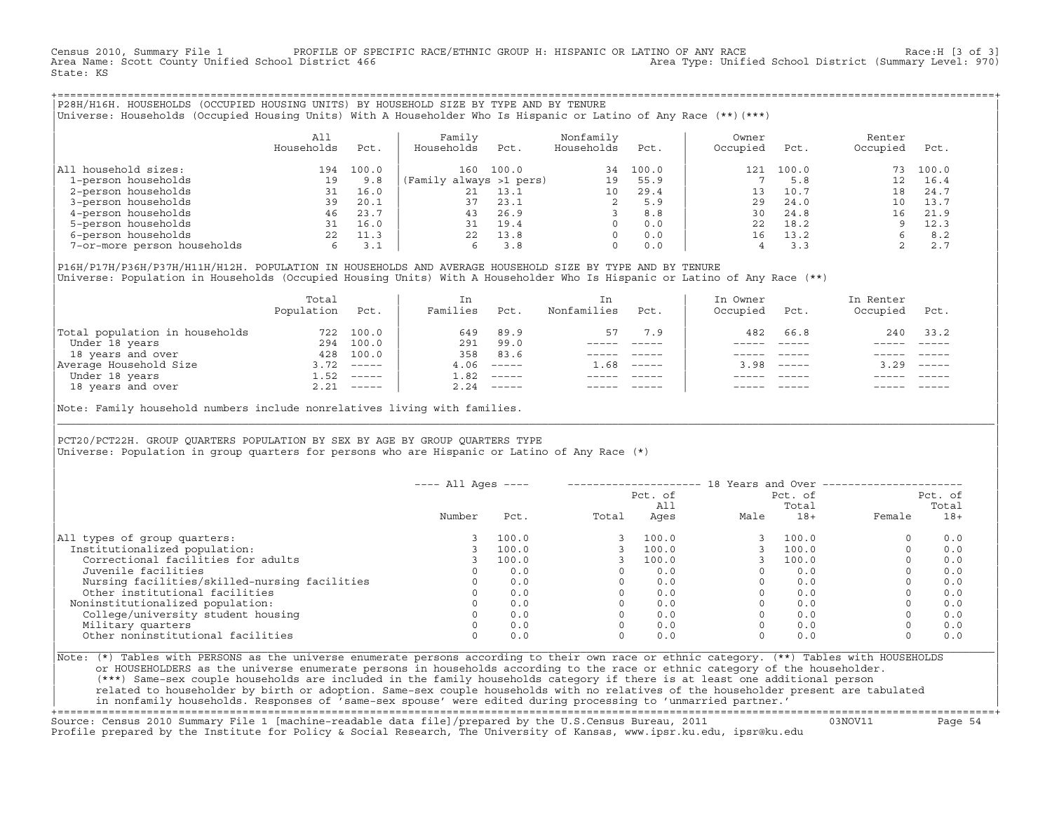Census 2010, Summary File 1 PROFILE OF SPECIFIC RACE/ETHNIC GROUP H: HISPANIC OR LATINO OF ANY RACE RACE Race:H [3 of 3]<br>Area Name: Scott County Unified School District 466 Area Type: Unified School District (Summary Level Area Type: Unified School District (Summary Level: 970) State: KS

+===================================================================================================================================================+|P28H/H16H. HOUSEHOLDS (OCCUPIED HOUSING UNITS) BY HOUSEHOLD SIZE BY TYPE AND BY TENURE | |Universe: Households (Occupied Housing Units) With A Householder Who Is Hispanic or Latino of Any Race (\*\*)(\*\*\*) |

|                             | A11<br>Households | Pct.  | Family<br>Households    | Pct.  | Nonfamily<br>Households | Pct.  | Owner<br>Occupied | Pct.  | Renter<br>Occupied | Pct.  |  |
|-----------------------------|-------------------|-------|-------------------------|-------|-------------------------|-------|-------------------|-------|--------------------|-------|--|
| All household sizes:        | 194               | 100.0 | 160                     | 100.0 | 34                      | 100.0 | 121               | 100.0 | 73                 | 100.0 |  |
| 1-person households         | 19                | 9.8   | (Family always >1 pers) |       | 19                      | 55.9  |                   | 5.8   |                    | 16.4  |  |
| 2-person households         | 31                | 16.0  | 21                      | 13.1  | 10                      | 29.4  | 13                | 10.7  | 18                 | 24.7  |  |
| 3-person households         | 39                | 20.1  | 37                      | 23.1  | 2                       | 5.9   | 29                | 24.0  |                    | 13.7  |  |
| 4-person households         | 46                | 23.7  | 43                      | 26.9  |                         | 8.8   | 30                | 24.8  | 1 6                | 21.9  |  |
| 5-person households         | 31                | 16.0  | 31                      | 19.4  |                         | 0.0   | 22                | 18.2  |                    | 12.3  |  |
| 6-person households         |                   | 11.3  | 22                      | 13.8  | $\Omega$                | 0.0   | 16                | 13.2  |                    | 8.2   |  |
| 7-or-more person households | 6.                | 3.1   | 6.                      | 3.8   | $\Omega$                | 0.0   |                   | 3.3   |                    | 2.7   |  |

|P16H/P17H/P36H/P37H/H11H/H12H. POPULATION IN HOUSEHOLDS AND AVERAGE HOUSEHOLD SIZE BY TYPE AND BY TENURE | Universe: Population in Households (Occupied Housing Units) With A Householder Who Is Hispanic or Latino of Any Race (\*\*)

|                                | Total<br>Population | Pct.         | In<br>Families | Pct.                      | In.<br>Nonfamilies | Pct.     | In Owner<br>Occupied | Pct.                      | In Renter<br>Occupied | Pct.                      |
|--------------------------------|---------------------|--------------|----------------|---------------------------|--------------------|----------|----------------------|---------------------------|-----------------------|---------------------------|
| Total population in households | 722                 | 100.0        | 649            | 89.9                      | 57                 | 7.9      | 482                  | 66.8                      | 240                   | 33.2                      |
| Under 18 years                 | 294                 | 100.0        | 291            | 99.0                      |                    |          |                      |                           |                       |                           |
| 18 years and over              | 428                 | 100.0        | 358            | 83.6                      |                    |          |                      |                           |                       |                           |
| Average Household Size         | 3.72                | $------$     | 4.06           | $------$                  | 1.68               | $------$ | 3.98                 | $\qquad \qquad - - - - -$ | 3.29                  | $\qquad \qquad - - - - -$ |
| Under 18 years                 | 1.52                | $------$     | 1.82           | $------$                  |                    |          |                      |                           |                       |                           |
| 18 years and over              |                     | $2.21$ ----- | 2.24           | $\qquad \qquad - - - - -$ |                    |          |                      | $- - - - -$               |                       | $- - - - -$               |
|                                |                     |              |                |                           |                    |          |                      |                           |                       |                           |

Note: Family household numbers include nonrelatives living with families.

| | PCT20/PCT22H. GROUP OUARTERS POPULATION BY SEX BY AGE BY GROUP OUARTERS TYPE Universe: Population in group quarters for persons who are Hispanic or Latino of Any Race (\*)

|                                               | $---$ All Ages $---$ |       |                |       |      | 18 Years and Over ------------------ |                  |       |
|-----------------------------------------------|----------------------|-------|----------------|-------|------|--------------------------------------|------------------|-------|
|                                               |                      |       | Pct. of<br>A11 |       |      | Pct. of<br>Total                     | Pct. of<br>Total |       |
|                                               | Number               | Pct.  | Total          | Ages  | Male | $18+$                                | Female           | $18+$ |
| All types of group quarters:                  |                      | 100.0 |                | 100.0 |      | 100.0                                |                  | 0.0   |
| Institutionalized population:                 |                      | 100.0 |                | 100.0 |      | 100.0                                |                  | 0.0   |
| Correctional facilities for adults            |                      | 100.0 |                | 100.0 |      | 100.0                                |                  | 0.0   |
| Juvenile facilities                           |                      | 0.0   |                | 0.0   |      | 0.0                                  |                  | 0.0   |
| Nursing facilities/skilled-nursing facilities |                      | 0.0   |                | 0.0   |      | 0.0                                  |                  | 0.0   |
| Other institutional facilities                |                      | 0.0   |                | 0.0   |      | 0.0                                  |                  | 0.0   |
| Noninstitutionalized population:              |                      | 0.0   |                | 0.0   |      | 0.0                                  |                  | 0.0   |
| College/university student housing            |                      | 0.0   |                | 0.0   |      | 0.0                                  |                  | 0.0   |
| Military quarters                             |                      | 0.0   |                | 0.0   |      | 0.0                                  |                  | 0.0   |
| Other noninstitutional facilities             |                      | 0.0   |                | 0.0   |      | 0.0                                  |                  | 0.0   |

|\_\_\_\_\_\_\_\_\_\_\_\_\_\_\_\_\_\_\_\_\_\_\_\_\_\_\_\_\_\_\_\_\_\_\_\_\_\_\_\_\_\_\_\_\_\_\_\_\_\_\_\_\_\_\_\_\_\_\_\_\_\_\_\_\_\_\_\_\_\_\_\_\_\_\_\_\_\_\_\_\_\_\_\_\_\_\_\_\_\_\_\_\_\_\_\_\_\_\_\_\_\_\_\_\_\_\_\_\_\_\_\_\_\_\_\_\_\_\_\_\_\_\_\_\_\_\_\_\_\_\_\_\_\_\_\_\_\_\_\_\_\_\_\_\_\_\_|

| |

|Note: (\*) Tables with PERSONS as the universe enumerate persons according to their own race or ethnic category. (\*\*) Tables with HOUSEHOLDS | or HOUSEHOLDERS as the universe enumerate persons in households according to the race or ethnic category of the householder. | (\*\*\*) Same−sex couple households are included in the family households category if there is at least one additional person | | related to householder by birth or adoption. Same−sex couple households with no relatives of the householder present are tabulated | | in nonfamily households. Responses of 'same−sex spouse' were edited during processing to 'unmarried partner.' |

+===================================================================================================================================================+ Source: Census 2010 Summary File 1 [machine−readable data file]/prepared by the U.S.Census Bureau, 2011 03NOV11 Page 54 Profile prepared by the Institute for Policy & Social Research, The University of Kansas, www.ipsr.ku.edu, ipsr@ku.edu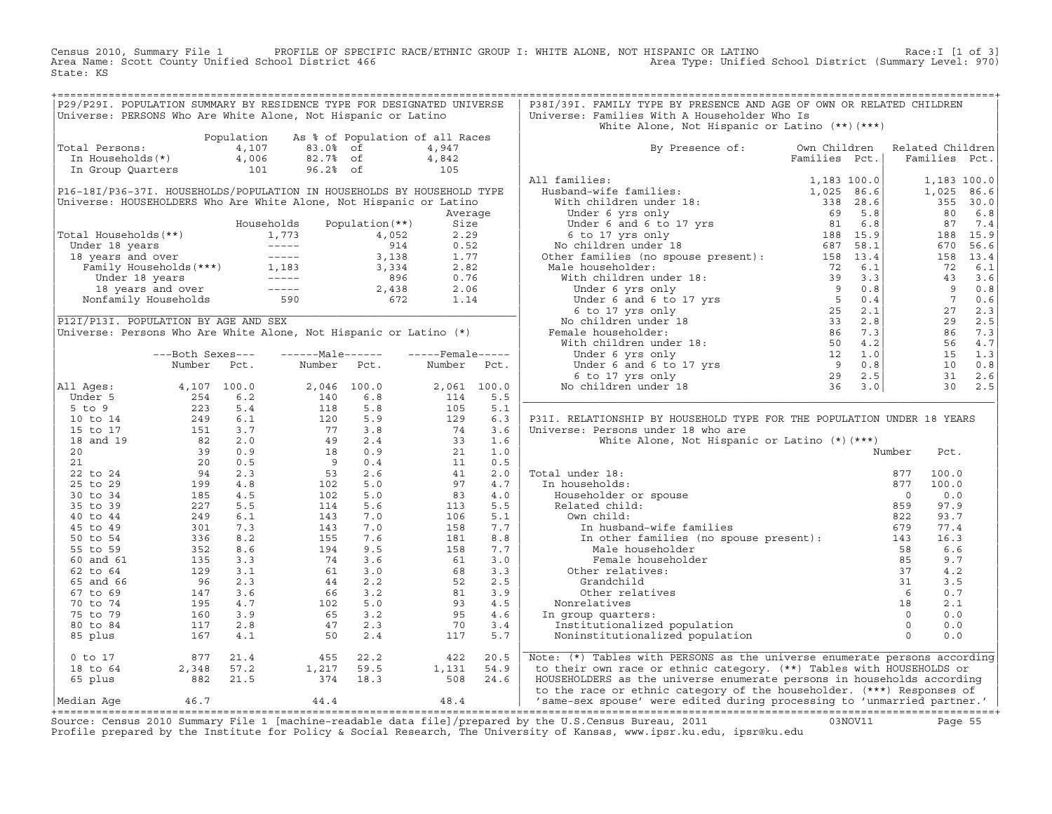Census 2010, Summary File 1 PROFILE OF SPECIFIC RACE/ETHNIC GROUP I: WHITE ALONE, NOT HISPANIC OR LATINO<br>Area Name: Scott County Unified School District 466 Area Type: Unified Scho State: KS

| P29/P29I. POPULATION SUMMARY BY RESIDENCE TYPE FOR DESIGNATED UNIVERSE                                                                                                                                                                                                              |                                                                         |                |                                                                                                                                                               |                                 |                                               |             | P38I/39I. FAMILY TYPE BY PRESENCE AND AGE OF OWN OR RELATED CHILDREN                                                                                                                                                                                             |               |                                                          |        |                |
|-------------------------------------------------------------------------------------------------------------------------------------------------------------------------------------------------------------------------------------------------------------------------------------|-------------------------------------------------------------------------|----------------|---------------------------------------------------------------------------------------------------------------------------------------------------------------|---------------------------------|-----------------------------------------------|-------------|------------------------------------------------------------------------------------------------------------------------------------------------------------------------------------------------------------------------------------------------------------------|---------------|----------------------------------------------------------|--------|----------------|
| Universe: PERSONS Who Are White Alone, Not Hispanic or Latino                                                                                                                                                                                                                       |                                                                         |                |                                                                                                                                                               |                                 |                                               |             | Universe: Families With A Householder Who Is                                                                                                                                                                                                                     |               |                                                          |        |                |
|                                                                                                                                                                                                                                                                                     |                                                                         |                |                                                                                                                                                               |                                 |                                               |             | White Alone, Not Hispanic or Latino (**) (***)                                                                                                                                                                                                                   |               |                                                          |        |                |
|                                                                                                                                                                                                                                                                                     |                                                                         | Population     |                                                                                                                                                               | As % of Population of all Races |                                               |             |                                                                                                                                                                                                                                                                  |               |                                                          |        |                |
| Total Persons:                                                                                                                                                                                                                                                                      |                                                                         | 4,107          | 83.0% of                                                                                                                                                      |                                 | 4,947                                         |             | By Presence of: Own Children                                                                                                                                                                                                                                     |               | Related Children                                         |        |                |
| In Households(*)                                                                                                                                                                                                                                                                    |                                                                         | 4,006          | 82.7% of                                                                                                                                                      |                                 |                                               |             |                                                                                                                                                                                                                                                                  | Families Pct. | Families Pct.                                            |        |                |
| In Group Quarters                                                                                                                                                                                                                                                                   |                                                                         | $4,006$<br>101 | 96.2% of                                                                                                                                                      |                                 | $4,842$<br>105                                |             |                                                                                                                                                                                                                                                                  |               |                                                          |        |                |
|                                                                                                                                                                                                                                                                                     |                                                                         |                |                                                                                                                                                               |                                 |                                               |             | All families:                                                                                                                                                                                                                                                    |               |                                                          |        | 1,183 100.0    |
| P16-18I/P36-37I. HOUSEHOLDS/POPULATION IN HOUSEHOLDS BY HOUSEHOLD TYPE                                                                                                                                                                                                              |                                                                         |                |                                                                                                                                                               |                                 |                                               |             |                                                                                                                                                                                                                                                                  |               |                                                          |        | 1,025 86.6     |
| Universe: HOUSEHOLDERS Who Are White Alone, Not Hispanic or Latino                                                                                                                                                                                                                  |                                                                         |                |                                                                                                                                                               |                                 |                                               |             |                                                                                                                                                                                                                                                                  |               |                                                          |        | 355 30.0       |
|                                                                                                                                                                                                                                                                                     |                                                                         |                |                                                                                                                                                               |                                 |                                               | Average     |                                                                                                                                                                                                                                                                  |               | 80                                                       |        | 6.8            |
|                                                                                                                                                                                                                                                                                     |                                                                         |                | Households                                                                                                                                                    | Population (**)                 | Size                                          |             |                                                                                                                                                                                                                                                                  |               |                                                          | 87 7.4 |                |
|                                                                                                                                                                                                                                                                                     |                                                                         |                |                                                                                                                                                               |                                 |                                               |             |                                                                                                                                                                                                                                                                  |               |                                                          |        | 188 15.9       |
|                                                                                                                                                                                                                                                                                     |                                                                         |                |                                                                                                                                                               |                                 |                                               |             |                                                                                                                                                                                                                                                                  |               |                                                          | 670    | 56.6           |
|                                                                                                                                                                                                                                                                                     |                                                                         |                |                                                                                                                                                               |                                 |                                               |             |                                                                                                                                                                                                                                                                  |               |                                                          |        | 158 13.4       |
|                                                                                                                                                                                                                                                                                     |                                                                         |                |                                                                                                                                                               |                                 |                                               |             |                                                                                                                                                                                                                                                                  |               |                                                          | 72     | 6.1            |
|                                                                                                                                                                                                                                                                                     |                                                                         |                |                                                                                                                                                               |                                 |                                               |             |                                                                                                                                                                                                                                                                  |               |                                                          |        | 43 3.6         |
| Fotal Households (**)<br>Under 18 years<br>1,773 4,052 2.29<br>1,773 4,052 2.29<br>1,173 4,052 2.29<br>1,173 4,052 2.29<br>1,173 4,052<br>1,173 4,052<br>914 0.52<br>14 0.52<br>114 0.52<br>1,183 3,338 1.77<br>Family Households (***)<br>1,183 3,338 2                            |                                                                         |                |                                                                                                                                                               |                                 |                                               |             |                                                                                                                                                                                                                                                                  |               |                                                          | 9      | 0.8            |
|                                                                                                                                                                                                                                                                                     |                                                                         |                |                                                                                                                                                               |                                 |                                               |             |                                                                                                                                                                                                                                                                  |               |                                                          | 7 0.6  |                |
|                                                                                                                                                                                                                                                                                     |                                                                         |                |                                                                                                                                                               |                                 |                                               |             |                                                                                                                                                                                                                                                                  |               | $\begin{array}{c} 7 \\ 27 \\ 29 \\ 86 \\ 56 \end{array}$ |        | 2.3            |
| P12I/P13I. POPULATION BY AGE AND SEX                                                                                                                                                                                                                                                |                                                                         |                |                                                                                                                                                               |                                 |                                               |             |                                                                                                                                                                                                                                                                  |               |                                                          |        | 2.5            |
| Universe: Persons Who Are White Alone, Not Hispanic or Latino (*)                                                                                                                                                                                                                   |                                                                         |                |                                                                                                                                                               |                                 |                                               |             |                                                                                                                                                                                                                                                                  |               |                                                          |        | 86 7.3         |
|                                                                                                                                                                                                                                                                                     |                                                                         |                |                                                                                                                                                               |                                 |                                               |             |                                                                                                                                                                                                                                                                  |               |                                                          |        | 56 4.7         |
|                                                                                                                                                                                                                                                                                     | ---Both Sexes---                                                        |                | ------Male------                                                                                                                                              |                                 | $---$ Female -----                            |             |                                                                                                                                                                                                                                                                  |               |                                                          |        | 15 1.3         |
|                                                                                                                                                                                                                                                                                     | Number                                                                  | Pct.           | Number Pct.                                                                                                                                                   |                                 | Number Pct.                                   |             |                                                                                                                                                                                                                                                                  |               |                                                          | 10     | 0.8            |
|                                                                                                                                                                                                                                                                                     |                                                                         |                |                                                                                                                                                               |                                 |                                               |             |                                                                                                                                                                                                                                                                  |               |                                                          |        | $31 \quad 2.6$ |
|                                                                                                                                                                                                                                                                                     |                                                                         |                |                                                                                                                                                               |                                 |                                               |             |                                                                                                                                                                                                                                                                  |               |                                                          |        | $30 \quad 2.5$ |
| All Ages:                                                                                                                                                                                                                                                                           |                                                                         |                |                                                                                                                                                               | 2,046 100.0                     |                                               | 2,061 100.0 |                                                                                                                                                                                                                                                                  |               |                                                          |        |                |
|                                                                                                                                                                                                                                                                                     |                                                                         |                | $\begin{array}{ccc} 2\, , \, 046 & 10 \\ 140 & & \\ 118 & & \\ 120 & & \\ 77 & & \\ 49 & & \\ 18 & & \\ 9 & & \\ 53 & & \\ 102 & & \\ 102 & & \\ \end{array}$ | 6.8                             | 114                                           | 5.5         |                                                                                                                                                                                                                                                                  |               |                                                          |        |                |
|                                                                                                                                                                                                                                                                                     |                                                                         |                |                                                                                                                                                               | 5.8                             | 105                                           | 5.1         |                                                                                                                                                                                                                                                                  |               |                                                          |        |                |
|                                                                                                                                                                                                                                                                                     |                                                                         |                |                                                                                                                                                               | 5.9                             | 129                                           | 6.3         | P31I. RELATIONSHIP BY HOUSEHOLD TYPE FOR THE POPULATION UNDER 18 YEARS                                                                                                                                                                                           |               |                                                          |        |                |
|                                                                                                                                                                                                                                                                                     |                                                                         |                |                                                                                                                                                               | 3.8                             | $\frac{74}{33}$                               | 3.6         | Universe: Persons under 18 who are                                                                                                                                                                                                                               |               |                                                          |        |                |
|                                                                                                                                                                                                                                                                                     |                                                                         |                |                                                                                                                                                               | 2.4                             |                                               | 1.6         | White Alone, Not Hispanic or Latino (*) (***)                                                                                                                                                                                                                    |               |                                                          |        |                |
|                                                                                                                                                                                                                                                                                     |                                                                         |                |                                                                                                                                                               | 0.9                             | $\begin{array}{c} 21 \\ 11 \\ 41 \end{array}$ | 1.0         |                                                                                                                                                                                                                                                                  |               | Number                                                   | Pct.   |                |
|                                                                                                                                                                                                                                                                                     |                                                                         |                |                                                                                                                                                               | 0.4                             |                                               | 0.5         |                                                                                                                                                                                                                                                                  |               |                                                          |        |                |
|                                                                                                                                                                                                                                                                                     |                                                                         |                |                                                                                                                                                               | 2.6                             |                                               | 2.0         | Total under 18:                                                                                                                                                                                                                                                  |               | 877                                                      | 100.0  |                |
|                                                                                                                                                                                                                                                                                     |                                                                         |                |                                                                                                                                                               | 5.0                             | 97                                            | 4.7         | In households:                                                                                                                                                                                                                                                   |               | 877                                                      | 100.0  |                |
|                                                                                                                                                                                                                                                                                     |                                                                         |                | 102                                                                                                                                                           | 5.0                             | 83                                            | 4.0         |                                                                                                                                                                                                                                                                  |               | $\Omega$                                                 | 0.0    |                |
|                                                                                                                                                                                                                                                                                     |                                                                         |                | 114                                                                                                                                                           | 5.6                             | 113                                           | 5.5         |                                                                                                                                                                                                                                                                  |               | 859                                                      | 97.9   |                |
|                                                                                                                                                                                                                                                                                     |                                                                         |                | 143                                                                                                                                                           | 7.0                             | 106                                           | 5.1         | Own child:                                                                                                                                                                                                                                                       |               | 822                                                      | 93.7   |                |
|                                                                                                                                                                                                                                                                                     |                                                                         |                | 143                                                                                                                                                           | 7.0                             | 158                                           | 7.7         | In husband-wife families                                                                                                                                                                                                                                         |               | 679                                                      | 77.4   |                |
|                                                                                                                                                                                                                                                                                     |                                                                         |                | $\frac{143}{155}$                                                                                                                                             | 7.6                             | 181                                           | 8.8         | In other families (no spouse present): 143                                                                                                                                                                                                                       |               |                                                          | 16.3   |                |
|                                                                                                                                                                                                                                                                                     |                                                                         |                |                                                                                                                                                               | 9.5                             | 158                                           | 7.7         | Male householder                                                                                                                                                                                                                                                 |               | 58                                                       | 6.6    |                |
|                                                                                                                                                                                                                                                                                     |                                                                         |                | 74                                                                                                                                                            | 3.6                             | 61                                            | 3.0         | Female householder                                                                                                                                                                                                                                               |               |                                                          | 9.7    |                |
|                                                                                                                                                                                                                                                                                     |                                                                         |                |                                                                                                                                                               |                                 | 68                                            | 3.3         | Other relatives:                                                                                                                                                                                                                                                 |               |                                                          | 4.2    |                |
|                                                                                                                                                                                                                                                                                     |                                                                         |                |                                                                                                                                                               |                                 | 52                                            | 2.5         | Grandchild                                                                                                                                                                                                                                                       |               |                                                          | 3.5    |                |
|                                                                                                                                                                                                                                                                                     |                                                                         |                |                                                                                                                                                               |                                 | 81                                            | 3.9         | Other relatives                                                                                                                                                                                                                                                  |               |                                                          | 0.7    |                |
|                                                                                                                                                                                                                                                                                     |                                                                         |                |                                                                                                                                                               |                                 | 93                                            | 4.5         | Nonrelatives                                                                                                                                                                                                                                                     |               |                                                          | 2.1    |                |
|                                                                                                                                                                                                                                                                                     |                                                                         |                |                                                                                                                                                               |                                 | 95                                            | 4.6         | In group quarters:                                                                                                                                                                                                                                               |               |                                                          | 0.0    |                |
|                                                                                                                                                                                                                                                                                     |                                                                         |                | $\begin{array}{cccc} \n 74 & 3.6 \\  61 & 3.0 \\  44 & 2.2 \\  66 & 3.2 \\  102 & 5.0 \\  65 & 3.2 \\  47 & 2.3 \\  50 & 2.4\n \end{array}$                   |                                 | 70                                            | 3.4         | Institutionalized population                                                                                                                                                                                                                                     |               |                                                          | 0.0    |                |
| Namber Fcc.<br>11 Ages: 4, 107 100.0<br>5 to 9<br>5 to 14<br>15 to 17<br>18 and 19<br>22 5.4<br>15 to 17<br>18 and 19<br>22 5.4<br>22 5.4<br>20<br>22 5.5<br>22 5.3<br>22 5.3<br>25 to 29<br>29<br>21<br>20 0.5<br>25 199<br>4.8<br>25 5 6 29<br>39 0.9<br>25 199<br>4.8<br>4.8<br> |                                                                         |                | 50                                                                                                                                                            | 2.4                             | 117                                           | 5.7         | der and the speaker of the speaker of the speaker of the speaker of the speaker of the speaker of the speaker of the speaker of the speaker of the speaker of the speaker of the speaker of the speaker of the speaker of the<br>Noninstitutionalized population |               |                                                          | 0.0    |                |
| 0 to 17                                                                                                                                                                                                                                                                             |                                                                         |                | $455$<br>1, 217                                                                                                                                               | 22.2                            | 422                                           | 20.5        | Note: (*) Tables with PERSONS as the universe enumerate persons according                                                                                                                                                                                        |               |                                                          |        |                |
| 18 to 64                                                                                                                                                                                                                                                                            |                                                                         |                |                                                                                                                                                               | 59.5                            | 1,131                                         | 54.9        | to their own race or ethnic category. (**) Tables with HOUSEHOLDS or                                                                                                                                                                                             |               |                                                          |        |                |
| 65 plus                                                                                                                                                                                                                                                                             | $\begin{array}{r} 877 & 21.4 \\ 2,348 & 57.2 \\ 882 & 21.5 \end{array}$ |                | 374 18.3                                                                                                                                                      |                                 | 508 24.6                                      |             | HOUSEHOLDERS as the universe enumerate persons in households according                                                                                                                                                                                           |               |                                                          |        |                |
|                                                                                                                                                                                                                                                                                     |                                                                         |                |                                                                                                                                                               |                                 |                                               |             | to the race or ethnic category of the householder. (***) Responses of                                                                                                                                                                                            |               |                                                          |        |                |
| Median Aqe                                                                                                                                                                                                                                                                          | 46.7                                                                    |                | 44.4                                                                                                                                                          |                                 | 48.4                                          |             | 'same-sex spouse' were edited during processing to 'unmarried partner.'                                                                                                                                                                                          |               |                                                          |        |                |
|                                                                                                                                                                                                                                                                                     |                                                                         |                |                                                                                                                                                               |                                 |                                               |             |                                                                                                                                                                                                                                                                  |               |                                                          |        |                |
|                                                                                                                                                                                                                                                                                     |                                                                         |                |                                                                                                                                                               |                                 |                                               |             | Course, Consus 2010 Cumpary File 1 Imaghine readable data file) (proposed by the H C Consus Dureau, 2011 (2010) 1011                                                                                                                                             |               |                                                          |        |                |

Source: Census 2010 Summary File 1 [machine-readable data file]/prepared by the U.S.Census Bureau, 2011 Page 55<br>Profile prepared by the Institute for Policy & Social Research, The University of Kansas, www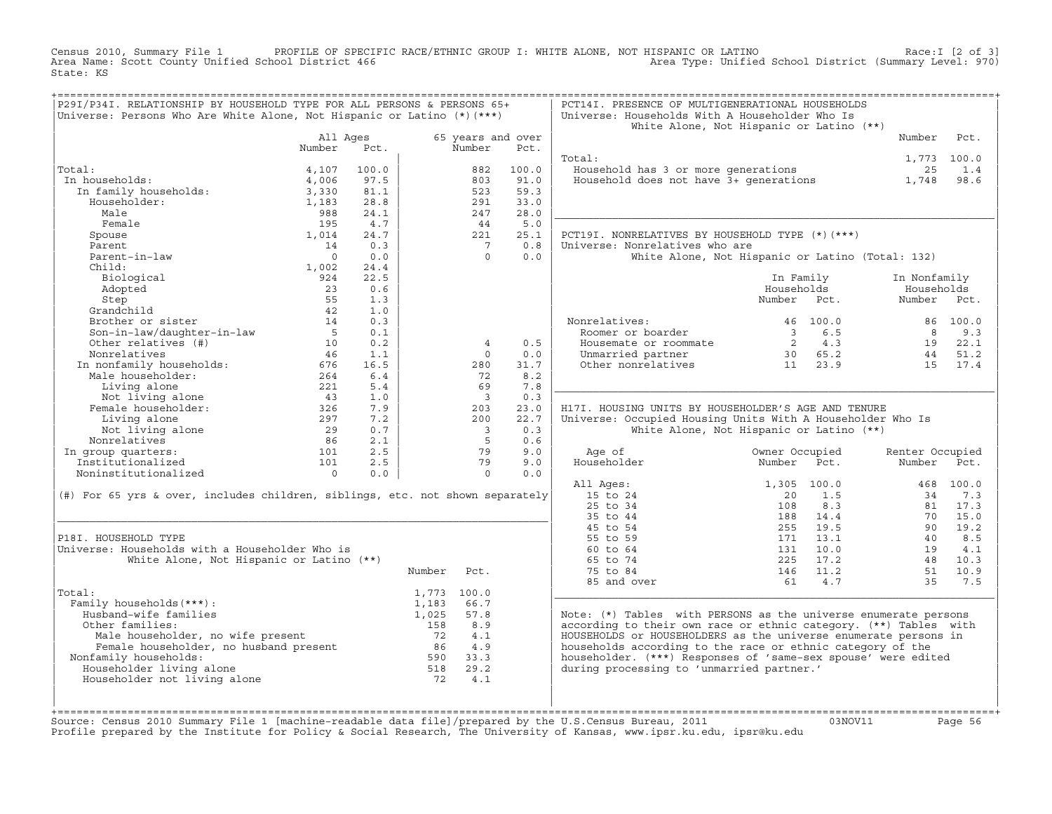Census 2010, Summary File 1 PROFILE OF SPECIFIC RACE/ETHNIC GROUP I: WHITE ALONE, NOT HISPANIC OR LATINO<br>Area Name: Scott County Unified School District 466 Area Type: Unified Scho State: KS

| ===================================<br>P29I/P34I. RELATIONSHIP BY HOUSEHOLD TYPE FOR ALL PERSONS & PERSONS 65+<br>Universe: Persons Who Are White Alone, Not Hispanic or Latino (*) (***) |                    |            |             | PCT14I. PRESENCE OF MULTIGENERATIONAL HOUSEHOLDS<br>Universe: Households With A Householder Who Is<br>White Alone, Not Hispanic or Latino (**) |            |                                                                   |                                                  |                 |           |
|-------------------------------------------------------------------------------------------------------------------------------------------------------------------------------------------|--------------------|------------|-------------|------------------------------------------------------------------------------------------------------------------------------------------------|------------|-------------------------------------------------------------------|--------------------------------------------------|-----------------|-----------|
|                                                                                                                                                                                           | All Ages<br>Number | Pct.       |             | 65 years and over<br>Number                                                                                                                    | Pct.       |                                                                   |                                                  | Number          | Pct.      |
|                                                                                                                                                                                           |                    |            |             |                                                                                                                                                |            | Total:                                                            |                                                  | 1,773 100.0     |           |
| Total:                                                                                                                                                                                    | 4,107              | 100.0      |             | 882                                                                                                                                            | 100.0      | Household has 3 or more generations                               |                                                  | 25              | 1.4       |
| In households:                                                                                                                                                                            | 4,006              | 97.5       |             | 803                                                                                                                                            | 91.0       | Household does not have 3+ generations                            |                                                  | 1,748           | 98.6      |
| In family households:                                                                                                                                                                     | 3,330              | 81.1       |             | 523                                                                                                                                            | 59.3       |                                                                   |                                                  |                 |           |
| Householder:                                                                                                                                                                              | 1,183              | 28.8       |             | 291                                                                                                                                            | 33.0       |                                                                   |                                                  |                 |           |
| Male                                                                                                                                                                                      | 988                | 24.1       |             | 247                                                                                                                                            | 28.0       |                                                                   |                                                  |                 |           |
| Female                                                                                                                                                                                    | 195                | 4.7        |             | 44                                                                                                                                             | 5.0        |                                                                   |                                                  |                 |           |
| Spouse                                                                                                                                                                                    | 1,014              | 24.7       |             | 221                                                                                                                                            | 25.1       | PCT19I. NONRELATIVES BY HOUSEHOLD TYPE (*) (***)                  |                                                  |                 |           |
| Parent                                                                                                                                                                                    | 14                 | 0.3        |             | $\overline{7}$                                                                                                                                 | 0.8        | Universe: Nonrelatives who are                                    |                                                  |                 |           |
| Parent-in-law                                                                                                                                                                             | $\overline{0}$     | 0.0        |             | $\Omega$                                                                                                                                       | 0.0        |                                                                   | White Alone, Not Hispanic or Latino (Total: 132) |                 |           |
| Child:                                                                                                                                                                                    | 1,002              | 24.4       |             |                                                                                                                                                |            |                                                                   |                                                  |                 |           |
| Biological                                                                                                                                                                                | 924                | 22.5       |             |                                                                                                                                                |            |                                                                   | In Family                                        | In Nonfamily    |           |
| Adopted                                                                                                                                                                                   | 23                 | 0.6        |             |                                                                                                                                                |            |                                                                   | Households                                       | Households      |           |
| Step                                                                                                                                                                                      | 55                 | 1.3        |             |                                                                                                                                                |            |                                                                   | Number Pct.                                      | Number Pct.     |           |
| Grandchild                                                                                                                                                                                | 42                 | 1.0        |             |                                                                                                                                                |            |                                                                   |                                                  |                 |           |
| Brother or sister                                                                                                                                                                         | 14                 | 0.3        |             |                                                                                                                                                |            | Nonrelatives:                                                     | 46 100.0                                         |                 | 86 100.0  |
| Son-in-law/daughter-in-law                                                                                                                                                                | 5                  | 0.1        |             |                                                                                                                                                |            | Roomer or boarder                                                 | 6.5<br>$\overline{3}$                            | 8               | 9.3       |
| Other relatives (#)                                                                                                                                                                       | 10                 | 0.2        |             | 4                                                                                                                                              | 0.5        | Housemate or roommate                                             | 2 4.3                                            | 19              | 22.1      |
| Nonrelatives                                                                                                                                                                              | 46                 | 1.1        |             | $\Omega$                                                                                                                                       | 0.0        | Unmarried partner                                                 | 30 65.2                                          | 44              | 51.2      |
| In nonfamily households:                                                                                                                                                                  | 676                | 16.5       |             | 280                                                                                                                                            | 31.7       | Other nonrelatives                                                | 23.9<br>11                                       | 15              | 17.4      |
| Male householder:                                                                                                                                                                         | 264                | 6.4        |             | 72<br>69                                                                                                                                       | 8.2<br>7.8 |                                                                   |                                                  |                 |           |
| Living alone                                                                                                                                                                              | 221                | 5.4<br>1.0 |             |                                                                                                                                                | 0.3        |                                                                   |                                                  |                 |           |
| Not living alone<br>Female householder:                                                                                                                                                   | 43<br>326          | 7.9        |             | $\overline{\mathbf{3}}$<br>203                                                                                                                 | 23.0       | H17I. HOUSING UNITS BY HOUSEHOLDER'S AGE AND TENURE               |                                                  |                 |           |
| Living alone                                                                                                                                                                              | 297                | 7.2        |             | 200                                                                                                                                            | 22.7       | Universe: Occupied Housing Units With A Householder Who Is        |                                                  |                 |           |
| Not living alone                                                                                                                                                                          | 29                 | 0.7        |             | $\overline{\phantom{a}}$                                                                                                                       | 0.3        |                                                                   | White Alone, Not Hispanic or Latino (**)         |                 |           |
| Nonrelatives                                                                                                                                                                              | 86                 | 2.1        |             | $-5$                                                                                                                                           | 0.6        |                                                                   |                                                  |                 |           |
| In group quarters:                                                                                                                                                                        | 101                | 2.5        |             | 79                                                                                                                                             | 9.0        | Age of                                                            | Owner Occupied                                   | Renter Occupied |           |
| Institutionalized                                                                                                                                                                         | 101                | 2.5        |             | 79                                                                                                                                             | 9.0        | Householder                                                       | Number<br>Pct.                                   | Number          | Pct.      |
| Noninstitutionalized                                                                                                                                                                      | $\Omega$           | 0.0        |             | $\Omega$                                                                                                                                       | 0.0        |                                                                   |                                                  |                 |           |
|                                                                                                                                                                                           |                    |            |             |                                                                                                                                                |            | All Ages:                                                         | 1,305 100.0                                      |                 | 468 100.0 |
| (#) For 65 yrs & over, includes children, siblings, etc. not shown separately                                                                                                             |                    |            |             |                                                                                                                                                |            | 15 to 24                                                          | 20<br>1.5                                        | 34              | 7.3       |
|                                                                                                                                                                                           |                    |            |             |                                                                                                                                                |            | 25 to 34                                                          | 8.3<br>108                                       | 81              | 17.3      |
|                                                                                                                                                                                           |                    |            |             |                                                                                                                                                |            | 35 to 44                                                          | 14.4<br>188                                      | 70              | 15.0      |
|                                                                                                                                                                                           |                    |            |             |                                                                                                                                                |            | 45 to 54                                                          | 19.5<br>255                                      | 90              | 19.2      |
| P18I. HOUSEHOLD TYPE                                                                                                                                                                      |                    |            |             |                                                                                                                                                |            | 55 to 59                                                          | 13.1<br>171                                      | 40              | 8.5       |
| Universe: Households with a Householder Who is                                                                                                                                            |                    |            |             |                                                                                                                                                |            | 60 to 64                                                          | 10.0<br>131                                      | 19              | 4.1       |
| White Alone, Not Hispanic or Latino (**)                                                                                                                                                  |                    |            |             |                                                                                                                                                |            | 65 to 74                                                          | 225<br>17.2                                      | 48              | 10.3      |
|                                                                                                                                                                                           |                    |            | Number      | Pct.                                                                                                                                           |            | 75 to 84                                                          | 11.2<br>146                                      | 51              | 10.9      |
|                                                                                                                                                                                           |                    |            |             |                                                                                                                                                |            | 85 and over                                                       | 4.7<br>61                                        | 35              | 7.5       |
| Total:                                                                                                                                                                                    |                    |            | 1,773 100.0 |                                                                                                                                                |            |                                                                   |                                                  |                 |           |
| Family households (***) :                                                                                                                                                                 |                    |            | 1,183       | 66.7                                                                                                                                           |            |                                                                   |                                                  |                 |           |
| Husband-wife families                                                                                                                                                                     |                    |            | 1,025       | 57.8                                                                                                                                           |            | Note: $(*)$ Tables with PERSONS as the universe enumerate persons |                                                  |                 |           |
| Other families:                                                                                                                                                                           |                    |            | 158         | 8.9                                                                                                                                            |            | according to their own race or ethnic category. (**) Tables with  |                                                  |                 |           |
| Male householder, no wife present<br>Female householder, no husband present<br>family households:                                                                                         |                    |            | 72          | 4.1                                                                                                                                            |            | HOUSEHOLDS or HOUSEHOLDERS as the universe enumerate persons in   |                                                  |                 |           |
|                                                                                                                                                                                           |                    |            | 86          | 4.9                                                                                                                                            |            | households according to the race or ethnic category of the        |                                                  |                 |           |
| Nonfamily households:                                                                                                                                                                     |                    |            |             | 590 33.3                                                                                                                                       |            | householder. (***) Responses of 'same-sex spouse' were edited     |                                                  |                 |           |
| Householder living alone                                                                                                                                                                  |                    |            | 518         | 29.2                                                                                                                                           |            | during processing to 'unmarried partner.'                         |                                                  |                 |           |
| Householder not living alone                                                                                                                                                              |                    |            | 72          | 4.1                                                                                                                                            |            |                                                                   |                                                  |                 |           |
|                                                                                                                                                                                           |                    |            |             |                                                                                                                                                |            |                                                                   |                                                  |                 |           |
|                                                                                                                                                                                           |                    |            |             |                                                                                                                                                |            |                                                                   |                                                  |                 |           |

+===================================================================================================================================================+Source: Census 2010 Summary File 1 [machine−readable data file]/prepared by the U.S.Census Bureau, 2011 03NOV11 Page 56 Profile prepared by the Institute for Policy & Social Research, The University of Kansas, www.ipsr.ku.edu, ipsr@ku.edu